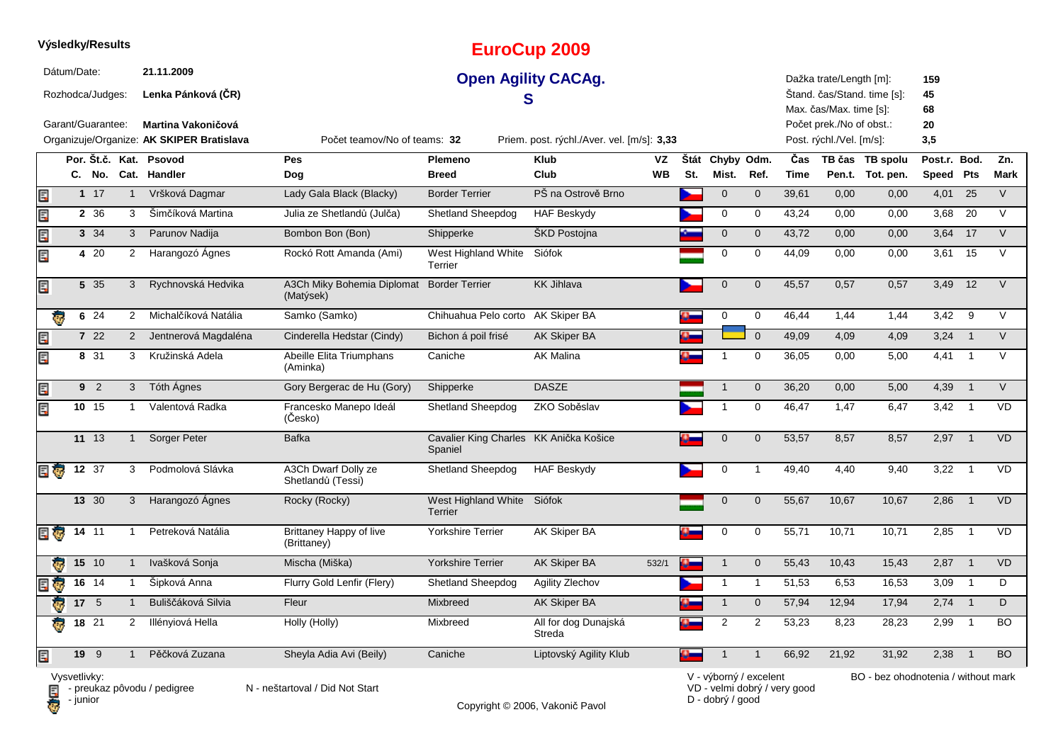|     |              | Výsledky/Results  |                |                                                                        |                                          |                                                   | <b>EuroCup 2009</b>                        |                        |             |                         |                |                              |                                                      |                                     |                           |                |             |
|-----|--------------|-------------------|----------------|------------------------------------------------------------------------|------------------------------------------|---------------------------------------------------|--------------------------------------------|------------------------|-------------|-------------------------|----------------|------------------------------|------------------------------------------------------|-------------------------------------|---------------------------|----------------|-------------|
|     | Dátum/Date:  | Rozhodca/Judges:  |                | 21.11.2009<br>Lenka Pánková (ČR)                                       |                                          |                                                   | <b>Open Agility CACAg.</b><br>S            |                        |             |                         |                |                              | Dažka trate/Length [m]:<br>Max. čas/Max. time [s]:   | Štand. čas/Stand. time [s]:         | 159<br>45<br>68           |                |             |
|     |              | Garant/Guarantee: |                | <b>Martina Vakoničová</b><br>Organizuje/Organize: AK SKIPER Bratislava | Počet teamov/No of teams: 32             |                                                   | Priem. post. rýchl./Aver. vel. [m/s]: 3,33 |                        |             |                         |                |                              | Počet prek./No of obst.:<br>Post. rýchl./Vel. [m/s]: |                                     | 20<br>3,5                 |                |             |
|     |              |                   |                | Por. Št.č. Kat. Psovod<br>C. No. Cat. Handler                          | <b>Pes</b><br><b>Dog</b>                 | <b>Plemeno</b><br><b>Breed</b>                    | <b>Klub</b><br>Club                        | <b>VZ</b><br><b>WB</b> | Štát<br>St. | Chyby Odm.<br>Mist.     | Ref.           | Čas<br><b>Time</b>           |                                                      | TB čas TB spolu<br>Pen.t. Tot. pen. | Post.r. Bod.<br>Speed Pts |                | Zn.<br>Mark |
| E   |              | $1 \t17$          | $\mathbf{1}$   | Vršková Dagmar                                                         | Lady Gala Black (Blacky)                 | <b>Border Terrier</b>                             | PŠ na Ostrově Brno                         |                        |             | $\mathbf 0$             | $\mathbf 0$    | 39,61                        | 0,00                                                 | 0,00                                | 4,01                      | 25             | $\vee$      |
| E   |              | 2 36              | 3              | Šimčíková Martina                                                      | Julia ze Shetlandů (Julča)               | <b>Shetland Sheepdog</b>                          | <b>HAF Beskydy</b>                         |                        |             | 0                       | 0              | 43,24                        | 0,00                                                 | 0,00                                | 3,68                      | 20             | $\vee$      |
| E   |              | 3 34              | 3 <sup>7</sup> | Parunov Nadija                                                         | Bombon Bon (Bon)                         | Shipperke                                         | ŠKD Postojna                               |                        |             | $\mathbf 0$             | $\pmb{0}$      | 43,72                        | 0,00                                                 | 0,00                                | 3,64 17                   |                | $\vee$      |
| Er  |              | 4 20              | 2              | Harangozó Ágnes                                                        | Rockó Rott Amanda (Ami)                  | West Highland White<br>Terrier                    | Siófok                                     |                        |             | 0                       | 0              | 44,09                        | 0,00                                                 | 0,00                                | 3,61                      | 15             | $\vee$      |
| Er  |              | 5 35              | 3              | Rychnovská Hedvika                                                     | A3Ch Miky Bohemia Diplomat<br>(Matýsek)  | <b>Border Terrier</b>                             | <b>KK Jihlava</b>                          |                        |             | $\pmb{0}$               | $\mathbf{0}$   | 45,57                        | 0,57                                                 | 0,57                                | 3,49                      | 12             | $\vee$      |
|     |              | 6 24              | 2              | Michalčíková Natália                                                   | Samko (Samko)                            | Chihuahua Pelo corto AK Skiper BA                 |                                            |                        |             | $\mathbf 0$             | $\pmb{0}$      | 46,44                        | 1,44                                                 | 1,44                                | 3,42                      | 9              | $\vee$      |
| E   |              | 7 22              | $\overline{2}$ | Jentnerová Magdaléna                                                   | Cinderella Hedstar (Cindy)               | Bichon á poil frisé                               | AK Skiper BA                               |                        |             |                         | $\overline{0}$ | 49,09                        | 4,09                                                 | 4,09                                | 3,24                      | $\overline{1}$ | V           |
| E   |              | 8 31              | 3              | Kružinská Adela                                                        | Abeille Elita Triumphans<br>(Aminka)     | Caniche                                           | <b>AK Malina</b>                           |                        |             |                         | 0              | 36,05                        | 0,00                                                 | 5,00                                | 4,41                      | $\overline{1}$ | $\vee$      |
| E   |              | 9 <sup>2</sup>    | $\mathbf{3}$   | Tóth Ágnes                                                             | Gory Bergerac de Hu (Gory)               | Shipperke                                         | <b>DASZE</b>                               |                        |             | $\mathbf 1$             | $\mathbf 0$    | 36,20                        | 0,00                                                 | 5,00                                | 4,39                      | $\overline{1}$ | $\vee$      |
| Er  |              | 10 15             | $\mathbf{1}$   | Valentová Radka                                                        | Francesko Manepo Ideál<br>(Česko)        | <b>Shetland Sheepdog</b>                          | ZKO Soběslav                               |                        |             | 1                       | 0              | 46,47                        | 1,47                                                 | 6,47                                | 3,42                      | $\overline{1}$ | VD          |
|     |              | 11 13             | $\mathbf{1}$   | Sorger Peter                                                           | <b>Bafka</b>                             | Cavalier King Charles KK Anička Košice<br>Spaniel |                                            |                        |             | $\overline{0}$          | $\mathbf 0$    | 53,57                        | 8,57                                                 | 8,57                                | 2,97                      | $\overline{1}$ | <b>VD</b>   |
| 日夜  |              | 12 37             | 3              | Podmolová Slávka                                                       | A3Ch Dwarf Dolly ze<br>Shetlandů (Tessi) | Shetland Sheepdog                                 | <b>HAF Beskydy</b>                         |                        |             | 0                       | $\mathbf{1}$   | 49,40                        | 4,40                                                 | 9,40                                | 3,22                      | $\overline{1}$ | VD          |
|     |              | 13 30             | 3              | Harangozó Ágnes                                                        | Rocky (Rocky)                            | West Highland White Siófok<br><b>Terrier</b>      |                                            |                        |             | $\mathbf 0$             | $\mathbf 0$    | 55,67                        | 10,67                                                | 10,67                               | 2,86                      | $\overline{1}$ | <b>VD</b>   |
| E Ç |              | $14$ 11           | $\mathbf{1}$   | Petreková Natália                                                      | Brittaney Happy of live<br>(Brittaney)   | <b>Yorkshire Terrier</b>                          | AK Skiper BA                               |                        | o_          | $\mathbf 0$             | $\mathbf 0$    | 55,71                        | 10,71                                                | 10,71                               | 2,85                      | $\overline{1}$ | <b>VD</b>   |
|     |              | 15 10             | $\mathbf{1}$   | Ivašková Sonja                                                         | Mischa (Miška)                           | <b>Yorkshire Terrier</b>                          | AK Skiper BA                               | 532/1                  | Ś           | $\overline{\mathbf{1}}$ | $\mathbf 0$    | 55,43                        | 10,43                                                | 15,43                               | 2,87                      | $\overline{1}$ | <b>VD</b>   |
| ę.  |              | 16 14             | 1              | Šipková Anna                                                           | Flurry Gold Lenfir (Flery)               | <b>Shetland Sheepdog</b>                          | Agility Zlechov                            |                        |             | $\mathbf{1}$            | $\mathbf{1}$   | 51,53                        | 6,53                                                 | 16,53                               | 3,09                      | $\overline{1}$ | D           |
| d.  |              | 17 <sub>5</sub>   | $\mathbf{1}$   | Buliščáková Silvia                                                     | Fleur                                    | Mixbreed                                          | <b>AK Skiper BA</b>                        |                        |             | $\mathbf{1}$            | $\mathbf 0$    | 57,94                        | 12,94                                                | 17,94                               | 2,74                      | $\overline{1}$ | D           |
| ā.  |              | 18 21             | 2              | Illényiová Hella                                                       | Holly (Holly)                            | Mixbreed                                          | All for dog Dunajská<br>Streda             |                        |             | 2                       | 2              | 53,23                        | 8,23                                                 | 28,23                               | 2,99                      | $\overline{1}$ | <b>BO</b>   |
| E   |              | 19 9              | $\mathbf{1}$   | Pěčková Zuzana                                                         | Sheyla Adia Avi (Beily)                  | Caniche                                           | Liptovský Agility Klub                     |                        | o.          | $\overline{1}$          | $\overline{1}$ | 66,92                        | 21,92                                                | 31,92                               | 2,38                      | $\overline{1}$ | <b>BO</b>   |
|     | Vysvetlivky: |                   |                | $\blacksquare$ - preukaz pôvodu / pedigree                             | N - neštartoval / Did Not Start          |                                                   |                                            |                        |             | V - výborný / excelent  |                | VD - velmi dobrý / very good |                                                      | BO - bez ohodnotenia / without mark |                           |                |             |

**D** - junior

Copyright © 2006, Vakonič Pavol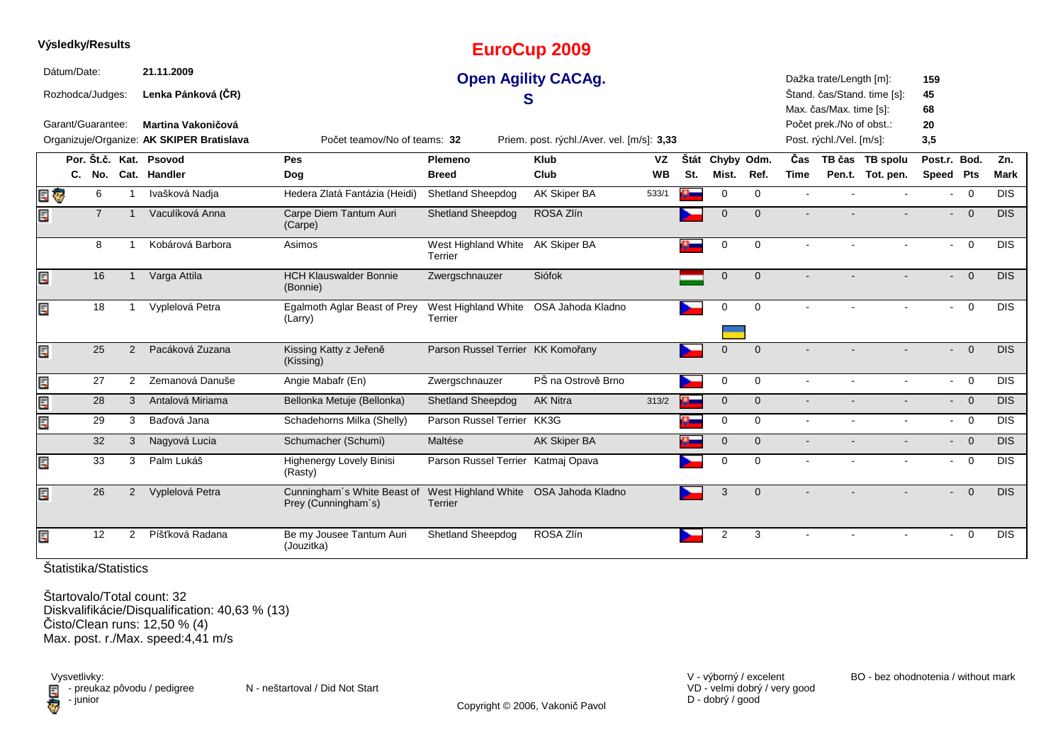|   | Výsledky/Results  |                |                |                                           |                                                    |                                                         | <b>EuroCup 2009</b>                        |           |      |                |              |             |                          |                             |                          |                                             |             |
|---|-------------------|----------------|----------------|-------------------------------------------|----------------------------------------------------|---------------------------------------------------------|--------------------------------------------|-----------|------|----------------|--------------|-------------|--------------------------|-----------------------------|--------------------------|---------------------------------------------|-------------|
|   | Dátum/Date:       |                |                | 21.11.2009                                |                                                    |                                                         | <b>Open Agility CACAg.</b>                 |           |      |                |              |             | Dažka trate/Length [m]:  |                             | 159                      |                                             |             |
|   | Rozhodca/Judges:  |                |                | Lenka Pánková (ČR)                        |                                                    | S                                                       |                                            |           |      |                |              |             |                          | Štand. čas/Stand. time [s]: | 45                       |                                             |             |
|   |                   |                |                |                                           |                                                    |                                                         |                                            |           |      |                |              |             | Max. čas/Max. time [s]:  |                             | 68                       |                                             |             |
|   | Garant/Guarantee: |                |                | Martina Vakoničová                        |                                                    |                                                         |                                            |           |      |                |              |             | Počet prek./No of obst.: |                             | 20                       |                                             |             |
|   |                   |                |                | Organizuje/Organize: AK SKIPER Bratislava | Počet teamov/No of teams: 32                       |                                                         | Priem. post. rýchl./Aver. vel. [m/s]: 3,33 |           |      |                |              |             | Post. rýchl./Vel. [m/s]: |                             | 3,5                      |                                             |             |
|   |                   |                |                | Por. Št.č. Kat. Psovod                    | Pes                                                | <b>Plemeno</b>                                          | <b>Klub</b>                                | VZ        | Štát | Chyby Odm.     |              | Čas         |                          | TB čas TB spolu             | Post.r. Bod.             |                                             | Zn.         |
|   |                   |                |                | C. No. Cat. Handler                       | Dog                                                | <b>Breed</b>                                            | Club                                       | <b>WB</b> | St.  | Mist.          | Ref.         | <b>Time</b> |                          | Pen.t. Tot. pen.            | Speed Pts                |                                             | <b>Mark</b> |
|   | ¢                 | 6              | $\mathbf{1}$   | Ivašková Nadja                            | Hedera Zlatá Fantázia (Heidi)                      | Shetland Sheepdog                                       | <b>AK Skiper BA</b>                        | 533/1     |      | 0              | $\mathbf 0$  |             |                          |                             | $\sim$                   | $\overline{0}$                              | <b>DIS</b>  |
|   |                   | $\overline{7}$ | $\mathbf 1$    | Vaculíková Anna                           | Carpe Diem Tantum Auri<br>(Carpe)                  | <b>Shetland Sheepdog</b>                                | ROSA Zlín                                  |           |      | $\Omega$       | $\Omega$     |             |                          |                             |                          | $\Omega$<br>$\sim$                          | <b>DIS</b>  |
|   |                   | 8              |                | Kobárová Barbora                          | Asimos                                             | West Highland White AK Skiper BA<br>Terrier             |                                            |           |      | $\mathbf 0$    | $\mathbf 0$  |             |                          |                             | $\sim$                   | $\overline{0}$                              | <b>DIS</b>  |
|   |                   | 16             |                | Varga Attila                              | <b>HCH Klauswalder Bonnie</b><br>(Bonnie)          | Zwergschnauzer                                          | Siófok                                     |           |      | $\mathbf{0}$   | $\Omega$     |             |                          |                             |                          | $- 0$                                       | <b>DIS</b>  |
|   |                   | 18             |                | Vyplelová Petra                           | Egalmoth Aglar Beast of Prey<br>(Larry)            | West Highland White OSA Jahoda Kladno<br><b>Terrier</b> |                                            |           |      | 0              | $\mathbf 0$  |             |                          |                             | $\sim$                   | $\overline{0}$                              | <b>DIS</b>  |
|   |                   | 25             | $\overline{2}$ | Pacáková Zuzana                           | Kissing Katty z Jeřeně<br>(Kissing)                | Parson Russel Terrier KK Komořany                       |                                            |           |      | $\mathbf{0}$   | $\mathbf 0$  |             |                          |                             | $\overline{\phantom{0}}$ | $\overline{0}$                              | <b>DIS</b>  |
| E |                   | 27             | $\overline{2}$ | Zemanová Danuše                           | Angie Mabafr (En)                                  | Zwergschnauzer                                          | PŠ na Ostrově Brno                         |           |      | $\mathbf 0$    | $\mathbf 0$  |             |                          |                             | $\sim$                   | $\overline{0}$                              | <b>DIS</b>  |
|   |                   | 28             | 3              | Antalová Miriama                          | Bellonka Metuje (Bellonka)                         | Shetland Sheepdog                                       | <b>AK Nitra</b>                            | 313/2     | Ø.   | $\overline{0}$ | $\mathbf{0}$ |             |                          |                             |                          | $\overline{0}$<br>$\bullet$ .               | <b>DIS</b>  |
|   |                   | 29             | 3              | Baďová Jana                               | Schadehorns Milka (Shelly)                         | Parson Russel Terrier KK3G                              |                                            |           |      | 0              | $\mathbf 0$  | $\sim$      |                          |                             |                          | $- 0$                                       | <b>DIS</b>  |
|   |                   | 32             | 3              | Nagyová Lucia                             | Schumacher (Schumi)                                | Maltése                                                 | AK Skiper BA                               |           |      | $\mathbf{0}$   | $\mathbf{0}$ |             |                          |                             |                          | $- 0$                                       | <b>DIS</b>  |
|   |                   | 33             | 3              | Palm Lukáš                                | Highenergy Lovely Binisi<br>(Rasty)                | Parson Russel Terrier Katmaj Opava                      |                                            |           |      | 0              | $\mathbf 0$  |             |                          |                             | $\sim$                   | $\overline{0}$                              | <b>DIS</b>  |
|   |                   | 26             | $\overline{2}$ | Vyplelová Petra                           | Cunningham's White Beast of<br>Prey (Cunningham's) | West Highland White OSA Jahoda Kladno<br><b>Terrier</b> |                                            |           |      | 3              | $\mathbf{0}$ |             |                          |                             | $\blacksquare$           | $\overline{0}$                              | <b>DIS</b>  |
|   |                   | 12             | $\overline{2}$ | Píšťková Radana                           | Be my Jousee Tantum Auri<br>(Jouzitka)             | Shetland Sheepdog                                       | ROSA Zlín                                  |           |      | 2              | 3            | $\sim$      | $\sim$                   | $\sim$                      |                          | $\overline{0}$<br>$\mathbf{L}^{\text{max}}$ | <b>DIS</b>  |

**Výsledky/Results**

Štartovalo/Total count: 32 Diskvalifikácie/Disqualification: 40,63 % (13)Čisto/Clean runs: 12,50 % (4)Max. post. r./Max. speed:4,41 m/s

Vysvetlivky: $\blacksquare$  - preukaz pôvodu / pedigree N - neštartoval / Did Not Start **D** - junior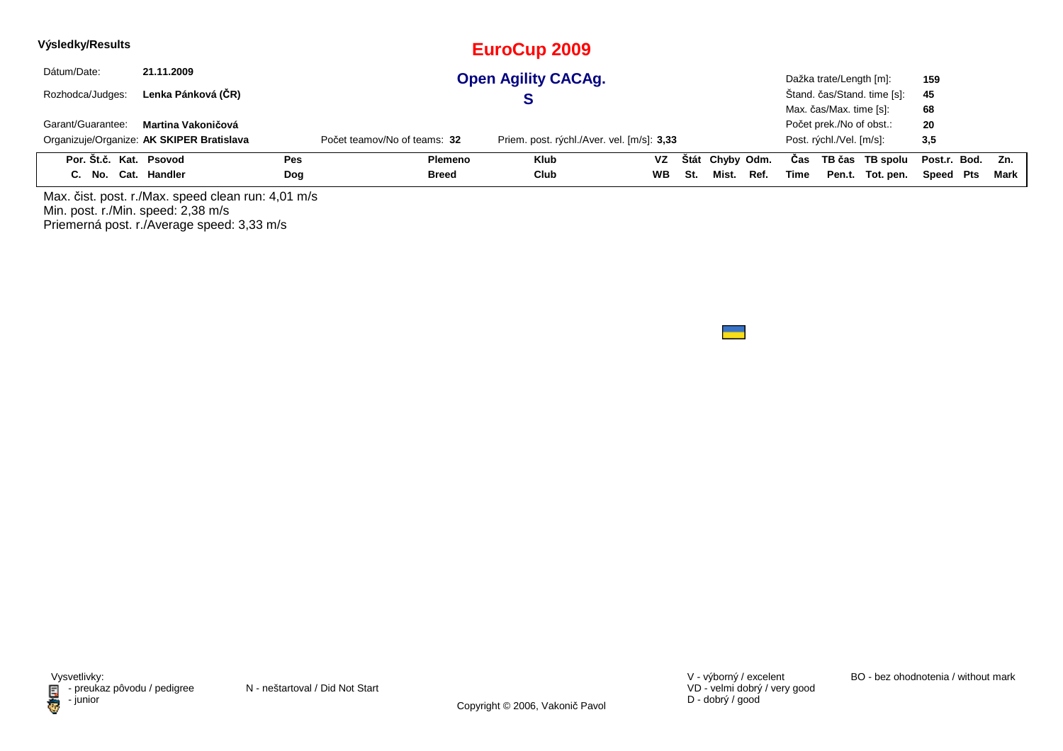| Výsledky/Results       |                                           |            |                              | EuroCup 2009                               |           |     |                 |      |      |                          |                             |                  |      |
|------------------------|-------------------------------------------|------------|------------------------------|--------------------------------------------|-----------|-----|-----------------|------|------|--------------------------|-----------------------------|------------------|------|
| Dátum/Date:            | 21.11.2009                                |            |                              | <b>Open Agility CACAg.</b>                 |           |     |                 |      |      | Dažka trate/Length [m]:  |                             | 159              |      |
| Rozhodca/Judges:       | Lenka Pánková (ČR)                        |            |                              |                                            |           |     |                 |      |      |                          | Štand. čas/Stand. time [s]: | 45               |      |
|                        |                                           |            |                              |                                            |           |     |                 |      |      | Max. čas/Max. time [s]:  |                             | 68               |      |
| Garant/Guarantee:      | Martina Vakoničová                        |            |                              |                                            |           |     |                 |      |      | Počet prek./No of obst.: |                             | 20               |      |
|                        | Organizuje/Organize: AK SKIPER Bratislava |            | Počet teamov/No of teams: 32 | Priem. post. rýchl./Aver. vel. [m/s]: 3,33 |           |     |                 |      |      | Post. rýchl./Vel. [m/s]: |                             | 3,5              |      |
| Por. Št.č. Kat. Psovod |                                           | <b>Pes</b> | Plemeno                      | Klub                                       | VZ.       |     | Štát Chyby Odm. |      | Cas  |                          | TB čas TB spolu             | Post.r. Bod. Zn. |      |
| C. No. Cat. Handler    |                                           | Dog        | <b>Breed</b>                 | Club                                       | <b>WB</b> | St. | Mist.           | Ref. | Time |                          | Pen.t. Tot. pen.            | Speed Pts        | Mark |
|                        |                                           |            |                              |                                            |           |     |                 |      |      |                          |                             |                  |      |

Max. čist. post. r./Max. speed clean run: 4,01 m/sMin. post. r./Min. speed: 2,38 m/s Priemerná post. r./Average speed: 3,33 m/s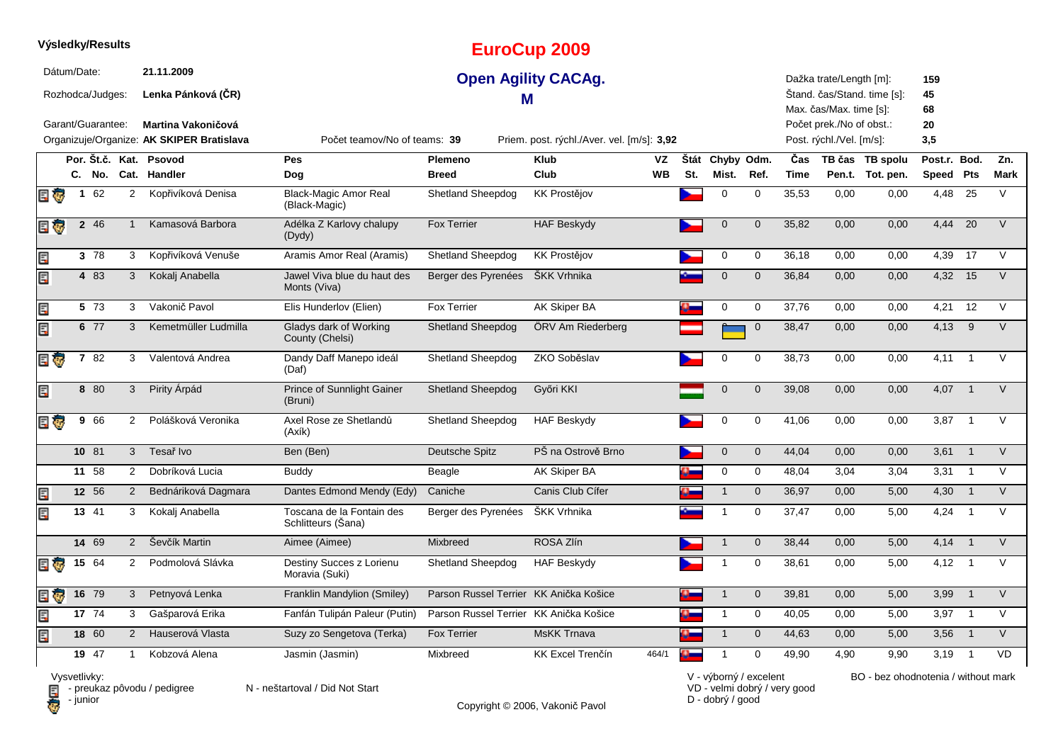| Výsledky/Results |                                       |              |                                                               |                                                 |                                        | <b>EuroCup 2009</b>                        |          |          |                               |                |                    |                                                                                |                                     |                       |                            |                    |
|------------------|---------------------------------------|--------------|---------------------------------------------------------------|-------------------------------------------------|----------------------------------------|--------------------------------------------|----------|----------|-------------------------------|----------------|--------------------|--------------------------------------------------------------------------------|-------------------------------------|-----------------------|----------------------------|--------------------|
| Dátum/Date:      | Rozhodca/Judges:<br>Garant/Guarantee: |              | 21.11.2009<br>Lenka Pánková (ČR)<br><b>Martina Vakoničová</b> |                                                 | м                                      | <b>Open Agility CACAg.</b>                 |          |          |                               |                |                    | Dažka trate/Length [m]:<br>Max. čas/Max. time [s]:<br>Počet prek./No of obst.: | Štand. čas/Stand. time [s]:         | 159<br>45<br>68<br>20 |                            |                    |
|                  |                                       |              | Organizuje/Organize: AK SKIPER Bratislava                     | Počet teamov/No of teams: 39                    |                                        | Priem. post. rýchl./Aver. vel. [m/s]: 3,92 |          |          |                               |                |                    | Post. rýchl./Vel. [m/s]:                                                       |                                     | 3,5                   |                            |                    |
|                  |                                       |              | Por. Št.č. Kat. Psovod<br>C. No. Cat. Handler                 | Pes<br>Dog                                      | Plemeno<br><b>Breed</b>                | <b>Klub</b><br>Club                        | VZ<br>WВ | St.      | Štát Chyby Odm.<br>Mist. Ref. |                | Čas<br><b>Time</b> |                                                                                | TB čas TB spolu<br>Pen.t. Tot. pen. | Post.r. Bod.          |                            | Zn.<br><b>Mark</b> |
| e J              | 1 62                                  | $\mathbf{2}$ | Kopřivíková Denisa                                            | <b>Black-Magic Amor Real</b><br>(Black-Magic)   | <b>Shetland Sheepdog</b>               | <b>KK Prostějov</b>                        |          |          | $\mathbf 0$                   | $\mathbf 0$    | 35,53              | 0,00                                                                           | 0,00                                | Speed Pts<br>4,48     | $\overline{25}$            | $\vee$             |
| E T              | 2 46                                  | $\mathbf{1}$ | Kamasová Barbora                                              | Adélka Z Karlovy chalupy<br>(Dydy)              | <b>Fox Terrier</b>                     | <b>HAF Beskydy</b>                         |          |          | $\mathbf 0$                   | $\overline{0}$ | 35,82              | 0,00                                                                           | 0,00                                | 4,44                  | 20                         | $\vee$             |
| Ę                | 3 78                                  | 3            | Kopřivíková Venuše                                            | Aramis Amor Real (Aramis)                       | <b>Shetland Sheepdog</b>               | <b>KK Prostějov</b>                        |          |          | $\mathbf 0$                   | $\mathbf 0$    | 36,18              | 0,00                                                                           | 0,00                                | 4,39                  | 17                         | $\vee$             |
| Ę                | 4 83                                  | 3            | Kokalj Anabella                                               | Jawel Viva blue du haut des<br>Monts (Viva)     | Berger des Pyrenées                    | ŠKK Vrhnika                                |          |          | $\mathbf 0$                   | $\overline{0}$ | 36,84              | 0,00                                                                           | 0,00                                | 4,32 15               |                            | $\vee$             |
| Ę                | 5 73                                  | 3            | Vakonič Pavol                                                 | Elis Hunderlov (Elien)                          | <b>Fox Terrier</b>                     | AK Skiper BA                               |          |          | 0                             | $\mathbf 0$    | 37,76              | 0,00                                                                           | 0,00                                | 4,21                  | 12                         | $\vee$             |
| E                | 6 77                                  | 3            | Kemetmüller Ludmilla                                          | Gladys dark of Working<br>County (Chelsi)       | <b>Shetland Sheepdog</b>               | ÖRV Am Riederberg                          |          |          |                               | $\overline{0}$ | 38,47              | 0,00                                                                           | 0,00                                | 4,13                  | 9                          | $\vee$             |
| Elg              | 782                                   | 3            | Valentová Andrea                                              | Dandy Daff Manepo ideál<br>(Daf)                | Shetland Sheepdog                      | ZKO Soběslav                               |          |          | $\mathbf 0$                   | $\mathbf 0$    | 38,73              | 0,00                                                                           | 0,00                                | 4,11                  | $\overline{1}$             | $\vee$             |
| Ę                | 8 80                                  | 3            | Pirity Árpád                                                  | Prince of Sunnlight Gainer<br>(Bruni)           | <b>Shetland Sheepdog</b>               | Győri KKI                                  |          |          | $\mathbf 0$                   | $\mathbf 0$    | 39,08              | 0,00                                                                           | 0,00                                | 4,07                  | $\overline{1}$             | $\vee$             |
| E G              | 9 66                                  | 2            | Polášková Veronika                                            | Axel Rose ze Shetlandů<br>(Axík)                | Shetland Sheepdog                      | <b>HAF Beskydy</b>                         |          |          | 0                             | $\mathbf 0$    | 41,06              | 0,00                                                                           | 0,00                                | 3,87                  | $\overline{1}$             | $\vee$             |
|                  | $10 \t 81$                            | $\mathbf{3}$ | Tesař Ivo                                                     | Ben (Ben)                                       | Deutsche Spitz                         | PŠ na Ostrově Brno                         |          |          | $\overline{0}$                | $\overline{0}$ | 44,04              | 0,00                                                                           | 0,00                                | $3,61$ 1              |                            | $\vee$             |
|                  | 11 58                                 | 2            | Dobríková Lucia                                               | Buddy                                           | Beagle                                 | AK Skiper BA                               |          |          | $\mathbf 0$                   | $\mathbf 0$    | 48,04              | 3,04                                                                           | 3,04                                | 3,31                  | $\overline{1}$             | $\vee$             |
| Ę                | 12 56                                 | 2            | Bednáriková Dagmara                                           | Dantes Edmond Mendy (Edy)                       | Caniche                                | Canis Club Cífer                           |          | $\alpha$ | $\overline{1}$                | $\mathbf{0}$   | 36,97              | 0.00                                                                           | 5,00                                | 4,30                  | $\overline{1}$             | $\vee$             |
| Ę                | 13 41                                 | 3            | Kokalj Anabella                                               | Toscana de la Fontain des<br>Schlitteurs (Sana) | Berger des Pyrenées                    | <b>SKK Vrhnika</b>                         |          |          | $\overline{1}$                | 0              | 37,47              | 0,00                                                                           | 5,00                                | 4,24                  | $\overline{1}$             | $\vee$             |
|                  | 14 69                                 | 2            | Ševčík Martin                                                 | Aimee (Aimee)                                   | <b>Mixbreed</b>                        | ROSA Zlín                                  |          |          |                               | $\mathbf{0}$   | 38,44              | 0,00                                                                           | 5,00                                | 4,14                  | $\overline{1}$             | $\vee$             |
| e o              | 15 $64$                               | 2            | Podmolová Slávka                                              | Destiny Succes z Lorienu<br>Moravia (Suki)      | Shetland Sheepdog                      | <b>HAF Beskydy</b>                         |          |          | $\mathbf{1}$                  | $\mathbf 0$    | 38,61              | 0,00                                                                           | 5,00                                | $4,12$ 1              |                            | $\vee$             |
| E G              | $16 \t 79$                            | 3            | Petnyová Lenka                                                | Franklin Mandylion (Smiley)                     | Parson Russel Terrier KK Anička Košice |                                            |          |          | -1                            | $\overline{0}$ | 39,81              | 0,00                                                                           | 5,00                                | 3,99                  | $\overline{1}$             | $\vee$             |
| Ę                | 17 74                                 | 3            | Gašparová Erika                                               | Fanfán Tulipán Paleur (Putin)                   | Parson Russel Terrier KK Anička Košice |                                            |          |          | $\mathbf{1}$                  | $\mathbf 0$    | 40,05              | 0,00                                                                           | 5,00                                | 3,97                  | $\overline{1}$             | $\vee$             |
| Ę                | $18 \quad 60$                         | 2            | Hauserová Vlasta                                              | Suzy zo Sengetova (Terka)                       | <b>Fox Terrier</b>                     | <b>MsKK Trnava</b>                         |          |          | $\overline{1}$                | $\mathbf 0$    | 44,63              | 0,00                                                                           | 5,00                                | 3,56                  | $\overline{1}$             | $\vee$             |
|                  | 19 47                                 | 1            | Kobzová Alena                                                 | Jasmin (Jasmin)                                 | Mixbreed                               | <b>KK Excel Trenčín</b>                    | 464/1    |          | $\mathbf{1}$                  | $\mathbf 0$    | 49,90              | 4,90                                                                           | 9,90                                | 3,19                  | $\overline{\phantom{0}}$ 1 | <b>VD</b>          |

Copyright © 2006, Vakonič Pavol

VD - velmi dobrý / very good D - dobrý / good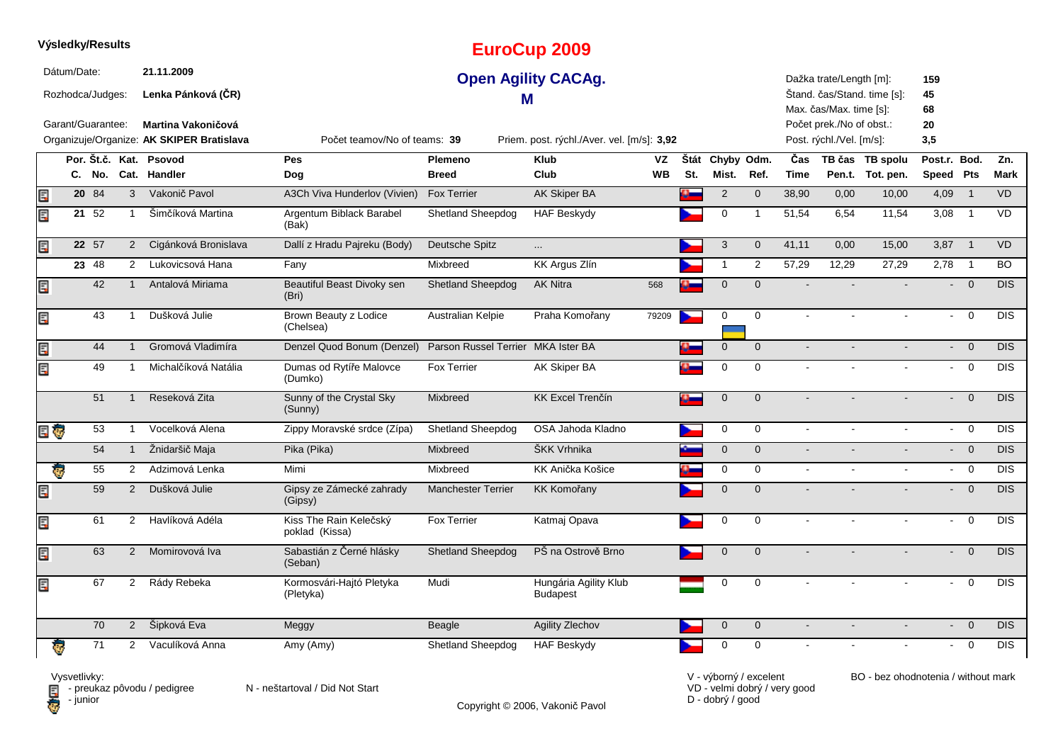|     | Výsledky/Results                                     |        |                |                                                                                                     |                                          |                                    | <b>EuroCup 2009</b>                                                      |           |     |                 |                         |                |                                                                                                            |                             |                              |                |            |
|-----|------------------------------------------------------|--------|----------------|-----------------------------------------------------------------------------------------------------|------------------------------------------|------------------------------------|--------------------------------------------------------------------------|-----------|-----|-----------------|-------------------------|----------------|------------------------------------------------------------------------------------------------------------|-----------------------------|------------------------------|----------------|------------|
|     | Dátum/Date:<br>Rozhodca/Judges:<br>Garant/Guarantee: |        |                | 21.11.2009<br>Lenka Pánková (ČR)<br>Martina Vakoničová<br>Organizuje/Organize: AK SKIPER Bratislava | Počet teamov/No of teams: 39             | м                                  | <b>Open Agility CACAg.</b><br>Priem. post. rýchl./Aver. vel. [m/s]: 3,92 |           |     |                 |                         |                | Dažka trate/Length [m]:<br>Max. čas/Max. time [s]:<br>Počet prek./No of obst.:<br>Post. rýchl./Vel. [m/s]: | Stand. čas/Stand. time [s]: | 159<br>45<br>68<br>20<br>3,5 |                |            |
|     |                                                      |        |                | Por. Št.č. Kat. Psovod                                                                              | <b>Pes</b>                               | Plemeno                            | <b>Klub</b>                                                              | VZ        |     | Štát Chyby Odm. |                         | Čas            |                                                                                                            | TB čas TB spolu             | Post.r. Bod.                 |                | Zn.        |
|     |                                                      | C. No. |                | Cat. Handler                                                                                        | Dog                                      | <b>Breed</b>                       | Club                                                                     | <b>WB</b> | St. | Mist.           | Ref.                    | <b>Time</b>    |                                                                                                            | Pen.t. Tot. pen.            | Speed Pts                    |                | Mark       |
| Ē   |                                                      | 2084   | $\mathbf{3}$   | Vakonič Pavol                                                                                       | A3Ch Viva Hunderlov (Vivien)             | Fox Terrier                        | <b>AK Skiper BA</b>                                                      |           | Ø.  | $\overline{2}$  | $\mathbf 0$             | 38,90          | 0,00                                                                                                       | 10,00                       | 4,09                         | $\overline{1}$ | VD         |
| Ę   |                                                      | 21 52  | $\overline{1}$ | Šimčíková Martina                                                                                   | Argentum Biblack Barabel<br>(Bak)        | Shetland Sheepdog                  | <b>HAF Beskydy</b>                                                       |           |     | $\mathbf 0$     | $\overline{\mathbf{1}}$ | 51,54          | 6,54                                                                                                       | 11,54                       | 3,08                         | $\overline{1}$ | <b>VD</b>  |
| Ę   |                                                      | 22 57  | $\overline{2}$ | Cigánková Bronislava                                                                                | Dallí z Hradu Pajreku (Body)             | Deutsche Spitz                     | $\cdots$                                                                 |           |     | 3               | $\mathbf 0$             | 41,11          | 0,00                                                                                                       | 15,00                       | 3,87                         | $\overline{1}$ | <b>VD</b>  |
|     |                                                      | 23 48  | $\overline{2}$ | Lukovicsová Hana                                                                                    | Fany                                     | Mixbreed                           | KK Argus Zlín                                                            |           |     | $\mathbf{1}$    | $\overline{2}$          | 57,29          | 12,29                                                                                                      | 27,29                       | 2,78                         | $\overline{1}$ | <b>BO</b>  |
| Ę   |                                                      | 42     | $\mathbf{1}$   | Antalová Miriama                                                                                    | Beautiful Beast Divoky sen<br>(Bri)      | <b>Shetland Sheepdog</b>           | <b>AK Nitra</b>                                                          | 568       |     | $\mathbf{0}$    | $\mathbf{0}$            |                |                                                                                                            |                             | цÚ.                          | $\overline{0}$ | <b>DIS</b> |
| Ę   |                                                      | 43     | $\overline{1}$ | Dušková Julie                                                                                       | Brown Beauty z Lodice<br>(Chelsea)       | Australian Kelpie                  | Praha Komořany                                                           | 79209     |     | $\mathbf 0$     | $\mathbf 0$             | $\sim$         | $\sim$                                                                                                     | $\sim$                      | $\sim$                       | $\overline{0}$ | <b>DIS</b> |
| E   |                                                      | 44     | $\overline{1}$ | Gromová Vladimíra                                                                                   | Denzel Quod Bonum (Denzel)               | Parson Russel Terrier MKA Ister BA |                                                                          |           |     | $\mathbf 0$     | $\overline{0}$          | $\mathbf{r}$   |                                                                                                            | $\overline{a}$              | $\omega$ .                   | $\overline{0}$ | <b>DIS</b> |
| Ę   |                                                      | 49     | -1             | Michalčíková Natália                                                                                | Dumas od Rytíře Malovce<br>(Dumko)       | <b>Fox Terrier</b>                 | <b>AK Skiper BA</b>                                                      |           |     | $\mathbf 0$     | 0                       |                |                                                                                                            |                             | $\sim$                       | $\overline{0}$ | <b>DIS</b> |
|     |                                                      | 51     | $\mathbf 1$    | Reseková Zita                                                                                       | Sunny of the Crystal Sky<br>(Sunny)      | Mixbreed                           | <b>KK Excel Trenčín</b>                                                  |           |     | $\mathbf{0}$    | $\Omega$                |                |                                                                                                            |                             |                              | $\Omega$       | DIS.       |
| E G |                                                      | 53     | $\mathbf{1}$   | Vocelková Alena                                                                                     | Zippy Moravské srdce (Zípa)              | <b>Shetland Sheepdog</b>           | OSA Jahoda Kladno                                                        |           |     | 0               | $\mathbf 0$             | $\omega$       | $\blacksquare$                                                                                             | $\blacksquare$              | $\mathbf{L}^{\mathrm{max}}$  | $\overline{0}$ | <b>DIS</b> |
|     |                                                      | 54     | $\mathbf{1}$   | Žnidaršič Maja                                                                                      | Pika (Pika)                              | Mixbreed                           | ŠKK Vrhnika                                                              |           |     | $\overline{0}$  | $\mathbf{0}$            | $\blacksquare$ |                                                                                                            |                             |                              | $- 0$          | <b>DIS</b> |
| Ġ.  |                                                      | 55     | 2              | Adzimová Lenka                                                                                      | Mimi                                     | Mixbreed                           | KK Anička Košice                                                         |           |     | $\mathbf 0$     | $\mathbf 0$             | $\blacksquare$ |                                                                                                            |                             | $\sim$                       | $\overline{0}$ | <b>DIS</b> |
| Ę   |                                                      | 59     | $\overline{2}$ | Dušková Julie                                                                                       | Gipsy ze Zámecké zahrady<br>(Gipsy)      | <b>Manchester Terrier</b>          | <b>KK Komořany</b>                                                       |           |     | $\mathbf{0}$    | $\Omega$                |                |                                                                                                            |                             |                              | $\mathbf 0$    | <b>DIS</b> |
| Ę   |                                                      | 61     | $\overline{2}$ | Havlíková Adéla                                                                                     | Kiss The Rain Kelečský<br>poklad (Kissa) | Fox Terrier                        | Katmaj Opava                                                             |           |     | $\mathbf 0$     | 0                       |                |                                                                                                            |                             | $\mathbf{r}$                 | $\mathbf 0$    | <b>DIS</b> |
| Ę   |                                                      | 63     | 2              | Momirovová Iva                                                                                      | Sabastián z Černé hlásky<br>(Seban)      | Shetland Sheepdog                  | PŠ na Ostrově Brno                                                       |           |     | $\mathbf{0}$    | $\mathbf{0}$            |                |                                                                                                            |                             | $\overline{\phantom{0}}$     | $\Omega$       | DIS.       |
| Ę   |                                                      | 67     | $\overline{2}$ | Rády Rebeka                                                                                         | Kormosvári-Hajtó Pletyka<br>(Pletyka)    | Mudi                               | Hungária Agility Klub<br><b>Budapest</b>                                 |           |     | $\mathbf 0$     | $\Omega$                |                |                                                                                                            |                             |                              | $\mathbf 0$    | <b>DIS</b> |
|     |                                                      | 70     | $\overline{2}$ | Šipková Eva                                                                                         | Meggy                                    | <b>Beagle</b>                      | Agility Zlechov                                                          |           |     | $\pmb{0}$       | $\mathbf 0$             | $\blacksquare$ |                                                                                                            |                             | $\overline{\phantom{0}}$     | $\overline{0}$ | <b>DIS</b> |
|     | ₹.                                                   | 71     | $\overline{2}$ | Vaculíková Anna                                                                                     | Amy (Amy)                                | <b>Shetland Sheepdog</b>           | <b>HAF Beskydy</b>                                                       |           |     | 0               | 0                       |                |                                                                                                            |                             |                              | $\mathbf 0$    | <b>DIS</b> |

Copyright © 2006, Vakonič Pavol

VD - velmi dobrý / very good D - dobrý / good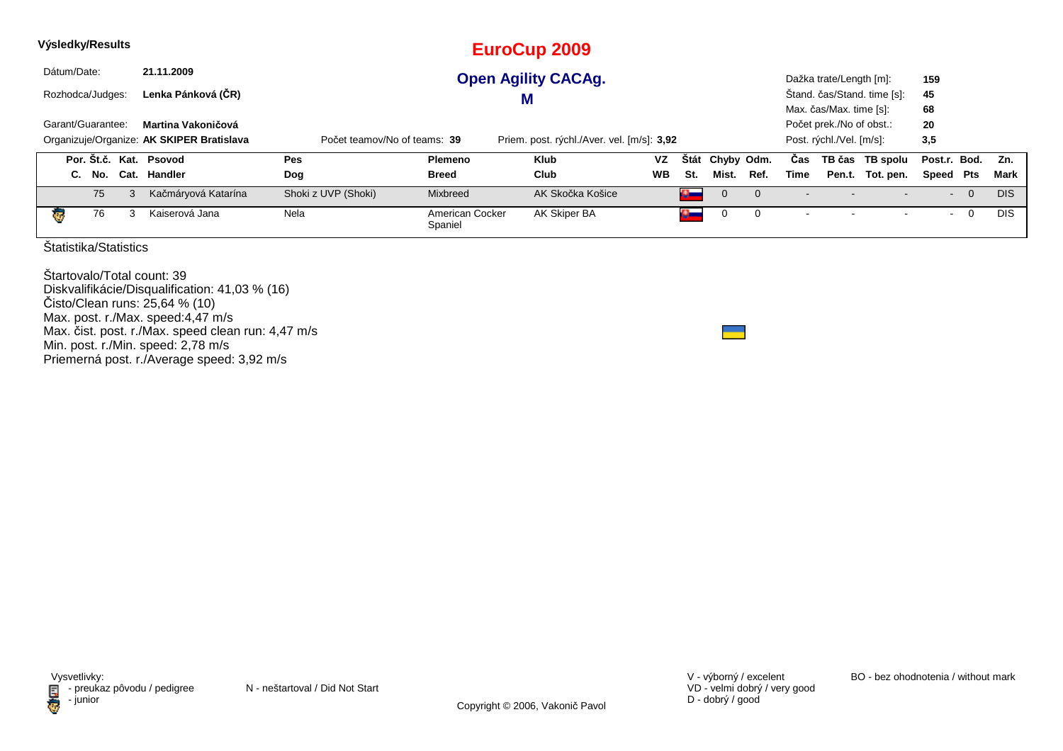| Výsledky/Results       |                                           |                              |                            | <b>EuroCup 2009</b>                        |           |          |              |            |      |                          |                             |                |                |            |
|------------------------|-------------------------------------------|------------------------------|----------------------------|--------------------------------------------|-----------|----------|--------------|------------|------|--------------------------|-----------------------------|----------------|----------------|------------|
| Dátum/Date:            | 21.11.2009                                |                              |                            | <b>Open Agility CACAg.</b>                 |           |          |              |            |      | Dažka trate/Length [m]:  |                             | 159            |                |            |
| Rozhodca/Judges:       | Lenka Pánková (ČR)                        |                              |                            | M                                          |           |          |              |            |      |                          | Štand. čas/Stand. time [s]: | 45             |                |            |
|                        |                                           |                              |                            |                                            |           |          |              |            |      | Max. čas/Max. time [s]:  |                             | 68             |                |            |
| Garant/Guarantee:      | Martina Vakoničová                        |                              |                            |                                            |           |          |              |            |      | Počet prek./No of obst.: |                             | 20             |                |            |
|                        | Organizuje/Organize: AK SKIPER Bratislava | Počet teamov/No of teams: 39 |                            | Priem. post. rýchl./Aver. vel. [m/s]: 3,92 |           |          |              |            |      | Post. rýchl./Vel. [m/s]: |                             | 3,5            |                |            |
| Por. Št.č. Kat. Psovod |                                           | <b>Pes</b>                   | <b>Plemeno</b>             | <b>Klub</b>                                | <b>VZ</b> | Stát     |              | Chyby Odm. | Cas  |                          | TB čas TB spolu             | Post.r. Bod.   |                | Zn.        |
| C. No.                 | Cat. Handler                              | Dog                          | <b>Breed</b>               | Club                                       | <b>WB</b> | St.      | Mist.        | Ref.       | Time |                          | Pen.t. Tot. pen.            | Speed Pts      |                | Mark       |
| 75                     | Kačmáryová Katarína<br>3                  | Shoki z UVP (Shoki)          | Mixbreed                   | AK Skočka Košice                           |           | $\alpha$ | $\mathbf{0}$ | $\Omega$   |      |                          |                             | $\blacksquare$ | $\overline{0}$ | <b>DIS</b> |
| 76<br>чg.              | Kaiserová Jana<br>3                       | Nela                         | American Cocker<br>Spaniel | AK Skiper BA                               |           | $\sim$   | 0            | 0          |      |                          |                             | $\blacksquare$ | $\overline{0}$ | <b>DIS</b> |
| Štatistika/Statistics  |                                           |                              |                            |                                            |           |          |              |            |      |                          |                             |                |                |            |

Štartovalo/Total count: 39 Diskvalifikácie/Disqualification: 41,03 % (16)Čisto/Clean runs: 25,64 % (10) Max. post. r./Max. speed:4,47 m/s Max. čist. post. r./Max. speed clean run: 4,47 m/sMin. post. r./Min. speed: 2,78 m/s Priemerná post. r./Average speed: 3,92 m/s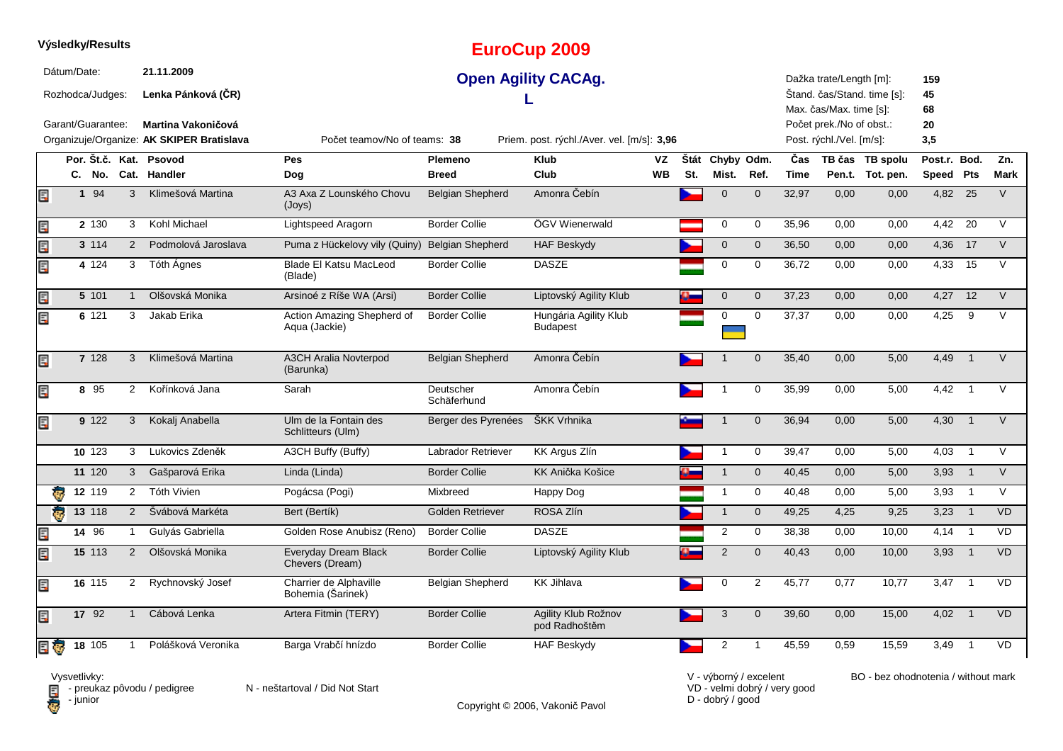|                         |             | Výsledky/Results                      |                |                                                                                                     |                                             |                          | <b>EuroCup 2009</b>                                                      |           |     |                           |                |             |                                                                                                            |                             |                              |                            |             |
|-------------------------|-------------|---------------------------------------|----------------|-----------------------------------------------------------------------------------------------------|---------------------------------------------|--------------------------|--------------------------------------------------------------------------|-----------|-----|---------------------------|----------------|-------------|------------------------------------------------------------------------------------------------------------|-----------------------------|------------------------------|----------------------------|-------------|
|                         | Dátum/Date: | Rozhodca/Judges:<br>Garant/Guarantee: |                | 21.11.2009<br>Lenka Pánková (ČR)<br>Martina Vakoničová<br>Organizuje/Organize: AK SKIPER Bratislava | Počet teamov/No of teams: 38                |                          | <b>Open Agility CACAg.</b><br>Priem. post. rýchl./Aver. vel. [m/s]: 3,96 |           |     |                           |                |             | Dažka trate/Length [m]:<br>Max. čas/Max. time [s]:<br>Počet prek./No of obst.:<br>Post. rýchl./Vel. [m/s]: | Štand. čas/Stand. time [s]: | 159<br>45<br>68<br>20<br>3,5 |                            |             |
|                         |             | Por. Št.č. Kat.                       |                | Psovod                                                                                              | Pes                                         | <b>Plemeno</b>           | <b>Klub</b>                                                              | VZ        |     | Štát Chyby Odm.           |                | Čas         |                                                                                                            | TB čas TB spolu             | Post.r. Bod.                 |                            | Zn.         |
|                         |             | C. No.                                |                | Cat. Handler                                                                                        | Dog                                         | <b>Breed</b>             | Club                                                                     | <b>WB</b> | St. | Mist.                     | Ref.           | <b>Time</b> |                                                                                                            | Pen.t. Tot. pen.            | Speed Pts                    |                            | <b>Mark</b> |
| E                       |             | 1 94                                  | 3              | Klimešová Martina                                                                                   | A3 Axa Z Lounského Chovu<br>(Joys)          | <b>Belgian Shepherd</b>  | Amonra Čebín                                                             |           |     | $\mathbf 0$               | $\Omega$       | 32,97       | 0,00                                                                                                       | 0,00                        | 4,82                         | 25                         | V           |
| E                       |             | 2 130                                 | 3              | Kohl Michael                                                                                        | Lightspeed Aragorn                          | <b>Border Collie</b>     | ÖGV Wienerwald                                                           |           |     | 0                         | $\mathbf 0$    | 35,96       | 0,00                                                                                                       | 0,00                        | 4,42                         | 20                         | $\vee$      |
| lir"                    |             | 3 1 1 4                               | 2              | Podmolová Jaroslava                                                                                 | Puma z Hückelovy vily (Quiny)               | <b>Belgian Shepherd</b>  | <b>HAF Beskydy</b>                                                       |           |     | $\mathbf{0}$              | $\mathbf{0}$   | 36,50       | 0,00                                                                                                       | 0,00                        | 4,36                         | 17                         | $\vee$      |
| E                       |             | 4 1 2 4                               | 3              | Tóth Agnes                                                                                          | <b>Blade El Katsu MacLeod</b><br>(Blade)    | <b>Border Collie</b>     | <b>DASZE</b>                                                             |           |     | $\mathbf 0$               | $\mathbf 0$    | 36,72       | 0,00                                                                                                       | 0,00                        | 4,33                         | 15                         | $\vee$      |
| E                       |             | 5 101                                 | $\mathbf{1}$   | Olšovská Monika                                                                                     | Arsinoé z Ríše WA (Arsi)                    | <b>Border Collie</b>     | Liptovský Agility Klub                                                   |           |     | $\mathbf 0$               | $\mathbf{0}$   | 37,23       | 0.00                                                                                                       | 0,00                        | 4,27                         | 12                         | $\vee$      |
| E                       |             | 6 121                                 | 3              | Jakab Erika                                                                                         | Action Amazing Shepherd of<br>Aqua (Jackie) | <b>Border Collie</b>     | Hungária Agility Klub<br>Budapest                                        |           |     | $\mathbf 0$               | 0              | 37,37       | 0,00                                                                                                       | 0,00                        | 4,25                         | 9                          | $\vee$      |
| E.P                     |             | 7 128                                 | 3              | Klimešová Martina                                                                                   | <b>A3CH Aralia Novterpod</b><br>(Barunka)   | <b>Belgian Shepherd</b>  | Amonra Čebín                                                             |           |     |                           | $\mathbf{0}$   | 35,40       | 0.00                                                                                                       | 5,00                        | 4,49                         | $\overline{1}$             | $\vee$      |
| Ę                       |             | 8 95                                  | 2              | Kořínková Jana                                                                                      | Sarah                                       | Deutscher<br>Schäferhund | Amonra Čebín                                                             |           |     |                           | $\mathbf 0$    | 35,99       | 0,00                                                                                                       | 5,00                        | 4,42                         | $\overline{1}$             | $\vee$      |
| E                       |             | 9 122                                 | 3              | Kokalj Anabella                                                                                     | Ulm de la Fontain des<br>Schlitteurs (Ulm)  | Berger des Pyrenées      | ŠKK Vrhnika                                                              |           |     | $\mathbf{1}$              | $\Omega$       | 36,94       | 0,00                                                                                                       | 5,00                        | 4,30                         | $\overline{1}$             | V           |
|                         |             | 10 123                                | 3              | Lukovics Zdeněk                                                                                     | A3CH Buffy (Buffy)                          | Labrador Retriever       | KK Argus Zlín                                                            |           |     | $\mathbf{1}$              | $\mathbf 0$    | 39,47       | 0,00                                                                                                       | 5,00                        | 4,03                         | $\overline{1}$             | $\vee$      |
|                         |             | 11 120                                | 3              | Gašparová Erika                                                                                     | Linda (Linda)                               | <b>Border Collie</b>     | KK Anička Košice                                                         |           |     | $\mathbf{1}$              | $\mathbf{0}$   | 40,45       | 0,00                                                                                                       | 5,00                        | 3,93                         | $\overline{1}$             | V           |
| $\overline{\mathbf{c}}$ |             | $12 \t119$                            | $\overline{2}$ | <b>Tóth Vivien</b>                                                                                  | Pogácsa (Pogi)                              | Mixbreed                 | Happy Dog                                                                |           |     | $\mathbf{1}$              | $\mathbf 0$    | 40,48       | 0,00                                                                                                       | 5,00                        | 3,93                         | $\overline{1}$             | $\vee$      |
| ह                       |             | 13 118                                | 2              | Švábová Markéta                                                                                     | Bert (Bertík)                               | Golden Retriever         | ROSA Zlín                                                                |           |     | $\mathbf{1}$              | $\mathbf 0$    | 49,25       | 4,25                                                                                                       | 9,25                        | 3,23                         | $\overline{1}$             | VD          |
| E                       |             | 14 96                                 | 1              | Gulyás Gabriella                                                                                    | Golden Rose Anubisz (Reno)                  | <b>Border Collie</b>     | <b>DASZE</b>                                                             |           |     | $\overline{2}$            | 0              | 38,38       | 0,00                                                                                                       | 10,00                       | 4,14                         | $\overline{\phantom{0}}$ 1 | <b>VD</b>   |
| E                       |             | 15 113                                | 2              | Olšovská Monika                                                                                     | Everyday Dream Black<br>Chevers (Dream)     | <b>Border Collie</b>     | Liptovský Agility Klub                                                   |           |     | $\overline{2}$            | $\mathbf{0}$   | 40,43       | 0.00                                                                                                       | 10,00                       | 3,93                         | $\overline{1}$             | <b>VD</b>   |
| Ę                       |             | 16 115                                | $\overline{2}$ | Rychnovský Josef                                                                                    | Charrier de Alphaville<br>Bohemia (Sarinek) | <b>Belgian Shepherd</b>  | <b>KK Jihlava</b>                                                        |           |     | $\mathbf 0$               | $\overline{2}$ | 45,77       | 0.77                                                                                                       | 10.77                       | 3.47                         | $\overline{1}$             | VD          |
| E                       |             | 17 92                                 | $\mathbf{1}$   | Cábová Lenka                                                                                        | Artera Fitmin (TERY)                        | <b>Border Collie</b>     | Agility Klub Rožnov<br>pod Radhoštěm                                     |           |     | $\ensuremath{\mathsf{3}}$ | $\mathbf{0}$   | 39,60       | 0,00                                                                                                       | 15,00                       | 4,02                         | $\overline{1}$             | <b>VD</b>   |
| E G                     |             | $18 \overline{105}$                   | $\mathbf 1$    | Polášková Veronika                                                                                  | Barga Vrabčí hnízdo                         | <b>Border Collie</b>     | <b>HAF Beskydy</b>                                                       |           |     | $\overline{2}$            | $\mathbf 1$    | 45,59       | 0.59                                                                                                       | 15,59                       | 3.49                         | $\overline{1}$             | VD          |

Copyright © 2006, Vakonič Pavol

VD - velmi dobrý / very good D - dobrý / good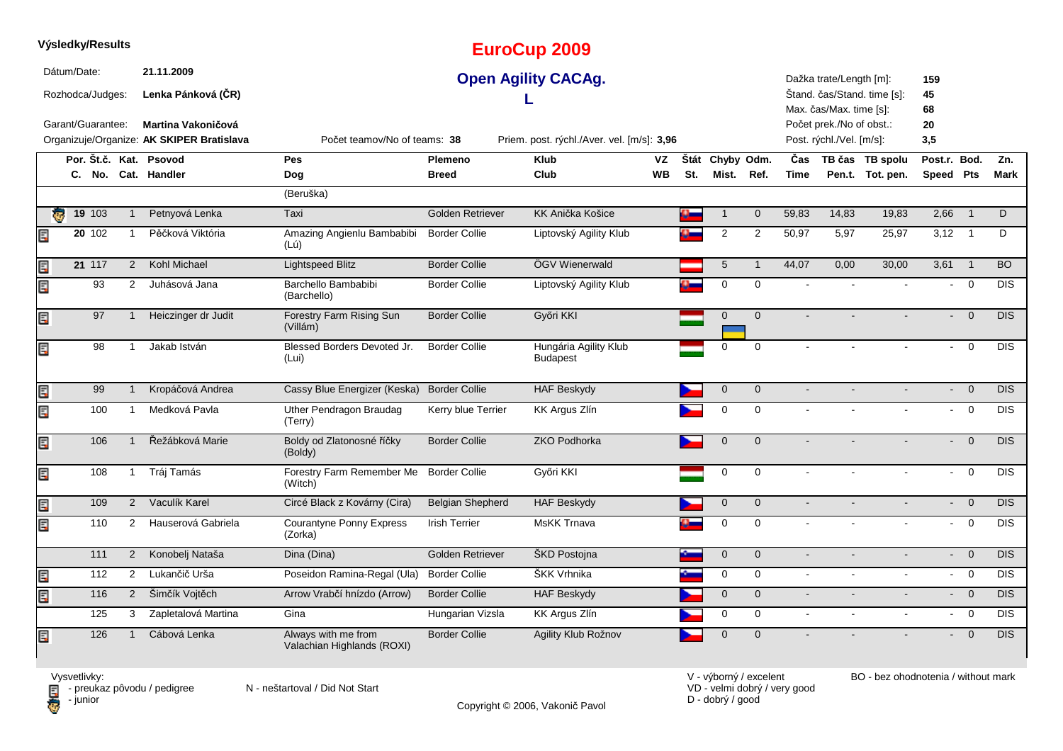|                         |             | Výsledky/Results                      |                |                                                                                                     |                                                   |                         | <b>EuroCup 2009</b>                                                      |    |     |                 |                         |                |                                                                                                            |                             |                              |                |            |
|-------------------------|-------------|---------------------------------------|----------------|-----------------------------------------------------------------------------------------------------|---------------------------------------------------|-------------------------|--------------------------------------------------------------------------|----|-----|-----------------|-------------------------|----------------|------------------------------------------------------------------------------------------------------------|-----------------------------|------------------------------|----------------|------------|
|                         | Dátum/Date: | Rozhodca/Judges:<br>Garant/Guarantee: |                | 21.11.2009<br>Lenka Pánková (ČR)<br>Martina Vakoničová<br>Organizuje/Organize: AK SKIPER Bratislava | Počet teamov/No of teams: 38                      |                         | <b>Open Agility CACAg.</b><br>Priem. post. rýchl./Aver. vel. [m/s]: 3,96 |    |     |                 |                         |                | Dažka trate/Length [m]:<br>Max. čas/Max. time [s]:<br>Počet prek./No of obst.:<br>Post. rýchl./Vel. [m/s]: | Štand. čas/Stand. time [s]: | 159<br>45<br>68<br>20<br>3,5 |                |            |
|                         |             |                                       |                | Por. Št.č. Kat. Psovod                                                                              | <b>Pes</b>                                        | Plemeno                 | <b>Klub</b>                                                              | VZ |     | Štát Chyby Odm. |                         | Čas            |                                                                                                            | TB čas TB spolu             | Post.r. Bod.                 |                | Zn.        |
|                         |             |                                       |                | C. No. Cat. Handler                                                                                 | Dog                                               | <b>Breed</b>            | Club                                                                     | WВ | St. | Mist.           | Ref.                    | <b>Time</b>    |                                                                                                            | Pen.t. Tot. pen.            | Speed Pts                    |                | Mark       |
|                         |             |                                       |                |                                                                                                     | (Beruška)                                         |                         |                                                                          |    |     |                 |                         |                |                                                                                                            |                             |                              |                |            |
| $\overline{\mathbf{c}}$ |             | 19 103                                | $\mathbf{1}$   | Petnyová Lenka                                                                                      | Taxi                                              | Golden Retriever        | KK Anička Košice                                                         |    |     | $\mathbf 1$     | $\mathbf 0$             | 59,83          | 14,83                                                                                                      | 19,83                       | 2,66                         | $\overline{1}$ | D          |
| Ę                       |             | 20 102                                | $\mathbf{1}$   | Pěčková Viktória                                                                                    | Amazing Angienlu Bambabibi<br>(Lú)                | <b>Border Collie</b>    | Liptovský Agility Klub                                                   |    |     | 2               | $\overline{\mathbf{c}}$ | 50,97          | 5,97                                                                                                       | 25,97                       | $3,12$ 1                     |                | D          |
| E                       |             | 21 117                                | $\overline{2}$ | Kohl Michael                                                                                        | <b>Lightspeed Blitz</b>                           | <b>Border Collie</b>    | ÖGV Wienerwald                                                           |    |     | 5               | $\overline{1}$          | 44,07          | 0,00                                                                                                       | 30,00                       | 3,61                         | $\overline{1}$ | <b>BO</b>  |
| Ę                       |             | 93                                    | 2              | Juhásová Jana                                                                                       | Barchello Bambabibi<br>(Barchello)                | <b>Border Collie</b>    | Liptovský Agility Klub                                                   |    |     | 0               | $\mathbf 0$             |                |                                                                                                            |                             |                              | $\Omega$       | <b>DIS</b> |
| E                       |             | 97                                    | $\overline{1}$ | Heiczinger dr Judit                                                                                 | Forestry Farm Rising Sun<br>(Villám)              | <b>Border Collie</b>    | Győri KKI                                                                |    |     | $\mathbf 0$     | $\mathbf 0$             |                |                                                                                                            |                             |                              | $\Omega$       | <b>DIS</b> |
| E                       |             | 98                                    | $\mathbf{1}$   | Jakab István                                                                                        | Blessed Borders Devoted Jr.<br>(Lui)              | <b>Border Collie</b>    | Hungária Agility Klub<br><b>Budapest</b>                                 |    |     | 0               | $\Omega$                |                |                                                                                                            |                             |                              | $\mathbf 0$    | <b>DIS</b> |
| E                       |             | 99                                    | $\mathbf{1}$   | Kropáčová Andrea                                                                                    | Cassy Blue Energizer (Keska)                      | <b>Border Collie</b>    | <b>HAF Beskydy</b>                                                       |    |     | $\mathbf 0$     | $\mathbf 0$             |                |                                                                                                            |                             | ÷.                           | $\overline{0}$ | <b>DIS</b> |
| E                       |             | 100                                   | $\mathbf{1}$   | Medková Pavla                                                                                       | Uther Pendragon Braudag<br>(Terry)                | Kerry blue Terrier      | KK Argus Zlín                                                            |    |     | 0               | 0                       | $\mathbf{r}$   |                                                                                                            |                             | $\sim$                       | $\mathbf 0$    | <b>DIS</b> |
| E                       |             | 106                                   | $\mathbf{1}$   | Řežábková Marie                                                                                     | Boldy od Zlatonosné říčky<br>(Boldy)              | <b>Border Collie</b>    | <b>ZKO Podhorka</b>                                                      |    |     | $\mathbf 0$     | $\mathbf{0}$            |                |                                                                                                            |                             |                              | $\overline{0}$ | DIS        |
| E                       |             | 108                                   | $\mathbf{1}$   | Tráj Tamás                                                                                          | Forestry Farm Remember Me<br>(Witch)              | <b>Border Collie</b>    | Győri KKI                                                                |    |     | 0               | 0                       |                |                                                                                                            |                             | $\sim$                       | $\Omega$       | <b>DIS</b> |
| E                       |             | 109                                   | $2^{\circ}$    | Vaculík Karel                                                                                       | Circé Black z Kovárny (Cira)                      | <b>Belgian Shepherd</b> | <b>HAF Beskydy</b>                                                       |    |     | $\mathbf 0$     | $\mathbf 0$             | $\sim$         |                                                                                                            | $\blacksquare$              |                              | $- 0$          | <b>DIS</b> |
| E                       |             | 110                                   | 2              | Hauserová Gabriela                                                                                  | Courantyne Ponny Express<br>(Zorka)               | <b>Irish Terrier</b>    | <b>MsKK Trnava</b>                                                       |    |     | 0               | $\mathbf 0$             | $\blacksquare$ |                                                                                                            |                             |                              | $\mathbf 0$    | <b>DIS</b> |
|                         |             | 111                                   | $\overline{2}$ | Konobelj Nataša                                                                                     | Dina (Dina)                                       | <b>Golden Retriever</b> | ŠKD Postojna                                                             |    |     | $\overline{0}$  | $\overline{0}$          | $\blacksquare$ | $\blacksquare$                                                                                             | $\blacksquare$              |                              | $- 0$          | <b>DIS</b> |
| E                       |             | 112                                   | 2              | Lukančič Urša                                                                                       | Poseidon Ramina-Regal (Ula)                       | <b>Border Collie</b>    | ŠKK Vrhnika                                                              |    |     | 0               | $\mathbf 0$             | $\mathbf{r}$   |                                                                                                            | $\overline{\phantom{a}}$    | $\sim$                       | $\Omega$       | <b>DIS</b> |
| Eď                      |             | 116                                   | $\overline{2}$ | Šimčík Vojtěch                                                                                      | Arrow Vrabčí hnízdo (Arrow)                       | <b>Border Collie</b>    | <b>HAF Beskydy</b>                                                       |    |     | $\mathbf 0$     | $\mathbf{0}$            | $\blacksquare$ | $\blacksquare$                                                                                             | $\blacksquare$              |                              | $- 0$          | <b>DIS</b> |
|                         |             | 125                                   | 3              | Zapletalová Martina                                                                                 | Gina                                              | Hungarian Vizsla        | KK Argus Zlín                                                            |    |     | 0               | $\mathbf 0$             | $\blacksquare$ | $\blacksquare$                                                                                             | $\blacksquare$              |                              | $- 0$          | <b>DIS</b> |
| E                       |             | 126                                   | $\mathbf{1}$   | Cábová Lenka                                                                                        | Always with me from<br>Valachian Highlands (ROXI) | <b>Border Collie</b>    | Agility Klub Rožnov                                                      |    |     | $\mathbf 0$     | $\mathbf{0}$            |                |                                                                                                            |                             |                              | $\overline{0}$ | DIS.       |

**D** - junior

Vysvetlivky:<br>⊟ - preukaz pôvodu / pedigree N - neštartoval / Did Not Start

Copyright © 2006, Vakonič Pavol

VD - velmi dobrý / very good D - dobrý / good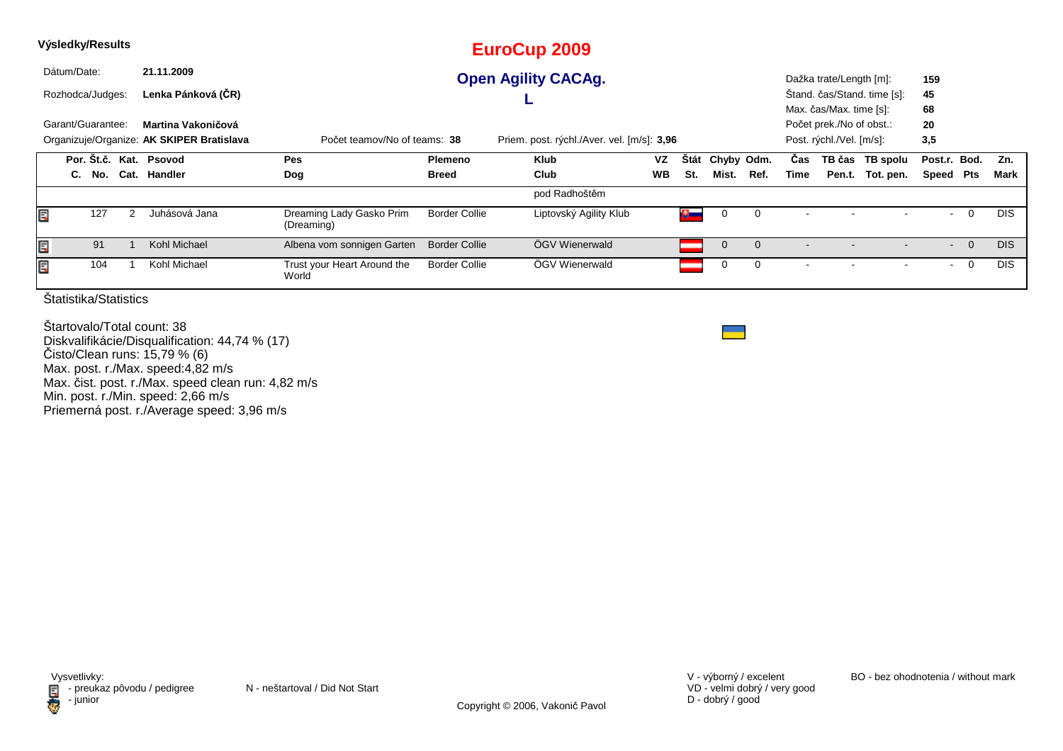| Výsledky/Results |             |                   |                                                                 |                                        |                      | <b>EuroCup 2009</b>                        |           |             |            |             |      |                                                                                 |                             |                 |          |            |
|------------------|-------------|-------------------|-----------------------------------------------------------------|----------------------------------------|----------------------|--------------------------------------------|-----------|-------------|------------|-------------|------|---------------------------------------------------------------------------------|-----------------------------|-----------------|----------|------------|
|                  | Dátum/Date: |                   | 21.11.2009                                                      |                                        |                      | <b>Open Agility CACAg.</b>                 |           |             |            |             |      | Dažka trate/Length [m]:                                                         |                             | 159             |          |            |
|                  |             | Rozhodca/Judges:  | Lenka Pánková (ČR)                                              |                                        |                      |                                            |           |             |            |             |      |                                                                                 | Štand. čas/Stand. time [s]: | 45              |          |            |
|                  |             | Garant/Guarantee: | Martina Vakoničová<br>Organizuje/Organize: AK SKIPER Bratislava | Počet teamov/No of teams: 38           |                      | Priem. post. rýchl./Aver. vel. [m/s]: 3,96 |           |             |            |             |      | Max. čas/Max. time [s]:<br>Počet prek./No of obst.:<br>Post. rýchl./Vel. [m/s]: |                             | 68<br>20<br>3,5 |          |            |
|                  |             |                   | Por. Št.č. Kat. Psovod                                          | Pes                                    | <b>Plemeno</b>       | <b>Klub</b>                                | <b>VZ</b> | <b>Stát</b> | Chyby Odm. |             | Cas  |                                                                                 | TB čas TB spolu             | Post.r. Bod.    |          | Zn.        |
|                  | C.          | No.               | Cat. Handler                                                    | Dog                                    | <b>Breed</b>         | Club                                       | <b>WB</b> | St.         | Mist.      | Ref.        | Time |                                                                                 | Pen.t. Tot. pen.            | Speed Pts       |          | Mark       |
|                  |             |                   |                                                                 |                                        |                      | pod Radhoštěm                              |           |             |            |             |      |                                                                                 |                             |                 |          |            |
| E                |             | 127               | Juhásová Jana                                                   | Dreaming Lady Gasko Prim<br>(Dreaming) | <b>Border Collie</b> | Liptovský Agility Klub                     |           |             | 0          | $\mathbf 0$ |      |                                                                                 |                             |                 | 0        | <b>DIS</b> |
| Ē,               |             | 91                | Kohl Michael                                                    | Albena vom sonnigen Garten             | <b>Border Collie</b> | ÖGV Wienerwald                             |           |             | $\Omega$   | $\Omega$    |      |                                                                                 |                             | $\sim$          | $\Omega$ | <b>DIS</b> |
| E                |             | 104               | Kohl Michael                                                    | Trust your Heart Around the<br>World   | Border Collie        | ÖGV Wienerwald                             |           |             |            |             |      |                                                                                 |                             | $\sim$          | 0        | <b>DIS</b> |

Štartovalo/Total count: 38 Diskvalifikácie/Disqualification: 44,74 % (17)Čisto/Clean runs: 15,79 % (6) Max. post. r./Max. speed:4,82 m/s Max. čist. post. r./Max. speed clean run: 4,82 m/sMin. post. r./Min. speed: 2,66 m/s Priemerná post. r./Average speed: 3,96 m/s

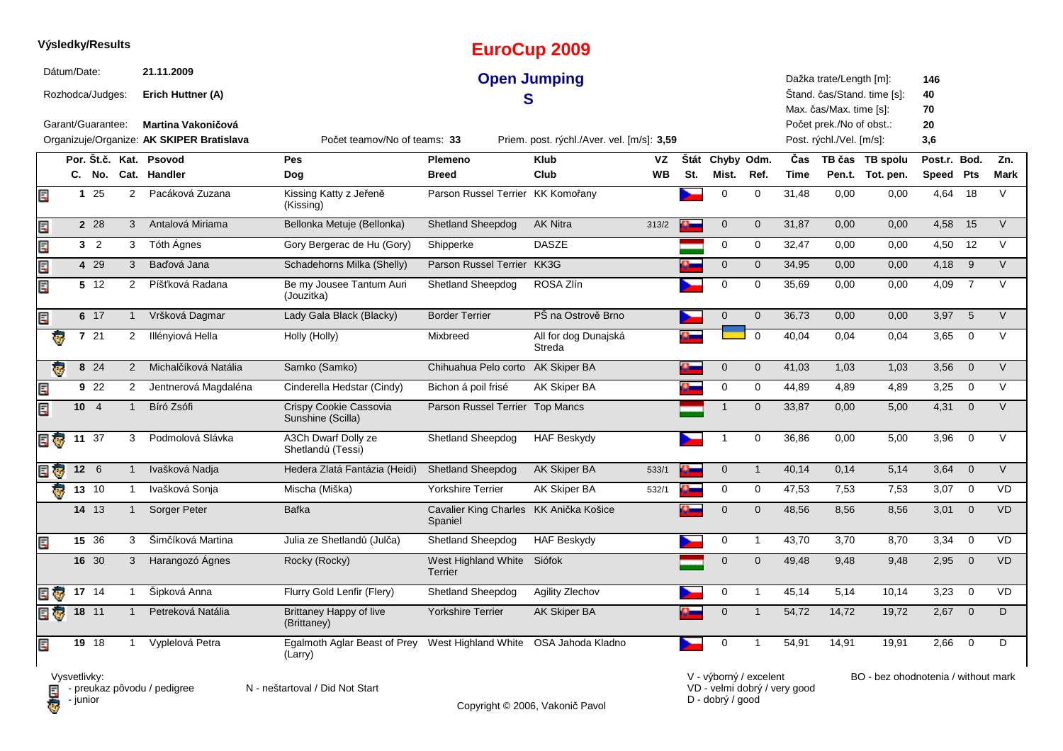|                         |             | Výsledky/Results  |                |                                                                 |                                               |                                                   | <b>EuroCup 2009</b>                        |           |          |                 |                          |             |                                                      |                             |                 |                 |             |
|-------------------------|-------------|-------------------|----------------|-----------------------------------------------------------------|-----------------------------------------------|---------------------------------------------------|--------------------------------------------|-----------|----------|-----------------|--------------------------|-------------|------------------------------------------------------|-----------------------------|-----------------|-----------------|-------------|
|                         | Dátum/Date: | Rozhodca/Judges:  |                | 21.11.2009<br>Erich Huttner (A)                                 |                                               |                                                   | <b>Open Jumping</b><br>S                   |           |          |                 |                          |             | Dažka trate/Length [m]:<br>Max. čas/Max. time [s]:   | Štand. čas/Stand. time [s]: | 146<br>40<br>70 |                 |             |
|                         |             | Garant/Guarantee: |                | Martina Vakoničová<br>Organizuje/Organize: AK SKIPER Bratislava | Počet teamov/No of teams: 33                  |                                                   | Priem. post. rýchl./Aver. vel. [m/s]: 3,59 |           |          |                 |                          |             | Počet prek./No of obst.:<br>Post. rýchl./Vel. [m/s]: |                             | 20<br>3,6       |                 |             |
|                         |             |                   |                | Por. Št.č. Kat. Psovod                                          | Pes                                           | Plemeno                                           | <b>Klub</b>                                | VZ        |          | Štát Chyby Odm. |                          | Čas         |                                                      | TB čas TB spolu             | Post.r. Bod.    |                 | Zn.         |
|                         |             |                   |                | C. No. Cat. Handler                                             | Dog                                           | <b>Breed</b>                                      | Club                                       | <b>WB</b> | St.      | Mist.           | Ref.                     | <b>Time</b> |                                                      | Pen.t. Tot. pen.            | Speed Pts       |                 | <b>Mark</b> |
| E                       |             | 125               | $\overline{2}$ | Pacáková Zuzana                                                 | Kissing Katty z Jeřeně<br>(Kissing)           | Parson Russel Terrier KK Komořany                 |                                            |           |          | $\mathbf 0$     | $\mathbf 0$              | 31,48       | 0,00                                                 | 0,00                        | 4,64            | 18              | $\vee$      |
| Ę                       |             | 2 2 8             | 3              | Antalová Miriama                                                | Bellonka Metuje (Bellonka)                    | <b>Shetland Sheepdog</b>                          | <b>AK Nitra</b>                            | 313/2     |          | $\mathbf 0$     | $\mathbf 0$              | 31,87       | 0,00                                                 | 0,00                        | 4,58            | 15              | $\vee$      |
| E                       |             | 3 <sub>2</sub>    | 3              | Tóth Ágnes                                                      | Gory Bergerac de Hu (Gory)                    | Shipperke                                         | <b>DASZE</b>                               |           |          | $\mathbf 0$     | 0                        | 32,47       | 0,00                                                 | 0,00                        | 4,50            | 12              | $\vee$      |
| E.                      |             | 4 29              | 3              | Baďová Jana                                                     | Schadehorns Milka (Shelly)                    | Parson Russel Terrier KK3G                        |                                            |           |          | $\mathbf 0$     | $\mathbf 0$              | 34,95       | 0,00                                                 | 0,00                        | 4,18            | 9               | $\vee$      |
| Ę                       |             | 5 12              | $\overline{2}$ | Píšťková Radana                                                 | Be my Jousee Tantum Auri<br>(Jouzitka)        | <b>Shetland Sheepdog</b>                          | ROSA Zlín                                  |           |          | 0               | 0                        | 35,69       | 0,00                                                 | 0,00                        | 4,09            | $\overline{7}$  | $\vee$      |
| Ę                       |             | 6 17              | -1             | Vršková Dagmar                                                  | Lady Gala Black (Blacky)                      | <b>Border Terrier</b>                             | PŠ na Ostrově Brno                         |           |          | $\mathbf 0$     | $\mathbf 0$              | 36,73       | 0,00                                                 | 0,00                        | 3,97            | $5\overline{5}$ | $\vee$      |
| $\overline{\mathbf{e}}$ |             | 7 21              | $\overline{2}$ | Illényiová Hella                                                | Holly (Holly)                                 | Mixbreed                                          | All for dog Dunajská<br>Streda             |           |          |                 | $\overline{0}$           | 40,04       | 0,04                                                 | 0,04                        | 3,65            | $\overline{0}$  | V           |
|                         |             | 8 24              | 2              | Michalčíková Natália                                            | Samko (Samko)                                 | Chihuahua Pelo corto AK Skiper BA                 |                                            |           |          | $\mathbf 0$     | $\mathbf 0$              | 41,03       | 1,03                                                 | 1,03                        | 3,56            | $\mathbf 0$     | $\vee$      |
| Ę                       |             | 9 22              | $\overline{2}$ | Jentnerová Magdaléna                                            | Cinderella Hedstar (Cindy)                    | Bichon á poil frisé                               | <b>AK Skiper BA</b>                        |           |          | $\Omega$        | $\mathbf 0$              | 44,89       | 4,89                                                 | 4,89                        | 3,25            | $\overline{0}$  | V           |
| Ę                       |             | 10 <sub>4</sub>   | $\mathbf{1}$   | Bíró Zsófi                                                      | Crispy Cookie Cassovia<br>Sunshine (Scilla)   | Parson Russel Terrier Top Mancs                   |                                            |           |          | $\mathbf 1$     | $\Omega$                 | 33,87       | 0,00                                                 | 5,00                        | 4,31            | $\overline{0}$  | V           |
| E G                     |             | 11 37             | 3              | Podmolová Slávka                                                | A3Ch Dwarf Dolly ze<br>Shetlandů (Tessi)      | Shetland Sheepdog                                 | <b>HAF Beskydy</b>                         |           |          |                 | $\mathbf 0$              | 36,86       | 0,00                                                 | 5,00                        | 3,96            | $\mathbf 0$     | $\vee$      |
| e o                     |             | $12 \quad 6$      | $\mathbf{1}$   | Ivašková Nadja                                                  | Hedera Zlatá Fantázia (Heidi)                 | <b>Shetland Sheepdog</b>                          | <b>AK Skiper BA</b>                        | 533/1     | $\alpha$ | $\mathbf 0$     | $\overline{1}$           | 40,14       | 0,14                                                 | 5,14                        | 3,64            | $\mathbf 0$     | $\vee$      |
| Ō.                      |             | $13 \t10$         | $\overline{1}$ | Ivašková Sonja                                                  | Mischa (Miška)                                | <b>Yorkshire Terrier</b>                          | AK Skiper BA                               | 532/1     |          | 0               | 0                        | 47,53       | 7,53                                                 | 7,53                        | 3,07            | $\overline{0}$  | <b>VD</b>   |
|                         |             | 14 13             | $\mathbf{1}$   | Sorger Peter                                                    | <b>Bafka</b>                                  | Cavalier King Charles KK Anička Košice<br>Spaniel |                                            |           |          | $\Omega$        | $\mathbf 0$              | 48,56       | 8,56                                                 | 8,56                        | 3,01            | $\mathbf 0$     | <b>VD</b>   |
| Ę                       |             | 15 36             | 3              | Šimčíková Martina                                               | Julia ze Shetlandů (Julča)                    | Shetland Sheepdog                                 | <b>HAF Beskydy</b>                         |           |          | 0               | $\mathbf{1}$             | 43,70       | 3,70                                                 | 8,70                        | 3,34            | $\mathbf 0$     | VD          |
|                         |             | 16 30             | 3              | Harangozó Ágnes                                                 | Rocky (Rocky)                                 | West Highland White<br><b>Terrier</b>             | Siófok                                     |           |          | $\overline{0}$  | $\mathbf 0$              | 49,48       | 9,48                                                 | 9,48                        | 2,95            | $\mathbf 0$     | <b>VD</b>   |
| E T                     |             | $17 \ \ 14$       | $\mathbf{1}$   | Šipková Anna                                                    | Flurry Gold Lenfir (Flery)                    | <b>Shetland Sheepdog</b>                          | Agility Zlechov                            |           |          | 0               | $\mathbf{1}$             | 45,14       | 5,14                                                 | 10,14                       | 3,23            | $\mathbf 0$     | VD          |
| E Ç                     |             | 18 11             |                | Petreková Natália                                               | <b>Brittaney Happy of live</b><br>(Brittaney) | <b>Yorkshire Terrier</b>                          | <b>AK Skiper BA</b>                        |           |          | $\Omega$        | $\overline{\phantom{a}}$ | 54,72       | 14,72                                                | 19,72                       | 2,67            | $\overline{0}$  | D           |
| Ę                       |             | 19 18             | $\mathbf 1$    | Vyplelová Petra                                                 | Egalmoth Aglar Beast of Prey<br>(Larry)       | West Highland White OSA Jahoda Kladno             |                                            |           |          | $\Omega$        | 1                        | 54,91       | 14,91                                                | 19,91                       | 2,66            | $\mathbf 0$     | D           |

**D** - junior

Vysvetlivky:<br>⊟ - preukaz pôvodu / pedigree N - neštartoval / Did Not Start

Copyright © 2006, Vakonič Pavol

VD - velmi dobrý / very good D - dobrý / good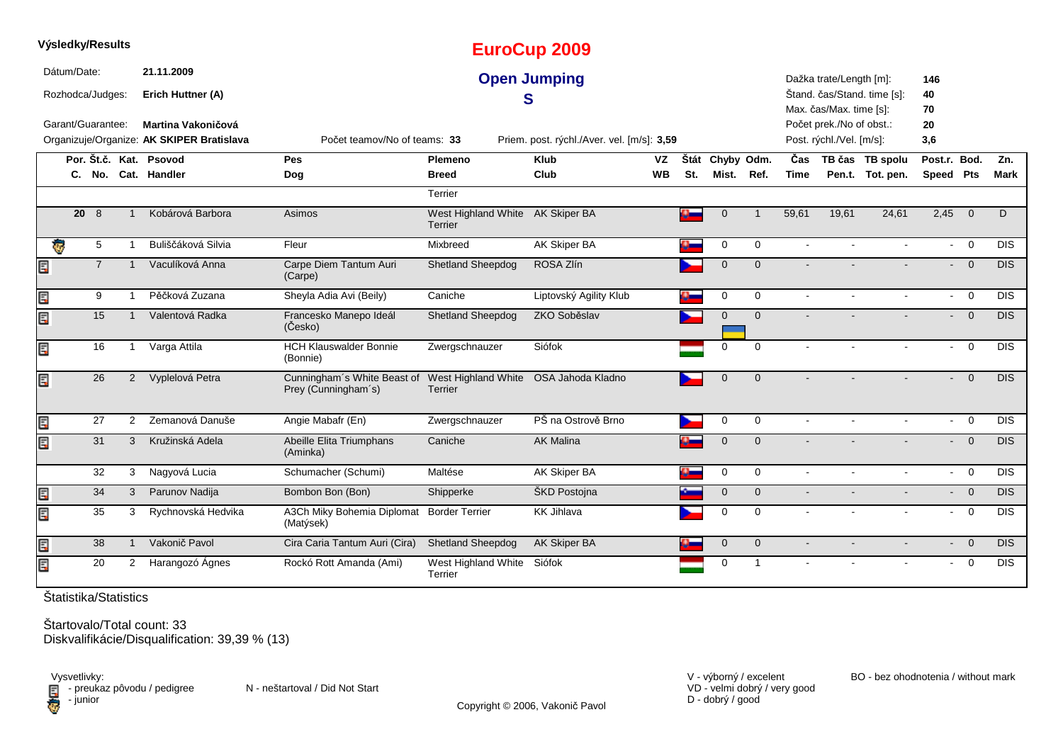|   | Výsledky/Results  |                |                |                                           |                                                                                          |                                                    | <b>EuroCup 2009</b>                        |           |          |              |                |                |                          |                             |                             |                          |            |
|---|-------------------|----------------|----------------|-------------------------------------------|------------------------------------------------------------------------------------------|----------------------------------------------------|--------------------------------------------|-----------|----------|--------------|----------------|----------------|--------------------------|-----------------------------|-----------------------------|--------------------------|------------|
|   | Dátum/Date:       |                |                | 21.11.2009                                |                                                                                          |                                                    | <b>Open Jumping</b>                        |           |          |              |                |                | Dažka trate/Length [m]:  |                             | 146                         |                          |            |
|   | Rozhodca/Judges:  |                |                | Erich Huttner (A)                         |                                                                                          |                                                    | S                                          |           |          |              |                |                | Max. čas/Max. time [s]:  | Štand. čas/Stand. time [s]: | 40<br>70                    |                          |            |
|   | Garant/Guarantee: |                |                | Martina Vakoničová                        |                                                                                          |                                                    |                                            |           |          |              |                |                | Počet prek./No of obst.: |                             | 20                          |                          |            |
|   |                   |                |                | Organizuje/Organize: AK SKIPER Bratislava | Počet teamov/No of teams: 33                                                             |                                                    | Priem. post. rýchl./Aver. vel. [m/s]: 3,59 |           |          |              |                |                | Post. rýchl./Vel. [m/s]: |                             | 3,6                         |                          |            |
|   |                   |                |                | Por. Št.č. Kat. Psovod                    | Pes                                                                                      | <b>Plemeno</b>                                     | <b>Klub</b>                                | <b>VZ</b> | Štát     | Chyby Odm.   |                | Čas            |                          | TB čas TB spolu             | Post.r. Bod.                |                          | Zn.        |
|   |                   |                |                | C. No. Cat. Handler                       | Dog                                                                                      | <b>Breed</b>                                       | Club                                       | <b>WB</b> | St.      | Mist.        | Ref.           | <b>Time</b>    |                          | Pen.t. Tot. pen.            | Speed Pts                   |                          | Mark       |
|   |                   |                |                |                                           |                                                                                          | Terrier                                            |                                            |           |          |              |                |                |                          |                             |                             |                          |            |
|   |                   | $20 \quad 8$   |                | Kobárová Barbora                          | Asimos                                                                                   | West Highland White AK Skiper BA<br><b>Terrier</b> |                                            |           |          | $\mathbf{0}$ | $\mathbf 1$    | 59,61          | 19,61                    | 24,61                       | 2,45                        | $\overline{0}$           | D.         |
|   | Ģ                 | 5              |                | Buliščáková Silvia                        | Fleur                                                                                    | Mixbreed                                           | <b>AK Skiper BA</b>                        |           | o-       | 0            | $\mathbf 0$    |                |                          |                             | $\sim$                      | $\overline{0}$           | <b>DIS</b> |
| Ę |                   | $\overline{7}$ |                | Vaculíková Anna                           | Carpe Diem Tantum Auri<br>(Carpe)                                                        | <b>Shetland Sheepdog</b>                           | ROSA Zlín                                  |           |          | $\mathbf 0$  | $\mathbf{0}$   |                |                          |                             |                             | $\overline{0}$<br>$\sim$ | DIS        |
| E |                   | 9              | $\overline{1}$ | Pěčková Zuzana                            | Sheyla Adia Avi (Beily)                                                                  | Caniche                                            | Liptovský Agility Klub                     |           | $\alpha$ | 0            | $\mathbf 0$    | $\mathbf{r}$   |                          |                             | $\mathcal{L}_{\mathcal{A}}$ | $\overline{0}$           | <b>DIS</b> |
| Ę |                   | 15             |                | Valentová Radka                           | Francesko Manepo Ideál<br>(Česko)                                                        | <b>Shetland Sheepdog</b>                           | ZKO Soběslav                               |           |          | $\mathbf 0$  | $\overline{0}$ |                |                          |                             |                             | $- 0$                    | <b>DIS</b> |
| Ę |                   | 16             | -1             | Varga Attila                              | <b>HCH Klauswalder Bonnie</b><br>(Bonnie)                                                | Zwergschnauzer                                     | Siófok                                     |           |          | $\mathbf 0$  | $\Omega$       |                |                          |                             | $\sim$                      | $\overline{0}$           | <b>DIS</b> |
| Ę |                   | 26             | $\overline{2}$ | Vyplelová Petra                           | Cunningham's White Beast of West Highland White OSA Jahoda Kladno<br>Prey (Cunningham's) | Terrier                                            |                                            |           |          | $\mathbf 0$  | $\overline{0}$ |                |                          |                             | $\overline{\phantom{0}}$    | $\overline{0}$           | <b>DIS</b> |
| Ē |                   | 27             | 2              | Zemanová Danuše                           | Angie Mabafr (En)                                                                        | Zwergschnauzer                                     | PŠ na Ostrově Brno                         |           |          | $\mathbf 0$  | $\mathbf 0$    |                |                          | $\sim$                      | $\sim$                      | $\Omega$                 | <b>DIS</b> |
| Ę |                   | 31             | 3              | Kružinská Adela                           | Abeille Elita Triumphans<br>(Aminka)                                                     | Caniche                                            | <b>AK Malina</b>                           |           |          | $\mathbf 0$  | $\overline{0}$ |                |                          |                             | $\sim$                      | $\overline{0}$           | <b>DIS</b> |
|   |                   | 32             | 3              | Nagyová Lucia                             | Schumacher (Schumi)                                                                      | Maltése                                            | AK Skiper BA                               |           | a.       | $\mathbf 0$  | $\mathbf 0$    | $\sim$         |                          |                             | $\mathcal{L}_{\mathcal{A}}$ | $\Omega$                 | <b>DIS</b> |
| E |                   | 34             | $\mathbf{3}$   | Parunov Nadija                            | Bombon Bon (Bon)                                                                         | Shipperke                                          | ŠKD Postojna                               |           |          | $\pmb{0}$    | $\overline{0}$ | $\blacksquare$ |                          |                             |                             | $- 0$                    | <b>DIS</b> |
| Ę |                   | 35             | 3              | Rychnovská Hedvika                        | A3Ch Miky Bohemia Diplomat<br>(Matýsek)                                                  | <b>Border Terrier</b>                              | <b>KK Jihlava</b>                          |           |          | $\mathbf 0$  | $\mathbf 0$    |                |                          |                             | $\blacksquare$              | $\overline{0}$           | <b>DIS</b> |
| E |                   | 38             | $\mathbf{1}$   | Vakonič Pavol                             | Cira Caria Tantum Auri (Cira)                                                            | <b>Shetland Sheepdog</b>                           | AK Skiper BA                               |           |          | $\mathbf 0$  | $\overline{0}$ |                |                          |                             |                             | $- 0$                    | <b>DIS</b> |
| Ę |                   | 20             | 2              | Harangozó Ágnes                           | Rockó Rott Amanda (Ami)                                                                  | West Highland White Siófok<br>Terrier              |                                            |           |          | 0            | $\mathbf 1$    |                |                          |                             | $\blacksquare$              | $\overline{0}$           | <b>DIS</b> |

Štartovalo/Total count: 33 Diskvalifikácie/Disqualification: 39,39 % (13)

Vysvetlivky:<br>⊟ - preukaz pôvodu / pedigree N - neštartoval / Did Not Start **D** - junior

VD - velmi dobrý / very good D - dobrý / good

V - výborný / excelent BO - bez ohodnotenia / without mark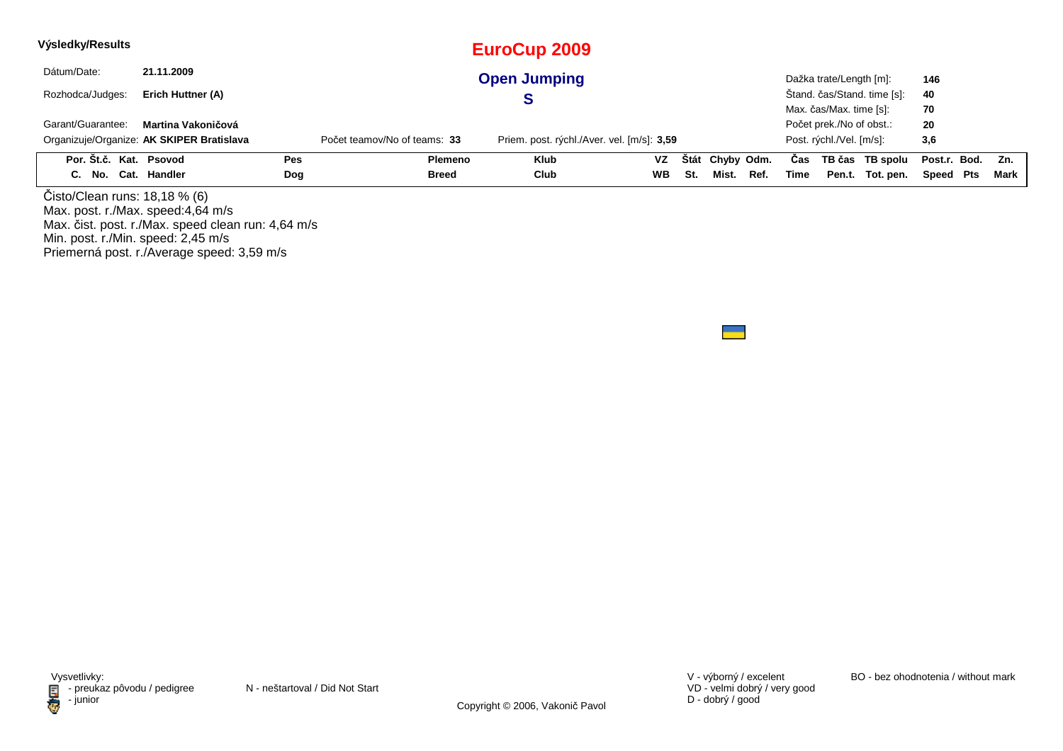| Výsledky/Results       |                                           |            |                              | EuroCup 2009                               |     |     |                 |      |      |                          |                             |                  |      |
|------------------------|-------------------------------------------|------------|------------------------------|--------------------------------------------|-----|-----|-----------------|------|------|--------------------------|-----------------------------|------------------|------|
| Dátum/Date:            | 21.11.2009                                |            |                              | <b>Open Jumping</b>                        |     |     |                 |      |      | Dažka trate/Length [m]:  |                             | 146              |      |
| Rozhodca/Judges:       | Erich Huttner (A)                         |            |                              |                                            |     |     |                 |      |      |                          | Štand. čas/Stand. time [s]: | 40               |      |
|                        |                                           |            |                              |                                            |     |     |                 |      |      | Max. čas/Max. time [s]:  |                             | 70               |      |
| Garant/Guarantee:      | Martina Vakoničová                        |            |                              |                                            |     |     |                 |      |      | Počet prek./No of obst.: |                             | 20               |      |
|                        | Organizuje/Organize: AK SKIPER Bratislava |            | Počet teamov/No of teams: 33 | Priem. post. rýchl./Aver. vel. [m/s]: 3,59 |     |     |                 |      |      | Post. rýchl./Vel. [m/s]: |                             | 3,6              |      |
| Por. Št.č. Kat. Psovod |                                           | <b>Pes</b> | Plemeno                      | <b>Klub</b>                                | VZ. |     | Štát Chyby Odm. |      | Cas  |                          | TB čas TB spolu             | Post.r. Bod. Zn. |      |
| C. No. Cat. Handler    |                                           | Dog        | <b>Breed</b>                 | Club                                       | WB. | St. | Mist.           | Ref. | Time |                          | Pen.t. Tot. pen.            | Speed Pts        | Mark |
| .                      | .                                         |            |                              |                                            |     |     |                 |      |      |                          |                             |                  |      |

Čisto/Clean runs: 18,18 % (6) Max. post. r./Max. speed:4,64 m/s Max. čist. post. r./Max. speed clean run: 4,64 m/sMin. post. r./Min. speed: 2,45 m/s Priemerná post. r./Average speed: 3,59 m/s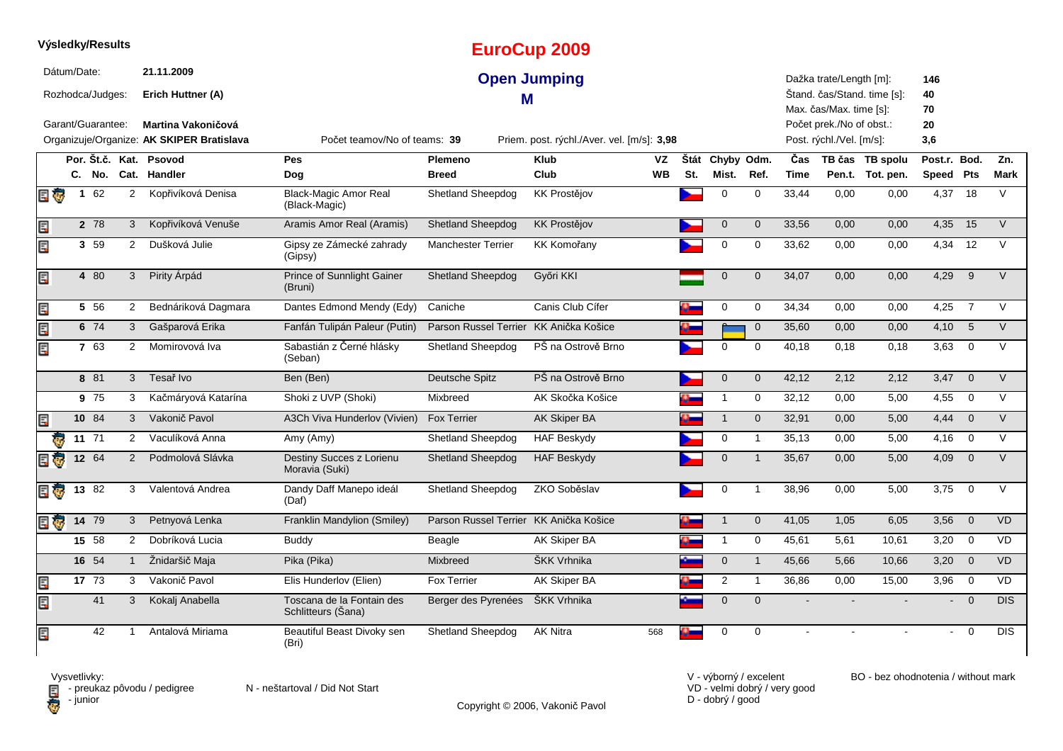|                         |              | Výsledky/Results   |                |                                           |                                                 |                                        | <b>EuroCup 2009</b>                        |           |     |                 |                |             |                                                    |                             |                 |                         |             |
|-------------------------|--------------|--------------------|----------------|-------------------------------------------|-------------------------------------------------|----------------------------------------|--------------------------------------------|-----------|-----|-----------------|----------------|-------------|----------------------------------------------------|-----------------------------|-----------------|-------------------------|-------------|
|                         | Dátum/Date:  | Rozhodca/Judges:   |                | 21.11.2009<br>Erich Huttner (A)           |                                                 | М                                      | <b>Open Jumping</b>                        |           |     |                 |                |             | Dažka trate/Length [m]:<br>Max. čas/Max. time [s]: | Štand. čas/Stand. time [s]: | 146<br>40<br>70 |                         |             |
|                         |              | Garant/Guarantee:  |                | Martina Vakoničová                        |                                                 |                                        |                                            |           |     |                 |                |             | Počet prek./No of obst.:                           |                             | 20              |                         |             |
|                         |              |                    |                | Organizuje/Organize: AK SKIPER Bratislava | Počet teamov/No of teams: 39                    |                                        | Priem. post. rýchl./Aver. vel. [m/s]: 3,98 |           |     |                 |                |             | Post. rýchl./Vel. [m/s]:                           |                             | 3,6             |                         |             |
|                         |              |                    |                | Por. Št.č. Kat. Psovod                    | Pes                                             | Plemeno                                | <b>Klub</b>                                | VZ        |     | Štát Chyby Odm. |                | Čas         |                                                    | TB čas TB spolu             | Post.r. Bod.    |                         | Zn.         |
|                         |              | C. No.             |                | Cat. Handler                              | Dog                                             | <b>Breed</b>                           | Club                                       | <b>WB</b> | St. | Mist.           | Ref.           | <b>Time</b> |                                                    | Pen.t. Tot. pen.            | Speed Pts       |                         | <b>Mark</b> |
| 日家                      | $\mathbf{1}$ | 62                 | 2              | Kopřivíková Denisa                        | <b>Black-Magic Amor Real</b><br>(Black-Magic)   | <b>Shetland Sheepdog</b>               | <b>KK Prostějov</b>                        |           |     | $\Omega$        | $\Omega$       | 33,44       | 0,00                                               | 0,00                        | 4,37            | 18                      | $\vee$      |
| Ę                       |              | 2 78               | 3              | Kopřivíková Venuše                        | Aramis Amor Real (Aramis)                       | <b>Shetland Sheepdog</b>               | KK Prostějov                               |           |     | $\mathbf{0}$    | $\mathbf{0}$   | 33.56       | 0.00                                               | 0.00                        | 4,35            | 15                      | $\vee$      |
| Ę                       |              | 3 59               | 2              | Dušková Julie                             | Gipsy ze Zámecké zahrady<br>(Gipsy)             | <b>Manchester Terrier</b>              | <b>KK Komořany</b>                         |           |     | $\mathbf 0$     | 0              | 33,62       | 0,00                                               | 0,00                        | 4,34            | 12                      | V           |
| Ę                       |              | 4 80               | 3              | Pirity Árpád                              | Prince of Sunnlight Gainer<br>(Bruni)           | <b>Shetland Sheepdog</b>               | Győri KKI                                  |           |     | $\mathbf 0$     | $\mathbf{0}$   | 34,07       | 0,00                                               | 0,00                        | 4,29            | 9                       | $\vee$      |
| Ę                       |              | 5 56               | $\overline{2}$ | Bednáriková Dagmara                       | Dantes Edmond Mendy (Edy)                       | Caniche                                | Canis Club Cífer                           |           |     | 0               | $\mathbf 0$    | 34,34       | 0,00                                               | 0,00                        | 4,25            | $\overline{7}$          | $\vee$      |
| Ę                       |              | 6 74               | 3              | Gašparová Erika                           | Fanfán Tulipán Paleur (Putin)                   | Parson Russel Terrier KK Anička Košice |                                            |           |     |                 | $\mathbf 0$    | 35,60       | 0,00                                               | 0,00                        | $4,10$ 5        |                         | V           |
| Ę                       |              | 7 63               | $\overline{2}$ | Momirovová Iva                            | Sabastián z Černé hlásky<br>(Seban)             | Shetland Sheepdog                      | PŠ na Ostrově Brno                         |           |     | $\mathbf 0$     | $\mathbf 0$    | 40,18       | 0,18                                               | 0,18                        | 3,63            | $\overline{0}$          | $\vee$      |
|                         |              | 8 81               | 3              | Tesař Ivo                                 | Ben (Ben)                                       | Deutsche Spitz                         | PŠ na Ostrově Brno                         |           |     | $\mathbf{0}$    | $\overline{0}$ | 42,12       | 2,12                                               | 2,12                        | 3,47            | $\overline{0}$          | $\vee$      |
|                         |              | 9 75               | 3              | Kačmáryová Katarína                       | Shoki z UVP (Shoki)                             | Mixbreed                               | AK Skočka Košice                           |           |     | $\mathbf{1}$    | 0              | 32,12       | 0,00                                               | 5,00                        | 4,55            | $\mathbf 0$             | V           |
| Ę                       |              | 10 84              | 3              | Vakonič Pavol                             | A3Ch Viva Hunderlov (Vivien)                    | <b>Fox Terrier</b>                     | <b>AK Skiper BA</b>                        |           |     | $\mathbf{1}$    | $\mathbf{0}$   | 32,91       | 0,00                                               | 5,00                        | 4,44            | $\overline{0}$          | $\vee$      |
| ē                       |              | $11 \t 71$         | $\overline{2}$ | Vaculíková Anna                           | Amy (Amy)                                       | Shetland Sheepdog                      | <b>HAF Beskydy</b>                         |           |     | 0               | $\mathbf{1}$   | 35,13       | 0,00                                               | 5,00                        | 4,16            | $\overline{0}$          | $\vee$      |
| $\overline{\mathbf{c}}$ |              | 12 64              | 2              | Podmolová Slávka                          | Destiny Succes z Lorienu<br>Moravia (Suki)      | <b>Shetland Sheepdog</b>               | <b>HAF Beskydy</b>                         |           |     | $\mathbf{0}$    | $\mathbf{1}$   | 35,67       | 0,00                                               | 5,00                        | 4,09            | $\overline{0}$          | $\vee$      |
| E G                     |              | 13 $82$            | 3              | Valentová Andrea                          | Dandy Daff Manepo ideál<br>(Daf)                | <b>Shetland Sheepdog</b>               | ZKO Soběslav                               |           |     | $\mathbf 0$     | $\overline{1}$ | 38,96       | 0,00                                               | 5,00                        | 3,75            | $\overline{0}$          | $\vee$      |
| E T                     |              | $14 \overline{79}$ | 3              | Petnyová Lenka                            | Franklin Mandylion (Smiley)                     | Parson Russel Terrier KK Anička Košice |                                            |           |     | $\overline{1}$  | $\mathbf{0}$   | 41,05       | 1,05                                               | 6,05                        | 3,56            | $\overline{0}$          | <b>VD</b>   |
|                         |              | 15 58              | $\overline{2}$ | Dobríková Lucia                           | <b>Buddy</b>                                    | Beagle                                 | AK Skiper BA                               |           |     | $\mathbf{1}$    | $\mathbf 0$    | 45,61       | 5,61                                               | 10,61                       | 3,20            | $\overline{0}$          | <b>VD</b>   |
|                         |              | 16 54              | $\mathbf{1}$   | Žnidaršič Maja                            | Pika (Pika)                                     | <b>Mixbreed</b>                        | ŠKK Vrhnika                                |           |     | $\mathbf 0$     | $\mathbf{1}$   | 45,66       | 5,66                                               | 10,66                       | $3,20$ 0        |                         | <b>VD</b>   |
| Ē.                      |              | 17 73              | 3              | Vakonič Pavol                             | Elis Hunderlov (Elien)                          | <b>Fox Terrier</b>                     | <b>AK Skiper BA</b>                        |           |     | $\overline{2}$  | $\mathbf{1}$   | 36,86       | 0,00                                               | 15,00                       | 3,96            | $\overline{\mathbf{0}}$ | VD          |
| Ę                       |              | 41                 | 3              | Kokalj Anabella                           | Toscana de la Fontain des<br>Schlitteurs (Šana) | Berger des Pyrenées                    | ŠKK Vrhnika                                |           |     | $\mathbf 0$     | $\mathbf{0}$   |             |                                                    |                             |                 | $\Omega$                | <b>DIS</b>  |
| Ę                       |              | 42                 |                | Antalová Miriama                          | Beautiful Beast Divoky sen<br>(Bri)             | Shetland Sheepdog                      | <b>AK Nitra</b>                            | 568       |     | $\Omega$        | $\Omega$       |             |                                                    |                             | $\sim$          | $\overline{0}$          | <b>DIS</b>  |

Copyright © 2006, Vakonič Pavol

VD - velmi dobrý / very good D - dobrý / good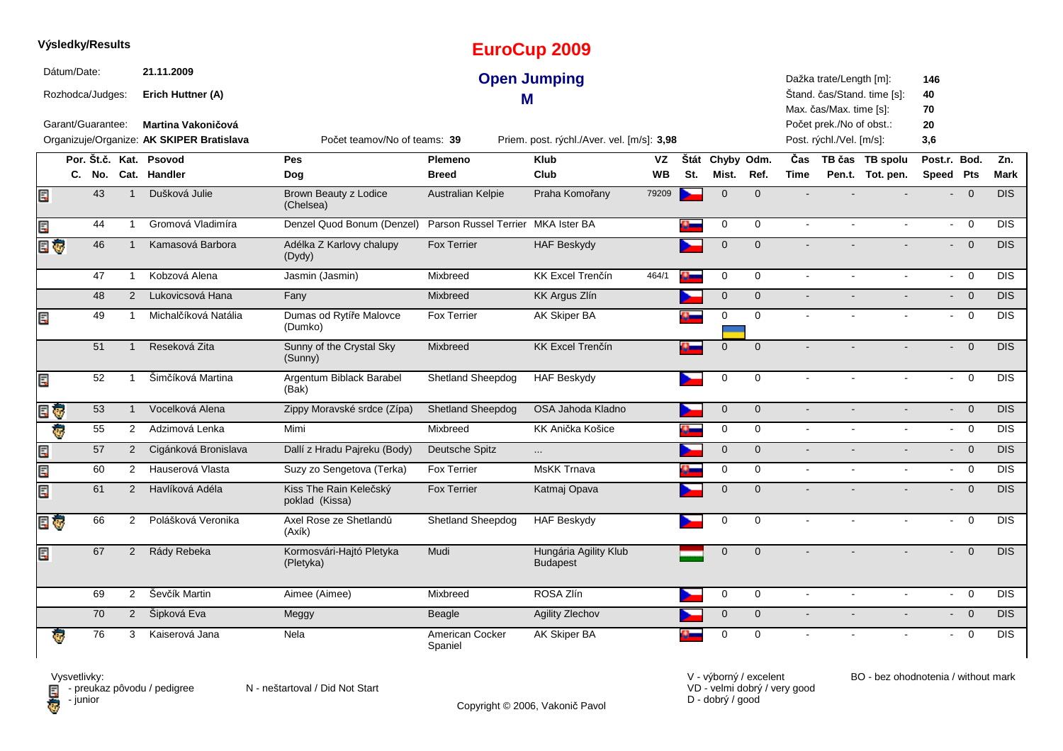|                         |             | Výsledky/Results                      |                |                                                       |                                          |                                    | <b>EuroCup 2009</b>                        |           |           |             |              |                |                                                                                |                             |                       |                                  |             |
|-------------------------|-------------|---------------------------------------|----------------|-------------------------------------------------------|------------------------------------------|------------------------------------|--------------------------------------------|-----------|-----------|-------------|--------------|----------------|--------------------------------------------------------------------------------|-----------------------------|-----------------------|----------------------------------|-------------|
|                         | Dátum/Date: | Rozhodca/Judges:<br>Garant/Guarantee: |                | 21.11.2009<br>Erich Huttner (A)<br>Martina Vakoničová |                                          |                                    | <b>Open Jumping</b><br>М                   |           |           |             |              |                | Dažka trate/Length [m]:<br>Max. čas/Max. time [s]:<br>Počet prek./No of obst.: | Štand. čas/Stand. time [s]: | 146<br>40<br>70<br>20 |                                  |             |
|                         |             |                                       |                | Organizuje/Organize: AK SKIPER Bratislava             | Počet teamov/No of teams: 39             |                                    | Priem. post. rýchl./Aver. vel. [m/s]: 3,98 |           |           |             |              |                | Post. rýchl./Vel. [m/s]:                                                       |                             | 3,6                   |                                  |             |
|                         |             |                                       |                | Por. Št.č. Kat. Psovod                                | <b>Pes</b>                               | Plemeno                            | Klub                                       | VZ        | Štát      | Chyby Odm.  |              | Čas            |                                                                                | TB čas TB spolu             | Post.r. Bod.          |                                  | Zn.         |
|                         |             |                                       |                | C. No. Cat. Handler                                   | Dog                                      | <b>Breed</b>                       | Club                                       | <b>WB</b> | St.       | Mist.       | Ref.         | <b>Time</b>    |                                                                                | Pen.t. Tot. pen.            | Speed Pts             |                                  | <b>Mark</b> |
| Ę                       |             | 43                                    | $\mathbf 1$    | Dušková Julie                                         | Brown Beauty z Lodice<br>(Chelsea)       | Australian Kelpie                  | Praha Komořany                             | 79209     |           | $\mathbf 0$ | $\mathbf{0}$ |                |                                                                                |                             | $\blacksquare$        | $\overline{0}$                   | DIS         |
| E                       |             | 44                                    | $\mathbf{1}$   | Gromová Vladimíra                                     | Denzel Quod Bonum (Denzel)               | Parson Russel Terrier MKA Ister BA |                                            |           |           | 0           | 0            | $\blacksquare$ | $\blacksquare$                                                                 | $\blacksquare$              | $\sim$                | $\overline{0}$                   | <b>DIS</b>  |
| E G                     |             | 46                                    | $\mathbf{1}$   | Kamasová Barbora                                      | Adélka Z Karlovy chalupy<br>(Dydy)       | Fox Terrier                        | <b>HAF Beskydy</b>                         |           |           | $\Omega$    | $\Omega$     |                |                                                                                |                             | $\blacksquare$        | $\overline{0}$                   | <b>DIS</b>  |
|                         |             | 47                                    | $\mathbf{1}$   | Kobzová Alena                                         | Jasmin (Jasmin)                          | Mixbreed                           | <b>KK Excel Trenčín</b>                    | 464/1     | Ω.        | 0           | $\mathbf 0$  | $\blacksquare$ | $\mathbf{r}$                                                                   | $\mathbf{r}$                |                       | $\overline{0}$<br>$\sim$         | <b>DIS</b>  |
|                         |             | 48                                    | 2              | Lukovicsová Hana                                      | Fany                                     | Mixbreed                           | <b>KK Argus Zlín</b>                       |           |           | $\mathbf 0$ | $\mathbf{0}$ | $\blacksquare$ |                                                                                |                             | $\blacksquare$        | $\overline{0}$                   | <b>DIS</b>  |
| E                       |             | 49                                    | $\mathbf{1}$   | Michalčíková Natália                                  | Dumas od Rytíře Malovce<br>(Dumko)       | <b>Fox Terrier</b>                 | AK Skiper BA                               |           |           | $\mathbf 0$ | $\mathbf 0$  | $\sim$         |                                                                                |                             | $\sim$                | $\overline{0}$                   | <b>DIS</b>  |
|                         |             | 51                                    | $\mathbf{1}$   | Reseková Zita                                         | Sunny of the Crystal Sky<br>(Sunny)      | Mixbreed                           | <b>KK Excel Trenčín</b>                    |           | o-        | $\mathbf 0$ | $\mathbf{0}$ |                |                                                                                |                             |                       | $\overline{0}$<br>$\blacksquare$ | <b>DIS</b>  |
| E                       |             | 52                                    | $\mathbf 1$    | Šimčíková Martina                                     | Argentum Biblack Barabel<br>(Bak)        | Shetland Sheepdog                  | <b>HAF Beskydy</b>                         |           |           | $\mathbf 0$ | $\Omega$     |                |                                                                                |                             | ÷.                    | $\Omega$                         | <b>DIS</b>  |
| Ę<br>Ģ                  |             | 53                                    | $\mathbf{1}$   | Vocelková Alena                                       | Zippy Moravské srdce (Zípa)              | <b>Shetland Sheepdog</b>           | OSA Jahoda Kladno                          |           |           | $\mathbf 0$ | $\mathbf 0$  | $\sim$         |                                                                                |                             | $\blacksquare$        | $\overline{0}$                   | DIS         |
| $\overline{\mathbf{e}}$ |             | 55                                    | 2              | Adzimová Lenka                                        | Mimi                                     | Mixbreed                           | KK Anička Košice                           |           |           | $\mathbf 0$ | $\mathbf 0$  | $\sim$         | $\sim$                                                                         | $\sim$                      |                       | $\overline{0}$<br>$\sim$         | <b>DIS</b>  |
| lir <sup>3</sup>        |             | 57                                    | $\overline{2}$ | Cigánková Bronislava                                  | Dallí z Hradu Pajreku (Body)             | Deutsche Spitz                     | $\cdots$                                   |           |           | $\mathbf 0$ | $\mathbf 0$  | $\sim$         |                                                                                |                             |                       | $- 0$                            | <b>DIS</b>  |
| E                       |             | 60                                    | 2              | Hauserová Vlasta                                      | Suzy zo Sengetova (Terka)                | Fox Terrier                        | <b>MsKK Trnava</b>                         |           | $\alpha-$ | 0           | $\mathbf 0$  | $\sim$         | $\blacksquare$                                                                 | $\blacksquare$              | $\sim$                | $\overline{0}$                   | DIS         |
| Œ                       |             | 61                                    | $\overline{2}$ | Havlíková Adéla                                       | Kiss The Rain Kelečský<br>poklad (Kissa) | <b>Fox Terrier</b>                 | Katmaj Opava                               |           |           | $\mathbf 0$ | $\mathbf 0$  | $\sim$         |                                                                                |                             |                       | $\overline{0}$<br>$\blacksquare$ | <b>DIS</b>  |
| E G                     |             | 66                                    | $\overline{2}$ | Polášková Veronika                                    | Axel Rose ze Shetlandů<br>(Axík)         | Shetland Sheepdog                  | <b>HAF Beskydy</b>                         |           |           | 0           | 0            |                |                                                                                |                             | $\blacksquare$        | $\mathbf 0$                      | DIS         |
| E                       |             | 67                                    | $\overline{2}$ | Rády Rebeka                                           | Kormosvári-Hajtó Pletyka<br>(Pletyka)    | Mudi                               | Hungária Agility Klub<br><b>Budapest</b>   |           |           | $\mathbf 0$ | $\Omega$     |                |                                                                                |                             |                       | $\mathbf 0$                      | DIS         |
|                         |             | 69                                    | 2              | Ševčík Martin                                         | Aimee (Aimee)                            | Mixbreed                           | ROSA Zlín                                  |           |           | $\mathbf 0$ | $\mathbf 0$  | $\sim$         | $\sim$                                                                         | $\blacksquare$              | $\sim$                | $\overline{0}$                   | DIS         |
|                         |             | 70                                    | $2^{\circ}$    | Šipková Eva                                           | Meggy                                    | Beagle                             | Agility Zlechov                            |           |           | $\pmb{0}$   | $\mathbf{0}$ | $\mathbf{r}$   | $\blacksquare$                                                                 | $\blacksquare$              |                       | $- 0$                            | <b>DIS</b>  |
|                         |             | 76                                    | 3              | Kaiserová Jana                                        | Nela                                     | American Cocker<br>Spaniel         | <b>AK Skiper BA</b>                        |           |           | $\mathbf 0$ | $\mathbf 0$  |                |                                                                                |                             | $\blacksquare$        | $\overline{0}$                   | DIS         |

Copyright © 2006, Vakonič Pavol

VD - velmi dobrý / very good D - dobrý / good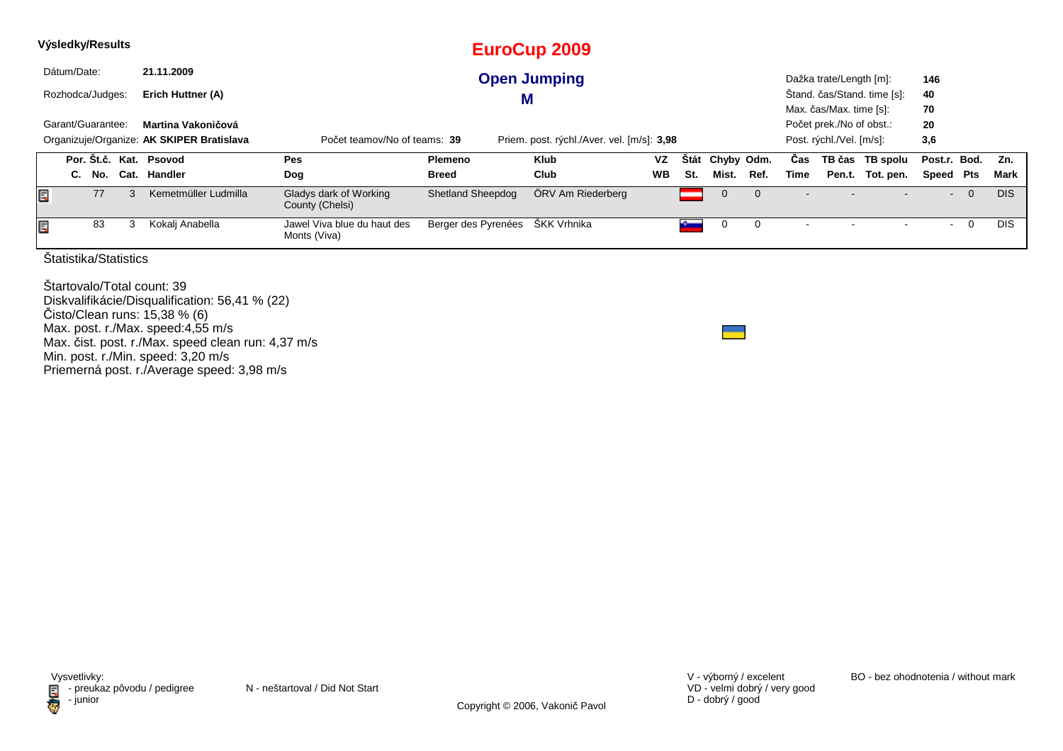| Výsledky/Results |                                                                                                                                                                    |                  |                       |                            |                                             |                          | EuroCup 2009        |           |             |            |      |      |                                                                                 |                             |                 |   |            |
|------------------|--------------------------------------------------------------------------------------------------------------------------------------------------------------------|------------------|-----------------------|----------------------------|---------------------------------------------|--------------------------|---------------------|-----------|-------------|------------|------|------|---------------------------------------------------------------------------------|-----------------------------|-----------------|---|------------|
| Dátum/Date:      |                                                                                                                                                                    |                  |                       | 21.11.2009                 |                                             |                          | <b>Open Jumping</b> |           |             |            |      |      | Dažka trate/Length [m]:                                                         |                             | 146             |   |            |
|                  |                                                                                                                                                                    | Rozhodca/Judges: |                       | Erich Huttner (A)          |                                             | M                        |                     |           |             |            |      |      |                                                                                 | Stand. čas/Stand. time [s]: | 40              |   |            |
|                  | Garant/Guarantee:<br>Martina Vakoničová<br>Organizuje/Organize: AK SKIPER Bratislava<br>Priem. post. rýchl./Aver. vel. [m/s]: 3,98<br>Počet teamov/No of teams: 39 |                  |                       |                            |                                             |                          |                     |           |             |            |      |      | Max. čas/Max. time [s]:<br>Počet prek./No of obst.:<br>Post. rýchl./Vel. [m/s]: |                             | 70<br>20<br>3,6 |   |            |
|                  |                                                                                                                                                                    |                  |                       | Por. St.č. Kat. Psovod     | <b>Pes</b>                                  | <b>Plemeno</b>           | Klub                | VZ        | <b>Stát</b> | Chyby Odm. |      | Cas  |                                                                                 | TB čas TB spolu             | Post.r. Bod.    |   | Zn.        |
|                  | C.                                                                                                                                                                 | No.              | Cat.                  | Handler                    | Dog                                         | <b>Breed</b>             | Club                | <b>WB</b> | St.         | Mist.      | Ref. | Time |                                                                                 | Pen.t. Tot. pen.            | Speed Pts       |   | Mark       |
| Ę                |                                                                                                                                                                    | 77               |                       | Kemetmüller Ludmilla       | Gladys dark of Working<br>County (Chelsi)   | <b>Shetland Sheepdog</b> | ÖRV Am Riederberg   |           |             | $\cup$     |      |      |                                                                                 |                             |                 | 0 | <b>DIS</b> |
| Ę                |                                                                                                                                                                    | 83               | 3                     | Kokalj Anabella            | Jawel Viva blue du haut des<br>Monts (Viva) | Berger des Pyrenées      | ŠKK Vrhnika         |           |             |            | 0    |      |                                                                                 |                             |                 | 0 | <b>DIS</b> |
|                  |                                                                                                                                                                    |                  | Štatistika/Statistics |                            |                                             |                          |                     |           |             |            |      |      |                                                                                 |                             |                 |   |            |
|                  |                                                                                                                                                                    |                  |                       | Startovalo/Total count: 39 |                                             |                          |                     |           |             |            |      |      |                                                                                 |                             |                 |   |            |

 Diskvalifikácie/Disqualification: 56,41 % (22) Čisto/Clean runs: 15,38 % (6) Max. post. r./Max. speed:4,55 m/sMax. čist. post. r./Max. speed clean run: 4,37 m/s Min. post. r./Min. speed: 3,20 m/s Priemerná post. r./Average speed: 3,98 m/s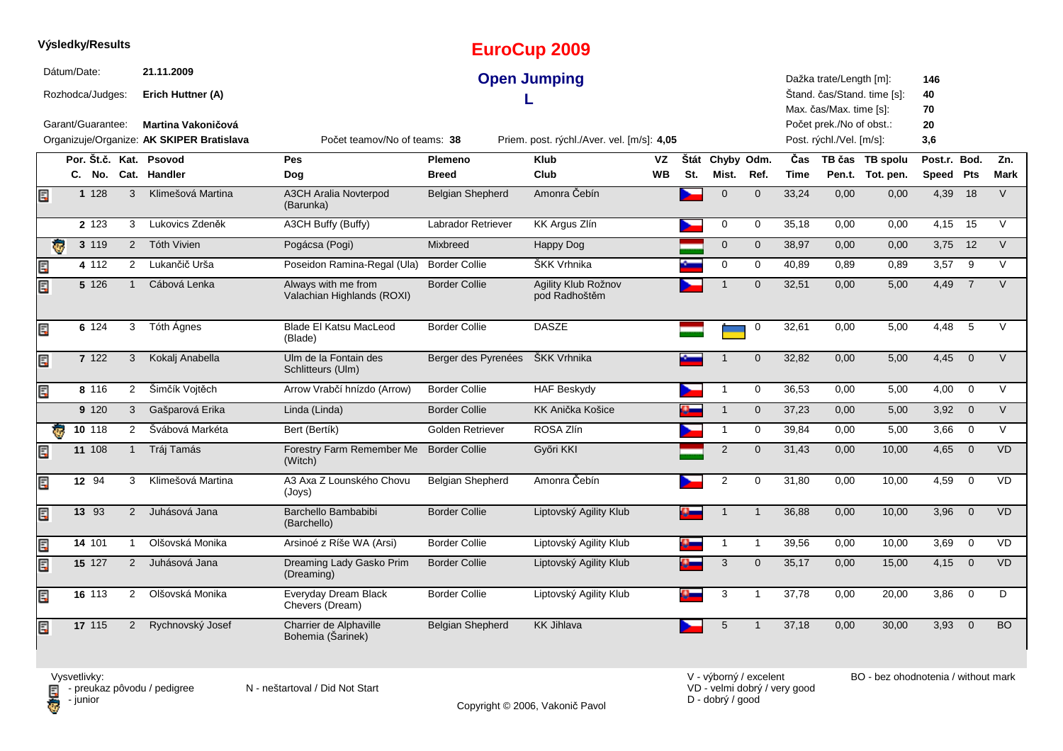|    |                | Výsledky/Results  |                |                                                                 |                                                   |                         | <b>EuroCup 2009</b>                        |                 |     |                          |                |                    |                                                      |                                        |                           |                |             |
|----|----------------|-------------------|----------------|-----------------------------------------------------------------|---------------------------------------------------|-------------------------|--------------------------------------------|-----------------|-----|--------------------------|----------------|--------------------|------------------------------------------------------|----------------------------------------|---------------------------|----------------|-------------|
|    | Dátum/Date:    | Rozhodca/Judges:  |                | 21.11.2009<br>Erich Huttner (A)                                 |                                                   |                         | <b>Open Jumping</b>                        |                 |     |                          |                |                    | Dažka trate/Length [m]:<br>Max. čas/Max. time [s]:   | Štand. čas/Stand. time [s]:            | 146<br>40<br>70           |                |             |
|    |                | Garant/Guarantee: |                | Martina Vakoničová<br>Organizuje/Organize: AK SKIPER Bratislava | Počet teamov/No of teams: 38                      |                         | Priem. post. rýchl./Aver. vel. [m/s]: 4,05 |                 |     |                          |                |                    | Počet prek./No of obst.:<br>Post. rýchl./Vel. [m/s]: |                                        | 20<br>3,6                 |                |             |
|    |                | C. No.            |                | Por. Št.č. Kat. Psovod<br>Cat. Handler                          | <b>Pes</b><br>Dog                                 | Plemeno<br><b>Breed</b> | <b>Klub</b><br>Club                        | VZ<br><b>WB</b> | St. | Štát Chyby Odm.<br>Mist. | Ref.           | Čas<br><b>Time</b> |                                                      | TB čas TB spolu<br>Pen.t. Tot. pen.    | Post.r. Bod.<br>Speed Pts |                | Zn.<br>Mark |
| Ę  |                | 1 1 2 8           | 3              | Klimešová Martina                                               | <b>A3CH Aralia Novterpod</b><br>(Barunka)         | <b>Belgian Shepherd</b> | Amonra Čebín                               |                 |     | $\mathbf 0$              | $\mathbf 0$    | 33,24              | 0,00                                                 | 0,00                                   | 4,39 18                   |                | $\vee$      |
|    |                | 2 1 2 3           | 3              | Lukovics Zdeněk                                                 | A3CH Buffy (Buffy)                                | Labrador Retriever      | <b>KK Argus Zlín</b>                       |                 |     | 0                        | 0              | 35,18              | 0,00                                                 | 0,00                                   | 4,15                      | 15             | $\vee$      |
| ē  |                | 3 119             | $\overline{2}$ | Tóth Vivien                                                     | Pogácsa (Pogi)                                    | Mixbreed                | Happy Dog                                  |                 |     | $\mathbf 0$              | $\mathbf 0$    | 38,97              | 0,00                                                 | 0,00                                   | 3,75 12                   |                | V           |
| Ę  |                | 4 112             | $\overline{2}$ | Lukančič Urša                                                   | Poseidon Ramina-Regal (Ula)                       | <b>Border Collie</b>    | ŠKK Vrhnika                                |                 |     | $\mathsf{O}\xspace$      | 0              | 40,89              | 0,89                                                 | 0,89                                   | 3,57                      | 9              | $\vee$      |
| Ę  |                | 5 1 2 6           | -1             | Cábová Lenka                                                    | Always with me from<br>Valachian Highlands (ROXI) | <b>Border Collie</b>    | Agility Klub Rožnov<br>pod Radhoštěm       |                 |     | $\mathbf 1$              | $\mathbf 0$    | 32,51              | 0,00                                                 | 5,00                                   | 4,49                      | $\overline{7}$ | $\vee$      |
| Ę  |                | 6 124             | 3              | Tóth Ágnes                                                      | <b>Blade El Katsu MacLeod</b><br>(Blade)          | <b>Border Collie</b>    | <b>DASZE</b>                               |                 |     |                          | 0              | 32,61              | 0,00                                                 | 5,00                                   | 4,48                      | $\sqrt{5}$     | $\sqrt{}$   |
| Ę  |                | 7 122             | $\mathbf{3}$   | Kokalj Anabella                                                 | Ulm de la Fontain des<br>Schlitteurs (Ulm)        | Berger des Pyrenées     | ŠKK Vrhnika                                |                 |     |                          | $\mathbf 0$    | 32,82              | 0,00                                                 | 5,00                                   | 4,45                      | $\mathbf 0$    | $\vee$      |
|    |                | 8 116             | $2^{\circ}$    | Šimčík Vojtěch                                                  | Arrow Vrabčí hnízdo (Arrow)                       | <b>Border Collie</b>    | <b>HAF Beskydy</b>                         |                 |     | $\mathbf{1}$             | $\mathbf 0$    | 36,53              | 0,00                                                 | 5,00                                   | 4,00                      | $\overline{0}$ | V           |
|    |                | 9 1 2 0           | 3              | Gašparová Erika                                                 | Linda (Linda)                                     | <b>Border Collie</b>    | KK Anička Košice                           |                 |     | $\mathbf{1}$             | $\mathbf 0$    | 37,23              | 0,00                                                 | 5,00                                   | 3,92                      | $\mathbf 0$    | V           |
| æ. |                | 10 118            | $\overline{2}$ | Švábová Markéta                                                 | Bert (Bertík)                                     | Golden Retriever        | ROSA Zlín                                  |                 |     | $\mathbf 1$              | 0              | 39,84              | 0,00                                                 | 5,00                                   | 3,66                      | $\overline{0}$ | $\vee$      |
| Ę  |                | 11 108            | $\mathbf{1}$   | Tráj Tamás                                                      | Forestry Farm Remember Me<br>(Witch)              | <b>Border Collie</b>    | Győri KKI                                  |                 |     | $\mathbf 2$              | $\mathbf 0$    | 31,43              | 0,00                                                 | 10,00                                  | 4,65                      | $\overline{0}$ | VD          |
| Ę  |                | 12 94             | 3              | Klimešová Martina                                               | A3 Axa Z Lounského Chovu<br>(Joys)                | <b>Belgian Shepherd</b> | Amonra Čebín                               |                 |     | $\boldsymbol{2}$         | 0              | 31,80              | 0,00                                                 | 10,00                                  | 4,59                      | $\mathbf 0$    | VD          |
| Ę  |                | 13 93             | $\overline{2}$ | Juhásová Jana                                                   | Barchello Bambabibi<br>(Barchello)                | <b>Border Collie</b>    | Liptovský Agility Klub                     |                 |     | $\mathbf{1}$             | $\mathbf{1}$   | 36,88              | 0,00                                                 | 10,00                                  | 3,96                      | $\mathbf 0$    | <b>VD</b>   |
| Ę  |                | 14 101            | $\overline{1}$ | Olšovská Monika                                                 | Arsinoé z Ríše WA (Arsi)                          | <b>Border Collie</b>    | Liptovský Agility Klub                     |                 |     | $\mathbf{1}$             | $\mathbf{1}$   | 39,56              | 0,00                                                 | 10,00                                  | 3,69                      | $\overline{0}$ | VD          |
| Ę  |                | 15 127            | 2              | Juhásová Jana                                                   | Dreaming Lady Gasko Prim<br>(Dreaming)            | <b>Border Collie</b>    | Liptovský Agility Klub                     |                 |     | $\sqrt{3}$               | $\mathbf{0}$   | 35,17              | 0,00                                                 | 15,00                                  | 4,15                      | $\overline{0}$ | <b>VD</b>   |
| Ę  |                | 16 113            | $\overline{2}$ | Olšovská Monika                                                 | Everyday Dream Black<br>Chevers (Dream)           | <b>Border Collie</b>    | Liptovský Agility Klub                     |                 |     | 3                        | $\mathbf{1}$   | 37,78              | 0,00                                                 | 20,00                                  | 3,86                      | $\overline{0}$ | D           |
| Ę  |                | 17 115            | 2              | Rychnovský Josef                                                | Charrier de Alphaville<br>Bohemia (Sarinek)       | <b>Belgian Shepherd</b> | <b>KK Jihlava</b>                          |                 |     | 5                        | $\overline{1}$ | 37,18              | 0,00                                                 | 30,00                                  | 3,93                      | $\overline{0}$ | <b>BO</b>   |
|    | $\overline{M}$ |                   |                |                                                                 |                                                   |                         |                                            |                 |     | V victorial overlant     |                |                    |                                                      | $DD -$ homehode of onio luminous model |                           |                |             |

Copyright © 2006, Vakonič Pavol

VD - velmi dobrý / very good D - dobrý / good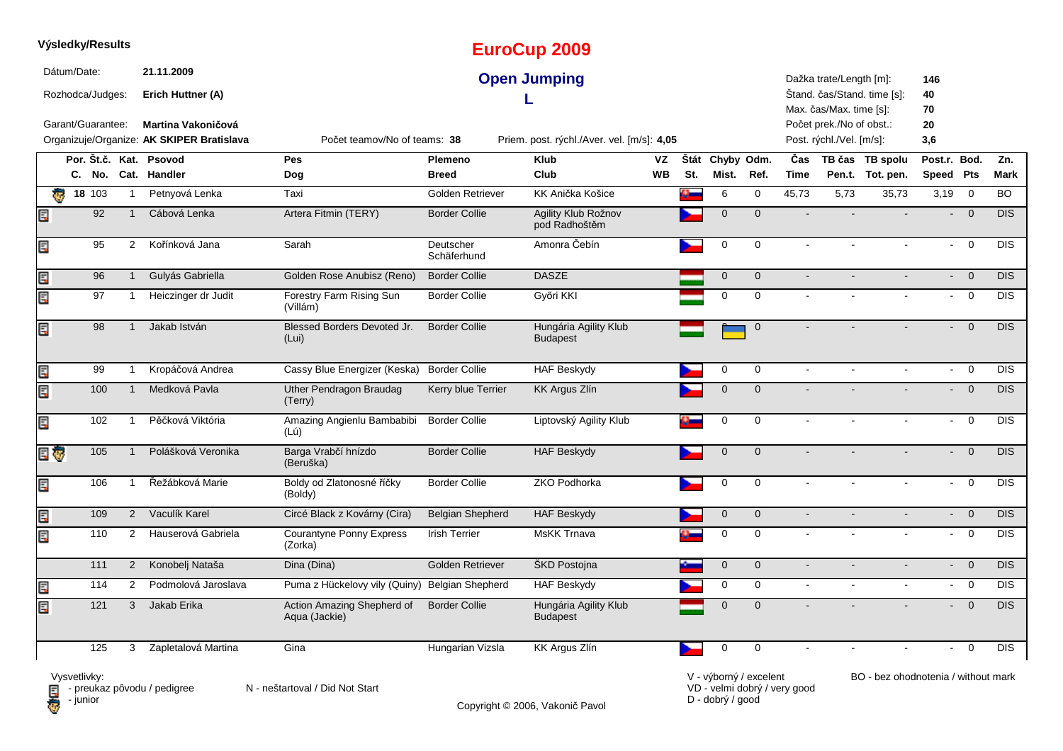|     |                         | Výsledky/Results    |                |                                                                        |                                             |                          | <b>EuroCup 2009</b>                        |           |     |                     |              |                |                                                                                 |                             |                           |                |            |
|-----|-------------------------|---------------------|----------------|------------------------------------------------------------------------|---------------------------------------------|--------------------------|--------------------------------------------|-----------|-----|---------------------|--------------|----------------|---------------------------------------------------------------------------------|-----------------------------|---------------------------|----------------|------------|
|     | Dátum/Date:             | Rozhodca/Judges:    |                | 21.11.2009<br>Erich Huttner (A)                                        |                                             |                          | <b>Open Jumping</b>                        |           |     |                     |              |                | Dažka trate/Length [m]:                                                         | Štand. čas/Stand. time [s]: | 146<br>40                 |                |            |
|     |                         | Garant/Guarantee:   |                | <b>Martina Vakoničová</b><br>Organizuje/Organize: AK SKIPER Bratislava | Počet teamov/No of teams: 38                |                          | Priem. post. rýchl./Aver. vel. [m/s]: 4,05 |           |     |                     |              |                | Max. čas/Max. time [s]:<br>Počet prek./No of obst.:<br>Post. rýchl./Vel. [m/s]: |                             | 70<br>20<br>3,6           |                |            |
|     |                         |                     |                | Por. Št.č. Kat. Psovod                                                 | Pes                                         | Plemeno                  | <b>Klub</b>                                | VZ        |     | Štát Chyby Odm.     |              | Čas            |                                                                                 | TB čas TB spolu             | Post.r. Bod.              |                | Zn.        |
|     |                         |                     |                | C. No. Cat. Handler                                                    | Dog                                         | <b>Breed</b>             | Club                                       | <b>WB</b> | St. | Mist.               | Ref.         | Time           |                                                                                 | Pen.t. Tot. pen.            | Speed Pts                 |                | Mark       |
|     | $\overline{\mathbf{e}}$ | $18 \overline{103}$ | $\mathbf{1}$   | Petnyová Lenka                                                         | Taxi                                        | Golden Retriever         | KK Anička Košice                           |           | o.  | 6                   | $\mathbf 0$  | 45,73          | 5,73                                                                            | 35,73                       | 3,19                      | $\mathbf 0$    | <b>BO</b>  |
| Ę   |                         | 92                  |                | Cábová Lenka                                                           | Artera Fitmin (TERY)                        | <b>Border Collie</b>     | Agility Klub Rožnov<br>pod Radhoštěm       |           |     | $\mathbf{0}$        | $\mathbf 0$  |                |                                                                                 |                             | ÷.                        | $\overline{0}$ | <b>DIS</b> |
| Ę   |                         | 95                  | $\overline{2}$ | Kořínková Jana                                                         | Sarah                                       | Deutscher<br>Schäferhund | Amonra Čebín                               |           |     | $\mathbf 0$         | $\mathbf 0$  | $\sim$         |                                                                                 | $\sim$                      | $\mathbf{r}$              | $\mathbf 0$    | <b>DIS</b> |
| Ę   |                         | 96                  | $\mathbf{1}$   | Gulyás Gabriella                                                       | Golden Rose Anubisz (Reno)                  | <b>Border Collie</b>     | <b>DASZE</b>                               |           |     | $\mathsf{O}\xspace$ | $\mathbf 0$  | $\sim$         |                                                                                 |                             | $\mathbf{L}^{\text{max}}$ | $\overline{0}$ | DIS        |
| Ę   |                         | 97                  | $\mathbf{1}$   | Heiczinger dr Judit                                                    | Forestry Farm Rising Sun<br>(Villám)        | <b>Border Collie</b>     | Győri KKI                                  |           |     | $\Omega$            | $\mathbf 0$  | $\sim$         | $\sim$                                                                          | $\sim$                      | $\sim$                    | $\overline{0}$ | <b>DIS</b> |
| Ę   |                         | 98                  |                | Jakab István                                                           | Blessed Borders Devoted Jr.<br>(Lui)        | <b>Border Collie</b>     | Hungária Agility Klub<br><b>Budapest</b>   |           |     |                     | $\mathbf 0$  |                |                                                                                 |                             | ÷.                        | $\overline{0}$ | DIS        |
| Ę   |                         | 99                  | $\mathbf 1$    | Kropáčová Andrea                                                       | Cassy Blue Energizer (Keska)                | <b>Border Collie</b>     | <b>HAF Beskydy</b>                         |           |     | 0                   | 0            | $\sim$         | $\mathbf{r}$                                                                    |                             | $\sim$                    | $\overline{0}$ | <b>DIS</b> |
| Er  |                         | 100                 | $\overline{1}$ | Medková Pavla                                                          | Uther Pendragon Braudag<br>(Terry)          | Kerry blue Terrier       | <b>KK Argus Zlín</b>                       |           |     | $\mathbf{0}$        | $\mathbf{0}$ |                |                                                                                 |                             | $\mathbf{L}^{\text{max}}$ | $\overline{0}$ | <b>DIS</b> |
| Ę   |                         | 102                 | $\overline{1}$ | Pěčková Viktória                                                       | Amazing Angienlu Bambabibi<br>(Lú)          | <b>Border Collie</b>     | Liptovský Agility Klub                     |           |     | $\mathbf 0$         | $\mathbf 0$  |                |                                                                                 |                             | $\sim$                    | $\overline{0}$ | <b>DIS</b> |
| E G |                         | 105                 | $\overline{1}$ | Polášková Veronika                                                     | Barga Vrabčí hnízdo<br>(Beruška)            | <b>Border Collie</b>     | <b>HAF Beskydy</b>                         |           |     | $\mathbf 0$         | $\mathbf 0$  |                |                                                                                 |                             |                           | $\overline{0}$ | <b>DIS</b> |
| Ę   |                         | 106                 | $\overline{1}$ | Řežábková Marie                                                        | Boldy od Zlatonosné říčky<br>(Boldy)        | <b>Border Collie</b>     | <b>ZKO Podhorka</b>                        |           |     | $\mathbf 0$         | $\mathbf 0$  | $\sim$         | $\mathbf{r}$                                                                    | $\mathbf{r}$                | $\sim$                    | $\overline{0}$ | <b>DIS</b> |
| Ę   |                         | 109                 | $\overline{2}$ | Vaculík Karel                                                          | Circé Black z Kovárny (Cira)                | <b>Belgian Shepherd</b>  | <b>HAF Beskydy</b>                         |           |     | $\mathbf 0$         | $\mathbf 0$  | $\sim$         |                                                                                 |                             | $\sim$                    | $\overline{0}$ | <b>DIS</b> |
| Ę   |                         | 110                 | $\overline{2}$ | Hauserová Gabriela                                                     | <b>Courantyne Ponny Express</b><br>(Zorka)  | <b>Irish Terrier</b>     | MsKK Trnava                                |           |     | 0                   | $\Omega$     | $\sim$         |                                                                                 | $\sim$                      | $\sim$                    | $\overline{0}$ | <b>DIS</b> |
|     |                         | 111                 | $\overline{2}$ | Konobelj Nataša                                                        | Dina (Dina)                                 | Golden Retriever         | ŠKD Postojna                               |           |     | $\mathbf 0$         | $\mathbf 0$  | $\sim$         |                                                                                 |                             | $\overline{\phantom{0}}$  | $\overline{0}$ | <b>DIS</b> |
| E   |                         | 114                 | $\overline{2}$ | Podmolová Jaroslava                                                    | Puma z Hückelovy vily (Quiny)               | <b>Belgian Shepherd</b>  | <b>HAF Beskydy</b>                         |           |     | 0                   | 0            | $\blacksquare$ | $\mathbf{r}$                                                                    | $\sim$                      | $\sim$                    | $\overline{0}$ | <b>DIS</b> |
| Ę   |                         | 121                 | 3              | Jakab Erika                                                            | Action Amazing Shepherd of<br>Aqua (Jackie) | <b>Border Collie</b>     | Hungária Agility Klub<br><b>Budapest</b>   |           |     | $\Omega$            | $\Omega$     |                |                                                                                 |                             | $\overline{\phantom{0}}$  | $\overline{0}$ | <b>DIS</b> |
|     |                         | 125                 | 3              | Zapletalová Martina                                                    | Gina                                        | Hungarian Vizsla         | KK Argus Zlín                              |           |     | $\Omega$            | $\mathbf 0$  |                |                                                                                 |                             |                           | $\overline{0}$ | <b>DIS</b> |

Copyright © 2006, Vakonič Pavol

VD - velmi dobrý / very good D - dobrý / good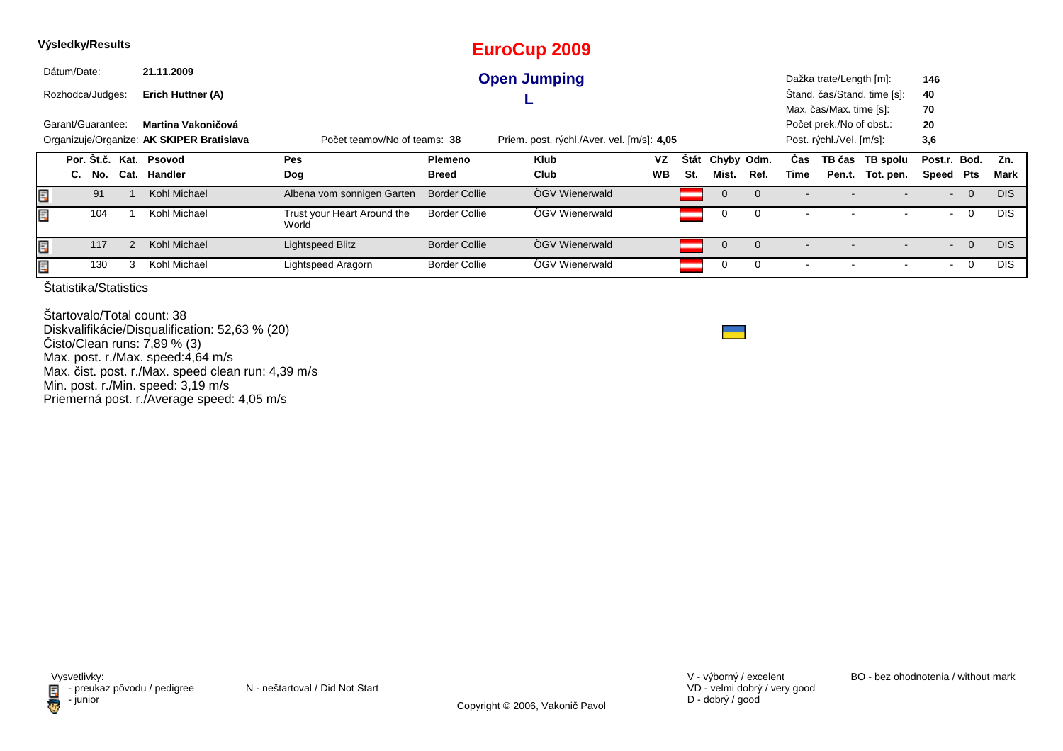|    | Výsledky/Results                        |                                                                                                                         |   |                        |                                      |                      | <b>EuroCup 2009</b> |           |             |             |             |      |                          |                             |                |                          |            |
|----|-----------------------------------------|-------------------------------------------------------------------------------------------------------------------------|---|------------------------|--------------------------------------|----------------------|---------------------|-----------|-------------|-------------|-------------|------|--------------------------|-----------------------------|----------------|--------------------------|------------|
|    | Dátum/Date:                             |                                                                                                                         |   | 21.11.2009             |                                      |                      | <b>Open Jumping</b> |           |             |             |             |      | Dažka trate/Length [m]:  |                             | 146            |                          |            |
|    | Rozhodca/Judges:                        |                                                                                                                         |   | Erich Huttner (A)      |                                      |                      |                     |           |             |             |             |      |                          | Štand. čas/Stand. time [s]: | 40             |                          |            |
|    |                                         |                                                                                                                         |   |                        |                                      |                      |                     |           |             |             |             |      | Max. čas/Max. time [s]:  |                             | 70             |                          |            |
|    | Garant/Guarantee:<br>Martina Vakoničová |                                                                                                                         |   |                        |                                      |                      |                     |           |             |             |             |      | Počet prek./No of obst.: |                             | 20             |                          |            |
|    |                                         | Organizuje/Organize: AK SKIPER Bratislava<br>Počet teamov/No of teams: 38<br>Priem. post. rýchl./Aver. vel. [m/s]: 4,05 |   |                        |                                      |                      |                     |           |             |             |             |      | Post. rýchl./Vel. [m/s]: |                             | 3,6            |                          |            |
|    |                                         |                                                                                                                         |   | Por. Št.č. Kat. Psovod | Pes                                  | <b>Plemeno</b>       | Klub                | VZ        | <b>Stát</b> | Chyby Odm.  |             | Cas  |                          | TB čas TB spolu             | Post.r. Bod.   |                          | Zn.        |
|    | C.                                      | No.                                                                                                                     |   | Cat. Handler           | Dog                                  | <b>Breed</b>         | Club                | <b>WB</b> | St.         | Mist.       | Ref.        | Time | Pen.t.                   | Tot. pen.                   | Speed          | Pts                      | Mark       |
| Ē, |                                         | 91                                                                                                                      |   | Kohl Michael           | Albena vom sonnigen Garten           | <b>Border Collie</b> | ÖGV Wienerwald      |           |             | $\mathbf 0$ | $\mathbf 0$ |      |                          |                             |                | $\overline{0}$<br>$\sim$ | <b>DIS</b> |
| Ę  |                                         | 104                                                                                                                     |   | Kohl Michael           | Trust your Heart Around the<br>World | <b>Border Collie</b> | ÖGV Wienerwald      |           |             | 0           | 0           |      |                          |                             | $\blacksquare$ | 0                        | <b>DIS</b> |
| Ē, |                                         | 117                                                                                                                     |   | Kohl Michael           | Lightspeed Blitz                     | <b>Border Collie</b> | ÖGV Wienerwald      |           |             | $\mathbf 0$ | $\mathbf 0$ |      |                          |                             |                | $\overline{0}$           | <b>DIS</b> |
| Ę  |                                         | 130                                                                                                                     | 3 | Kohl Michael           | Lightspeed Aragorn                   | <b>Border Collie</b> | ÖGV Wienerwald      |           |             | 0           | 0           |      |                          |                             |                | 0                        | <b>DIS</b> |
|    |                                         |                                                                                                                         |   |                        |                                      |                      |                     |           |             |             |             |      |                          |                             |                |                          |            |

Štartovalo/Total count: 38 Diskvalifikácie/Disqualification: 52,63 % (20)Čisto/Clean runs: 7,89 % (3) Max. post. r./Max. speed:4,64 m/s Max. čist. post. r./Max. speed clean run: 4,39 m/sMin. post. r./Min. speed: 3,19 m/s Priemerná post. r./Average speed: 4,05 m/s

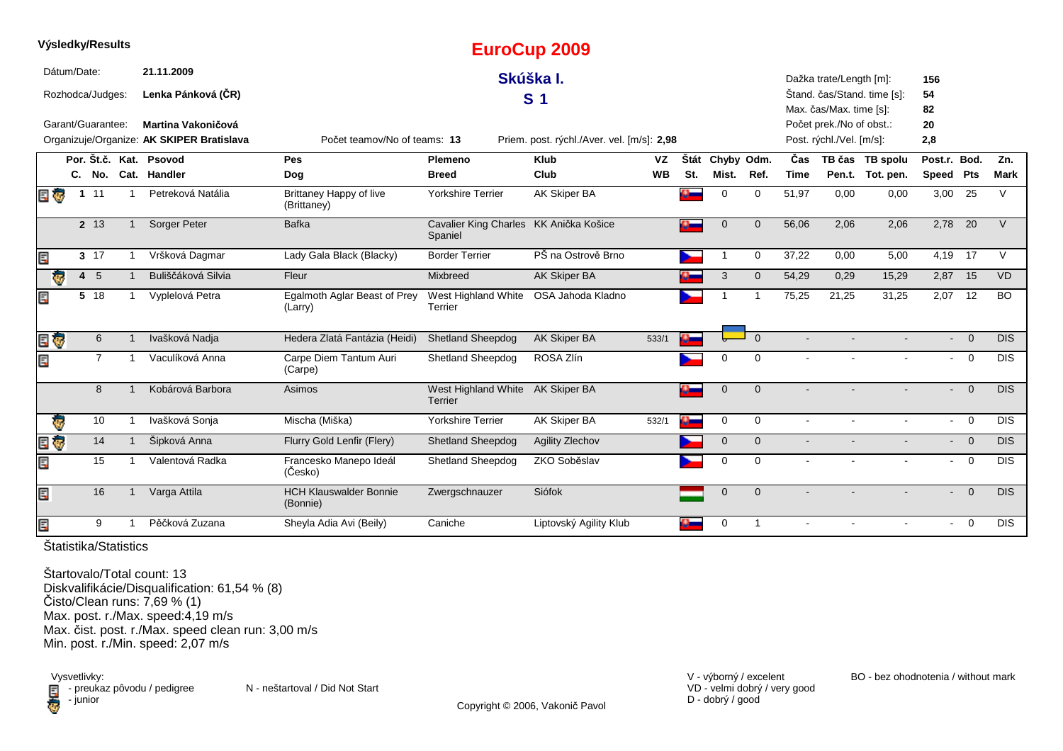|   | Výsledky/Results        |              |                |                                           |                                               |                                                   | <b>EuroCup 2009</b>                        |           |      |             |              |             |                                                     |                             |                          |                                  |             |
|---|-------------------------|--------------|----------------|-------------------------------------------|-----------------------------------------------|---------------------------------------------------|--------------------------------------------|-----------|------|-------------|--------------|-------------|-----------------------------------------------------|-----------------------------|--------------------------|----------------------------------|-------------|
|   | Dátum/Date:             |              |                | 21.11.2009                                |                                               |                                                   | Skúška I.                                  |           |      |             |              |             | Dažka trate/Length [m]:                             |                             | 156                      |                                  |             |
|   | Rozhodca/Judges:        |              |                | Lenka Pánková (ČR)                        |                                               |                                                   | S <sub>1</sub>                             |           |      |             |              |             |                                                     | Štand. čas/Stand. time [s]: | 54                       |                                  |             |
|   | Garant/Guarantee:       |              |                | Martina Vakoničová                        |                                               |                                                   |                                            |           |      |             |              |             | Max. čas/Max. time [s]:<br>Počet prek./No of obst.: |                             | 82<br>20                 |                                  |             |
|   |                         |              |                | Organizuje/Organize: AK SKIPER Bratislava | Počet teamov/No of teams: 13                  |                                                   | Priem. post. rýchl./Aver. vel. [m/s]: 2,98 |           |      |             |              |             | Post. rýchl./Vel. [m/s]:                            |                             | 2,8                      |                                  |             |
|   |                         |              |                | Por. Št.č. Kat. Psovod                    | Pes                                           | Plemeno                                           | <b>Klub</b>                                | VZ        | Štát | Chyby Odm.  |              | Čas         |                                                     | TB čas TB spolu             | Post.r. Bod.             |                                  | Zn.         |
|   |                         |              |                | C. No. Cat. Handler                       | Dog                                           | <b>Breed</b>                                      | Club                                       | <b>WB</b> | St.  | Mist.       | Ref.         | <b>Time</b> |                                                     | Pen.t. Tot. pen.            | Speed Pts                |                                  | <b>Mark</b> |
|   | e o                     | $1 \quad 11$ |                | Petreková Natália                         | <b>Brittaney Happy of live</b><br>(Brittaney) | <b>Yorkshire Terrier</b>                          | <b>AK Skiper BA</b>                        |           |      | 0           | 0            | 51,97       | 0,00                                                | 0,00                        | 3,00                     | 25                               | V           |
|   |                         | 2 13         |                | Sorger Peter                              | <b>Bafka</b>                                  | Cavalier King Charles KK Anička Košice<br>Spaniel |                                            |           |      | $\Omega$    | $\mathbf 0$  | 56,06       | 2,06                                                | 2,06                        |                          | $2,78$ 20                        | V           |
| Ę |                         | $3 \t17$     |                | Vršková Dagmar                            | Lady Gala Black (Blacky)                      | <b>Border Terrier</b>                             | PŠ na Ostrově Brno                         |           |      |             | $\mathbf 0$  | 37,22       | 0,00                                                | 5,00                        | 4,19 17                  |                                  | $\vee$      |
|   | Ģ                       | 4 5          |                | Buliščáková Silvia                        | Fleur                                         | Mixbreed                                          | AK Skiper BA                               |           |      | 3           | $\mathbf 0$  | 54,29       | 0,29                                                | 15,29                       | 2,87 15                  |                                  | <b>VD</b>   |
| Ę |                         | 5 18         |                | Vyplelová Petra                           | Egalmoth Aglar Beast of Prey<br>(Larry)       | West Highland White<br>Terrier                    | OSA Jahoda Kladno                          |           |      |             | 1            | 75,25       | 21,25                                               | 31,25                       |                          | 2,07 12                          | <b>BO</b>   |
|   | e ş                     |              | 6              | Ivašková Nadja                            | Hedera Zlatá Fantázia (Heidi)                 | <b>Shetland Sheepdog</b>                          | AK Skiper BA                               | 533/1     |      |             | $\Omega$     |             |                                                     |                             |                          | $- 0$                            | <b>DIS</b>  |
| Ę |                         |              | $\overline{7}$ | Vaculíková Anna                           | Carpe Diem Tantum Auri<br>(Carpe)             | <b>Shetland Sheepdog</b>                          | ROSA Zlín                                  |           |      | 0           | 0            |             |                                                     |                             | $\sim$                   | $\overline{0}$                   | <b>DIS</b>  |
|   |                         |              | 8              | Kobárová Barbora                          | Asimos                                        | West Highland White AK Skiper BA<br>Terrier       |                                            |           | a.   | $\Omega$    | $\Omega$     |             |                                                     |                             |                          | $\overline{0}$<br>$\blacksquare$ | <b>DIS</b>  |
|   | $\overline{\mathbf{e}}$ |              | 10             | Ivašková Sonja                            | Mischa (Miška)                                | Yorkshire Terrier                                 | AK Skiper BA                               | 532/1     | C)   | 0           | $\mathbf 0$  | $\sim$      |                                                     |                             | $\sim$                   | $\overline{0}$                   | <b>DIS</b>  |
| Ę | Ģ                       |              | 14             | Šipková Anna                              | Flurry Gold Lenfir (Flery)                    | <b>Shetland Sheepdog</b>                          | <b>Agility Zlechov</b>                     |           |      | $\mathbf 0$ | $\mathbf{0}$ |             |                                                     |                             | $\overline{\phantom{0}}$ | $\overline{0}$                   | DIS.        |
| Ę |                         |              | 15             | Valentová Radka                           | Francesko Manepo Ideál<br>(Česko)             | <b>Shetland Sheepdog</b>                          | ZKO Soběslav                               |           |      | $\Omega$    | $\Omega$     |             |                                                     |                             | $\sim$                   | $\overline{0}$                   | <b>DIS</b>  |
| E |                         |              | 16             | Varga Attila                              | <b>HCH Klauswalder Bonnie</b><br>(Bonnie)     | Zwergschnauzer                                    | Siófok                                     |           |      | $\mathbf 0$ | $\mathbf 0$  |             |                                                     |                             | $\overline{\phantom{0}}$ | $\overline{0}$                   | <b>DIS</b>  |
| E |                         |              | 9              | Pěčková Zuzana                            | Sheyla Adia Avi (Beily)                       | Caniche                                           | Liptovský Agility Klub                     |           |      | $\mathbf 0$ | $\mathbf 1$  |             |                                                     |                             | $\sim$                   | $\overline{0}$                   | <b>DIS</b>  |

**Výsledky/Results**

Štartovalo/Total count: 13 Diskvalifikácie/Disqualification: 61,54 % (8)Čisto/Clean runs: 7,69 % (1) Max. post. r./Max. speed:4,19 m/s Max. čist. post. r./Max. speed clean run: 3,00 m/sMin. post. r./Min. speed: 2,07 m/s

Vysvetlivky:<br> **Ex** preuka:<br>
junior  $\blacksquare$  - preukaz pôvodu / pedigree N - neštartoval / Did Not Start - junior

Copyright © 2006, Vakonič Pavol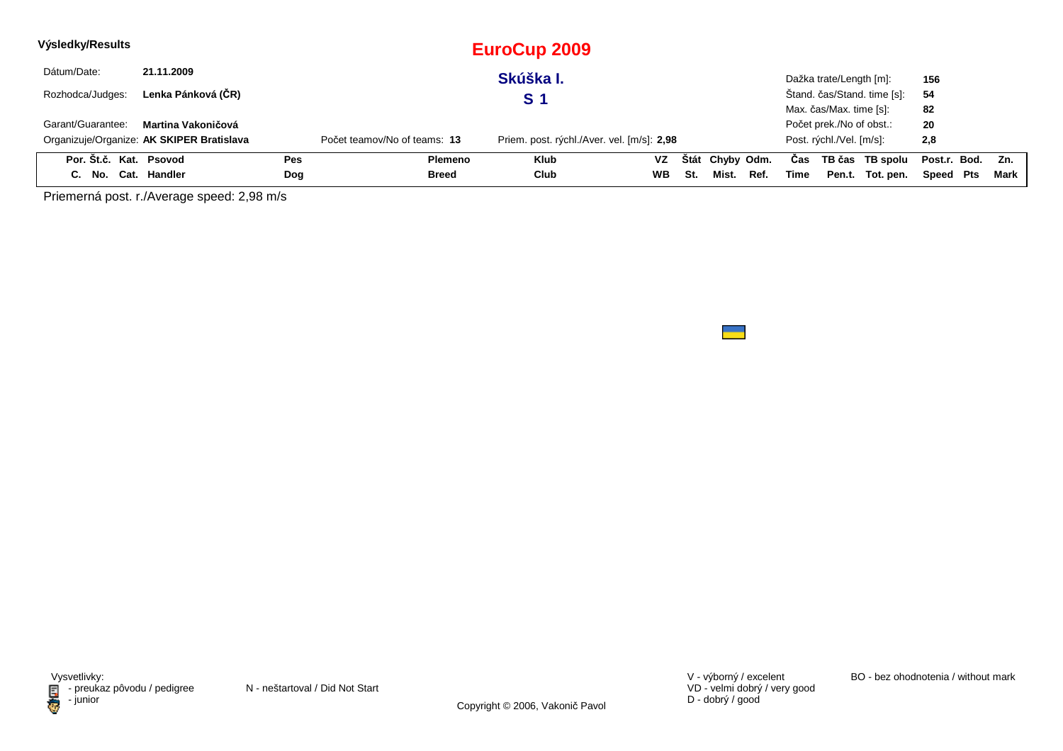| Výsledky/Results       |                                           |            |                              | EuroCup 2009                               |           |     |                 |      |      |                          |                             |              |     |        |
|------------------------|-------------------------------------------|------------|------------------------------|--------------------------------------------|-----------|-----|-----------------|------|------|--------------------------|-----------------------------|--------------|-----|--------|
| Dátum/Date:            | 21.11.2009                                |            |                              | Skúška I.                                  |           |     |                 |      |      | Dažka trate/Length [m]:  |                             | 156          |     |        |
| Rozhodca/Judges:       | Lenka Pánková (ČR)                        |            |                              | S 1                                        |           |     |                 |      |      |                          | Štand. čas/Stand. time [s]: | 54           |     |        |
|                        |                                           |            |                              |                                            |           |     |                 |      |      | Max. čas/Max. time [s]:  |                             | 82           |     |        |
| Garant/Guarantee:      | Martina Vakoničová                        |            |                              |                                            |           |     |                 |      |      | Počet prek./No of obst.: |                             | 20           |     |        |
|                        | Organizuje/Organize: AK SKIPER Bratislava |            | Počet teamov/No of teams: 13 | Priem. post. rýchl./Aver. vel. [m/s]: 2,98 |           |     |                 |      |      | Post. rýchl./Vel. [m/s]: |                             | 2,8          |     |        |
| Por. Št.č. Kat. Psovod |                                           | <b>Pes</b> | Plemeno                      | <b>Klub</b>                                | <b>VZ</b> |     | Štát Chyby Odm. |      | Cas  |                          | TB čas TB spolu             | Post.r. Bod. |     | Zn.    |
| C. No. Cat. Handler    |                                           | Dog        | Breed                        | Club                                       | <b>WB</b> | St. | Mist.           | Ref. | Time | Pen.t.                   | Tot. pen.                   | Speed        | Pts | Mark I |

Priemerná post. r./Average speed: 2,98 m/s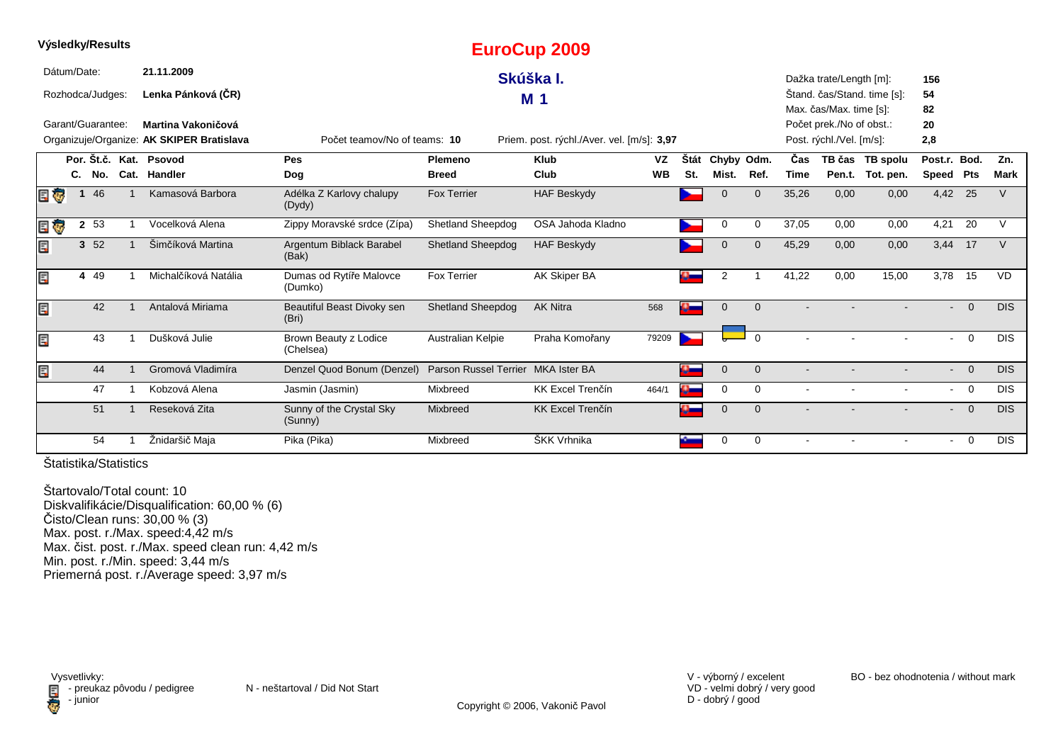|     |             |                   |                                           |                                     |                                    | Lui voup zoos                              |           |               |              |                |             |                          |                             |                          |                |             |
|-----|-------------|-------------------|-------------------------------------------|-------------------------------------|------------------------------------|--------------------------------------------|-----------|---------------|--------------|----------------|-------------|--------------------------|-----------------------------|--------------------------|----------------|-------------|
|     | Dátum/Date: |                   | 21.11.2009                                |                                     |                                    | Skúška I.                                  |           |               |              |                |             | Dažka trate/Length [m]:  |                             | 156                      |                |             |
|     |             | Rozhodca/Judges:  | Lenka Pánková (ČR)                        |                                     |                                    | M <sub>1</sub>                             |           |               |              |                |             |                          | Štand. čas/Stand. time [s]: | 54                       |                |             |
|     |             |                   |                                           |                                     |                                    |                                            |           |               |              |                |             | Max. čas/Max. time [s]:  |                             | 82                       |                |             |
|     |             | Garant/Guarantee: | Martina Vakoničová                        |                                     |                                    |                                            |           |               |              |                |             | Počet prek./No of obst.: |                             | 20                       |                |             |
|     |             |                   | Organizuje/Organize: AK SKIPER Bratislava | Počet teamov/No of teams: 10        |                                    | Priem. post. rýchl./Aver. vel. [m/s]: 3,97 |           |               |              |                |             | Post. rýchl./Vel. [m/s]: |                             | 2,8                      |                |             |
|     |             |                   | Por. Št.č. Kat. Psovod                    | Pes                                 | Plemeno                            | <b>Klub</b>                                | VZ        | <b>Stát</b>   | Chyby Odm.   |                | <b>Cas</b>  |                          | TB čas TB spolu             | Post.r. Bod.             |                | Zn.         |
|     |             | C. No.            | Cat. Handler                              | Dog                                 | <b>Breed</b>                       | Club                                       | <b>WB</b> | St.           | Mist.        | Ref.           | <b>Time</b> |                          | Pen.t. Tot. pen.            | Speed Pts                |                | <b>Mark</b> |
| E T |             | 46                | Kamasová Barbora                          | Adélka Z Karlovy chalupy<br>(Dydy)  | <b>Fox Terrier</b>                 | <b>HAF Beskydy</b>                         |           |               | $\Omega$     | $\mathbf{0}$   | 35,26       | 0,00                     | 0,00                        | 4,42 25                  |                | V           |
| e o |             | 2 53              | Vocelková Alena                           | Zippy Moravské srdce (Zípa)         | Shetland Sheepdog                  | OSA Jahoda Kladno                          |           |               | 0            | 0              | 37,05       | 0,00                     | 0,00                        | 4,21                     | 20             | V           |
| Ę   |             | 3 52              | Šimčíková Martina                         | Argentum Biblack Barabel<br>(Bak)   | <b>Shetland Sheepdog</b>           | <b>HAF Beskydy</b>                         |           |               | $\mathbf 0$  | $\overline{0}$ | 45,29       | 0,00                     | 0,00                        | 3,44 17                  |                | $\vee$      |
| Ę   |             | 4 4 9             | Michalčíková Natália                      | Dumas od Rytíře Malovce<br>(Dumko)  | <b>Fox Terrier</b>                 | AK Skiper BA                               |           |               | 2            |                | 41,22       | 0,00                     | 15,00                       | 3,78                     | 15             | <b>VD</b>   |
| Ę   |             | 42                | Antalová Miriama                          | Beautiful Beast Divoky sen<br>(Bri) | <b>Shetland Sheepdog</b>           | <b>AK Nitra</b>                            | 568       |               | $\mathbf{0}$ | $\Omega$       |             |                          |                             | $\overline{\phantom{a}}$ | $\Omega$       | DIS.        |
| E   |             | 43                | Dušková Julie                             | Brown Beauty z Lodice<br>(Chelsea)  | Australian Kelpie                  | Praha Komořany                             | 79209     |               |              | $\Omega$       |             |                          |                             | $\sim$                   | $\overline{0}$ | <b>DIS</b>  |
| Ę   |             | 44                | Gromová Vladimíra                         | Denzel Quod Bonum (Denzel)          | Parson Russel Terrier MKA Ister BA |                                            |           | a.            | $\mathbf{0}$ | $\Omega$       |             |                          |                             | $\sim$                   | $\overline{0}$ | <b>DIS</b>  |
|     |             | 47                | Kobzová Alena                             | Jasmin (Jasmin)                     | Mixbreed                           | KK Excel Trenčín                           | 464/1     | ω.            | 0            | 0              | $\sim$      |                          |                             | $\sim$                   | $\overline{0}$ | <b>DIS</b>  |
|     |             | 51                | Reseková Zita                             | Sunny of the Crystal Sky<br>(Sunny) | Mixbreed                           | <b>KK Excel Trenčín</b>                    |           | $\bullet$ $-$ | $\mathbf 0$  | $\mathbf 0$    |             |                          |                             | $\blacksquare$           | $\overline{0}$ | DIS.        |
|     |             | 54                | Žnidaršič Maja                            | Pika (Pika)                         | Mixbreed                           | ŠKK Vrhnika                                |           |               | 0            | 0              |             |                          |                             | $\overline{\phantom{0}}$ | $\overline{0}$ | <b>DIS</b>  |

**EuroCup 2009**

Štatistika/Statistics

**Výsledky/Results**

Štartovalo/Total count: 10 Diskvalifikácie/Disqualification: 60,00 % (6)Čisto/Clean runs: 30,00 % (3) Max. post. r./Max. speed:4,42 m/s Max. čist. post. r./Max. speed clean run: 4,42 m/sMin. post. r./Min. speed: 3,44 m/s Priemerná post. r./Average speed: 3,97 m/s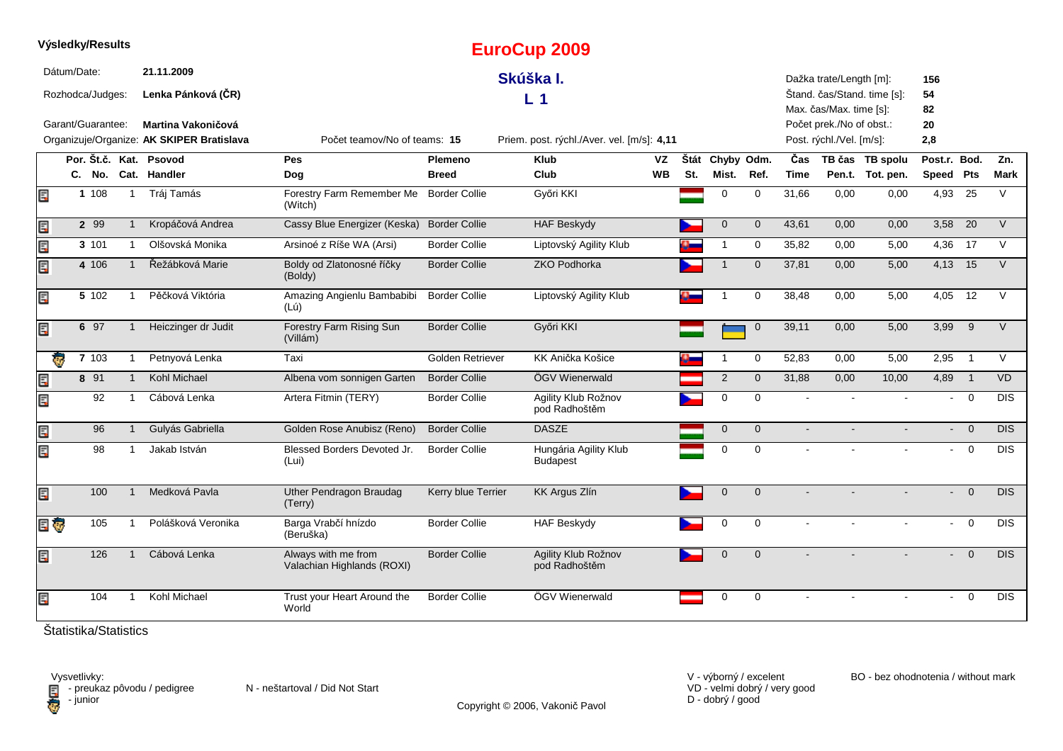|     | Výsledky/Results  |        |              |                                           |                                                   |                      | <b>EuroCup 2009</b>                        |           |     |                 |              |                |                          |                             |                           |                |                  |
|-----|-------------------|--------|--------------|-------------------------------------------|---------------------------------------------------|----------------------|--------------------------------------------|-----------|-----|-----------------|--------------|----------------|--------------------------|-----------------------------|---------------------------|----------------|------------------|
|     | Dátum/Date:       |        |              | 21.11.2009                                |                                                   |                      | Skúška I.                                  |           |     |                 |              |                | Dažka trate/Length [m]:  |                             | 156                       |                |                  |
|     | Rozhodca/Judges:  |        |              | Lenka Pánková (ČR)                        |                                                   |                      | L <sub>1</sub>                             |           |     |                 |              |                | Max. čas/Max. time [s]:  | Štand. čas/Stand. time [s]: | 54<br>82                  |                |                  |
|     | Garant/Guarantee: |        |              | Martina Vakoničová                        |                                                   |                      |                                            |           |     |                 |              |                | Počet prek./No of obst.: |                             | 20                        |                |                  |
|     |                   |        |              | Organizuje/Organize: AK SKIPER Bratislava | Počet teamov/No of teams: 15                      |                      | Priem. post. rýchl./Aver. vel. [m/s]: 4,11 |           |     |                 |              |                | Post. rýchl./Vel. [m/s]: |                             | 2,8                       |                |                  |
|     |                   |        |              | Por. Št.č. Kat. Psovod                    | Pes                                               | Plemeno              | <b>Klub</b>                                | VZ        |     | Štát Chyby Odm. |              | Čas            |                          | TB čas TB spolu             | Post.r. Bod.              |                | Zn.              |
|     |                   |        |              | C. No. Cat. Handler                       | Dog                                               | <b>Breed</b>         | Club                                       | <b>WB</b> | St. | Mist.           | Ref.         | Time           |                          | Pen.t. Tot. pen.            | Speed Pts                 |                | Mark             |
| E.  |                   | 1 108  | $\mathbf{1}$ | Tráj Tamás                                | Forestry Farm Remember Me<br>(Witch)              | <b>Border Collie</b> | Győri KKI                                  |           |     | $\mathbf 0$     | $\Omega$     | 31,66          | 0,00                     | 0.00                        | 4,93                      | 25             | V                |
| E   |                   | 2 99   | $\mathbf{1}$ | Kropáčová Andrea                          | Cassy Blue Energizer (Keska)                      | <b>Border Collie</b> | <b>HAF Beskydy</b>                         |           |     | $\mathbf{0}$    | $\mathbf{0}$ | 43,61          | 0,00                     | 0,00                        | 3,58                      | 20             | $\vee$           |
| E   |                   | 3 101  | $\mathbf{1}$ | Olšovská Monika                           | Arsinoé z Ríše WA (Arsi)                          | <b>Border Collie</b> | Liptovský Agility Klub                     |           |     | $\mathbf{1}$    | $\mathbf 0$  | 35,82          | 0,00                     | 5,00                        | 4,36                      | 17             | $\vee$           |
| Ę   |                   | 4 10 6 | $\mathbf{1}$ | Řežábková Marie                           | Boldy od Zlatonosné říčky<br>(Boldy)              | <b>Border Collie</b> | ZKO Podhorka                               |           |     |                 | $\mathbf{0}$ | 37,81          | 0,00                     | 5,00                        | 4,13 15                   |                | $\vee$           |
| E   |                   | 5 102  | $\mathbf{1}$ | Pěčková Viktória                          | Amazing Angienlu Bambabibi<br>(Lú)                | <b>Border Collie</b> | Liptovský Agility Klub                     |           |     |                 | $\mathbf 0$  | 38,48          | 0,00                     | 5,00                        | 4,05                      | 12             | $\vee$           |
| Eď  |                   | 6 97   |              | Heiczinger dr Judit                       | Forestry Farm Rising Sun<br>(Villám)              | <b>Border Collie</b> | Győri KKI                                  |           |     |                 | $\mathbf 0$  | 39.11          | 0.00                     | 5,00                        | 3,99                      | 9              | $\vee$           |
|     | <b>KG</b>         | 7 103  | $\mathbf{1}$ | Petnyová Lenka                            | Taxi                                              | Golden Retriever     | KK Anička Košice                           |           |     | $\mathbf 1$     | $\mathbf 0$  | 52,83          | 0,00                     | 5,00                        | 2,95                      | $\overline{1}$ | $\vee$           |
| E   |                   | 8 91   | $\mathbf{1}$ | Kohl Michael                              | Albena vom sonnigen Garten                        | <b>Border Collie</b> | ÖGV Wienerwald                             |           |     | 2               | $\mathbf{0}$ | 31,88          | 0,00                     | 10,00                       | 4,89 1                    |                | <b>VD</b>        |
| Ę   |                   | 92     | $\mathbf{1}$ | Cábová Lenka                              | Artera Fitmin (TERY)                              | <b>Border Collie</b> | Agility Klub Rožnov<br>pod Radhoštěm       |           |     | $\mathbf 0$     | $\mathbf 0$  |                |                          |                             | $\blacksquare$            | $\overline{0}$ | <b>DIS</b>       |
| Er  |                   | 96     | $\mathbf{1}$ | Gulyás Gabriella                          | Golden Rose Anubisz (Reno)                        | <b>Border Collie</b> | <b>DASZE</b>                               |           |     | $\mathbf{0}$    | $\mathbf{0}$ | $\blacksquare$ |                          |                             | $\sim$                    | $\overline{0}$ | <b>DIS</b>       |
| Ę   |                   | 98     | $\mathbf{1}$ | Jakab István                              | Blessed Borders Devoted Jr.<br>(Lui)              | <b>Border Collie</b> | Hungária Agility Klub<br><b>Budapest</b>   |           |     | $\mathbf 0$     | $\mathbf 0$  | $\sim$         |                          |                             |                           | $- 0$          | $\overline{DIS}$ |
| Ē,  |                   | 100    | $\mathbf{1}$ | Medková Pavla                             | <b>Uther Pendragon Braudag</b><br>(Terry)         | Kerry blue Terrier   | KK Argus Zlín                              |           |     | $\mathbf 0$     | $\mathbf 0$  |                |                          |                             | $\mathbb{Z}^{\mathbb{Z}}$ | $\overline{0}$ | <b>DIS</b>       |
| E G |                   | 105    | $\mathbf{1}$ | Polášková Veronika                        | Barga Vrabčí hnízdo<br>(Beruška)                  | <b>Border Collie</b> | <b>HAF Beskydy</b>                         |           |     | 0               | $\mathbf 0$  | $\sim$         |                          |                             | $\sim$                    | $\overline{0}$ | <b>DIS</b>       |
| E   |                   | 126    | $\mathbf{1}$ | Cábová Lenka                              | Always with me from<br>Valachian Highlands (ROXI) | <b>Border Collie</b> | Agility Klub Rožnov<br>pod Radhoštěm       |           |     | $\mathbf{0}$    | $\mathbf{0}$ |                |                          |                             | $\blacksquare$            | $\overline{0}$ | <b>DIS</b>       |
| Ē,  |                   | 104    | $\mathbf 1$  | Kohl Michael                              | Trust your Heart Around the<br>World              | <b>Border Collie</b> | ÖGV Wienerwald                             |           |     | 0               | $\mathbf 0$  |                |                          |                             | $\sim$                    | $\overline{0}$ | <b>DIS</b>       |

VD - velmi dobrý / very good D - dobrý / good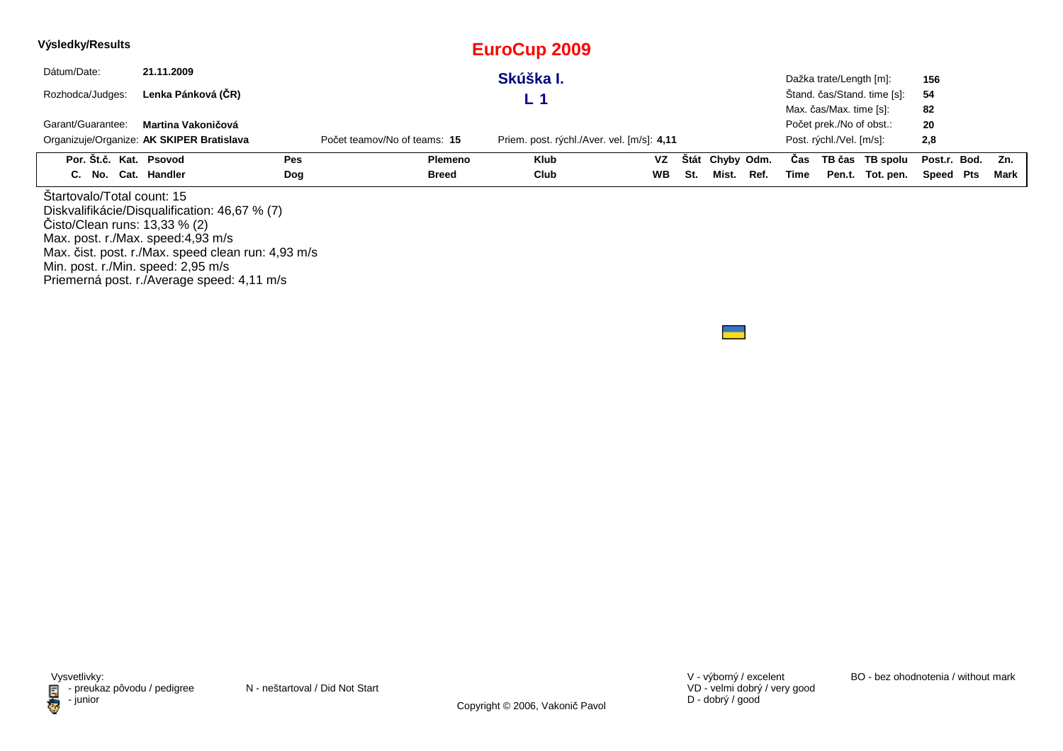| Výsledky/Results                                                                                 |                                                                                                     |     |                              | <b>EuroCup 2009</b>                        |           |             |            |      |      |                          |                             |              |      |
|--------------------------------------------------------------------------------------------------|-----------------------------------------------------------------------------------------------------|-----|------------------------------|--------------------------------------------|-----------|-------------|------------|------|------|--------------------------|-----------------------------|--------------|------|
| Dátum/Date:                                                                                      | 21.11.2009                                                                                          |     |                              | Skúška I.                                  |           |             |            |      |      | Dažka trate/Length [m]:  |                             | 156          |      |
| Rozhodca/Judges:                                                                                 | Lenka Pánková (ČR)                                                                                  |     |                              | L 1                                        |           |             |            |      |      |                          | Štand. čas/Stand. time [s]: | 54           |      |
|                                                                                                  |                                                                                                     |     |                              |                                            |           |             |            |      |      | Max. čas/Max. time [s]:  |                             | 82           |      |
| Garant/Guarantee:                                                                                | Martina Vakoničová                                                                                  |     |                              |                                            |           |             |            |      |      | Počet prek./No of obst.: |                             | 20           |      |
|                                                                                                  | Organizuje/Organize: AK SKIPER Bratislava                                                           |     | Počet teamov/No of teams: 15 | Priem. post. rýchl./Aver. vel. [m/s]: 4,11 |           |             |            |      |      | Post. rýchl./Vel. [m/s]: |                             | 2,8          |      |
| Por. Št.č. Kat. Psovod                                                                           |                                                                                                     | Pes | <b>Plemeno</b>               | Klub                                       | VZ        | <b>Stát</b> | Chyby Odm. |      | Cas  |                          | TB čas TB spolu             | Post.r. Bod. | Zn.  |
| C. No. Cat. Handler                                                                              |                                                                                                     | Dog | <b>Breed</b>                 | Club                                       | <b>WB</b> | St.         | Mist.      | Ref. | Time |                          | Pen.t. Tot. pen.            | Speed Pts    | Mark |
| Startovalo/Total count: 15<br>Čisto/Clean runs: 13,33 % (2)<br>Max. post. r./Max. speed:4,93 m/s | Diskvalifikácie/Disqualification: 46,67 % (7)<br>Max. čist. post. r./Max. speed clean run: 4,93 m/s |     |                              |                                            |           |             |            |      |      |                          |                             |              |      |

Min. post. r./Min. speed: 2,95 m/s Priemerná post. r./Average speed: 4,11 m/s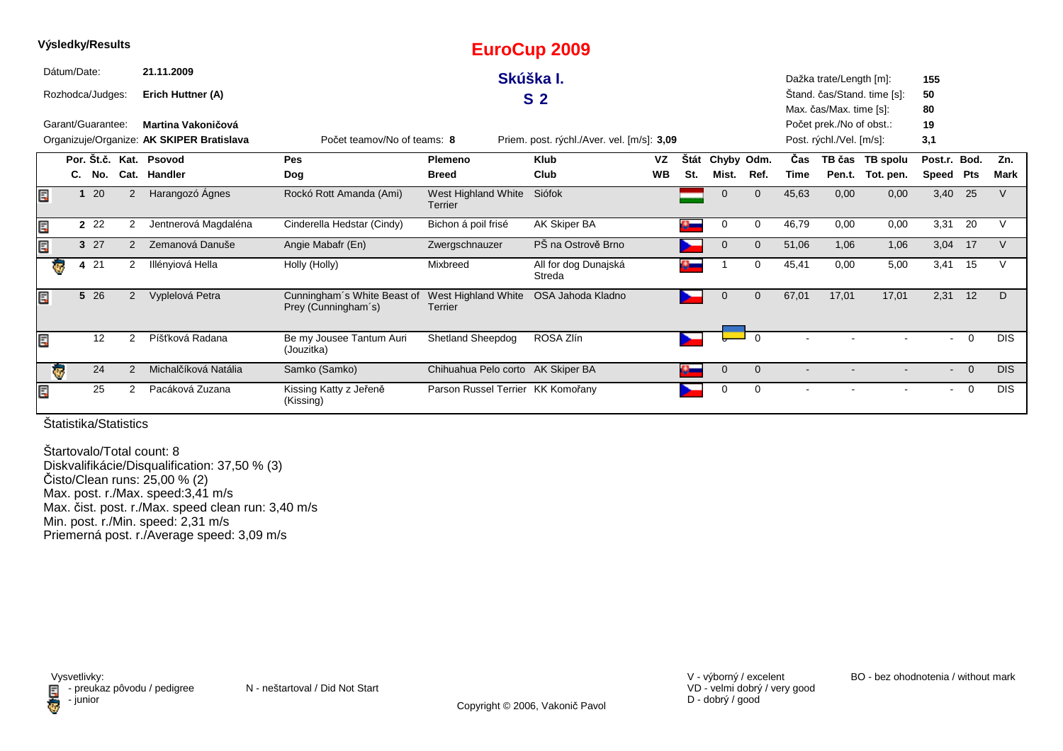|                         |             | Výsledky/Results  |                |                                           |                                                    |                                   | <b>EuroCup 2009</b>                        |           |             |                |             |            |                                                     |                             |                |                |            |
|-------------------------|-------------|-------------------|----------------|-------------------------------------------|----------------------------------------------------|-----------------------------------|--------------------------------------------|-----------|-------------|----------------|-------------|------------|-----------------------------------------------------|-----------------------------|----------------|----------------|------------|
|                         | Dátum/Date: |                   |                | 21.11.2009                                |                                                    |                                   | Skúška I.                                  |           |             |                |             |            | Dažka trate/Length [m]:                             |                             | 155            |                |            |
|                         |             | Rozhodca/Judges:  |                | Erich Huttner (A)                         |                                                    |                                   | S <sub>2</sub>                             |           |             |                |             |            |                                                     | Stand. čas/Stand. time [s]: | 50             |                |            |
|                         |             | Garant/Guarantee: |                | Martina Vakoničová                        |                                                    |                                   |                                            |           |             |                |             |            | Max. čas/Max. time [s]:<br>Počet prek./No of obst.: |                             | 80<br>19       |                |            |
|                         |             |                   |                | Organizuje/Organize: AK SKIPER Bratislava | Počet teamov/No of teams: 8                        |                                   | Priem. post. rýchl./Aver. vel. [m/s]: 3,09 |           |             |                |             |            | Post. rýchl./Vel. [m/s]:                            |                             | 3,1            |                |            |
|                         |             |                   |                | Por. Št.č. Kat. Psovod                    | Pes                                                | Plemeno                           | <b>Klub</b>                                | <b>VZ</b> | <b>Stát</b> | Chyby Odm.     |             | <b>Čas</b> |                                                     | TB čas TB spolu             | Post.r.        | Bod.           | Zn.        |
|                         | C.          | No.               |                | Cat. Handler                              | <b>Dog</b>                                         | <b>Breed</b>                      | Club                                       | <b>WB</b> | St.         | Mist.          | Ref.        | Time       | Pen.t.                                              | Tot. pen.                   | Speed          | Pts            | Mark       |
| Ē.                      |             | 120               | 2              | Harangozó Ágnes                           | Rockó Rott Amanda (Ami)                            | West Highland White<br>Terrier    | Siófok                                     |           |             | $\Omega$       | $\Omega$    | 45,63      | 0,00                                                | 0,00                        | 3,40 25        |                | V          |
| Ē.                      |             | 2 2 2             | 2              | Jentnerová Magdaléna                      | Cinderella Hedstar (Cindy)                         | Bichon á poil frisé               | AK Skiper BA                               |           |             | 0              | 0           | 46,79      | 0,00                                                | 0,00                        | 3,31           | 20             | v          |
| E.                      |             | 327               | $\overline{2}$ | Zemanová Danuše                           | Angie Mabafr (En)                                  | Zwergschnauzer                    | PŠ na Ostrově Brno                         |           |             | $\Omega$       | $\mathbf 0$ | 51,06      | 1,06                                                | 1,06                        | 3,04           | 17             | V          |
| $\overline{\mathbf{e}}$ |             | 4 21              | 2              | Illényiová Hella                          | Holly (Holly)                                      | Mixbreed                          | All for dog Dunajská<br>Streda             |           | سالا        |                | 0           | 45,41      | 0,00                                                | 5,00                        | 3,41           | 15             |            |
| Ē.                      |             | 5 26              | $\overline{2}$ | Vyplelová Petra                           | Cunningham's White Beast of<br>Prey (Cunningham's) | West Highland White<br>Terrier    | OSA Jahoda Kladno                          |           | ►           | $\mathbf 0$    | $\mathbf 0$ | 67,01      | 17,01                                               | 17,01                       | 2,31           | 12             | D          |
| Ē.                      |             | 12                | 2              | Píšťková Radana                           | Be my Jousee Tantum Auri<br>(Jouzitka)             | <b>Shetland Sheepdog</b>          | ROSA Zlín                                  |           |             |                | $\Omega$    |            |                                                     |                             | $\sim$         | $\Omega$       | <b>DIS</b> |
|                         | ē           | 24                | 2              | Michalčíková Natália                      | Samko (Samko)                                      | Chihuahua Pelo corto AK Skiper BA |                                            |           |             | $\overline{0}$ | $\Omega$    | $\sim$     |                                                     |                             | $\sim$         | $\Omega$       | <b>DIS</b> |
| Ē.                      |             | 25                | 2              | Pacáková Zuzana                           | Kissing Katty z Jeřeně<br>(Kissing)                | Parson Russel Terrier KK Komořany |                                            |           |             | $\Omega$       | 0           |            |                                                     |                             | $\blacksquare$ | $\overline{0}$ | <b>DIS</b> |

Štartovalo/Total count: 8 Diskvalifikácie/Disqualification: 37,50 % (3) Čisto/Clean runs: 25,00 % (2) Max. post. r./Max. speed:3,41 m/s Max. čist. post. r./Max. speed clean run: 3,40 m/s Min. post. r./Min. speed: 2,31 m/s Priemerná post. r./Average speed: 3,09 m/s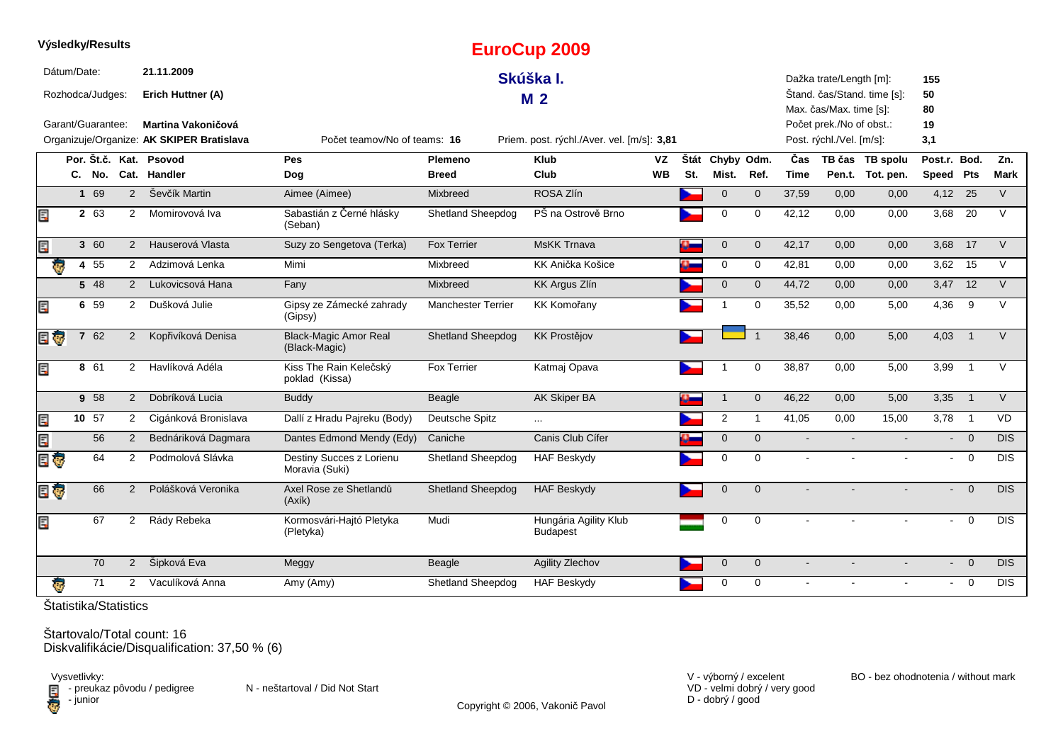|     |             | Výsledky/Results  |                      |                                                                        |                                               |                                | <b>EuroCup 2009</b>                        |                 |             |                     |                |                    |                                                                                 |                                     |                           |                          |             |
|-----|-------------|-------------------|----------------------|------------------------------------------------------------------------|-----------------------------------------------|--------------------------------|--------------------------------------------|-----------------|-------------|---------------------|----------------|--------------------|---------------------------------------------------------------------------------|-------------------------------------|---------------------------|--------------------------|-------------|
|     | Dátum/Date: | Rozhodca/Judges:  |                      | 21.11.2009<br>Erich Huttner (A)                                        |                                               |                                | Skúška I.<br>M <sub>2</sub>                |                 |             |                     |                |                    | Dažka trate/Length [m]:                                                         | Štand. čas/Stand. time [s]:         | 155<br>50                 |                          |             |
|     |             | Garant/Guarantee: |                      | <b>Martina Vakoničová</b><br>Organizuje/Organize: AK SKIPER Bratislava | Počet teamov/No of teams: 16                  |                                | Priem. post. rýchl./Aver. vel. [m/s]: 3,81 |                 |             |                     |                |                    | Max. čas/Max. time [s]:<br>Počet prek./No of obst.:<br>Post. rýchl./Vel. [m/s]: |                                     | 80<br>19<br>3,1           |                          |             |
|     |             | C. No.            |                      | Por. Št.č. Kat. Psovod<br>Cat. Handler                                 | <b>Pes</b><br>Dog                             | <b>Plemeno</b><br><b>Breed</b> | <b>Klub</b><br>Club                        | VZ<br><b>WB</b> | Štát<br>St. | Chyby Odm.<br>Mist. | Ref.           | Čas<br><b>Time</b> |                                                                                 | TB čas TB spolu<br>Pen.t. Tot. pen. | Post.r. Bod.<br>Speed Pts |                          | Zn.<br>Mark |
|     |             | 169               | 2                    | Ševčík Martin                                                          | Aimee (Aimee)                                 | Mixbreed                       | ROSA Zlín                                  |                 |             | $\overline{0}$      | $\mathbf{0}$   | 37,59              | 0,00                                                                            | 0,00                                | $4,12$ 25                 |                          | $\vee$      |
| Ę   |             | 2 63              | $\overline{2}$       | Momirovová Iva                                                         | Sabastián z Černé hlásky<br>(Seban)           | <b>Shetland Sheepdog</b>       | PŠ na Ostrově Brno                         |                 |             | $\mathbf 0$         | $\mathbf 0$    | 42,12              | 0,00                                                                            | 0,00                                |                           | 3,68 20                  | $\vee$      |
| Ę   |             | 3 60              |                      | Hauserová Vlasta<br>$2^{\circ}$                                        | Suzy zo Sengetova (Terka)                     | <b>Fox Terrier</b>             | <b>MsKK Trnava</b>                         |                 |             | $\mathbf 0$         | $\mathbf 0$    | 42,17              | 0,00                                                                            | 0,00                                | 3,68 17                   |                          | $\vee$      |
|     |             | 4 55              | 2                    | Adzimová Lenka                                                         | Mimi                                          | Mixbreed                       | KK Anička Košice                           |                 |             | 0                   | 0              | 42,81              | 0,00                                                                            | 0,00                                |                           | 3,62 15                  | $\vee$      |
|     |             | 5 48              | $\overline{2}$       | Lukovicsová Hana                                                       | Fany                                          | Mixbreed                       | <b>KK Argus Zlín</b>                       |                 |             | $\mathbf 0$         | $\mathbf{0}$   | 44,72              | 0,00                                                                            | 0,00                                |                           | $3,47$ 12                | $\vee$      |
| Ę   |             | 6 59              | $\overline{2}$       | Dušková Julie                                                          | Gipsy ze Zámecké zahrady<br>(Gipsy)           | <b>Manchester Terrier</b>      | <b>KK Komořany</b>                         |                 |             |                     | 0              | 35,52              | 0,00                                                                            | 5,00                                | 4,36                      | 9                        | V           |
| E G |             | 7 62              | $\overline{2}$       | Kopřivíková Denisa                                                     | <b>Black-Magic Amor Real</b><br>(Black-Magic) | <b>Shetland Sheepdog</b>       | <b>KK Prostějov</b>                        |                 |             |                     |                | 38,46              | 0.00                                                                            | 5,00                                | 4,03                      | $\overline{1}$           | $\vee$      |
| Ę   |             | 8 61              | $\overline{2}$       | Havlíková Adéla                                                        | Kiss The Rain Kelečský<br>poklad (Kissa)      | <b>Fox Terrier</b>             | Katmaj Opava                               |                 |             |                     | $\mathbf 0$    | 38,87              | 0,00                                                                            | 5,00                                | 3,99                      | $\overline{1}$           | $\vee$      |
|     |             | 9 58              | 2                    | Dobríková Lucia                                                        | <b>Buddy</b>                                  | Beagle                         | <b>AK Skiper BA</b>                        |                 |             | $\mathbf{1}$        | $\overline{0}$ | 46,22              | 0,00                                                                            | 5,00                                | 3,35                      | $\overline{1}$           | $\vee$      |
| Ę   |             | 10 57             | $2^{\circ}$          | Cigánková Bronislava                                                   | Dallí z Hradu Pajreku (Body)                  | Deutsche Spitz                 | $\cdots$                                   |                 |             | $\overline{2}$      | $\mathbf{1}$   | 41,05              | 0,00                                                                            | 15,00                               | 3,78                      | $\overline{\phantom{0}}$ | VD          |
| Ę   |             | 56                | $\overline{2}$       | Bednáriková Dagmara                                                    | Dantes Edmond Mendy (Edy)                     | Caniche                        | Canis Club Cífer                           |                 |             | $\mathbf 0$         | $\mathbf 0$    | $\sim$             | $\blacksquare$                                                                  |                                     |                           | $- 0$                    | <b>DIS</b>  |
| E G |             | 64                | 2                    | Podmolová Slávka                                                       | Destiny Succes z Lorienu<br>Moravia (Suki)    | Shetland Sheepdog              | <b>HAF Beskydy</b>                         |                 |             | $\Omega$            | $\Omega$       | $\sim$             |                                                                                 |                                     | $\sim$                    | $\overline{0}$           | <b>DIS</b>  |
| 日も  |             | 66                | 2                    | Polášková Veronika                                                     | Axel Rose ze Shetlandů<br>(Axik)              | <b>Shetland Sheepdog</b>       | <b>HAF Beskydy</b>                         |                 |             | $\Omega$            | $\Omega$       |                    |                                                                                 |                                     | $\blacksquare$            | $\overline{0}$           | DIS         |
| Ę   |             | 67                | $\overline{2}$       | Rády Rebeka                                                            | Kormosvári-Hajtó Pletyka<br>(Pletyka)         | Mudi                           | Hungária Agility Klub<br><b>Budapest</b>   |                 |             | 0                   | $\mathbf 0$    |                    |                                                                                 |                                     | ÷.                        | $\mathbf 0$              | <b>DIS</b>  |
|     |             | 70                | $\overline{2}$       | Šipková Eva                                                            | Meggy                                         | Beagle                         | <b>Agility Zlechov</b>                     |                 |             | $\mathbf 0$         | $\mathbf 0$    | $\sim$             |                                                                                 |                                     | $\blacksquare$            | $\overline{0}$           | <b>DIS</b>  |
|     | Ģ           | 71                | $\mathbf{2}^{\circ}$ | Vaculíková Anna                                                        | Amy (Amy)                                     | <b>Shetland Sheepdog</b>       | <b>HAF Beskydy</b>                         |                 |             | $\mathbf 0$         | $\mathbf 0$    | $\sim$             |                                                                                 | $\blacksquare$                      | $\blacksquare$            | $\overline{0}$           | <b>DIS</b>  |
|     |             |                   |                      |                                                                        |                                               |                                |                                            |                 |             |                     |                |                    |                                                                                 |                                     |                           |                          |             |

Štartovalo/Total count: 16Diskvalifikácie/Disqualification: 37,50 % (6)

Vysvetlivky:<br>⊟ - preukaz pôvodu / pedigree N - neštartoval / Did Not Start **D** - junior

VD - velmi dobrý / very good D - dobrý / good

V - výborný / excelent BO - bez ohodnotenia / without mark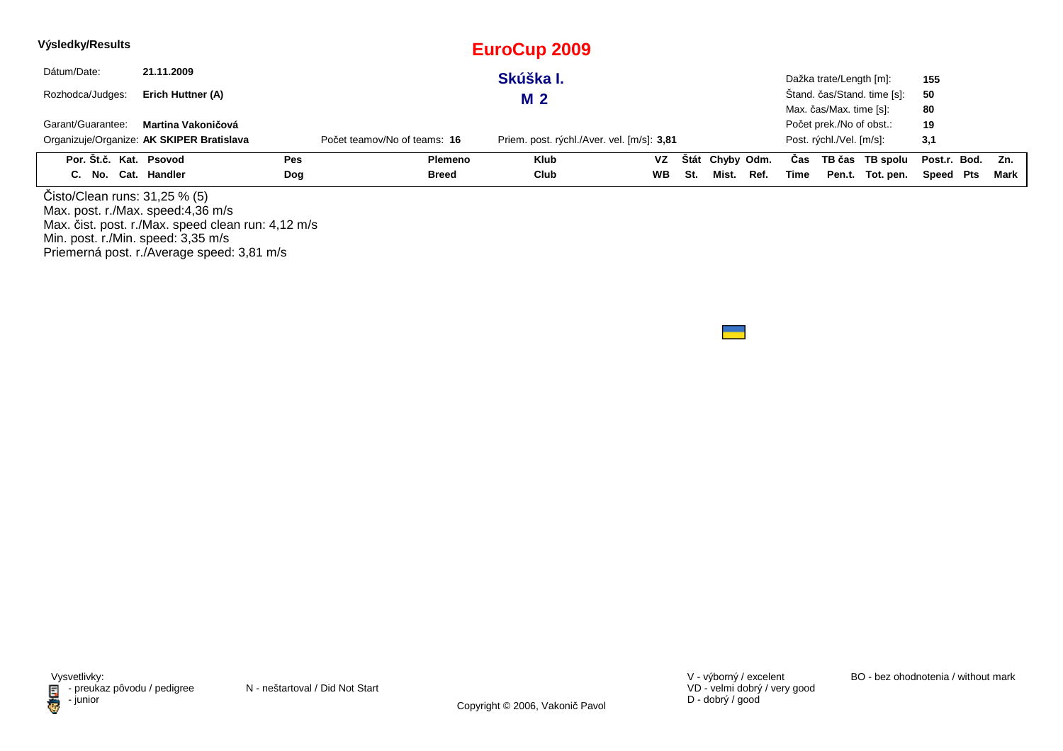| Výsledky/Results       |                                           |            |                              | EuroCup 2009                               |           |     |                 |      |      |                          |                             |                  |      |
|------------------------|-------------------------------------------|------------|------------------------------|--------------------------------------------|-----------|-----|-----------------|------|------|--------------------------|-----------------------------|------------------|------|
| Dátum/Date:            | 21.11.2009                                |            |                              | Skúška I.                                  |           |     |                 |      |      | Dažka trate/Length [m]:  |                             | 155              |      |
| Rozhodca/Judges:       | Erich Huttner (A)                         |            |                              | <b>M2</b>                                  |           |     |                 |      |      |                          | Štand. čas/Stand. time [s]: | 50               |      |
|                        |                                           |            |                              |                                            |           |     |                 |      |      | Max. čas/Max. time [s]:  |                             | 80               |      |
| Garant/Guarantee:      | Martina Vakoničová                        |            |                              |                                            |           |     |                 |      |      | Počet prek./No of obst.: |                             | 19               |      |
|                        | Organizuje/Organize: AK SKIPER Bratislava |            | Počet teamov/No of teams: 16 | Priem. post. rýchl./Aver. vel. [m/s]: 3,81 |           |     |                 |      |      | Post. rýchl./Vel. [m/s]: |                             | 3,1              |      |
| Por. Št.č. Kat. Psovod |                                           | <b>Pes</b> | <b>Plemeno</b>               | <b>Klub</b>                                | VZ        |     | Štát Chyby Odm. |      | Cas  |                          | TB čas TB spolu             | Post.r. Bod. Zn. |      |
| C. No. Cat. Handler    |                                           | Dog        | <b>Breed</b>                 | Club                                       | <b>WB</b> | St. | Mist.           | Ref. | Time |                          | Pen.t. Tot. pen.            | Speed Pts        | Mark |
|                        |                                           |            |                              |                                            |           |     |                 |      |      |                          |                             |                  |      |

Čisto/Clean runs: 31,25 % (5) Max. post. r./Max. speed:4,36 m/s Max. čist. post. r./Max. speed clean run: 4,12 m/sMin. post. r./Min. speed: 3,35 m/s Priemerná post. r./Average speed: 3,81 m/s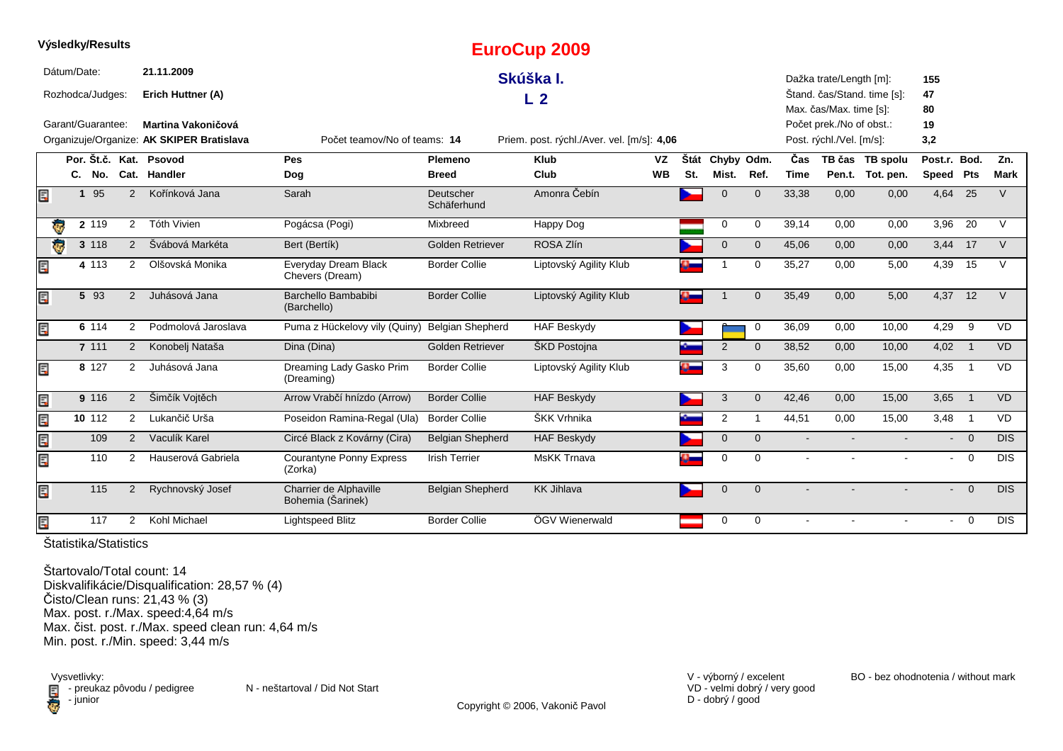|     |             |              | Výsledky/Results  |                |                                                                 |                                             |                          | <b>EuroCup 2009</b>                        |           |     |                 |                |                |                                                      |                             |                |                          |             |
|-----|-------------|--------------|-------------------|----------------|-----------------------------------------------------------------|---------------------------------------------|--------------------------|--------------------------------------------|-----------|-----|-----------------|----------------|----------------|------------------------------------------------------|-----------------------------|----------------|--------------------------|-------------|
|     | Dátum/Date: |              |                   |                | 21.11.2009                                                      |                                             |                          | Skúška I.                                  |           |     |                 |                |                | Dažka trate/Length [m]:                              |                             | 155            |                          |             |
|     |             |              | Rozhodca/Judges:  |                | Erich Huttner (A)                                               |                                             |                          | L <sub>2</sub>                             |           |     |                 |                |                |                                                      | Štand. čas/Stand. time [s]: | 47             |                          |             |
|     |             |              |                   |                |                                                                 |                                             |                          |                                            |           |     |                 |                |                | Max. čas/Max. time [s]:                              |                             | 80             |                          |             |
|     |             |              | Garant/Guarantee: |                | Martina Vakoničová<br>Organizuje/Organize: AK SKIPER Bratislava | Počet teamov/No of teams: 14                |                          | Priem. post. rýchl./Aver. vel. [m/s]: 4,06 |           |     |                 |                |                | Počet prek./No of obst.:<br>Post. rýchl./Vel. [m/s]: |                             | 19<br>3,2      |                          |             |
|     |             |              |                   |                |                                                                 |                                             |                          |                                            |           |     |                 |                |                |                                                      |                             |                |                          |             |
|     |             |              |                   |                | Por. Št.č. Kat. Psovod                                          | Pes                                         | Plemeno                  | <b>Klub</b>                                | <b>VZ</b> |     | Štát Chyby Odm. |                | Čas            |                                                      | TB čas TB spolu             | Post.r. Bod.   |                          | Zn.         |
|     |             |              | C. No.            |                | Cat. Handler                                                    | Dog                                         | <b>Breed</b>             | Club                                       | <b>WB</b> | St. | Mist.           | Ref.           | <b>Time</b>    |                                                      | Pen.t. Tot. pen.            | Speed Pts      |                          | <b>Mark</b> |
| E   |             | $\mathbf{1}$ | 95                | 2              | Kořínková Jana                                                  | Sarah                                       | Deutscher<br>Schäferhund | Amonra Čebín                               |           |     | $\overline{0}$  | $\overline{0}$ | 33,38          | 0,00                                                 | 0,00                        | 4,64           | 25                       | $\vee$      |
|     |             |              | $2 \t119$         | $\overline{2}$ | Tóth Vivien                                                     | Pogácsa (Pogi)                              | Mixbreed                 | Happy Dog                                  |           |     | $\mathbf 0$     | $\mathbf 0$    | 39,14          | 0.00                                                 | 0,00                        | 3,96           | 20                       | $\vee$      |
|     | ē           |              | 3 118             | $\overline{2}$ | Švábová Markéta                                                 | Bert (Bertík)                               | <b>Golden Retriever</b>  | ROSA Zlín                                  |           |     | $\mathbf 0$     | $\mathbf 0$    | 45,06          | 0,00                                                 | 0,00                        | 3,44           | 17                       | $\vee$      |
| Ę   |             |              | 4 113             | $\overline{2}$ | Olšovská Monika                                                 | Everyday Dream Black<br>Chevers (Dream)     | <b>Border Collie</b>     | Liptovský Agility Klub                     |           |     |                 | $\mathbf 0$    | 35,27          | 0,00                                                 | 5,00                        | 4,39           | 15                       | $\vee$      |
|     |             |              | 5 93              | $\overline{2}$ | Juhásová Jana                                                   | Barchello Bambabibi<br>(Barchello)          | <b>Border Collie</b>     | Liptovský Agility Klub                     |           |     |                 | $\Omega$       | 35,49          | 0,00                                                 | 5,00                        | 4,37 12        |                          | $\vee$      |
|     |             |              | 6 114             | 2              | Podmolová Jaroslava                                             | Puma z Hückelovy vily (Quiny)               | <b>Belgian Shepherd</b>  | <b>HAF Beskydy</b>                         |           |     |                 | 0              | 36,09          | 0,00                                                 | 10,00                       | 4,29           | 9                        | <b>VD</b>   |
|     |             |              | 7 111             | 2              | Konobelj Nataša                                                 | Dina (Dina)                                 | <b>Golden Retriever</b>  | ŠKD Postojna                               |           |     | 2               | $\Omega$       | 38,52          | 0,00                                                 | 10,00                       | 4,02           | $\overline{\phantom{0}}$ | <b>VD</b>   |
|     |             |              | 8 127             | 2              | Juhásová Jana                                                   | Dreaming Lady Gasko Prim<br>(Dreaming)      | <b>Border Collie</b>     | Liptovský Agility Klub                     |           |     | 3               | $\mathbf 0$    | 35,60          | 0,00                                                 | 15,00                       | 4,35           | $\overline{1}$           | <b>VD</b>   |
| Ξ   |             |              | 9 116             | $\overline{2}$ | Šimčík Vojtěch                                                  | Arrow Vrabčí hnízdo (Arrow)                 | <b>Border Collie</b>     | <b>HAF Beskydy</b>                         |           |     | 3               | $\mathbf{0}$   | 42,46          | 0.00                                                 | 15,00                       | 3,65           | $\overline{1}$           | <b>VD</b>   |
| E   |             |              | 10 112            | $\overline{2}$ | Lukančič Urša                                                   | Poseidon Ramina-Regal (Ula)                 | <b>Border Collie</b>     | ŠKK Vrhnika                                |           |     | $\overline{2}$  |                | 44,51          | 0,00                                                 | 15,00                       | 3,48           | $\overline{1}$           | VD          |
| E.P |             |              | 109               | $\overline{2}$ | Vaculík Karel                                                   | Circé Black z Kovárny (Cira)                | <b>Belgian Shepherd</b>  | <b>HAF Beskydy</b>                         |           |     | $\mathbf{0}$    | $\mathbf{0}$   | $\blacksquare$ |                                                      |                             |                | $- 0$                    | <b>DIS</b>  |
| E   |             |              | 110               | $\overline{2}$ | Hauserová Gabriela                                              | Courantyne Ponny Express<br>(Zorka)         | <b>Irish Terrier</b>     | <b>MsKK Trnava</b>                         |           |     | $\mathbf 0$     | $\Omega$       |                |                                                      |                             | $\blacksquare$ | $\overline{0}$           | <b>DIS</b>  |
| E   |             |              | 115               | 2              | Rychnovský Josef                                                | Charrier de Alphaville<br>Bohemia (Šarinek) | <b>Belgian Shepherd</b>  | <b>KK Jihlava</b>                          |           |     | $\overline{0}$  | $\Omega$       |                |                                                      |                             |                | $\overline{0}$           | <b>DIS</b>  |
| E   |             |              | 117               | 2              | Kohl Michael                                                    | <b>Lightspeed Blitz</b>                     | <b>Border Collie</b>     | ÖGV Wienerwald                             |           |     | $\mathbf 0$     | $\Omega$       |                |                                                      |                             | $\sim$         | $\Omega$                 | <b>DIS</b>  |

Štartovalo/Total count: 14 Diskvalifikácie/Disqualification: 28,57 % (4) Čisto/Clean runs: 21,43 % (3) Max. post. r./Max. speed:4,64 m/s Max. čist. post. r./Max. speed clean run: 4,64 m/sMin. post. r./Min. speed: 3,44 m/s

Vysvetlivky:<br> **E** - preuka:<br>
junior - junior

 $\blacksquare$  - preukaz pôvodu / pedigree N - neštartoval / Did Not Start

VD - velmi dobrý / very good D - dobrý / good

Copyright © 2006, Vakonič Pavol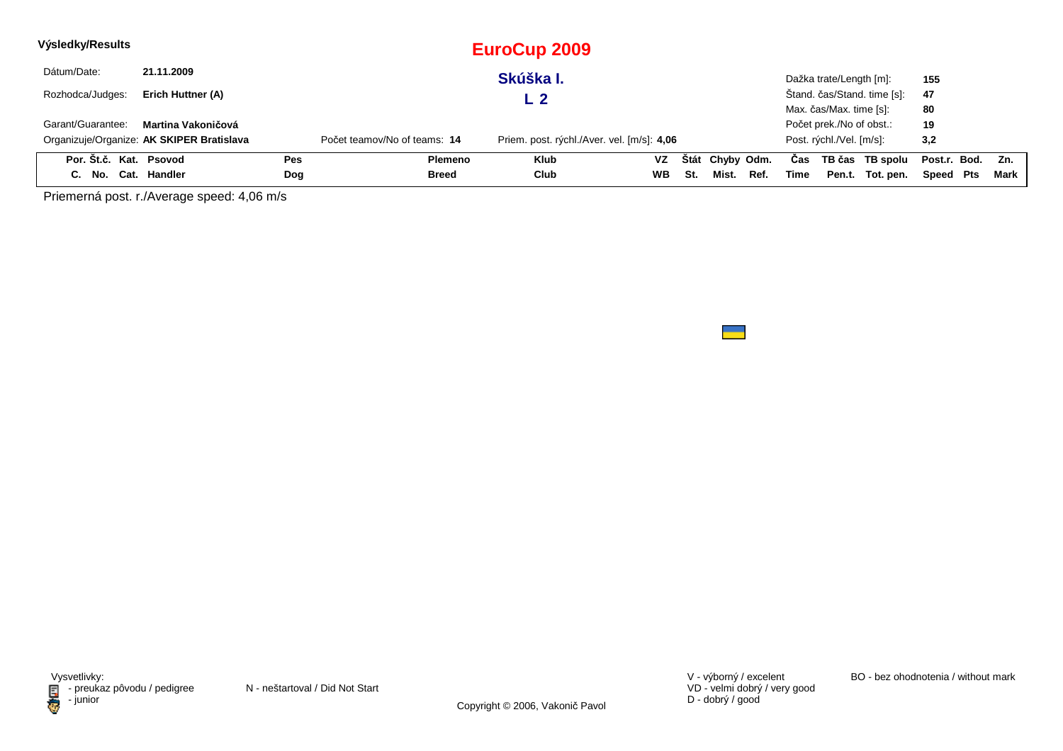| Výsledky/Results       |                                           |            |                              | <b>EuroCup 2009</b>                        |           |     |                 |      |      |                          |                             |              |     |        |
|------------------------|-------------------------------------------|------------|------------------------------|--------------------------------------------|-----------|-----|-----------------|------|------|--------------------------|-----------------------------|--------------|-----|--------|
| Dátum/Date:            | 21.11.2009                                |            |                              | Skúška I.                                  |           |     |                 |      |      | Dažka trate/Length [m]:  |                             | 155          |     |        |
| Rozhodca/Judges:       | Erich Huttner (A)                         |            |                              | L 2                                        |           |     |                 |      |      |                          | Štand. čas/Stand. time [s]: | 47           |     |        |
|                        |                                           |            |                              |                                            |           |     |                 |      |      | Max. čas/Max. time [s]:  |                             | 80           |     |        |
| Garant/Guarantee:      | Martina Vakoničová                        |            |                              |                                            |           |     |                 |      |      | Počet prek./No of obst.: |                             | 19           |     |        |
|                        | Organizuje/Organize: AK SKIPER Bratislava |            | Počet teamov/No of teams: 14 | Priem. post. rýchl./Aver. vel. [m/s]: 4,06 |           |     |                 |      |      | Post. rýchl./Vel. [m/s]: |                             | 3,2          |     |        |
| Por. Št.č. Kat. Psovod |                                           | <b>Pes</b> | Plemeno                      | <b>Klub</b>                                | VZ        |     | Štát Chyby Odm. |      | Cas  |                          | TB čas TB spolu             | Post.r. Bod. |     | Zn.    |
| C. No. Cat. Handler    |                                           | Dog        | Breed                        | Club                                       | <b>WB</b> | St. | Mist.           | Ref. | Time | Pen.t.                   | Tot. pen.                   | Speed        | Pts | Mark I |

Priemerná post. r./Average speed: 4,06 m/s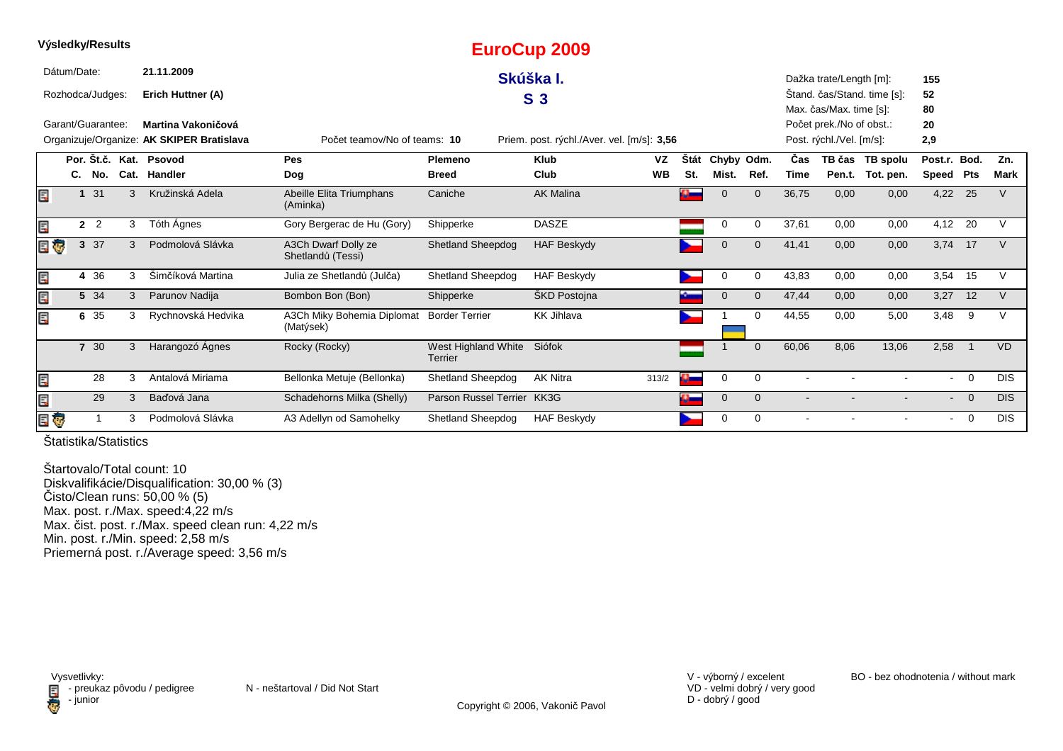|    |             | <b>vysiedky/Results</b> |   |                                           |                                          |                                       | EuroCup 2009                               |           |      |             |                |            |                          |                             |                |                |             |
|----|-------------|-------------------------|---|-------------------------------------------|------------------------------------------|---------------------------------------|--------------------------------------------|-----------|------|-------------|----------------|------------|--------------------------|-----------------------------|----------------|----------------|-------------|
|    | Dátum/Date: |                         |   | 21.11.2009                                |                                          |                                       | Skúška I.                                  |           |      |             |                |            | Dažka trate/Length [m]:  |                             | 155            |                |             |
|    |             | Rozhodca/Judges:        |   | Erich Huttner (A)                         |                                          |                                       | S <sub>3</sub>                             |           |      |             |                |            |                          | Štand. čas/Stand. time [s]: | 52             |                |             |
|    |             |                         |   |                                           |                                          |                                       |                                            |           |      |             |                |            | Max. čas/Max. time [s]:  |                             | 80             |                |             |
|    |             | Garant/Guarantee:       |   | Martina Vakoničová                        |                                          |                                       |                                            |           |      |             |                |            | Počet prek./No of obst.: |                             | 20             |                |             |
|    |             |                         |   | Organizuje/Organize: AK SKIPER Bratislava | Počet teamov/No of teams: 10             |                                       | Priem. post. rýchl./Aver. vel. [m/s]: 3,56 |           |      |             |                |            | Post. rýchl./Vel. [m/s]: |                             | 2,9            |                |             |
|    |             |                         |   | Por. Št.č. Kat. Psovod                    | Pes                                      | Plemeno                               | <b>Klub</b>                                | VZ        | Štát | Chyby Odm.  |                | <b>Cas</b> |                          | TB čas TB spolu             | Post.r. Bod.   |                | Zn.         |
|    |             | C. No.                  |   | Cat. Handler                              | <b>Dog</b>                               | <b>Breed</b>                          | Club                                       | <b>WB</b> | St.  | Mist.       | Ref.           | Time       |                          | Pen.t. Tot. pen.            | Speed Pts      |                | <b>Mark</b> |
| Ē. |             | 31                      | 3 | Kružinská Adela                           | Abeille Elita Triumphans<br>(Aminka)     | Caniche                               | <b>AK Malina</b>                           |           |      |             | $\overline{0}$ | 36,75      | 0,00                     | 0,00                        | 4,22           | 25             |             |
| Ę  |             | 2 <sup>2</sup>          | 3 | Tóth Ágnes                                | Gory Bergerac de Hu (Gory)               | Shipperke                             | <b>DASZE</b>                               |           |      | 0           | $\Omega$       | 37,61      | 0,00                     | 0,00                        | 4,12 20        |                | V           |
|    | BÇ          | 3 37                    | 3 | Podmolová Slávka                          | A3Ch Dwarf Dolly ze<br>Shetlandů (Tessi) | <b>Shetland Sheepdog</b>              | <b>HAF Beskydy</b>                         |           |      | $\Omega$    | $\Omega$       | 41,41      | 0,00                     | 0,00                        | 3,74 17        |                | $\vee$      |
| Ę  |             | 4 36                    | 3 | Šimčíková Martina                         | Julia ze Shetlandů (Julča)               | <b>Shetland Sheepdog</b>              | <b>HAF Beskydy</b>                         |           |      | $\Omega$    | 0              | 43,83      | 0,00                     | 0,00                        | 3,54           | 15             | $\vee$      |
| Ę  |             | 5 34                    | 3 | Parunov Nadija                            | Bombon Bon (Bon)                         | Shipperke                             | ŠKD Postojna                               |           |      | $\Omega$    | $\Omega$       | 47,44      | 0,00                     | 0,00                        | 3,27           | 12             | $\vee$      |
| Ę  |             | 6 35                    | 3 | Rychnovská Hedvika                        | A3Ch Miky Bohemia Diplomat<br>(Matýsek)  | <b>Border Terrier</b>                 | <b>KK Jihlava</b>                          |           |      |             | $\Omega$       | 44,55      | 0,00                     | 5,00                        | 3,48           | 9              | V           |
|    |             | 7 30                    | 3 | Harangozó Ágnes                           | Rocky (Rocky)                            | West Highland White<br><b>Terrier</b> | Siófok                                     |           |      |             | $\mathbf 0$    | 60,06      | 8,06                     | 13,06                       | 2,58           |                | <b>VD</b>   |
| Ē, |             | 28                      | 3 | Antalová Miriama                          | Bellonka Metuje (Bellonka)               | Shetland Sheepdog                     | <b>AK Nitra</b>                            | 313/2     | P    | 0           | 0              |            |                          |                             | $\sim$         | $\overline{0}$ | <b>DIS</b>  |
| Ę  |             | 29                      | 3 | Baďová Jana                               | Schadehorns Milka (Shelly)               | Parson Russel Terrier                 | KK3G                                       |           |      | $\mathbf 0$ | $\Omega$       |            |                          |                             | $\blacksquare$ | $\overline{0}$ | DIS.        |
|    | e o         |                         | 3 | Podmolová Slávka                          | A3 Adellyn od Samohelky                  | Shetland Sheepdog                     | <b>HAF Beskydy</b>                         |           |      | $\Omega$    | 0              |            |                          |                             | $\blacksquare$ | $\overline{0}$ | <b>DIS</b>  |

**Výsledky/Results**

Štartovalo/Total count: 10 Diskvalifikácie/Disqualification: 30,00 % (3)Čisto/Clean runs: 50,00 % (5) Max. post. r./Max. speed:4,22 m/s Max. čist. post. r./Max. speed clean run: 4,22 m/sMin. post. r./Min. speed: 2,58 m/sPriemerná post. r./Average speed: 3,56 m/s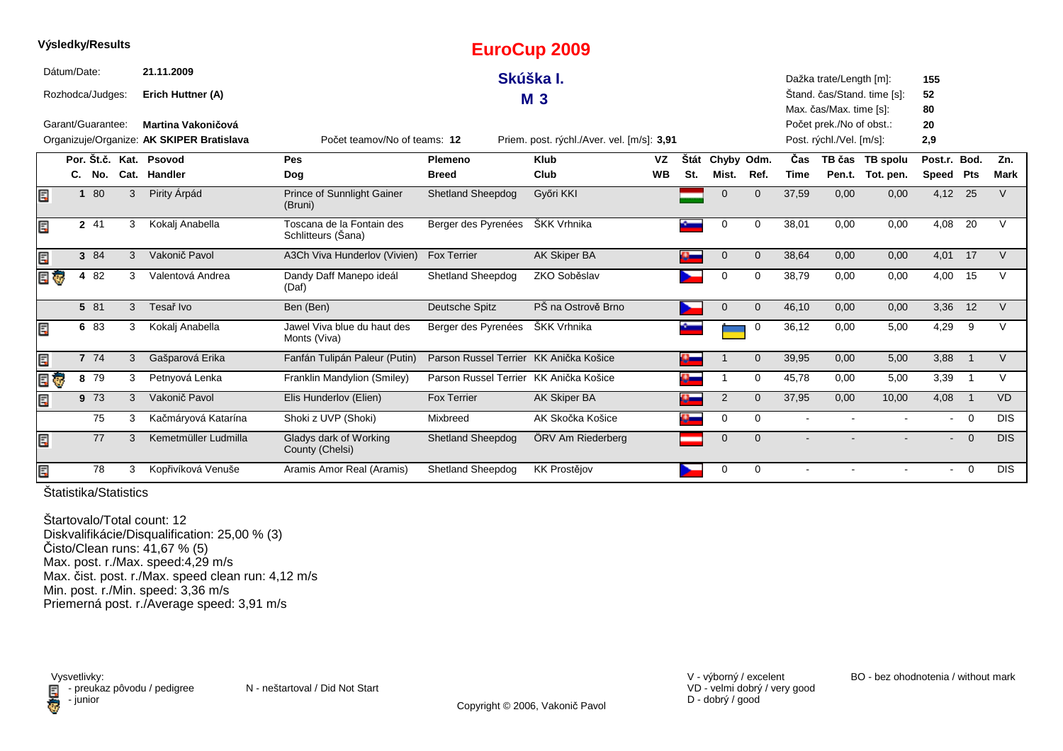|   |              |                   |   |                                           |                                                 |                                        | Lui UUUP ZUUJ                              |           |      |                |              |             |                          |                             |                          |                |               |
|---|--------------|-------------------|---|-------------------------------------------|-------------------------------------------------|----------------------------------------|--------------------------------------------|-----------|------|----------------|--------------|-------------|--------------------------|-----------------------------|--------------------------|----------------|---------------|
|   | Dátum/Date:  |                   |   | 21.11.2009                                |                                                 |                                        | Skúška I.                                  |           |      |                |              |             | Dažka trate/Length [m]:  |                             | 155                      |                |               |
|   |              | Rozhodca/Judges:  |   | Erich Huttner (A)                         |                                                 |                                        | <b>M3</b>                                  |           |      |                |              |             |                          | Štand. čas/Stand. time [s]: | 52                       |                |               |
|   |              |                   |   |                                           |                                                 |                                        |                                            |           |      |                |              |             | Max. čas/Max. time [s]:  |                             | 80                       |                |               |
|   |              | Garant/Guarantee: |   | Martina Vakoničová                        |                                                 |                                        |                                            |           |      |                |              |             | Počet prek./No of obst.: |                             | 20                       |                |               |
|   |              |                   |   | Organizuje/Organize: AK SKIPER Bratislava | Počet teamov/No of teams: 12                    |                                        | Priem. post. rýchl./Aver. vel. [m/s]: 3,91 |           |      |                |              |             | Post. rýchl./Vel. [m/s]: |                             | 2,9                      |                |               |
|   |              |                   |   | Por. Št.č. Kat. Psovod                    | Pes                                             | Plemeno                                | <b>Klub</b>                                | <b>VZ</b> | Štát | Chyby Odm.     |              | Čas         |                          | TB čas TB spolu             | Post.r. Bod.             |                | Zn.           |
|   |              | C. No.            |   | Cat. Handler                              | Dog                                             | <b>Breed</b>                           | Club                                       | <b>WB</b> | St.  | Mist.          | Ref.         | <b>Time</b> |                          | Pen.t. Tot. pen.            | Speed Pts                |                | <b>Mark</b>   |
| Ξ | $\mathbf{1}$ | 80                | 3 | Pirity Árpád                              | <b>Prince of Sunnlight Gainer</b><br>(Bruni)    | <b>Shetland Sheepdog</b>               | Győri KKI                                  |           |      | $\Omega$       | $\mathbf{0}$ | 37,59       | 0,00                     | 0,00                        | 4,12 25                  |                | $\vee$        |
|   |              | 2 41              | 3 | Kokalj Anabella                           | Toscana de la Fontain des<br>Schlitteurs (Šana) | Berger des Pyrenées                    | ŠKK Vrhnika                                |           |      | 0              | 0            | 38,01       | 0,00                     | 0,00                        | 4,08                     | 20             | $\mathcal{U}$ |
| Ε |              | 3 84              | 3 | Vakonič Pavol                             | A3Ch Viva Hunderlov (Vivien)                    | <b>Fox Terrier</b>                     | <b>AK Skiper BA</b>                        |           |      | 0              | $\mathbf 0$  | 38,64       | 0,00                     | 0,00                        | 4,01                     | 17             |               |
| G |              | 4 82              | 3 | Valentová Andrea                          | Dandy Daff Manepo ideál<br>(Daf)                | <b>Shetland Sheepdog</b>               | ZKO Soběslav                               |           |      | $\Omega$       | 0            | 38,79       | 0,00                     | 0,00                        | 4,00                     | 15             |               |
|   |              | 5 81              | 3 | Tesař Ivo                                 | Ben (Ben)                                       | Deutsche Spitz                         | PŠ na Ostrově Brno                         |           |      | $\mathbf 0$    | $\mathbf 0$  | 46,10       | 0,00                     | 0,00                        | 3,36                     | 12             | $\vee$        |
|   |              | 6 83              | 3 | Kokalj Anabella                           | Jawel Viva blue du haut des<br>Monts (Viva)     | Berger des Pyrenées                    | ŠKK Vrhnika                                |           |      |                | 0            | 36,12       | 0,00                     | 5,00                        | 4,29                     | 9              | V             |
| E |              | 7 74              | 3 | Gašparová Erika                           | Fanfán Tulipán Paleur (Putin)                   | Parson Russel Terrier KK Anička Košice |                                            |           |      |                | $\mathbf 0$  | 39,95       | 0,00                     | 5,00                        | 3,88                     | $\overline{1}$ | $\vee$        |
|   |              | 8 79              | 3 | Petnyová Lenka                            | Franklin Mandylion (Smiley)                     | Parson Russel Terrier KK Anička Košice |                                            |           |      |                | 0            | 45,78       | 0,00                     | 5,00                        | 3,39                     | $\overline{1}$ | V             |
|   |              | 9 73              | 3 | Vakonič Pavol                             | Elis Hunderlov (Elien)                          | <b>Fox Terrier</b>                     | AK Skiper BA                               |           |      | $\overline{2}$ | $\Omega$     | 37,95       | 0,00                     | 10,00                       | 4,08                     | $\overline{1}$ | <b>VD</b>     |
|   |              | 75                | 3 | Kačmáryová Katarína                       | Shoki z UVP (Shoki)                             | Mixbreed                               | AK Skočka Košice                           |           |      | 0              | 0            |             |                          |                             |                          | $- 0$          | <b>DIS</b>    |
| E |              | 77                | 3 | Kemetmüller Ludmilla                      | Gladys dark of Working<br>County (Chelsi)       | <b>Shetland Sheepdog</b>               | ÖRV Am Riederberg                          |           |      | $\Omega$       | $\Omega$     |             |                          |                             | $\overline{\phantom{0}}$ | $\Omega$       | <b>DIS</b>    |
| E |              | 78                | 3 | Kopřivíková Venuše                        | Aramis Amor Real (Aramis)                       | <b>Shetland Sheepdog</b>               | <b>KK Prostějov</b>                        |           |      | 0              | 0            |             |                          |                             | $\blacksquare$           | $\overline{0}$ | <b>DIS</b>    |

**EuroCup 2009**

Štatistika/Statistics

**Výsledky/Results**

Štartovalo/Total count: 12 Diskvalifikácie/Disqualification: 25,00 % (3)Čisto/Clean runs: 41,67 % (5) Max. post. r./Max. speed:4,29 m/s Max. čist. post. r./Max. speed clean run: 4,12 m/sMin. post. r./Min. speed: 3,36 m/s Priemerná post. r./Average speed: 3,91 m/s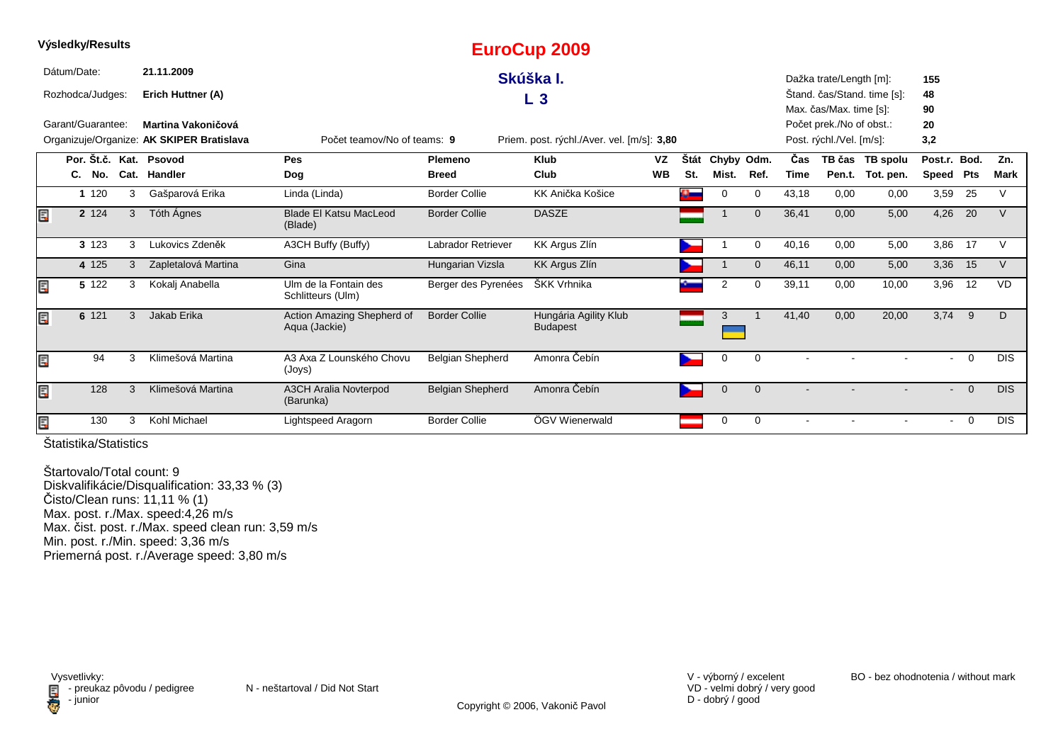| vysieaky/Results  |     |   |                                           |                                             |                           | EuroCup 2009                               |           |      |              |              |            |                          |                             |                |                |            |
|-------------------|-----|---|-------------------------------------------|---------------------------------------------|---------------------------|--------------------------------------------|-----------|------|--------------|--------------|------------|--------------------------|-----------------------------|----------------|----------------|------------|
| Dátum/Date:       |     |   | 21.11.2009                                |                                             |                           | Skúška I.                                  |           |      |              |              |            | Dažka trate/Length [m]:  |                             | 155            |                |            |
| Rozhodca/Judges:  |     |   | Erich Huttner (A)                         |                                             |                           | $L_3$                                      |           |      |              |              |            |                          | Štand. čas/Stand. time [s]: | 48             |                |            |
|                   |     |   |                                           |                                             |                           |                                            |           |      |              |              |            | Max. čas/Max. time [s]:  |                             | 90             |                |            |
| Garant/Guarantee: |     |   | Martina Vakoničová                        |                                             |                           |                                            |           |      |              |              |            | Počet prek./No of obst.: |                             | 20             |                |            |
|                   |     |   | Organizuje/Organize: AK SKIPER Bratislava | Počet teamov/No of teams: 9                 |                           | Priem. post. rýchl./Aver. vel. [m/s]: 3,80 |           |      |              |              |            | Post. rýchl./Vel. [m/s]: |                             | 3,2            |                |            |
|                   |     |   | Por. Št.č. Kat. Psovod                    | <b>Pes</b>                                  | <b>Plemeno</b>            | <b>Klub</b>                                | VZ        | Štát | Chyby Odm.   |              | <b>Cas</b> |                          | TB čas TB spolu             | Post.r. Bod.   |                | Zn.        |
| C. No.            |     |   | Cat. Handler                              | Dog                                         | <b>Breed</b>              | Club                                       | <b>WB</b> | St.  | Mist.        | Ref.         | Time       |                          | Pen.t. Tot. pen.            | Speed Pts      |                | Mark       |
| 1 1 2 0           |     | 3 | Gašparová Erika                           | Linda (Linda)                               | <b>Border Collie</b>      | KK Anička Košice                           |           | Ω.   | 0            | 0            | 43,18      | 0,00                     | 0,00                        | 3,59           | 25             | V          |
| 2 1 2 4           |     | 3 | Tóth Ágnes                                | <b>Blade El Katsu MacLeod</b><br>(Blade)    | <b>Border Collie</b>      | <b>DASZE</b>                               |           |      |              | $\mathbf{0}$ | 36,41      | 0,00                     | 5,00                        | 4,26           | 20             | $\vee$     |
| 3 1 2 3           |     | 3 | Lukovics Zdeněk                           | A3CH Buffy (Buffy)                          | <b>Labrador Retriever</b> | KK Argus Zlín                              |           |      |              | 0            | 40,16      | 0,00                     | 5,00                        | 3,86           | 17             | V          |
| 4 125             |     | 3 | Zapletalová Martina                       | Gina                                        | Hungarian Vizsla          | <b>KK Argus Zlín</b>                       |           |      |              | $\mathbf 0$  | 46,11      | 0,00                     | 5,00                        | 3,36           | 15             | V          |
| 5 122             |     | 3 | Kokalj Anabella                           | Ulm de la Fontain des<br>Schlitteurs (Ulm)  | Berger des Pyrenées       | ŠKK Vrhnika                                |           |      | 2            | 0            | 39,11      | 0,00                     | 10,00                       | 3,96           | 12             | <b>VD</b>  |
| 6 121             |     | 3 | Jakab Erika                               | Action Amazing Shepherd of<br>Aqua (Jackie) | <b>Border Collie</b>      | Hungária Agility Klub<br><b>Budapest</b>   |           |      | 3            |              | 41,40      | 0,00                     | 20,00                       | 3,74           | 9              | D          |
| E                 | 94  | 3 | Klimešová Martina                         | A3 Axa Z Lounského Chovu<br>(Joys)          | <b>Belgian Shepherd</b>   | Amonra Čebín                               |           | ►    | 0            | $\mathbf 0$  |            |                          |                             | $\sim$         | $\overline{0}$ | <b>DIS</b> |
| E                 | 128 | 3 | Klimešová Martina                         | <b>A3CH Aralia Novterpod</b><br>(Barunka)   | <b>Belgian Shepherd</b>   | Amonra Čebín                               |           | ∼    | $\mathbf{0}$ | $\mathbf{0}$ |            |                          |                             | $\sim$         | $\overline{0}$ | DIS.       |
| E                 | 130 | 3 | Kohl Michael                              | Lightspeed Aragorn                          | <b>Border Collie</b>      | ÖGV Wienerwald                             |           |      | 0            | 0            |            |                          |                             | $\blacksquare$ | $\overline{0}$ | <b>DIS</b> |

**Výsledky/Results**

Štartovalo/Total count: 9 Diskvalifikácie/Disqualification: 33,33 % (3)Čisto/Clean runs: 11,11 % (1) Max. post. r./Max. speed:4,26 m/s Max. čist. post. r./Max. speed clean run: 3,59 m/sMin. post. r./Min. speed: 3,36 m/sPriemerná post. r./Average speed: 3,80 m/s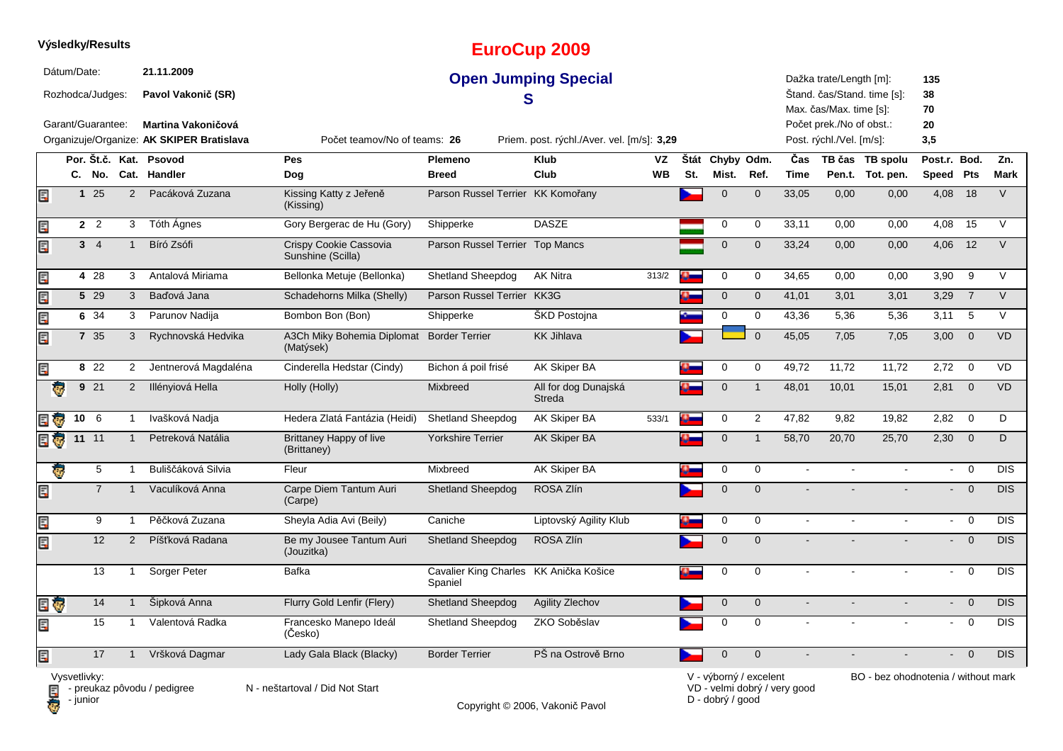|     |              |                                       | Výsledky/Results |                                                               |                                               |                                                   | <b>EuroCup 2009</b>                        |                 |     |                          |                |                              |                                                                                |                                     |                             |                |             |
|-----|--------------|---------------------------------------|------------------|---------------------------------------------------------------|-----------------------------------------------|---------------------------------------------------|--------------------------------------------|-----------------|-----|--------------------------|----------------|------------------------------|--------------------------------------------------------------------------------|-------------------------------------|-----------------------------|----------------|-------------|
|     | Dátum/Date:  | Rozhodca/Judges:<br>Garant/Guarantee: |                  | 21.11.2009<br>Pavol Vakonič (SR)<br><b>Martina Vakoničová</b> |                                               |                                                   | <b>Open Jumping Special</b><br>S           |                 |     |                          |                |                              | Dažka trate/Length [m]:<br>Max. čas/Max. time [s]:<br>Počet prek./No of obst.: | Štand. čas/Stand. time [s]:         | 135<br>38<br>70<br>20       |                |             |
|     |              |                                       |                  | Organizuje/Organize: AK SKIPER Bratislava                     | Počet teamov/No of teams: 26                  |                                                   | Priem. post. rýchl./Aver. vel. [m/s]: 3,29 |                 |     |                          |                |                              | Post. rýchl./Vel. [m/s]:                                                       |                                     | 3,5                         |                |             |
|     |              |                                       |                  | Por. Št.č. Kat. Psovod<br>C. No. Cat. Handler                 | Pes<br>Dog                                    | Plemeno<br><b>Breed</b>                           | <b>Klub</b><br>Club                        | VZ<br><b>WB</b> | St. | Štát Chyby Odm.<br>Mist. | Ref.           | Čas<br><b>Time</b>           |                                                                                | TB čas TB spolu<br>Pen.t. Tot. pen. | Post.r. Bod.<br>Speed Pts   |                | Zn.<br>Mark |
| Ę   |              | 125                                   | $\overline{2}$   | Pacáková Zuzana                                               | Kissing Katty z Jeřeně<br>(Kissing)           | Parson Russel Terrier KK Komořany                 |                                            |                 |     | $\mathbf 0$              | $\mathbf 0$    | 33,05                        | 0,00                                                                           | 0,00                                | 4,08                        | 18             | $\vee$      |
| E   |              | $2^2$                                 | 3                | Tóth Ágnes                                                    | Gory Bergerac de Hu (Gory)                    | Shipperke                                         | <b>DASZE</b>                               |                 |     | $\mathbf 0$              | $\mathbf 0$    | 33,11                        | 0,00                                                                           | 0,00                                | 4,08                        | 15             | $\vee$      |
| Ę   |              | 3 <sub>4</sub>                        | $\mathbf{1}$     | Bíró Zsófi                                                    | Crispy Cookie Cassovia<br>Sunshine (Scilla)   | Parson Russel Terrier Top Mancs                   |                                            |                 |     | $\mathbf 0$              | $\mathbf{0}$   | 33,24                        | 0,00                                                                           | 0,00                                | 4,06                        | 12             | $\vee$      |
| Ę   |              | 4 28                                  | 3                | Antalová Miriama                                              | Bellonka Metuje (Bellonka)                    | Shetland Sheepdog                                 | <b>AK Nitra</b>                            | 313/2           |     | 0                        | $\mathbf 0$    | 34,65                        | 0,00                                                                           | 0,00                                | 3,90                        | 9              | V           |
| E   |              | 5 29                                  | 3                | Baďová Jana                                                   | Schadehorns Milka (Shelly)                    | Parson Russel Terrier KK3G                        |                                            |                 |     | $\mathbf 0$              | $\mathbf 0$    | 41,01                        | 3,01                                                                           | 3,01                                | 3,29                        | $\overline{7}$ | $\vee$      |
| E   |              | 6 34                                  | 3                | Parunov Nadija                                                | Bombon Bon (Bon)                              | Shipperke                                         | ŠKD Postojna                               |                 |     | 0                        | 0              | 43,36                        | 5,36                                                                           | 5,36                                | 3,11                        | 5              | $\vee$      |
| Ę   |              | 7 35                                  | 3                | Rychnovská Hedvika                                            | A3Ch Miky Bohemia Diplomat<br>(Matýsek)       | <b>Border Terrier</b>                             | <b>KK Jihlava</b>                          |                 |     |                          | $\overline{0}$ | 45,05                        | 7,05                                                                           | 7,05                                | 3,00                        | $\mathbf 0$    | <b>VD</b>   |
| Ę   |              | 8 22                                  | 2                | Jentnerová Magdaléna                                          | Cinderella Hedstar (Cindy)                    | Bichon á poil frisé                               | AK Skiper BA                               |                 |     | 0                        | 0              | 49,72                        | 11.72                                                                          | 11,72                               | 2,72                        | $\Omega$       | <b>VD</b>   |
|     | ē            | 921                                   | $\overline{2}$   | Illényiová Hella                                              | Holly (Holly)                                 | Mixbreed                                          | All for dog Dunajská<br>Streda             |                 |     | $\mathbf 0$              | $\overline{1}$ | 48,01                        | 10,01                                                                          | 15,01                               | 2,81                        | $\overline{0}$ | <b>VD</b>   |
| 日も  |              | 10 <sub>6</sub>                       | $\mathbf{1}$     | Ivašková Nadja                                                | Hedera Zlatá Fantázia (Heidi)                 | <b>Shetland Sheepdog</b>                          | AK Skiper BA                               | 533/1           |     | 0                        | 2              | 47,82                        | 9,82                                                                           | 19,82                               | 2,82                        | $\overline{0}$ | D           |
| e e |              | 11 11                                 | $\mathbf{1}$     | Petreková Natália                                             | <b>Brittaney Happy of live</b><br>(Brittaney) | <b>Yorkshire Terrier</b>                          | <b>AK Skiper BA</b>                        |                 |     | $\mathbf{0}$             | $\mathbf{1}$   | 58,70                        | 20,70                                                                          | 25,70                               | 2,30                        | $\overline{0}$ | D           |
|     | ę.           | 5                                     | $\mathbf{1}$     | Buliščáková Silvia                                            | Fleur                                         | Mixbreed                                          | AK Skiper BA                               |                 |     | 0                        | $\mathbf 0$    | $\blacksquare$               | $\blacksquare$                                                                 | $\blacksquare$                      | $\blacksquare$              | $\mathbf 0$    | <b>DIS</b>  |
| Ę   |              | $\overline{7}$                        | $\mathbf{1}$     | Vaculíková Anna                                               | Carpe Diem Tantum Auri<br>(Carpe)             | <b>Shetland Sheepdog</b>                          | ROSA Zlín                                  |                 |     | $\mathbf{0}$             | $\mathbf{0}$   |                              |                                                                                |                                     | $\blacksquare$              | $\overline{0}$ | <b>DIS</b>  |
| Ę   |              | 9                                     | $\mathbf{1}$     | Pěčková Zuzana                                                | Sheyla Adia Avi (Beily)                       | Caniche                                           | Liptovský Agility Klub                     |                 |     | 0                        | $\mathbf 0$    | $\sim$                       |                                                                                |                                     | $\sim$                      | $\overline{0}$ | <b>DIS</b>  |
| Ę   |              | 12                                    | 2                | Píšťková Radana                                               | Be my Jousee Tantum Auri<br>(Jouzitka)        | <b>Shetland Sheepdog</b>                          | ROSA Zlín                                  |                 |     | $\mathbf{0}$             | $\mathbf{0}$   | $\blacksquare$               |                                                                                |                                     | $\mathcal{L}_{\mathcal{A}}$ | $\overline{0}$ | <b>DIS</b>  |
|     |              | 13                                    | $\mathbf{1}$     | Sorger Peter                                                  | <b>Bafka</b>                                  | Cavalier King Charles KK Anička Košice<br>Spaniel |                                            |                 |     | 0                        | $\mathbf 0$    | $\sim$                       | $\overline{a}$                                                                 |                                     | $\blacksquare$              | $\overline{0}$ | <b>DIS</b>  |
| e o |              | 14                                    | $\mathbf{1}$     | Šipková Anna                                                  | Flurry Gold Lenfir (Flery)                    | <b>Shetland Sheepdog</b>                          | Agility Zlechov                            |                 |     | $\mathbf 0$              | $\mathbf 0$    | $\blacksquare$               | $\blacksquare$                                                                 | $\blacksquare$                      | $\mathcal{L}^{\pm}$         | $\overline{0}$ | <b>DIS</b>  |
| Ę   |              | 15                                    | $\mathbf 1$      | Valentová Radka                                               | Francesko Manepo Ideál<br>(Česko)             | <b>Shetland Sheepdog</b>                          | ZKO Soběslav                               |                 |     | $\mathbf 0$              | $\mathbf 0$    |                              | $\blacksquare$                                                                 | $\mathbf{r}$                        | $\blacksquare$              | $\mathbf 0$    | <b>DIS</b>  |
| Ę   |              | 17                                    | $\mathbf{1}$     | Vršková Dagmar                                                | Lady Gala Black (Blacky)                      | <b>Border Terrier</b>                             | PŠ na Ostrově Brno                         |                 |     | $\mathbf 0$              | $\mathbf 0$    |                              |                                                                                |                                     | $\overline{a}$              | $\Omega$       | <b>DIS</b>  |
|     | Vysvetlivky: |                                       |                  | $\blacksquare$ - preukaz pôvodu / pedigree                    | N - neštartoval / Did Not Start               |                                                   |                                            |                 |     | V - výborný / excelent   |                | VD - velmi dobrý / very good |                                                                                | BO - bez ohodnotenia / without mark |                             |                |             |

**D** - junior

Copyright © 2006, Vakonič Pavol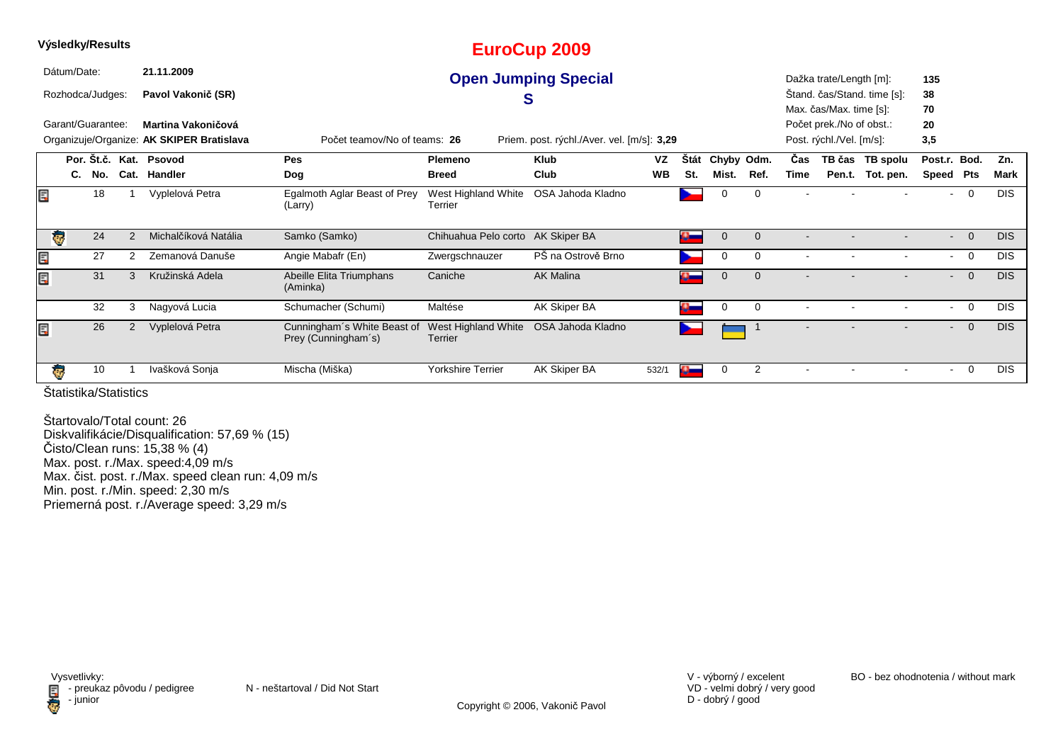|   |             | Výsledky/Results  |               |                                           |                                                    |                                | <b>EuroCup 2009</b>                        |           |                         |            |              |                |                          |                             |         |                |            |
|---|-------------|-------------------|---------------|-------------------------------------------|----------------------------------------------------|--------------------------------|--------------------------------------------|-----------|-------------------------|------------|--------------|----------------|--------------------------|-----------------------------|---------|----------------|------------|
|   | Dátum/Date: |                   |               | 21.11.2009                                |                                                    |                                | <b>Open Jumping Special</b>                |           |                         |            |              |                | Dažka trate/Length [m]:  |                             | 135     |                |            |
|   |             | Rozhodca/Judges:  |               | Pavol Vakonič (SR)                        |                                                    | C                              |                                            |           |                         |            |              |                |                          | Štand. čas/Stand. time [s]: | 38      |                |            |
|   |             |                   |               |                                           |                                                    |                                |                                            |           |                         |            |              |                | Max. čas/Max. time [s]:  |                             | 70      |                |            |
|   |             | Garant/Guarantee: |               | Martina Vakoničová                        |                                                    |                                |                                            |           |                         |            |              |                | Počet prek./No of obst.: |                             | 20      |                |            |
|   |             |                   |               | Organizuje/Organize: AK SKIPER Bratislava | Počet teamov/No of teams: 26                       |                                | Priem. post. rýchl./Aver. vel. [m/s]: 3,29 |           |                         |            |              |                | Post. rýchl./Vel. [m/s]: |                             | 3,5     |                |            |
|   |             |                   |               | Por. Št.č. Kat. Psovod                    | <b>Pes</b>                                         | Plemeno                        | <b>Klub</b>                                | VZ        | <b>Stát</b>             | Chyby Odm. |              | Čas            |                          | TB čas TB spolu             | Post.r. | Bod.           | Zn.        |
|   | C.          | No.               |               | Cat. Handler                              | Dog                                                | <b>Breed</b>                   | Club                                       | <b>WB</b> | St.                     | Mist.      | Ref.         | Time           | Pen.t.                   | Tot. pen.                   | Speed   | Pts            | Mark       |
|   |             | 18                |               | Vyplelová Petra                           | Egalmoth Aglar Beast of Prey<br>(Larry)            | West Highland White<br>Terrier | OSA Jahoda Kladno                          |           |                         | 0          | 0            |                |                          |                             |         | 0              | <b>DIS</b> |
|   | Ç           | 24                | $\mathcal{P}$ | Michalčíková Natália                      | Samko (Samko)                                      | Chihuahua Pelo corto           | AK Skiper BA                               |           | $\sigma$                | 0          | $\mathbf{0}$ |                |                          |                             | $\sim$  | $\mathbf{0}$   | <b>DIS</b> |
| E |             | 27                | 2             | Zemanová Danuše                           | Angie Mabafr (En)                                  | Zwergschnauzer                 | PŠ na Ostrově Brno                         |           |                         | 0          | 0            |                |                          |                             |         | 0              | <b>DIS</b> |
|   |             | 31                | 3             | Kružinská Adela                           | Abeille Elita Triumphans<br>(Aminka)               | Caniche                        | <b>AK Malina</b>                           |           | o –                     | 0          | $\mathbf{0}$ |                |                          |                             |         | $\overline{0}$ | <b>DIS</b> |
|   |             | 32                | 3             | Nagyová Lucia                             | Schumacher (Schumi)                                | Maltése                        | AK Skiper BA                               |           | o-                      | 0          | $\mathbf 0$  |                |                          |                             | $\sim$  | $\mathbf 0$    | <b>DIS</b> |
| E |             | 26                | 2             | Vyplelová Petra                           | Cunningham's White Beast of<br>Prey (Cunningham's) | West Highland White<br>Terrier | OSA Jahoda Kladno                          |           |                         |            |              | $\blacksquare$ |                          |                             | $\sim$  | $\overline{0}$ | <b>DIS</b> |
|   | ₹Ø.         | 10                |               | Ivašková Sonja                            | Mischa (Miška)                                     | <b>Yorkshire Terrier</b>       | AK Skiper BA                               | 532/1     | $\mathbf{a}_\mathbf{m}$ | 0          | 2            |                |                          |                             |         | 0              | <b>DIS</b> |

Štartovalo/Total count: 26 Diskvalifikácie/Disqualification: 57,69 % (15)Čisto/Clean runs: 15,38 % (4) Max. post. r./Max. speed:4,09 m/s Max. čist. post. r./Max. speed clean run: 4,09 m/s Min. post. r./Min. speed: 2,30 m/sPriemerná post. r./Average speed: 3,29 m/s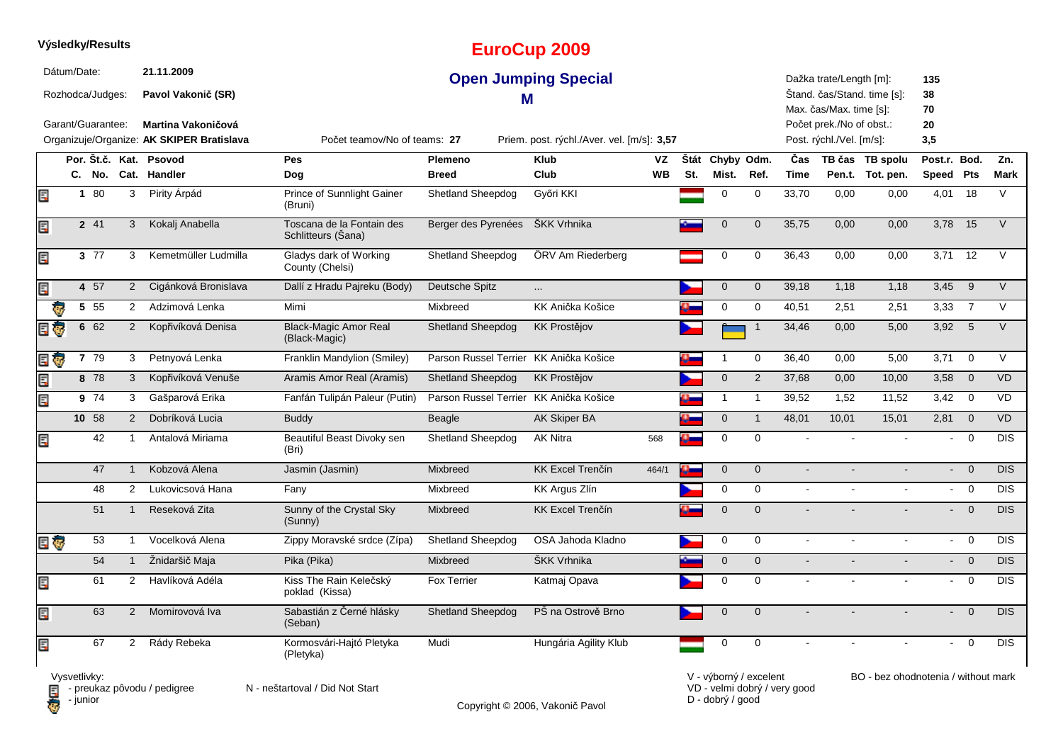|     |             | Výsledky/Results  |                |                                                                        |                                                 |                                        | <b>EuroCup 2009</b>                        |           |     |                 |                         |                |                                                      |                             |                           |                         |            |
|-----|-------------|-------------------|----------------|------------------------------------------------------------------------|-------------------------------------------------|----------------------------------------|--------------------------------------------|-----------|-----|-----------------|-------------------------|----------------|------------------------------------------------------|-----------------------------|---------------------------|-------------------------|------------|
|     | Dátum/Date: | Rozhodca/Judges:  |                | 21.11.2009<br>Pavol Vakonič (SR)                                       |                                                 | м                                      | <b>Open Jumping Special</b>                |           |     |                 |                         |                | Dažka trate/Length [m]:<br>Max. čas/Max. time [s]:   | Štand. čas/Stand. time [s]: | 135<br>38<br>70           |                         |            |
|     |             | Garant/Guarantee: |                | <b>Martina Vakoničová</b><br>Organizuje/Organize: AK SKIPER Bratislava | Počet teamov/No of teams: 27                    |                                        | Priem. post. rýchl./Aver. vel. [m/s]: 3,57 |           |     |                 |                         |                | Počet prek./No of obst.:<br>Post. rýchl./Vel. [m/s]: |                             | 20<br>3,5                 |                         |            |
|     |             |                   |                | Por. Št.č. Kat. Psovod                                                 | Pes                                             | Plemeno                                | <b>Klub</b>                                | VZ        |     | Štát Chyby Odm. |                         | Čas            |                                                      | TB čas TB spolu             | Post.r. Bod.              |                         | Zn.        |
|     |             | C. No.            |                | Cat. Handler                                                           | Dog                                             | <b>Breed</b>                           | Club                                       | <b>WB</b> | St. | Mist.           | Ref.                    | Time           |                                                      | Pen.t. Tot. pen.            | Speed Pts                 |                         | Mark       |
| E.P |             | 1 80              | 3              | Pirity Árpád                                                           | Prince of Sunnlight Gainer<br>(Bruni)           | <b>Shetland Sheepdog</b>               | Győri KKI                                  |           |     | 0               | $\mathbf 0$             | 33,70          | 0,00                                                 | 0,00                        | 4,01                      | 18                      | $\vee$     |
| Ę   |             | 2 41              | 3              | Kokalj Anabella                                                        | Toscana de la Fontain des<br>Schlitteurs (Sana) | Berger des Pyrenées                    | ŠKK Vrhnika                                |           |     | $\overline{0}$  | $\mathbf 0$             | 35,75          | 0,00                                                 | 0,00                        | 3,78                      | 15                      | $\vee$     |
| Ę   |             | 3 77              | 3              | Kemetmüller Ludmilla                                                   | Gladys dark of Working<br>County (Chelsi)       | <b>Shetland Sheepdog</b>               | ÖRV Am Riederberg                          |           |     | 0               | $\mathbf 0$             | 36,43          | 0,00                                                 | 0,00                        | 3,71                      | 12                      | $\vee$     |
|     |             | 4 57              | $2^{\circ}$    | Cigánková Bronislava                                                   | Dallí z Hradu Pajreku (Body)                    | Deutsche Spitz                         | $\cdots$                                   |           |     | $\pmb{0}$       | $\mathbf 0$             | 39,18          | 1,18                                                 | 1,18                        | 3,45                      | $9\,$                   | $\vee$     |
|     |             | 5 55              | 2              | Adzimová Lenka                                                         | Mimi                                            | Mixbreed                               | KK Anička Košice                           |           |     | 0               | $\mathbf 0$             | 40,51          | 2,51                                                 | 2,51                        | 3,33                      | $\overline{7}$          | $\vee$     |
|     |             | 6 62              | $\overline{2}$ | Kopřivíková Denisa                                                     | <b>Black-Magic Amor Real</b><br>(Black-Magic)   | <b>Shetland Sheepdog</b>               | <b>KK Prostějov</b>                        |           |     |                 | $\overline{\mathbf{1}}$ | 34,46          | 0,00                                                 | 5,00                        | 3,92                      | 5                       | V          |
| ₹ō, |             | 7 79              | 3              | Petnyová Lenka                                                         | Franklin Mandylion (Smiley)                     | Parson Russel Terrier KK Anička Košice |                                            |           |     |                 | 0                       | 36,40          | 0,00                                                 | 5,00                        | 3,71                      | $\mathbf 0$             | $\vee$     |
|     |             | 8 78              | 3              | Kopřivíková Venuše                                                     | Aramis Amor Real (Aramis)                       | <b>Shetland Sheepdog</b>               | <b>KK Prostějov</b>                        |           |     | $\mathbf 0$     | 2                       | 37,68          | 0,00                                                 | 10,00                       | 3,58                      | $\overline{0}$          | <b>VD</b>  |
| Ę   |             | 9 74              | 3              | Gašparová Erika                                                        | Fanfán Tulipán Paleur (Putin)                   | Parson Russel Terrier KK Anička Košice |                                            |           |     | $\mathbf{1}$    | $\mathbf{1}$            | 39,52          | 1,52                                                 | 11,52                       | 3,42                      | $\mathbf 0$             | VD         |
|     |             | 10 58             | 2              | Dobríková Lucia                                                        | <b>Buddy</b>                                    | Beagle                                 | AK Skiper BA                               |           |     | $\mathbf 0$     | $\mathbf{1}$            | 48,01          | 10,01                                                | 15,01                       | 2,81                      | $\overline{\mathbf{0}}$ | <b>VD</b>  |
|     |             | 42                | $\mathbf{1}$   | Antalová Miriama                                                       | Beautiful Beast Divoky sen<br>(Bri)             | Shetland Sheepdog                      | <b>AK Nitra</b>                            | 568       |     | $\mathbf 0$     | $\mathbf 0$             |                |                                                      |                             | $\sim$                    | $\Omega$                | <b>DIS</b> |
|     |             | 47                | $\mathbf{1}$   | Kobzová Alena                                                          | Jasmin (Jasmin)                                 | Mixbreed                               | KK Excel Trenčín                           | 464/1     | o.  | $\mathbf 0$     | $\mathbf 0$             | $\sim$         |                                                      |                             | $\sim$                    | $\mathbf 0$             | <b>DIS</b> |
|     |             | 48                | $\overline{2}$ | Lukovicsová Hana                                                       | Fany                                            | Mixbreed                               | <b>KK Argus Zlín</b>                       |           |     | 0               | $\mathbf 0$             | $\sim$         | $\blacksquare$                                       |                             | $\sim$                    | $\overline{0}$          | <b>DIS</b> |
|     |             | 51                | $\mathbf{1}$   | Reseková Zita                                                          | Sunny of the Crystal Sky<br>(Sunny)             | <b>Mixbreed</b>                        | KK Excel Trenčín                           |           |     | $\overline{0}$  | $\mathbf{0}$            |                |                                                      |                             | $\blacksquare$            | $\overline{0}$          | <b>DIS</b> |
| E G |             | 53                | $\mathbf{1}$   | Vocelková Alena                                                        | Zippy Moravské srdce (Zípa)                     | Shetland Sheepdog                      | OSA Jahoda Kladno                          |           |     | 0               | $\mathbf 0$             | $\blacksquare$ | $\mathbf{r}$                                         | $\mathbf{r}$                |                           | $- 0$                   | <b>DIS</b> |
|     |             | 54                | $\mathbf{1}$   | Žnidaršič Maja                                                         | Pika (Pika)                                     | Mixbreed                               | ŠKK Vrhnika                                |           |     | $\mathbf 0$     | $\mathbf 0$             | $\sim$         |                                                      |                             | $\mathbf{L}^{\text{max}}$ | $\mathbf 0$             | <b>DIS</b> |
| Ę   |             | 61                | $\overline{2}$ | Havlíková Adéla                                                        | Kiss The Rain Kelečský<br>poklad (Kissa)        | <b>Fox Terrier</b>                     | Katmai Opava                               |           |     | $\mathbf 0$     | $\mathbf 0$             | $\sim$         |                                                      | $\sim$                      | $\blacksquare$            | $\mathbf 0$             | <b>DIS</b> |
| Ę   |             | 63                | $\overline{2}$ | Momirovová Iva                                                         | Sabastián z Černé hlásky<br>(Seban)             | Shetland Sheepdog                      | PŠ na Ostrově Brno                         |           |     | $\Omega$        | $\Omega$                |                |                                                      |                             | ÷.                        | $\mathbf{0}$            | DIS        |
| E   |             | 67                | $\overline{2}$ | Rády Rebeka                                                            | Kormosvári-Hajtó Pletyka<br>(Pletyka)           | Mudi                                   | Hungária Agility Klub                      |           |     | $\Omega$        | $\Omega$                |                |                                                      |                             | $\overline{a}$            | $\Omega$                | <b>DIS</b> |

**D** - junior

Vysvetlivky:<br>⊟ - preukaz pôvodu / pedigree N - neštartoval / Did Not Start

Copyright © 2006, Vakonič Pavol

VD - velmi dobrý / very good D - dobrý / good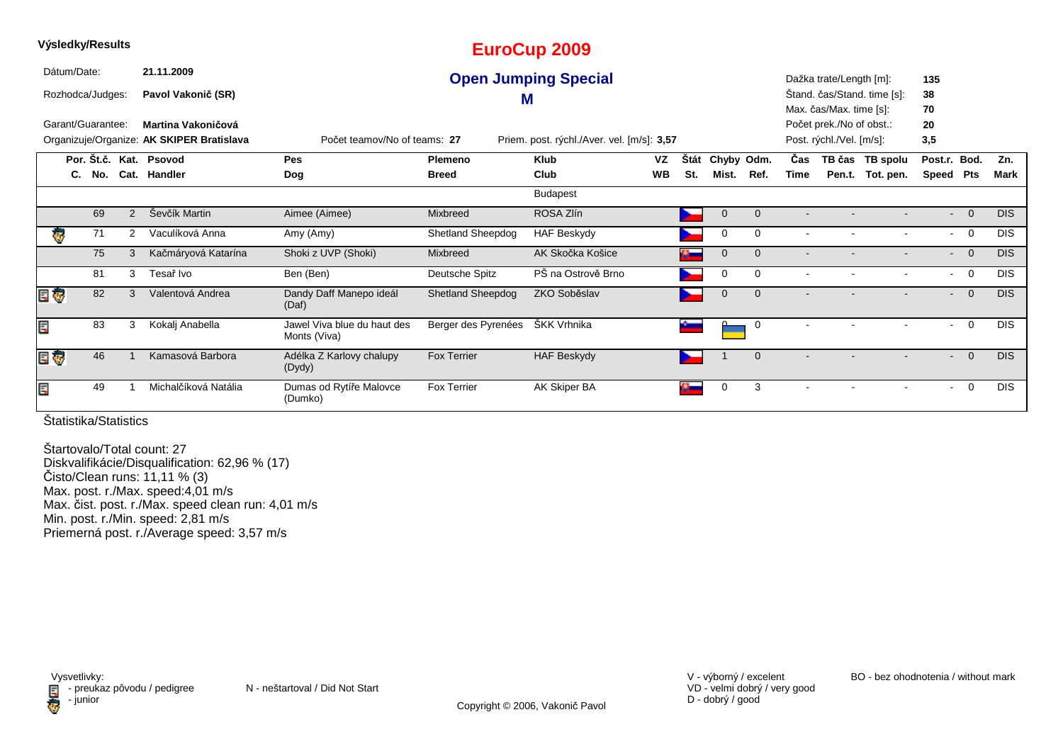| Výsledky/Results  |     |   |                                           |                                             |                          | <b>EuroCup 2009</b>                        |           |             |            |                |            |                          |                             |                 |                |            |
|-------------------|-----|---|-------------------------------------------|---------------------------------------------|--------------------------|--------------------------------------------|-----------|-------------|------------|----------------|------------|--------------------------|-----------------------------|-----------------|----------------|------------|
| Dátum/Date:       |     |   | 21.11.2009                                |                                             |                          | <b>Open Jumping Special</b>                |           |             |            |                |            | Dažka trate/Length [m]:  |                             | 135             |                |            |
| Rozhodca/Judges:  |     |   | Pavol Vakonič (SR)                        |                                             |                          | M                                          |           |             |            |                |            |                          | Štand. čas/Stand. time [s]: | 38              |                |            |
|                   |     |   |                                           |                                             |                          |                                            |           |             |            |                |            | Max. čas/Max. time [s]:  |                             | 70              |                |            |
| Garant/Guarantee: |     |   | Martina Vakoničová                        |                                             |                          |                                            |           |             |            |                |            | Počet prek./No of obst.: |                             | 20              |                |            |
|                   |     |   | Organizuje/Organize: AK SKIPER Bratislava | Počet teamov/No of teams: 27                |                          | Priem. post. rýchl./Aver. vel. [m/s]: 3,57 |           |             |            |                |            | Post. rýchl./Vel. [m/s]: |                             | 3,5             |                |            |
|                   |     |   | Por. Št.č. Kat. Psovod                    | <b>Pes</b>                                  | Plemeno                  | <b>Klub</b>                                | <b>VZ</b> | <b>Stát</b> | Chyby Odm. |                | <b>Čas</b> |                          | TB čas TB spolu             | Post.r. Bod.    |                | Zn.        |
| C.                | No. |   | Cat. Handler                              | <b>Dog</b>                                  | <b>Breed</b>             | Club                                       | <b>WB</b> | St.         | Mist.      | Ref.           | Time       |                          | Pen.t. Tot. pen.            | Speed Pts       |                | Mark       |
|                   |     |   |                                           |                                             |                          | <b>Budapest</b>                            |           |             |            |                |            |                          |                             |                 |                |            |
|                   | 69  | 2 | Ševčík Martin                             | Aimee (Aimee)                               | Mixbreed                 | ROSA Zlín                                  |           |             | 0          | $\mathbf{0}$   |            |                          |                             | $\blacksquare$  | $\overline{0}$ | <b>DIS</b> |
| ą.                | 71  | 2 | Vaculíková Anna                           | Amy (Amy)                                   | <b>Shetland Sheepdog</b> | <b>HAF Beskydy</b>                         |           |             | 0          | $\mathbf 0$    |            |                          |                             | $\sim$          | $\overline{0}$ | <b>DIS</b> |
|                   | 75  | 3 | Kačmáryová Katarína                       | Shoki z UVP (Shoki)                         | Mixbreed                 | AK Skočka Košice                           |           |             | 0          | $\overline{0}$ |            |                          |                             |                 | $\overline{0}$ | <b>DIS</b> |
|                   | 81  | 3 | Tesař Ivo                                 | Ben (Ben)                                   | Deutsche Spitz           | PŠ na Ostrově Brno                         |           |             | 0          | $\Omega$       |            |                          |                             | $\sim$ 10 $\pm$ | $\overline{0}$ | <b>DIS</b> |
| E Ç               | 82  | 3 | Valentová Andrea                          | Dandy Daff Manepo ideál<br>(Daf)            | <b>Shetland Sheepdog</b> | ZKO Soběslav                               |           |             | 0          | $\overline{0}$ |            |                          |                             | $\sim$          | $\overline{0}$ | <b>DIS</b> |
| E                 | 83  | 3 | Kokalj Anabella                           | Jawel Viva blue du haut des<br>Monts (Viva) | Berger des Pyrenées      | ŠKK Vrhnika                                |           |             |            | $\mathbf 0$    |            |                          |                             |                 | 0              | <b>DIS</b> |
| E T               | 46  |   | Kamasová Barbora                          | Adélka Z Karlovy chalupy<br>(Dydy)          | <b>Fox Terrier</b>       | <b>HAF Beskydy</b>                         |           |             |            | $\overline{0}$ |            |                          |                             | $\sim$          | $\mathbf 0$    | <b>DIS</b> |
| E                 | 49  |   | Michalčíková Natália                      | Dumas od Rytíře Malovce<br>(Dumko)          | <b>Fox Terrier</b>       | AK Skiper BA                               |           | $\alpha-$   | 0          | 3              |            | $\overline{\phantom{a}}$ | $\overline{\phantom{a}}$    | $\sim$          | 0              | <b>DIS</b> |

Štartovalo/Total count: 27 Diskvalifikácie/Disqualification: 62,96 % (17) Čisto/Clean runs: 11,11 % (3) Max. post. r./Max. speed:4,01 m/s Max. čist. post. r./Max. speed clean run: 4,01 m/s Min. post. r./Min. speed: 2,81 m/sPriemerná post. r./Average speed: 3,57 m/s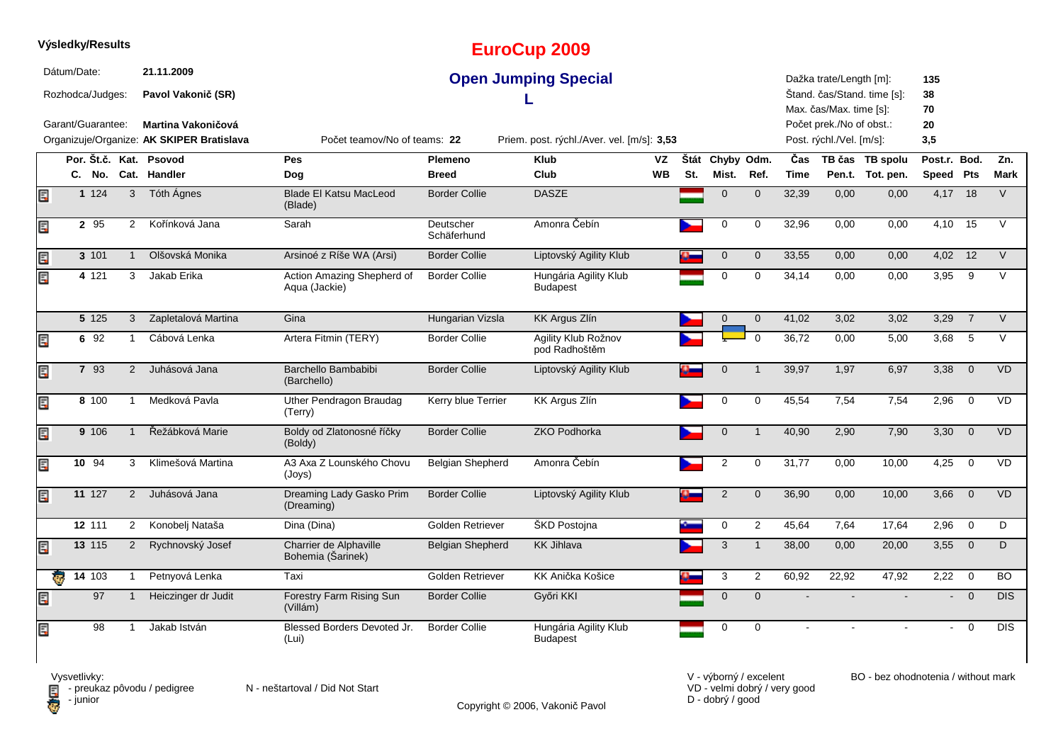|     | Výsledky/Results                                     |                     |                |                                                                                                            |                                             |                          | <b>EuroCup 2009</b>                                                       |           |     |                 |                  |       |                                                                                                            |                             |                              |                |            |
|-----|------------------------------------------------------|---------------------|----------------|------------------------------------------------------------------------------------------------------------|---------------------------------------------|--------------------------|---------------------------------------------------------------------------|-----------|-----|-----------------|------------------|-------|------------------------------------------------------------------------------------------------------------|-----------------------------|------------------------------|----------------|------------|
|     | Dátum/Date:<br>Rozhodca/Judges:<br>Garant/Guarantee: |                     |                | 21.11.2009<br>Pavol Vakonič (SR)<br><b>Martina Vakoničová</b><br>Organizuje/Organize: AK SKIPER Bratislava | Počet teamov/No of teams: 22                |                          | <b>Open Jumping Special</b><br>Priem. post. rýchl./Aver. vel. [m/s]: 3,53 |           |     |                 |                  |       | Dažka trate/Length [m]:<br>Max. čas/Max. time [s]:<br>Počet prek./No of obst.:<br>Post. rýchl./Vel. [m/s]: | Štand. čas/Stand. time [s]: | 135<br>38<br>70<br>20<br>3,5 |                |            |
|     |                                                      |                     |                | Por. Št.č. Kat. Psovod                                                                                     | <b>Pes</b>                                  | Plemeno                  | <b>Klub</b>                                                               | <b>VZ</b> |     | Štát Chyby Odm. |                  | Čas   |                                                                                                            | TB čas TB spolu             | Post.r. Bod.                 |                | Zn.        |
|     |                                                      |                     |                | C. No. Cat. Handler                                                                                        | Dog                                         | <b>Breed</b>             | Club                                                                      | <b>WB</b> | St. | Mist.           | Ref.             | Time  |                                                                                                            | Pen.t. Tot. pen.            | Speed Pts                    |                | Mark       |
| Ē.  |                                                      | 1 1 2 4             | $\mathbf{3}$   | Tóth Ágnes                                                                                                 | <b>Blade El Katsu MacLeod</b><br>(Blade)    | <b>Border Collie</b>     | <b>DASZE</b>                                                              |           |     | $\mathbf{0}$    | $\mathbf{0}$     | 32,39 | 0,00                                                                                                       | 0,00                        |                              | 4,17 18        | $\vee$     |
| E   |                                                      | 2 95                | 2              | Kořínková Jana                                                                                             | Sarah                                       | Deutscher<br>Schäferhund | Amonra Čebín                                                              |           |     | 0               | 0                | 32,96 | 0,00                                                                                                       | 0,00                        | 4,10                         | 15             | $\vee$     |
| E   |                                                      | 3 101               | $\mathbf{1}$   | Olšovská Monika                                                                                            | Arsinoé z Ríše WA (Arsi)                    | <b>Border Collie</b>     | Liptovský Agility Klub                                                    |           |     | $\mathbf 0$     | $\mathbf 0$      | 33,55 | 0,00                                                                                                       | 0,00                        |                              | 4,02 12        | V          |
| Ę   |                                                      | 4 1 21              | 3              | Jakab Erika                                                                                                | Action Amazing Shepherd of<br>Aqua (Jackie) | <b>Border Collie</b>     | Hungária Agility Klub<br><b>Budapest</b>                                  |           |     | $\Omega$        | $\mathbf 0$      | 34,14 | 0,00                                                                                                       | 0,00                        | 3,95                         | 9              | $\vee$     |
|     |                                                      | 5 125               | 3              | Zapletalová Martina                                                                                        | Gina                                        | Hungarian Vizsla         | KK Argus Zlín                                                             |           |     | $\mathbf{0}$    | $\mathbf 0$      | 41,02 | 3,02                                                                                                       | 3,02                        | 3,29                         | $\overline{7}$ | $\vee$     |
| E   |                                                      | 6 92                | $\mathbf{1}$   | Cábová Lenka                                                                                               | Artera Fitmin (TERY)                        | <b>Border Collie</b>     | Agility Klub Rožnov<br>pod Radhoštěm                                      |           |     |                 | $\Omega$         | 36,72 | 0,00                                                                                                       | 5,00                        | 3,68                         | 5              | $\vee$     |
| E   |                                                      | 7 93                | 2              | Juhásová Jana                                                                                              | Barchello Bambabibi<br>(Barchello)          | <b>Border Collie</b>     | Liptovský Agility Klub                                                    |           |     | $\Omega$        | $\mathbf 1$      | 39,97 | 1,97                                                                                                       | 6,97                        | 3,38                         | $\mathbf 0$    | <b>VD</b>  |
| Ę   |                                                      | 8 100               | $\mathbf{1}$   | Medková Pavla                                                                                              | Uther Pendragon Braudag<br>(Terry)          | Kerry blue Terrier       | KK Argus Zlín                                                             |           |     | $\mathbf 0$     | $\mathbf 0$      | 45,54 | 7,54                                                                                                       | 7,54                        | 2,96                         | $\mathbf 0$    | VD         |
| Ę   |                                                      | 9 10 6              | $\mathbf{1}$   | Řežábková Marie                                                                                            | Boldy od Zlatonosné říčky<br>(Boldy)        | <b>Border Collie</b>     | <b>ZKO Podhorka</b>                                                       |           |     | $\mathbf 0$     | $\overline{1}$   | 40,90 | 2,90                                                                                                       | 7,90                        | 3,30                         | $\overline{0}$ | <b>VD</b>  |
| Ę   |                                                      | 10 94               | 3              | Klimešová Martina                                                                                          | A3 Axa Z Lounského Chovu<br>(Joys)          | <b>Belgian Shepherd</b>  | Amonra Čebín                                                              |           |     | 2               | $\mathbf 0$      | 31,77 | 0,00                                                                                                       | 10,00                       | 4,25                         | $\mathbf 0$    | VD         |
| E   |                                                      | 11 127              | 2              | Juhásová Jana                                                                                              | Dreaming Lady Gasko Prim<br>(Dreaming)      | <b>Border Collie</b>     | Liptovský Agility Klub                                                    |           |     | $\sqrt{2}$      | $\mathbf 0$      | 36,90 | 0,00                                                                                                       | 10,00                       | 3,66                         | $\overline{0}$ | <b>VD</b>  |
|     |                                                      | 12 111              | $\overline{2}$ | Konobelj Nataša                                                                                            | Dina (Dina)                                 | Golden Retriever         | ŠKD Postojna                                                              |           |     | 0               | $\boldsymbol{2}$ | 45,64 | 7,64                                                                                                       | 17,64                       | 2,96                         | $\mathbf 0$    | D          |
| E   |                                                      | 13 115              | $\overline{2}$ | Rychnovský Josef                                                                                           | Charrier de Alphaville<br>Bohemia (Šarinek) | <b>Belgian Shepherd</b>  | <b>KK Jihlava</b>                                                         |           |     | 3               | $\mathbf{1}$     | 38,00 | 0,00                                                                                                       | 20,00                       | 3,55                         | $\overline{0}$ | D          |
|     | ę.                                                   | $14 \overline{103}$ | $\mathbf{1}$   | Petnyová Lenka                                                                                             | Taxi                                        | Golden Retriever         | KK Anička Košice                                                          |           |     | 3               | 2                | 60,92 | 22,92                                                                                                      | 47,92                       | 2,22                         | $\overline{0}$ | BO.        |
| E.P |                                                      | 97                  | $\mathbf{1}$   | Heiczinger dr Judit                                                                                        | Forestry Farm Rising Sun<br>(Villám)        | <b>Border Collie</b>     | Győri KKI                                                                 |           |     | $\overline{0}$  | $\mathbf{0}$     |       |                                                                                                            |                             | $\sim$                       | $\overline{0}$ | DIS.       |
| E   |                                                      | 98                  | $\mathbf 1$    | Jakab István                                                                                               | Blessed Borders Devoted Jr.<br>(Lui)        | <b>Border Collie</b>     | Hungária Agility Klub<br><b>Budapest</b>                                  |           |     | 0               | $\mathbf 0$      |       |                                                                                                            |                             | $\sim$                       | $\Omega$       | <b>DIS</b> |

Copyright © 2006, Vakonič Pavol

VD - velmi dobrý / very good D - dobrý / good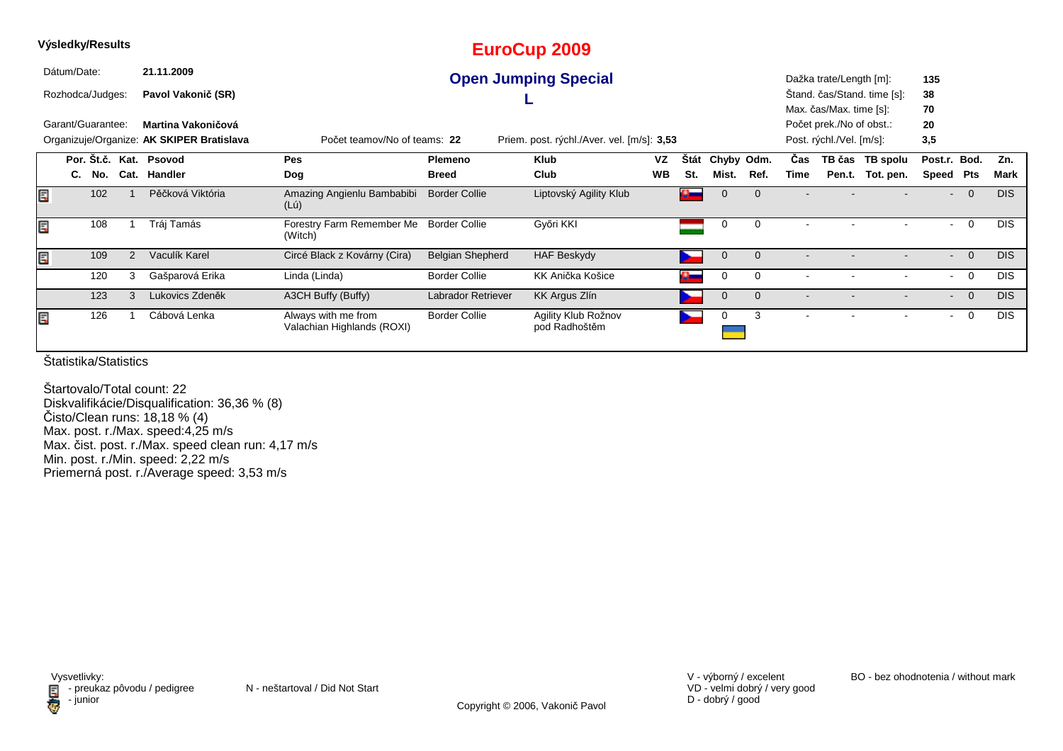|    | Výsledky/Results  |                                                                                                                         |   |                        |                                                   |                         | EuroCup 2009                         |           |             |             |                |                          |                          |                             |                          |                |            |
|----|-------------------|-------------------------------------------------------------------------------------------------------------------------|---|------------------------|---------------------------------------------------|-------------------------|--------------------------------------|-----------|-------------|-------------|----------------|--------------------------|--------------------------|-----------------------------|--------------------------|----------------|------------|
|    | Dátum/Date:       |                                                                                                                         |   | 21.11.2009             |                                                   |                         | <b>Open Jumping Special</b>          |           |             |             |                |                          | Dažka trate/Length [m]:  |                             | 135                      |                |            |
|    | Rozhodca/Judges:  |                                                                                                                         |   | Pavol Vakonič (SR)     |                                                   |                         |                                      |           |             |             |                |                          |                          | Stand. čas/Stand. time [s]: | 38                       |                |            |
|    |                   |                                                                                                                         |   |                        |                                                   |                         |                                      |           |             |             |                |                          | Max. čas/Max. time [s]:  |                             | 70                       |                |            |
|    | Garant/Guarantee: |                                                                                                                         |   | Martina Vakoničová     |                                                   |                         |                                      |           |             |             |                |                          | Počet prek./No of obst.: |                             | 20                       |                |            |
|    |                   | Organizuje/Organize: AK SKIPER Bratislava<br>Počet teamov/No of teams: 22<br>Priem. post. rýchl./Aver. vel. [m/s]: 3,53 |   |                        |                                                   |                         |                                      |           |             |             |                | Post. rýchl./Vel. [m/s]: |                          | 3,5                         |                          |                |            |
|    |                   |                                                                                                                         |   | Por. Št.č. Kat. Psovod | <b>Pes</b>                                        | <b>Plemeno</b>          | <b>Klub</b>                          | VZ        | <b>Stát</b> |             | Chyby Odm.     | Cas                      | TB čas                   | TB spolu                    | Post.r.                  | Bod.           | Zn.        |
|    | C.                | No.                                                                                                                     |   | Cat. Handler           | Dog                                               | <b>Breed</b>            | Club                                 | <b>WB</b> | St.         | Mist.       | Ref.           | Time                     |                          | Pen.t. Tot. pen.            | Speed                    | Pts            | Mark       |
| E  |                   | 102                                                                                                                     |   | Pěčková Viktória       | Amazing Angienlu Bambabibi<br>$(L\acute{u})$      | <b>Border Collie</b>    | Liptovský Agility Klub               |           | $\bullet$   | 0           | $\mathbf{0}$   |                          |                          |                             | $\overline{\phantom{0}}$ | $\overline{0}$ | DIS.       |
| E  |                   | 108                                                                                                                     |   | Tráj Tamás             | Forestry Farm Remember Me<br>(Witch)              | <b>Border Collie</b>    | Győri KKI                            |           |             | 0           | 0              |                          |                          |                             | $\blacksquare$           | $\Omega$       | <b>DIS</b> |
| E  |                   | 109                                                                                                                     | 2 | Vaculík Karel          | Circé Black z Kovárny (Cira)                      | <b>Belgian Shepherd</b> | <b>HAF Beskydy</b>                   |           |             | $\mathbf 0$ | $\overline{0}$ | $\overline{\phantom{a}}$ |                          |                             | $\sim$                   | $\Omega$       | <b>DIS</b> |
|    |                   | 120                                                                                                                     | 3 | Gašparová Erika        | Linda (Linda)                                     | <b>Border Collie</b>    | KK Anička Košice                     |           |             | 0           | 0              |                          |                          |                             | $\sim$                   | 0              | <b>DIS</b> |
|    |                   | 123                                                                                                                     | 3 | Lukovics Zdeněk        | A3CH Buffy (Buffy)                                | Labrador Retriever      | KK Argus Zlín                        |           |             | $\mathbf 0$ | $\mathbf 0$    |                          |                          |                             | $\sim$                   | $\overline{0}$ | <b>DIS</b> |
| Ē, |                   | 126                                                                                                                     |   | Cábová Lenka           | Always with me from<br>Valachian Highlands (ROXI) | <b>Border Collie</b>    | Agility Klub Rožnov<br>pod Radhoštěm |           |             | 0           | 3              |                          |                          |                             | $\overline{\phantom{a}}$ | $\Omega$       | <b>DIS</b> |

Štartovalo/Total count: 22 Diskvalifikácie/Disqualification: 36,36 % (8) Čisto/Clean runs: 18,18 % (4) Max. post. r./Max. speed:4,25 m/s Max. čist. post. r./Max. speed clean run: 4,17 m/sMin. post. r./Min. speed: 2,22 m/s Priemerná post. r./Average speed: 3,53 m/s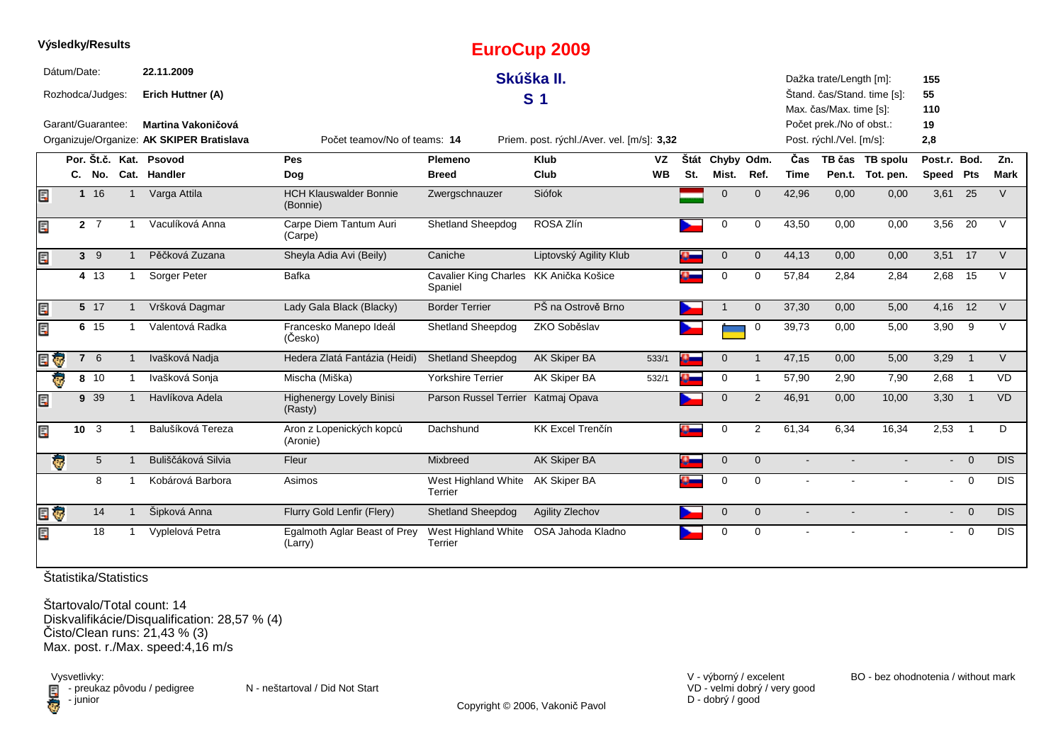| Výsledky/Results        |                   |              |                                                                        |                                           |                                         | <b>EuroCup 2009</b>                        |           |      |                |                         |        |                                                      |                             |              |                |             |
|-------------------------|-------------------|--------------|------------------------------------------------------------------------|-------------------------------------------|-----------------------------------------|--------------------------------------------|-----------|------|----------------|-------------------------|--------|------------------------------------------------------|-----------------------------|--------------|----------------|-------------|
| Dátum/Date:             |                   |              | 22.11.2009                                                             |                                           |                                         | Skúška II.                                 |           |      |                |                         |        | Dažka trate/Length [m]:                              |                             | 155          |                |             |
|                         | Rozhodca/Judges:  |              | Erich Huttner (A)                                                      |                                           |                                         | S <sub>1</sub>                             |           |      |                |                         |        |                                                      | Štand. čas/Stand. time [s]: | 55           |                |             |
|                         |                   |              |                                                                        |                                           |                                         |                                            |           |      |                |                         |        | Max. čas/Max. time [s]:                              |                             | 110          |                |             |
|                         | Garant/Guarantee: |              | <b>Martina Vakoničová</b><br>Organizuje/Organize: AK SKIPER Bratislava | Počet teamov/No of teams: 14              |                                         | Priem. post. rýchl./Aver. vel. [m/s]: 3,32 |           |      |                |                         |        | Počet prek./No of obst.:<br>Post. rýchl./Vel. [m/s]: |                             | 19<br>2,8    |                |             |
|                         |                   |              | Por. Št.č. Kat. Psovod                                                 | <b>Pes</b>                                | Plemeno                                 | <b>Klub</b>                                | VZ        | Štát | Chyby Odm.     |                         | Čas    |                                                      | TB čas TB spolu             | Post.r. Bod. |                | Zn.         |
|                         |                   |              | C. No. Cat. Handler                                                    | Dog                                       | <b>Breed</b>                            | Club                                       | <b>WB</b> | St.  | Mist.          | Ref.                    | Time   |                                                      | Pen.t. Tot. pen.            | Speed Pts    |                | <b>Mark</b> |
| Ε                       | 116               |              | Varga Attila                                                           | <b>HCH Klauswalder Bonnie</b><br>(Bonnie) | Zwergschnauzer                          | Siófok                                     |           |      | $\mathbf{0}$   | $\mathbf{0}$            | 42,96  | 0,00                                                 | 0,00                        | 3,61 25      |                | V           |
| Ę                       | $2\overline{7}$   |              | Vaculíková Anna                                                        | Carpe Diem Tantum Auri<br>(Carpe)         | Shetland Sheepdog                       | ROSA Zlín                                  |           |      | 0              | 0                       | 43,50  | 0,00                                                 | 0,00                        | 3,56         | 20             | $\vee$      |
|                         | $3 \quad 9$       |              | Pěčková Zuzana                                                         | Sheyla Adia Avi (Beily)                   | Caniche                                 | Liptovský Agility Klub                     |           |      | $\mathbf 0$    | $\mathbf{0}$            | 44,13  | 0,00                                                 | 0,00                        |              | 3,51 17        | $\vee$      |
|                         | 4 13              |              | Sorger Peter                                                           | <b>Bafka</b>                              | <b>Cavalier King Charles</b><br>Spaniel | KK Anička Košice                           |           |      | 0              | $\mathbf 0$             | 57,84  | 2,84                                                 | 2,84                        | 2,68         | 15             | V           |
|                         | 5 17              |              | Vršková Dagmar                                                         | Lady Gala Black (Blacky)                  | <b>Border Terrier</b>                   | PŠ na Ostrově Brno                         |           |      |                | $\mathbf{0}$            | 37,30  | 0,00                                                 | 5,00                        | 4,16         | 12             | $\vee$      |
|                         | 6 15              | -1           | Valentová Radka                                                        | Francesko Manepo Ideál<br>(Česko)         | <b>Shetland Sheepdog</b>                | ZKO Soběslav                               |           |      |                | 0                       | 39,73  | 0.00                                                 | 5,00                        | 3,90         | - 9            | $\vee$      |
| ę.                      | 7 6               |              | Ivašková Nadja                                                         | Hedera Zlatá Fantázia (Heidi)             | <b>Shetland Sheepdog</b>                | <b>AK Skiper BA</b>                        | 533/1     |      | $\overline{0}$ | $\overline{\mathbf{1}}$ | 47,15  | 0,00                                                 | 5,00                        | 3,29         | $\overline{1}$ | V           |
|                         | 8 10              |              | Ivašková Sonja                                                         | Mischa (Miška)                            | <b>Yorkshire Terrier</b>                | AK Skiper BA                               | 532/1     |      | 0              | $\mathbf 1$             | 57,90  | 2,90                                                 | 7,90                        | 2,68         | $\overline{1}$ | <b>VD</b>   |
|                         | 9 39              | $\mathbf{1}$ | Havlíkova Adela                                                        | Highenergy Lovely Binisi<br>(Rasty)       | Parson Russel Terrier                   | Katmaj Opava                               |           |      | $\Omega$       | 2                       | 46,91  | 0,00                                                 | 10,00                       | 3,30         | $\overline{1}$ | <b>VD</b>   |
|                         | 10 <sub>3</sub>   |              | Balušíková Tereza                                                      | Aron z Lopenických kopců<br>(Aronie)      | Dachshund                               | KK Excel Trenčín                           |           |      | $\mathbf 0$    | 2                       | 61,34  | 6,34                                                 | 16,34                       | 2,53         | $\overline{1}$ | D           |
| $\overline{\mathbf{e}}$ | 5 <sup>5</sup>    |              | Buliščáková Silvia                                                     | Fleur                                     | Mixbreed                                | <b>AK Skiper BA</b>                        |           |      | $\mathbf 0$    | $\mathbf{0}$            |        |                                                      |                             |              | $- 0$          | <b>DIS</b>  |
|                         | 8                 | -1           | Kobárová Barbora                                                       | Asimos                                    | West Highland White<br>Terrier          | AK Skiper BA                               |           |      | $\mathbf 0$    | $\mathbf 0$             | $\sim$ |                                                      |                             | $\sim$       | $\overline{0}$ | <b>DIS</b>  |
| ¢.                      | 14                |              | Šipková Anna                                                           | Flurry Gold Lenfir (Flery)                | <b>Shetland Sheepdog</b>                | <b>Agility Zlechov</b>                     |           |      | $\mathbf{0}$   | $\mathbf{0}$            |        |                                                      |                             |              | $- 0$          | <b>DIS</b>  |
|                         | 18                |              | Vyplelová Petra                                                        | Egalmoth Aglar Beast of Prey<br>(Larry)   | West Highland White<br>Terrier          | OSA Jahoda Kladno                          |           |      | $\mathbf 0$    | $\mathbf 0$             |        |                                                      |                             | $\sim$       | $\overline{0}$ | <b>DIS</b>  |

Štartovalo/Total count: 14 Diskvalifikácie/Disqualification: 28,57 % (4) Čisto/Clean runs: 21,43 % (3)Max. post. r./Max. speed:4,16 m/s

Vysvetlivky:<br>⊟ - preukaz pôvodu / pedigree N - neštartoval / Did Not Start **D** - junior

VD - velmi dobrý / very good D - dobrý / good

V - výborný / excelent BO - bez ohodnotenia / without mark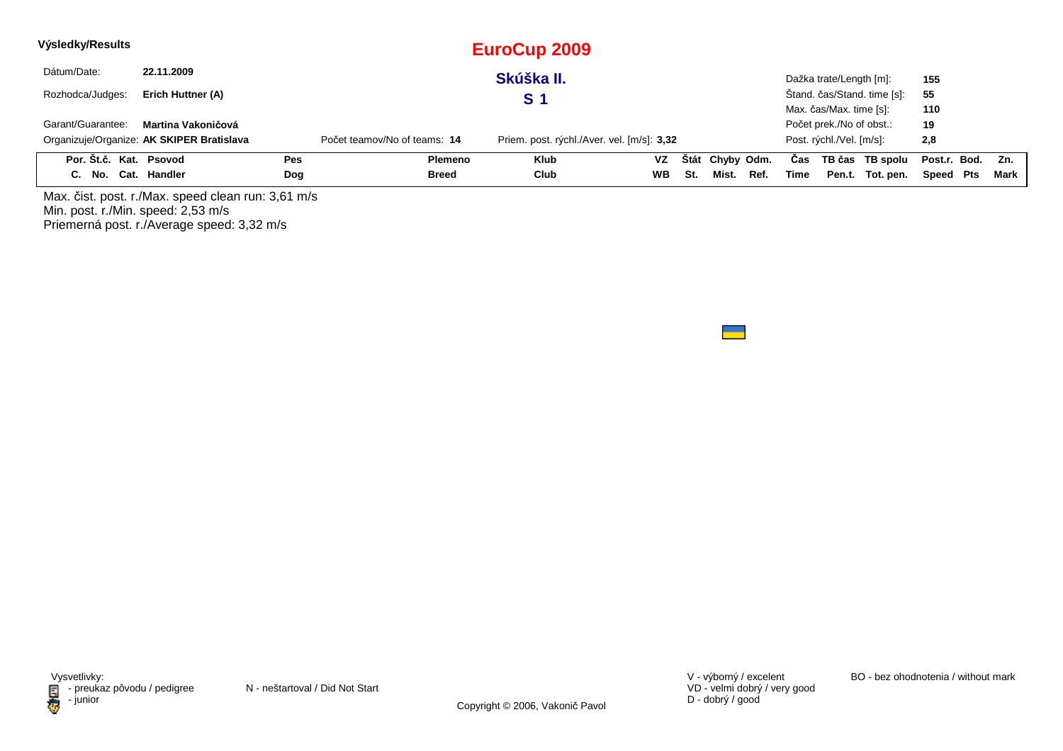| Výsledky/Results       |                                           |     |                              | EuroCup 2009                               |           |     |                 |      |      |                          |                             |                  |      |
|------------------------|-------------------------------------------|-----|------------------------------|--------------------------------------------|-----------|-----|-----------------|------|------|--------------------------|-----------------------------|------------------|------|
| Dátum/Date:            | 22.11.2009                                |     |                              | Skúška II.                                 |           |     |                 |      |      | Dažka trate/Length [m]:  |                             | 155              |      |
| Rozhodca/Judges:       | Erich Huttner (A)                         |     |                              | S 1                                        |           |     |                 |      |      |                          | Štand. čas/Stand. time [s]: | 55               |      |
|                        |                                           |     |                              |                                            |           |     |                 |      |      | Max. čas/Max. time [s]:  |                             | 110              |      |
| Garant/Guarantee:      | Martina Vakoničová                        |     |                              |                                            |           |     |                 |      |      | Počet prek./No of obst.: |                             | 19               |      |
|                        | Organizuje/Organize: AK SKIPER Bratislava |     | Počet teamov/No of teams: 14 | Priem. post. rýchl./Aver. vel. [m/s]: 3,32 |           |     |                 |      |      | Post. rýchl./Vel. [m/s]: |                             | 2,8              |      |
| Por. Št.č. Kat. Psovod |                                           | Pes | <b>Plemeno</b>               | <b>Klub</b>                                | <b>VZ</b> |     | Štát Chyby Odm. |      | Cas  |                          | TB čas TB spolu             | Post.r. Bod. Zn. |      |
| C. No. Cat. Handler    |                                           | Dog | <b>Breed</b>                 | Club                                       | <b>WB</b> | St. | Mist.           | Ref. | Time |                          | Pen.t. Tot. pen.            | Speed Pts        | Mark |

Max. čist. post. r./Max. speed clean run: 3,61 m/s Min. post. r./Min. speed: 2,53 m/s Priemerná post. r./Average speed: 3,32 m/s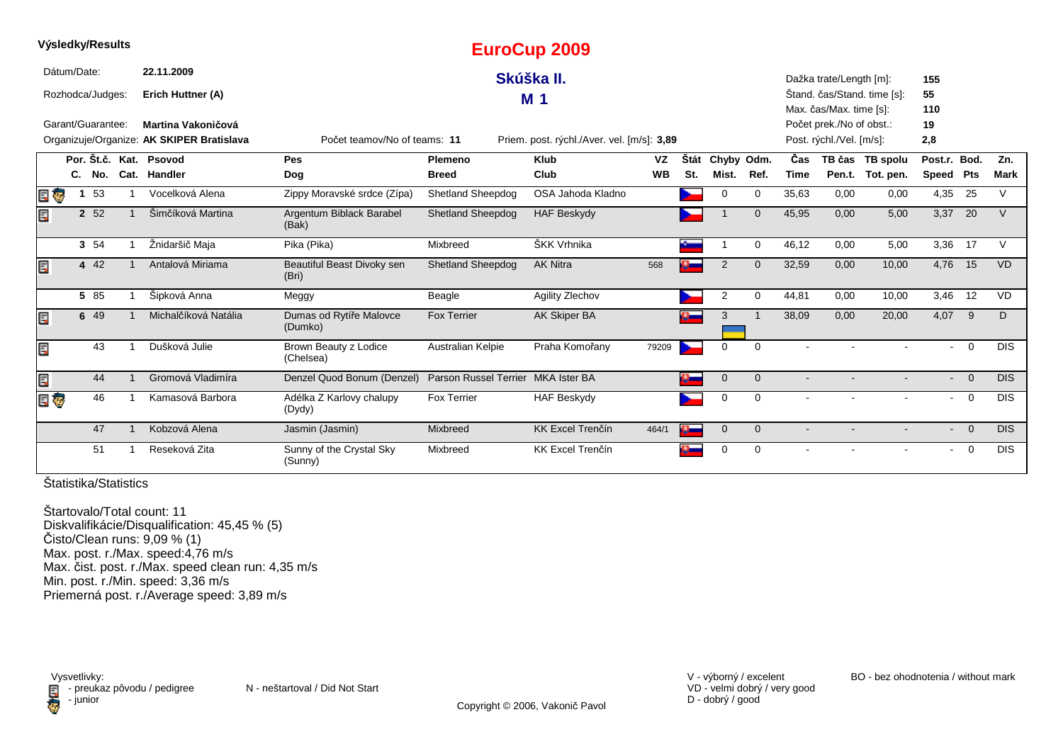|     |             | Výsledky/Results  |                                           |                                     |                                    | <b>EuroCup 2009</b>                        |           |      |                     |              |       |                                                     |                                     |                          |                |             |
|-----|-------------|-------------------|-------------------------------------------|-------------------------------------|------------------------------------|--------------------------------------------|-----------|------|---------------------|--------------|-------|-----------------------------------------------------|-------------------------------------|--------------------------|----------------|-------------|
|     | Dátum/Date: |                   | 22.11.2009                                |                                     |                                    | Skúška II.                                 |           |      |                     |              |       | Dažka trate/Length [m]:                             |                                     | 155                      |                |             |
|     |             | Rozhodca/Judges:  | Erich Huttner (A)                         |                                     |                                    | M <sub>1</sub>                             |           |      |                     |              |       |                                                     | Štand. čas/Stand. time [s]:         | 55                       |                |             |
|     |             | Garant/Guarantee: | Martina Vakoničová                        |                                     |                                    |                                            |           |      |                     |              |       | Max. čas/Max. time [s]:<br>Počet prek./No of obst.: |                                     | 110<br>19                |                |             |
|     |             |                   | Organizuje/Organize: AK SKIPER Bratislava | Počet teamov/No of teams: 11        |                                    | Priem. post. rýchl./Aver. vel. [m/s]: 3,89 |           |      |                     |              |       | Post. rýchl./Vel. [m/s]:                            |                                     | 2,8                      |                |             |
|     |             |                   | Por. Št.č. Kat. Psovod                    | Pes                                 | Plemeno                            | <b>Klub</b>                                | VZ        | Štát |                     |              | Čas   |                                                     |                                     | Post.r. Bod.             |                | Zn.         |
|     |             | C. No.            | Cat. Handler                              | Dog                                 | <b>Breed</b>                       | Club                                       | <b>WB</b> | St.  | Chyby Odm.<br>Mist. | Ref.         | Time  |                                                     | TB čas TB spolu<br>Pen.t. Tot. pen. | Speed Pts                |                | <b>Mark</b> |
| Ę   |             | 53                | Vocelková Alena                           | Zippy Moravské srdce (Zípa)         | Shetland Sheepdog                  | OSA Jahoda Kladno                          |           |      | 0                   | 0            | 35,63 | 0,00                                                | 0,00                                | 4,35                     | 25             | $\vee$      |
| Ę   |             | 2 52              | Šimčíková Martina                         | Argentum Biblack Barabel<br>(Bak)   | <b>Shetland Sheepdog</b>           | <b>HAF Beskydy</b>                         |           |      |                     | $\mathbf 0$  | 45,95 | 0,00                                                | 5,00                                | 3,37                     | 20             | V           |
|     |             | 3 54              | Žnidaršič Maja                            | Pika (Pika)                         | Mixbreed                           | ŠKK Vrhnika                                |           |      |                     | 0            | 46,12 | 0,00                                                | 5,00                                | 3,36 17                  |                | $\vee$      |
| Ę   |             | 4 42              | Antalová Miriama                          | Beautiful Beast Divoky sen<br>(Bri) | Shetland Sheepdog                  | <b>AK Nitra</b>                            | 568       |      | $\overline{2}$      | $\Omega$     | 32,59 | 0,00                                                | 10,00                               | 4,76                     | 15             | <b>VD</b>   |
|     |             | 5 85              | Šipková Anna                              | Meggy                               | Beagle                             | <b>Agility Zlechov</b>                     |           |      | 2                   | 0            | 44,81 | 0,00                                                | 10,00                               | 3,46                     | 12             | <b>VD</b>   |
| Ę   |             | 6 49              | Michalčíková Natália                      | Dumas od Rytíře Malovce<br>(Dumko)  | Fox Terrier                        | AK Skiper BA                               |           | ¢    | 3                   |              | 38,09 | 0,00                                                | 20,00                               | 4,07 9                   |                | D           |
| Ę   |             | 43                | Dušková Julie                             | Brown Beauty z Lodice<br>(Chelsea)  | Australian Kelpie                  | Praha Komořany                             | 79209     |      | $\Omega$            | $\Omega$     |       |                                                     |                                     | $\blacksquare$           | $\Omega$       | <b>DIS</b>  |
| Ę   |             | 44                | Gromová Vladimíra                         | Denzel Quod Bonum (Denzel)          | Parson Russel Terrier MKA Ister BA |                                            |           |      | $\mathbf 0$         | $\mathbf{0}$ |       |                                                     |                                     | $\overline{\phantom{0}}$ | $\Omega$       | <b>DIS</b>  |
| E G |             | 46                | Kamasová Barbora                          | Adélka Z Karlovy chalupy<br>(Dydy)  | <b>Fox Terrier</b>                 | <b>HAF Beskydy</b>                         |           |      | 0                   | 0            |       |                                                     |                                     | $\sim$                   | $\overline{0}$ | <b>DIS</b>  |
|     |             | 47                | Kobzová Alena                             | Jasmin (Jasmin)                     | Mixbreed                           | <b>KK Excel Trenčín</b>                    | 464/1     |      | $\mathbf{0}$        | $\mathbf{0}$ |       |                                                     |                                     |                          | $- 0$          | <b>DIS</b>  |
|     |             | 51                | Reseková Zita                             | Sunny of the Crystal Sky<br>(Sunny) | Mixbreed                           | KK Excel Trenčín                           |           |      | 0                   | 0            |       |                                                     |                                     | $\blacksquare$           | $\overline{0}$ | <b>DIS</b>  |

**Výsledky/Results**

Štartovalo/Total count: 11 Diskvalifikácie/Disqualification: 45,45 % (5)Čisto/Clean runs: 9,09 % (1) Max. post. r./Max. speed:4,76 m/s Max. čist. post. r./Max. speed clean run: 4,35 m/sMin. post. r./Min. speed: 3,36 m/sPriemerná post. r./Average speed: 3,89 m/s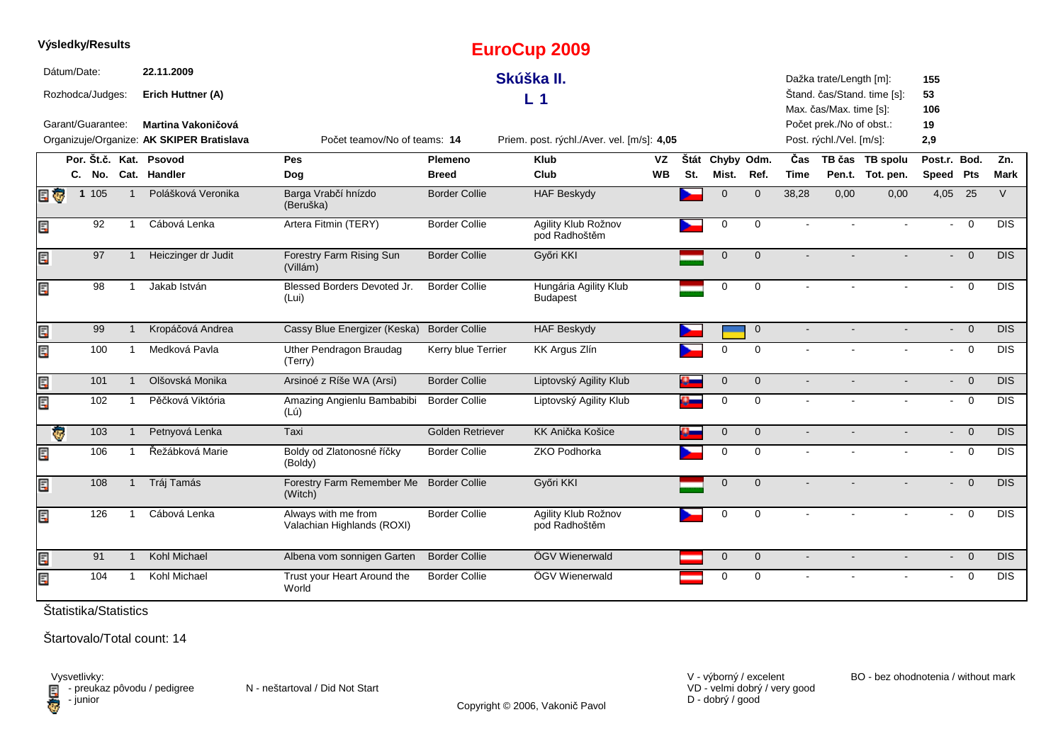|     |                         | Výsledky/Results  |                |                                           |                                                   |                      | <b>EuroCup 2009</b>                        |           |      |                |              |                |                          |                             |                           |                |            |
|-----|-------------------------|-------------------|----------------|-------------------------------------------|---------------------------------------------------|----------------------|--------------------------------------------|-----------|------|----------------|--------------|----------------|--------------------------|-----------------------------|---------------------------|----------------|------------|
|     | Dátum/Date:             |                   |                | 22.11.2009                                |                                                   |                      | Skúška II.                                 |           |      |                |              |                | Dažka trate/Length [m]:  |                             | 155                       |                |            |
|     |                         | Rozhodca/Judges:  |                | Erich Huttner (A)                         |                                                   |                      | L <sub>1</sub>                             |           |      |                |              |                | Max. čas/Max. time [s]:  | Štand. čas/Stand. time [s]: | 53<br>106                 |                |            |
|     |                         | Garant/Guarantee: |                | <b>Martina Vakoničová</b>                 |                                                   |                      |                                            |           |      |                |              |                | Počet prek./No of obst.: |                             | 19                        |                |            |
|     |                         |                   |                | Organizuje/Organize: AK SKIPER Bratislava | Počet teamov/No of teams: 14                      |                      | Priem. post. rýchl./Aver. vel. [m/s]: 4,05 |           |      |                |              |                | Post. rýchl./Vel. [m/s]: |                             | 2,9                       |                |            |
|     |                         |                   |                | Por. Št.č. Kat. Psovod                    | Pes                                               | Plemeno              | <b>Klub</b>                                | VZ        | Štát | Chyby Odm.     |              | Čas            |                          | TB čas TB spolu             | Post.r. Bod.              |                | Zn.        |
|     |                         |                   |                | C. No. Cat. Handler                       | Dog                                               | <b>Breed</b>         | Club                                       | <b>WB</b> | St.  | Mist.          | Ref.         | <b>Time</b>    |                          | Pen.t. Tot. pen.            | Speed Pts                 |                | Mark       |
| E G |                         | 1 105             | $\mathbf 1$    | Polášková Veronika                        | Barga Vrabčí hnízdo<br>(Beruška)                  | <b>Border Collie</b> | <b>HAF Beskydy</b>                         |           |      | $\Omega$       | $\mathbf 0$  | 38,28          | 0,00                     | 0,00                        | 4,05 25                   |                | $\vee$     |
| E   |                         | 92                | -1             | Cábová Lenka                              | Artera Fitmin (TERY)                              | <b>Border Collie</b> | Agility Klub Rožnov<br>pod Radhoštěm       |           |      | $\mathbf 0$    | $\mathbf 0$  |                |                          |                             | $\blacksquare$            | $\mathbf 0$    | <b>DIS</b> |
| Ę   |                         | 97                | $\mathbf 1$    | Heiczinger dr Judit                       | Forestry Farm Rising Sun<br>(Villám)              | <b>Border Collie</b> | Győri KKI                                  |           |      | $\overline{0}$ | $\Omega$     |                |                          |                             | $\overline{\phantom{0}}$  | $\overline{0}$ | <b>DIS</b> |
| Ξ   |                         | 98                | $\mathbf 1$    | Jakab István                              | Blessed Borders Devoted Jr.<br>(Lui)              | <b>Border Collie</b> | Hungária Agility Klub<br><b>Budapest</b>   |           |      | 0              | 0            |                |                          |                             | $\sim$                    | $\overline{0}$ | <b>DIS</b> |
| E   |                         | 99                | $\mathbf{1}$   | Kropáčová Andrea                          | Cassy Blue Energizer (Keska)                      | <b>Border Collie</b> | <b>HAF Beskydy</b>                         |           |      |                | $\mathbf{0}$ | $\blacksquare$ |                          |                             | $\sim$                    | $\overline{0}$ | <b>DIS</b> |
| Ę   |                         | 100               | $\mathbf{1}$   | Medková Pavla                             | Uther Pendragon Braudag<br>(Terry)                | Kerry blue Terrier   | KK Argus Zlín                              |           |      | $\Omega$       | $\Omega$     |                |                          |                             |                           | $- 0$          | <b>DIS</b> |
| E   |                         | 101               | $\mathbf{1}$   | Olšovská Monika                           | Arsinoé z Ríše WA (Arsi)                          | <b>Border Collie</b> | Liptovský Agility Klub                     |           |      | $\mathbf 0$    | $\mathbf 0$  | $\sim$         |                          |                             |                           | $- 0$          | <b>DIS</b> |
| Ę   |                         | 102               | -1             | Pěčková Viktória                          | Amazing Angienlu Bambabibi<br>(Lú)                | <b>Border Collie</b> | Liptovský Agility Klub                     |           | o.   | $\mathbf 0$    | $\mathbf 0$  |                |                          |                             | $\sim$                    | $\mathbf 0$    | <b>DIS</b> |
|     | $\overline{\mathbf{G}}$ | 103               | $\mathbf{1}$   | Petnyová Lenka                            | Taxi                                              | Golden Retriever     | <b>KK Anička Košice</b>                    |           | o.   | $\mathbf 0$    | $\mathbf{0}$ |                |                          |                             | $\mathcal{L}^{\pm}$       | $\overline{0}$ | <b>DIS</b> |
| Ę   |                         | 106               | $\overline{1}$ | Řežábková Marie                           | Boldy od Zlatonosné říčky<br>(Boldy)              | <b>Border Collie</b> | ZKO Podhorka                               |           |      | 0              | $\mathbf 0$  | $\sim$         |                          | $\sim$                      | $\sim$                    | $\mathbf 0$    | <b>DIS</b> |
| E   |                         | 108               | $\mathbf{1}$   | Tráj Tamás                                | Forestry Farm Remember Me<br>(Witch)              | <b>Border Collie</b> | Győri KKI                                  |           |      | $\mathbf{0}$   | $\Omega$     |                |                          |                             | $\sim$                    | $\Omega$       | <b>DIS</b> |
| Ę   |                         | 126               | $\overline{1}$ | Cábová Lenka                              | Always with me from<br>Valachian Highlands (ROXI) | <b>Border Collie</b> | Agility Klub Rožnov<br>pod Radhoštěm       |           |      | $\Omega$       | $\Omega$     |                |                          |                             | $\sim$                    | $\Omega$       | <b>DIS</b> |
| E   |                         | 91                | $\mathbf 1$    | Kohl Michael                              | Albena vom sonnigen Garten                        | <b>Border Collie</b> | ÖGV Wienerwald                             |           |      | $\mathbf 0$    | $\mathbf 0$  | $\sim$         |                          |                             | $\mathbf{L}^{\text{max}}$ | $\overline{0}$ | <b>DIS</b> |
| Ę   |                         | 104               | -1             | Kohl Michael                              | Trust your Heart Around the<br>World              | <b>Border Collie</b> | ÖGV Wienerwald                             |           |      | 0              | $\mathbf 0$  |                |                          |                             | $\sim$                    | $\overline{0}$ | <b>DIS</b> |

Štartovalo/Total count: 14

Vysvetlivky:<br>⊟ - preukaz pôvodu / pedigree N - neštartoval / Did Not Start **D** - junior

VD - velmi dobrý / very good D - dobrý / good

V - výborný / excelent BO - bez ohodnotenia / without mark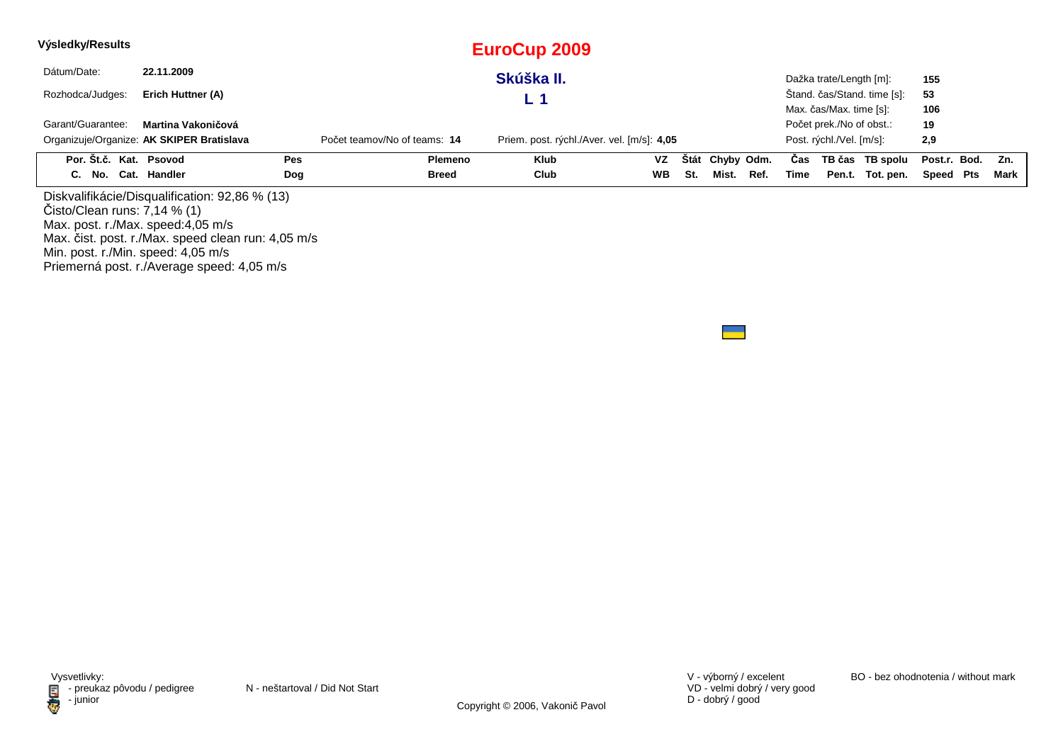| Výsledky/Results                   |                                                    |            |                              | <b>EuroCup 2009</b>                        |           |     |                 |      |      |                          |                             |              |      |
|------------------------------------|----------------------------------------------------|------------|------------------------------|--------------------------------------------|-----------|-----|-----------------|------|------|--------------------------|-----------------------------|--------------|------|
| Dátum/Date:                        | 22.11.2009                                         |            |                              | Skúška II.                                 |           |     |                 |      |      | Dažka trate/Length [m]:  |                             | 155          |      |
| Rozhodca/Judges:                   | Erich Huttner (A)                                  |            |                              | L 1                                        |           |     |                 |      |      |                          | Stand. čas/Stand. time [s]: | 53           |      |
|                                    |                                                    |            |                              |                                            |           |     |                 |      |      | Max. čas/Max. time [s]:  |                             | 106          |      |
| Garant/Guarantee:                  | Martina Vakoničová                                 |            |                              |                                            |           |     |                 |      |      | Počet prek./No of obst.: |                             | 19           |      |
|                                    | Organizuje/Organize: AK SKIPER Bratislava          |            | Počet teamov/No of teams: 14 | Priem. post. rýchl./Aver. vel. [m/s]: 4,05 |           |     |                 |      |      | Post. rýchl./Vel. [m/s]: |                             | 2,9          |      |
| Por. Št.č. Kat. Psovod             |                                                    | <b>Pes</b> | <b>Plemeno</b>               | <b>Klub</b>                                | VZ        |     | Štát Chyby Odm. |      | Cas  |                          | TB čas TB spolu             | Post.r. Bod. | Zn.  |
| C. No. Cat. Handler                |                                                    | Dog        | <b>Breed</b>                 | Club                                       | <b>WB</b> | St. | Mist.           | Ref. | Time |                          | Pen.t. Tot. pen.            | Speed Pts    | Mark |
|                                    | Diskvalifikácie/Disqualification: 92,86 % (13)     |            |                              |                                            |           |     |                 |      |      |                          |                             |              |      |
| Čisto/Clear runs: 7,14 % (1)       |                                                    |            |                              |                                            |           |     |                 |      |      |                          |                             |              |      |
| Max. post. r./Max. speed:4,05 m/s  |                                                    |            |                              |                                            |           |     |                 |      |      |                          |                             |              |      |
|                                    | Max. čist. post. r./Max. speed clean run: 4,05 m/s |            |                              |                                            |           |     |                 |      |      |                          |                             |              |      |
| Min. post. r./Min. speed: 4,05 m/s |                                                    |            |                              |                                            |           |     |                 |      |      |                          |                             |              |      |

Min. post. r./Min. speed: 4,05 m/s Priemerná post. r./Average speed: 4,05 m/s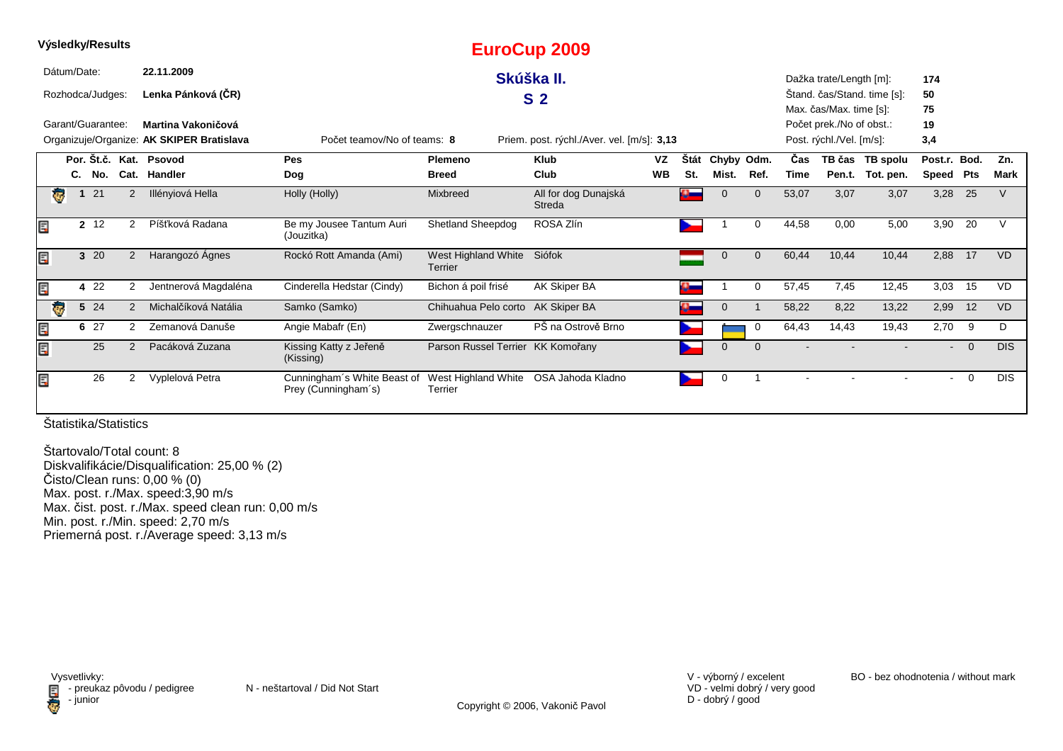|    |                         | Výsledky/Results  |               |                                           |                                                    |                                              | <b>EuroCup 2009</b>                        |           |          |                |              |       |                          |                             |                |                |             |
|----|-------------------------|-------------------|---------------|-------------------------------------------|----------------------------------------------------|----------------------------------------------|--------------------------------------------|-----------|----------|----------------|--------------|-------|--------------------------|-----------------------------|----------------|----------------|-------------|
|    | Dátum/Date:             |                   |               | 22.11.2009                                |                                                    |                                              | Skúška II.                                 |           |          |                |              |       | Dažka trate/Length [m]:  |                             | 174            |                |             |
|    |                         | Rozhodca/Judges:  |               | Lenka Pánková (ČR)                        |                                                    |                                              | S <sub>2</sub>                             |           |          |                |              |       |                          | Stand. čas/Stand. time [s]: | 50             |                |             |
|    |                         |                   |               |                                           |                                                    |                                              |                                            |           |          |                |              |       | Max. čas/Max. time [s]:  |                             | 75             |                |             |
|    |                         | Garant/Guarantee: |               | Martina Vakoničová                        |                                                    |                                              |                                            |           |          |                |              |       | Počet prek./No of obst.: |                             | 19             |                |             |
|    |                         |                   |               | Organizuje/Organize: AK SKIPER Bratislava | Počet teamov/No of teams: 8                        |                                              | Priem. post. rýchl./Aver. vel. [m/s]: 3,13 |           |          |                |              |       | Post. rýchl./Vel. [m/s]: |                             | 3,4            |                |             |
|    |                         |                   |               | Por. Št.č. Kat. Psovod                    | Pes                                                | Plemeno                                      | <b>Klub</b>                                | VZ        | Štát     | Chyby Odm.     |              | Čas   |                          | TB čas TB spolu             | Post.r. Bod.   |                | Zn.         |
|    |                         | C. No.            |               | Cat. Handler                              | <b>Dog</b>                                         | <b>Breed</b>                                 | Club                                       | <b>WB</b> | St.      | Mist.          | Ref.         | Time  |                          | Pen.t. Tot. pen.            | Speed Pts      |                | <b>Mark</b> |
|    | G                       | 21                | 2             | Illényiová Hella                          | Holly (Holly)                                      | Mixbreed                                     | All for dog Dunajská<br>Streda             |           | $\alpha$ | $\Omega$       | $\Omega$     | 53,07 | 3,07                     | 3,07                        | 3,28 25        |                | V           |
| E  |                         | 2 12              | 2             | Píšťková Radana                           | Be my Jousee Tantum Auri<br>(Jouzitka)             | <b>Shetland Sheepdog</b>                     | ROSA Zlín                                  |           |          |                | $\Omega$     | 44,58 | 0,00                     | 5,00                        | 3,90           | -20            |             |
| E. |                         | 3 20              | 2             | Harangozó Ágnes                           | Rockó Rott Amanda (Ami)                            | West Highland White Siófok<br><b>Terrier</b> |                                            |           |          | $\mathbf 0$    | $\mathbf{0}$ | 60,44 | 10,44                    | 10,44                       | 2,88           | 17             | <b>VD</b>   |
| Ę  |                         | 4 2 2             | 2             | Jentnerová Magdaléna                      | Cinderella Hedstar (Cindy)                         | Bichon á poil frisé                          | AK Skiper BA                               |           | $\alpha$ |                | 0            | 57,45 | 7,45                     | 12,45                       | 3,03           | 15             | <b>VD</b>   |
|    | $\overline{\mathbf{v}}$ | 5 24              | 2             | Michalčíková Natália                      | Samko (Samko)                                      | Chihuahua Pelo corto                         | AK Skiper BA                               |           | $\alpha$ | $\mathbf{0}$   |              | 58,22 | 8,22                     | 13,22                       | 2,99           | 12             | <b>VD</b>   |
| Ē, |                         | 6 27              | 2             | Zemanová Danuše                           | Angie Mabafr (En)                                  | Zwergschnauzer                               | PŠ na Ostrově Brno                         |           |          |                | 0            | 64,43 | 14,43                    | 19,43                       | 2,70           | -9             | D           |
| Ę  |                         | 25                | $\mathcal{P}$ | Pacáková Zuzana                           | Kissing Katty z Jeřeně<br>(Kissing)                | Parson Russel Terrier KK Komořany            |                                            |           |          | $\overline{0}$ | $\Omega$     |       |                          |                             | $\blacksquare$ | $\overline{0}$ | DIS.        |
| E  |                         | 26                | 2             | Vyplelová Petra                           | Cunningham's White Beast of<br>Prey (Cunningham's) | West Highland White<br>Terrier               | OSA Jahoda Kladno                          |           |          | 0              |              |       |                          |                             | $\sim$         | $\overline{0}$ | <b>DIS</b>  |

Štartovalo/Total count: 8 Diskvalifikácie/Disqualification: 25,00 % (2) Čisto/Clean runs: 0,00 % (0) Max. post. r./Max. speed:3,90 m/s Max. čist. post. r./Max. speed clean run: 0,00 m/s Min. post. r./Min. speed: 2,70 m/sPriemerná post. r./Average speed: 3,13 m/s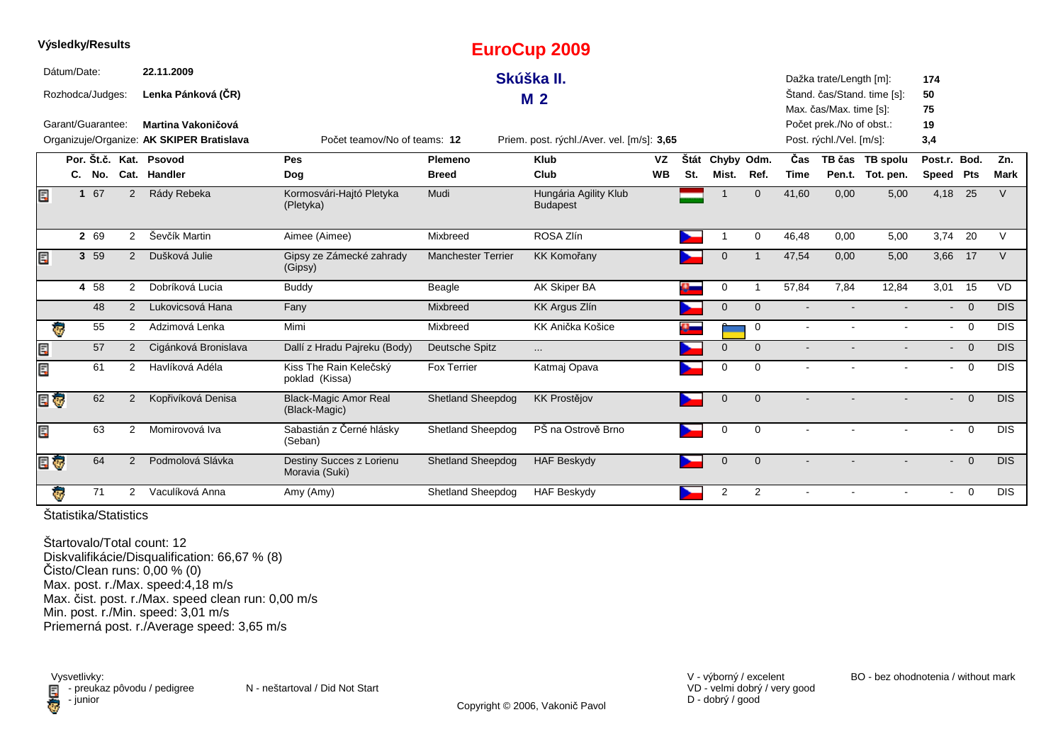|   | <b>vysiedky/Results</b> |                |                                           |                                               |                           | <b>EuroCup 2009</b>                        |           |      |              |                |                |                          |                             |                |                |             |
|---|-------------------------|----------------|-------------------------------------------|-----------------------------------------------|---------------------------|--------------------------------------------|-----------|------|--------------|----------------|----------------|--------------------------|-----------------------------|----------------|----------------|-------------|
|   | Dátum/Date:             |                | 22.11.2009                                |                                               |                           | Skúška II.                                 |           |      |              |                |                | Dažka trate/Length [m]:  |                             | 174            |                |             |
|   | Rozhodca/Judges:        |                | Lenka Pánková (ČR)                        |                                               |                           |                                            |           |      |              |                |                |                          | Štand. čas/Stand. time [s]: | 50             |                |             |
|   |                         |                |                                           |                                               |                           | M <sub>2</sub>                             |           |      |              |                |                | Max. čas/Max. time [s]:  |                             | 75             |                |             |
|   | Garant/Guarantee:       |                | Martina Vakoničová                        |                                               |                           |                                            |           |      |              |                |                | Počet prek./No of obst.: |                             | 19             |                |             |
|   |                         |                | Organizuje/Organize: AK SKIPER Bratislava | Počet teamov/No of teams: 12                  |                           | Priem. post. rýchl./Aver. vel. [m/s]: 3,65 |           |      |              |                |                | Post. rýchl./Vel. [m/s]: |                             | 3,4            |                |             |
|   |                         |                | Por. Št.č. Kat. Psovod                    | Pes                                           | Plemeno                   | <b>Klub</b>                                | <b>VZ</b> | Štát | Chyby Odm.   |                | Čas            |                          | TB čas TB spolu             | Post.r. Bod.   |                | Zn.         |
|   | C. No.                  |                | Cat. Handler                              | Dog                                           | <b>Breed</b>              | Club                                       | <b>WB</b> | St.  | Mist.        | Ref.           | <b>Time</b>    |                          | Pen.t. Tot. pen.            | Speed Pts      |                | <b>Mark</b> |
| E | 1 67                    | 2              | Rády Rebeka                               | Kormosvári-Hajtó Pletyka<br>(Pletyka)         | Mudi                      | Hungária Agility Klub<br><b>Budapest</b>   |           |      |              | $\Omega$       | 41,60          | 0,00                     | 5,00                        | 4,18 25        |                | $\vee$      |
|   | 2 69                    | $\overline{2}$ | Ševčík Martin                             | Aimee (Aimee)                                 | Mixbreed                  | ROSA Zlín                                  |           |      |              | $\Omega$       | 46,48          | 0,00                     | 5,00                        | 3,74 20        |                | $\vee$      |
| E | 3 59                    | $\overline{2}$ | Dušková Julie                             | Gipsy ze Zámecké zahrady<br>(Gipsy)           | <b>Manchester Terrier</b> | <b>KK Komořany</b>                         |           |      | $\Omega$     |                | 47,54          | 0,00                     | 5,00                        | 3,66           | 17             | $\vee$      |
|   | 4 58                    | $\overline{2}$ | Dobríková Lucia                           | <b>Buddy</b>                                  | Beagle                    | AK Skiper BA                               |           |      | 0            |                | 57,84          | 7.84                     | 12,84                       | 3,01 15        |                | <b>VD</b>   |
|   | 48                      | $\overline{2}$ | Lukovicsová Hana                          | Fany                                          | Mixbreed                  | <b>KK Argus Zlín</b>                       |           |      | $\Omega$     | $\Omega$       |                |                          |                             |                | $- 0$          | <b>DIS</b>  |
|   | 55<br>Ģ                 | 2              | Adzimová Lenka                            | Mimi                                          | Mixbreed                  | KK Anička Košice                           |           |      |              | $\mathbf{0}$   | $\sim$         |                          |                             | $\blacksquare$ | $\overline{0}$ | <b>DIS</b>  |
| E | 57                      | $\overline{2}$ | Cigánková Bronislava                      | Dallí z Hradu Pajreku (Body)                  | Deutsche Spitz            | .                                          |           |      | $\Omega$     | $\Omega$       |                |                          |                             |                | $- 0$          | <b>DIS</b>  |
| Ę | 61                      | $\overline{2}$ | Havlíková Adéla                           | Kiss The Rain Kelečský<br>poklad (Kissa)      | <b>Fox Terrier</b>        | Katmaj Opava                               |           |      | $\Omega$     | $\Omega$       | $\sim$         |                          |                             | $\blacksquare$ | $\overline{0}$ | <b>DIS</b>  |
|   | E T<br>62               | 2              | Kopřivíková Denisa                        | <b>Black-Magic Amor Real</b><br>(Black-Magic) | <b>Shetland Sheepdog</b>  | <b>KK Prostějov</b>                        |           |      | $\mathbf{0}$ | $\mathbf{0}$   |                |                          |                             | $\sim$         | $\overline{0}$ | <b>DIS</b>  |
| E | 63                      | 2              | Momirovová Iva                            | Sabastián z Černé hlásky<br>(Seban)           | Shetland Sheepdog         | PŠ na Ostrově Brno                         |           |      | $\Omega$     | $\Omega$       | $\sim$         |                          |                             |                | $- 0$          | <b>DIS</b>  |
|   | 64<br>EU                | 2              | Podmolová Slávka                          | Destiny Succes z Lorienu<br>Moravia (Suki)    | <b>Shetland Sheepdog</b>  | <b>HAF Beskydy</b>                         |           |      | $\mathbf 0$  | $\overline{0}$ | $\blacksquare$ |                          | $\sim$                      | $\blacksquare$ | $\overline{0}$ | <b>DIS</b>  |
|   | ÷<br>71                 | $\overline{2}$ | Vaculíková Anna                           | Amy (Amy)                                     | <b>Shetland Sheepdog</b>  | <b>HAF Beskydy</b>                         |           |      | 2            | $\overline{2}$ |                |                          |                             | $\sim$         | $\overline{0}$ | <b>DIS</b>  |

**Výsledky/Results**

Štartovalo/Total count: 12 Diskvalifikácie/Disqualification: 66,67 % (8)Čisto/Clean runs: 0,00 % (0) Max. post. r./Max. speed:4,18 m/s Max. čist. post. r./Max. speed clean run: 0,00 m/s Min. post. r./Min. speed: 3,01 m/sPriemerná post. r./Average speed: 3,65 m/s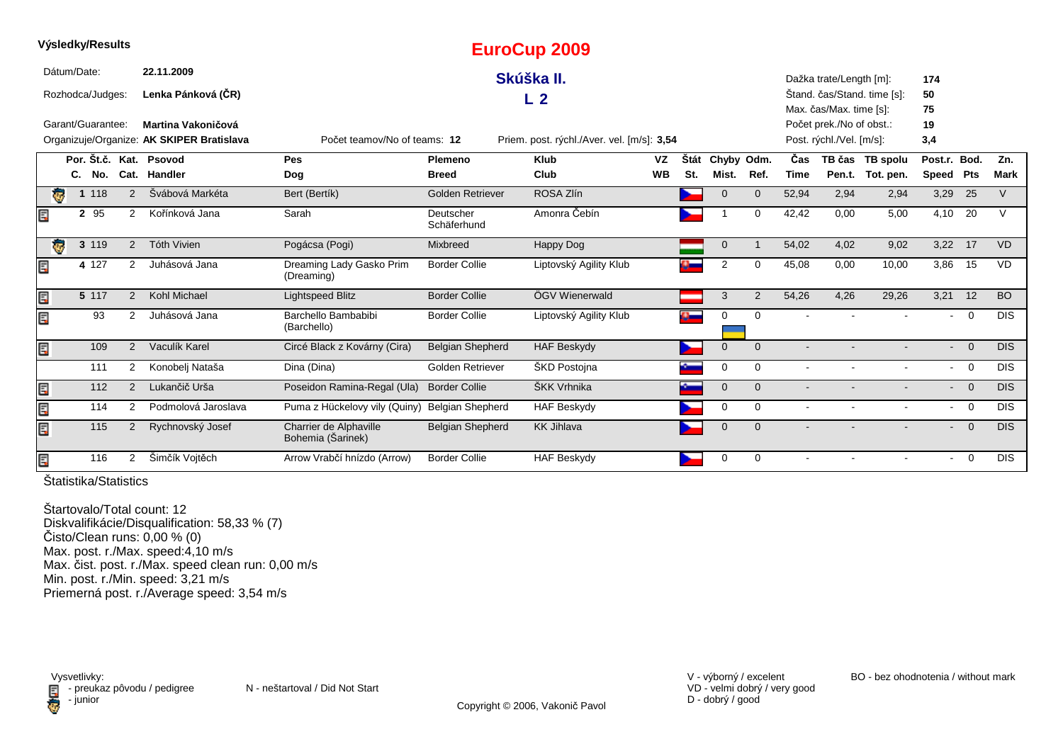|   | Výsledky/Results        |         |     |                |                                           |                                             |                          | EuroCup 2009                               |           |           |                |                |        |                          |                             |                |                |            |
|---|-------------------------|---------|-----|----------------|-------------------------------------------|---------------------------------------------|--------------------------|--------------------------------------------|-----------|-----------|----------------|----------------|--------|--------------------------|-----------------------------|----------------|----------------|------------|
|   | Dátum/Date:             |         |     |                | 22.11.2009                                |                                             |                          | Skúška II.                                 |           |           |                |                |        | Dažka trate/Length [m]:  |                             | 174            |                |            |
|   | Rozhodca/Judges:        |         |     |                | Lenka Pánková (ČR)                        |                                             |                          | L <sub>2</sub>                             |           |           |                |                |        |                          | Štand. čas/Stand. time [s]: | 50             |                |            |
|   |                         |         |     |                |                                           |                                             |                          |                                            |           |           |                |                |        | Max. čas/Max. time [s]:  |                             | 75             |                |            |
|   | Garant/Guarantee:       |         |     |                | Martina Vakoničová                        |                                             |                          |                                            |           |           |                |                |        | Počet prek./No of obst.: |                             | 19             |                |            |
|   |                         |         |     |                | Organizuje/Organize: AK SKIPER Bratislava | Počet teamov/No of teams: 12                |                          | Priem. post. rýchl./Aver. vel. [m/s]: 3,54 |           |           |                |                |        | Post. rýchl./Vel. [m/s]: |                             | 3,4            |                |            |
|   |                         |         |     |                | Por. Št.č. Kat. Psovod                    | Pes                                         | Plemeno                  | <b>Klub</b>                                | <b>VZ</b> | Štát      | Chyby Odm.     |                | Čas    |                          | TB čas TB spolu             | Post.r. Bod.   |                | Zn.        |
|   |                         | C.      | No. |                | Cat. Handler                              | Dog                                         | <b>Breed</b>             | Club                                       | <b>WB</b> | St.       | Mist.          | Ref.           | Time   |                          | Pen.t. Tot. pen.            | Speed Pts      |                | Mark       |
|   | Ģ                       | 1 1 1 8 |     | 2              | Švábová Markéta                           | Bert (Bertík)                               | Golden Retriever         | ROSA Zlín                                  |           |           | $\Omega$       | $\overline{0}$ | 52,94  | 2,94                     | 2,94                        | 3,29           | 25             | $\vee$     |
| Ę |                         | 2 95    |     | $\overline{2}$ | Kořínková Jana                            | Sarah                                       | Deutscher<br>Schäferhund | Amonra Čebín                               |           |           |                | $\Omega$       | 42,42  | 0.00                     | 5,00                        | 4,10           | 20             | $\vee$     |
|   | $\overline{\mathbf{e}}$ | 3 119   |     | 2              | <b>Tóth Vivien</b>                        | Pogácsa (Pogi)                              | Mixbreed                 | Happy Dog                                  |           |           | $\mathbf 0$    | -1             | 54,02  | 4,02                     | 9,02                        | 3,22 17        |                | VD         |
| Ę |                         | 4 127   |     | 2              | Juhásová Jana                             | Dreaming Lady Gasko Prim<br>(Dreaming)      | <b>Border Collie</b>     | Liptovský Agility Klub                     |           |           | 2              | $\Omega$       | 45,08  | 0,00                     | 10,00                       | 3,86           | 15             | VD         |
| Ę |                         | 5 117   |     | 2              | Kohl Michael                              | <b>Lightspeed Blitz</b>                     | <b>Border Collie</b>     | ÖGV Wienerwald                             |           |           | 3              | 2              | 54,26  | 4,26                     | 29,26                       | 3,21           | 12             | <b>BO</b>  |
| Ę |                         |         | 93  | $\overline{2}$ | Juhásová Jana                             | Barchello Bambabibi<br>(Barchello)          | <b>Border Collie</b>     | Liptovský Agility Klub                     |           | $\alpha-$ | 0              | $\mathbf 0$    |        |                          |                             | $\blacksquare$ | $\overline{0}$ | <b>DIS</b> |
| E |                         |         | 109 | 2              | Vaculík Karel                             | Circé Black z Kovárny (Cira)                | <b>Belgian Shepherd</b>  | <b>HAF Beskydy</b>                         |           |           | $\mathbf{0}$   | $\Omega$       |        |                          |                             | $\sim$         | $\Omega$       | <b>DIS</b> |
|   |                         |         | 111 | 2              | Konobelj Nataša                           | Dina (Dina)                                 | Golden Retriever         | ŠKD Postojna                               |           |           | 0              | $\Omega$       | $\sim$ |                          |                             | $\blacksquare$ | $\overline{0}$ | <b>DIS</b> |
| Ę |                         |         | 112 | 2              | Lukančič Urša                             | Poseidon Ramina-Regal (Ula)                 | <b>Border Collie</b>     | ŠKK Vrhnika                                |           |           | $\mathbf{0}$   | $\Omega$       |        |                          |                             |                | $- 0$          | <b>DIS</b> |
| Ę |                         |         | 114 | 2              | Podmolová Jaroslava                       | Puma z Hückelovy vily (Quiny)               | <b>Belgian Shepherd</b>  | <b>HAF Beskydy</b>                         |           |           | 0              | $\mathbf 0$    | $\sim$ |                          | $\blacksquare$              | $\blacksquare$ | $\overline{0}$ | <b>DIS</b> |
| Ę |                         |         | 115 | 2              | Rychnovský Josef                          | Charrier de Alphaville<br>Bohemia (Sarinek) | <b>Belgian Shepherd</b>  | <b>KK Jihlava</b>                          |           |           | $\overline{0}$ | $\overline{0}$ |        |                          |                             | $\blacksquare$ | $\overline{0}$ | <b>DIS</b> |
| E |                         |         | 116 | 2              | Šimčík Vojtěch                            | Arrow Vrabčí hnízdo (Arrow)                 | <b>Border Collie</b>     | <b>HAF Beskydy</b>                         |           |           | 0              | $\mathbf 0$    |        |                          |                             | $\blacksquare$ | $\overline{0}$ | <b>DIS</b> |

Štartovalo/Total count: 12 Diskvalifikácie/Disqualification: 58,33 % (7) Čisto/Clean runs: 0,00 % (0) Max. post. r./Max. speed:4,10 m/s Max. čist. post. r./Max. speed clean run: 0,00 m/sMin. post. r./Min. speed: 3,21 m/s Priemerná post. r./Average speed: 3,54 m/s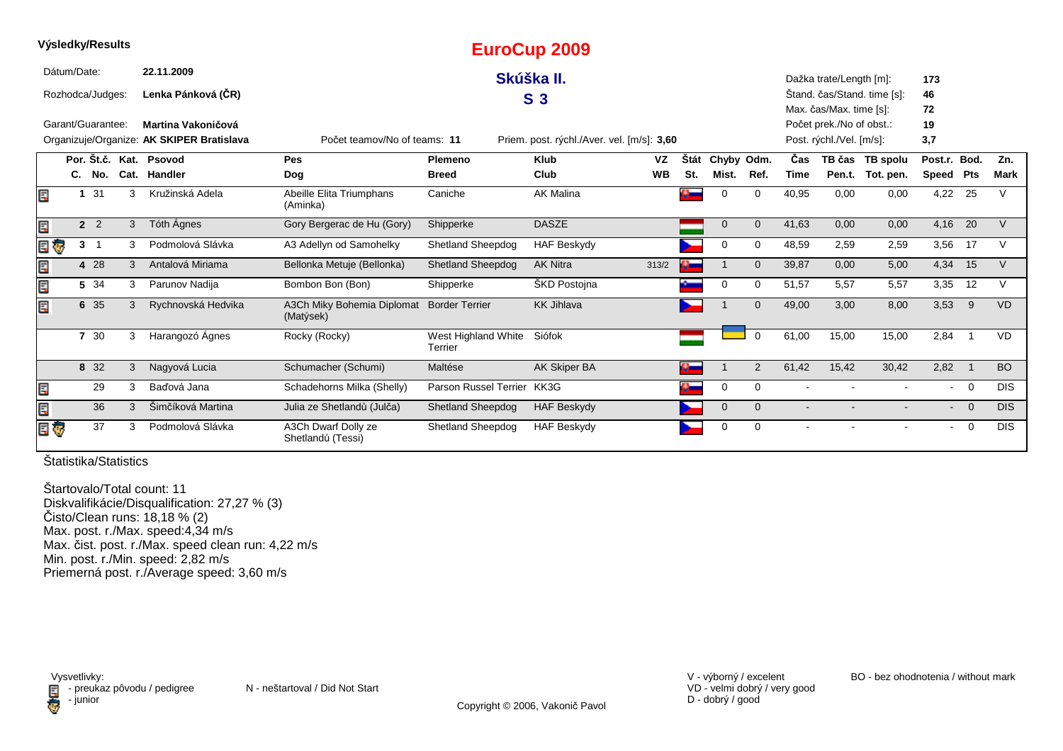|     | Výsledky/Results  |                      |   |                                           |                                          |                                | <b>EuroCup 2009</b>                        |           |              |             |                |                |                          |                             |              |                            |             |
|-----|-------------------|----------------------|---|-------------------------------------------|------------------------------------------|--------------------------------|--------------------------------------------|-----------|--------------|-------------|----------------|----------------|--------------------------|-----------------------------|--------------|----------------------------|-------------|
|     | Dátum/Date:       |                      |   | 22.11.2009                                |                                          |                                | Skúška II.                                 |           |              |             |                |                | Dažka trate/Length [m]:  |                             | 173          |                            |             |
|     | Rozhodca/Judges:  |                      |   | Lenka Pánková (ČR)                        |                                          |                                | S <sub>3</sub>                             |           |              |             |                |                |                          | Stand. čas/Stand. time [s]: | 46           |                            |             |
|     |                   |                      |   |                                           |                                          |                                |                                            |           |              |             |                |                | Max. čas/Max. time [s]:  |                             | 72           |                            |             |
|     | Garant/Guarantee: |                      |   | Martina Vakoničová                        |                                          |                                |                                            |           |              |             |                |                | Počet prek./No of obst.: |                             | 19           |                            |             |
|     |                   |                      |   | Organizuje/Organize: AK SKIPER Bratislava | Počet teamov/No of teams: 11             |                                | Priem. post. rýchl./Aver. vel. [m/s]: 3,60 |           |              |             |                |                | Post. rýchl./Vel. [m/s]: |                             | 3,7          |                            |             |
|     |                   |                      |   | Por. Št.č. Kat. Psovod                    | Pes                                      | Plemeno                        | <b>Klub</b>                                | VZ        | <b>Stát</b>  | Chyby Odm.  |                | Čas            |                          | TB čas TB spolu             | Post.r. Bod. |                            | Zn.         |
|     |                   | C. No.               |   | Cat. Handler                              | Dog                                      | <b>Breed</b>                   | Club                                       | <b>WB</b> | St.          | Mist.       | Ref.           | <b>Time</b>    |                          | Pen.t. Tot. pen.            | Speed        | Pts                        | <b>Mark</b> |
| E   |                   | 1 31                 | 3 | Kružinská Adela                           | Abeille Elita Triumphans<br>(Aminka)     | Caniche                        | <b>AK Malina</b>                           |           | $\mathbf{a}$ | $\Omega$    | $\Omega$       | 40,95          | 0,00                     | 0,00                        | 4,22 25      |                            | $\vee$      |
| E   |                   | 2 <sup>2</sup>       | 3 | Tóth Ágnes                                | Gory Bergerac de Hu (Gory)               | Shipperke                      | <b>DASZE</b>                               |           |              | $\mathbf 0$ | $\Omega$       | 41,63          | 0,00                     | 0,00                        | 4,16         | 20                         | V           |
| e Ç |                   | 3 <sub>1</sub>       | 3 | Podmolová Slávka                          | A3 Adellyn od Samohelky                  | <b>Shetland Sheepdog</b>       | <b>HAF Beskydy</b>                         |           |              | 0           | 0              | 48,59          | 2,59                     | 2,59                        | 3,56         | 17                         | V           |
| Ę   |                   | 4 28                 | 3 | Antalová Miriama                          | Bellonka Metuje (Bellonka)               | <b>Shetland Sheepdog</b>       | <b>AK Nitra</b>                            | 313/2     |              |             | $\Omega$       | 39,87          | 0,00                     | 5,00                        | 4,34         | 15                         | V           |
| Ξ   |                   | 5 34                 | 3 | Parunov Nadija                            | Bombon Bon (Bon)                         | Shipperke                      | ŠKD Postojna                               |           |              | 0           | $\Omega$       | 51,57          | 5,57                     | 5,57                        | 3,35         | 12                         | $\vee$      |
|     |                   | 6 35                 | 3 | Rychnovská Hedvika                        | A3Ch Miky Bohemia Diplomat<br>(Matýsek)  | <b>Border Terrier</b>          | <b>KK Jihlava</b>                          |           |              |             | $\Omega$       | 49,00          | 3,00                     | 8,00                        | 3,53         | 9                          | <b>VD</b>   |
|     |                   | 30<br>$\overline{7}$ | 3 | Harangozó Ágnes                           | Rocky (Rocky)                            | West Highland White<br>Terrier | Siófok                                     |           |              |             | $\Omega$       | 61,00          | 15,00                    | 15,00                       | 2,84         | - 1                        | <b>VD</b>   |
|     |                   | 8 32                 | 3 | Nagyová Lucia                             | Schumacher (Schumi)                      | Maltése                        | AK Skiper BA                               |           | $\Omega$     |             | $\overline{2}$ | 61,42          | 15,42                    | 30,42                       | 2,82         | $\overline{\phantom{0}}$ 1 | <b>BO</b>   |
|     |                   | 29                   | 3 | Baďová Jana                               | Schadehorns Milka (Shelly)               | Parson Russel Terrier          | KK3G                                       |           |              | 0           | 0              | $\blacksquare$ |                          |                             | $\sim$       | $\overline{0}$             | <b>DIS</b>  |
|     |                   | 36                   | 3 | Šimčíková Martina                         | Julia ze Shetlandů (Julča)               | <b>Shetland Sheepdog</b>       | <b>HAF Beskydy</b>                         |           |              | $\mathbf 0$ | $\mathbf{0}$   | $\blacksquare$ |                          |                             |              | $- 0$                      | <b>DIS</b>  |
| e o |                   | 37                   | 3 | Podmolová Slávka                          | A3Ch Dwarf Dolly ze<br>Shetlandů (Tessi) | <b>Shetland Sheepdog</b>       | <b>HAF Beskydy</b>                         |           |              | 0           | 0              |                |                          |                             |              | $\overline{0}$             | <b>DIS</b>  |

**Výsledky/Results**

Štartovalo/Total count: 11 Diskvalifikácie/Disqualification: 27,27 % (3) Čisto/Clean runs: 18,18 % (2) Max. post. r./Max. speed:4,34 m/s Max. čist. post. r./Max. speed clean run: 4,22 m/sMin. post. r./Min. speed: 2,82 m/s Priemerná post. r./Average speed: 3,60 m/s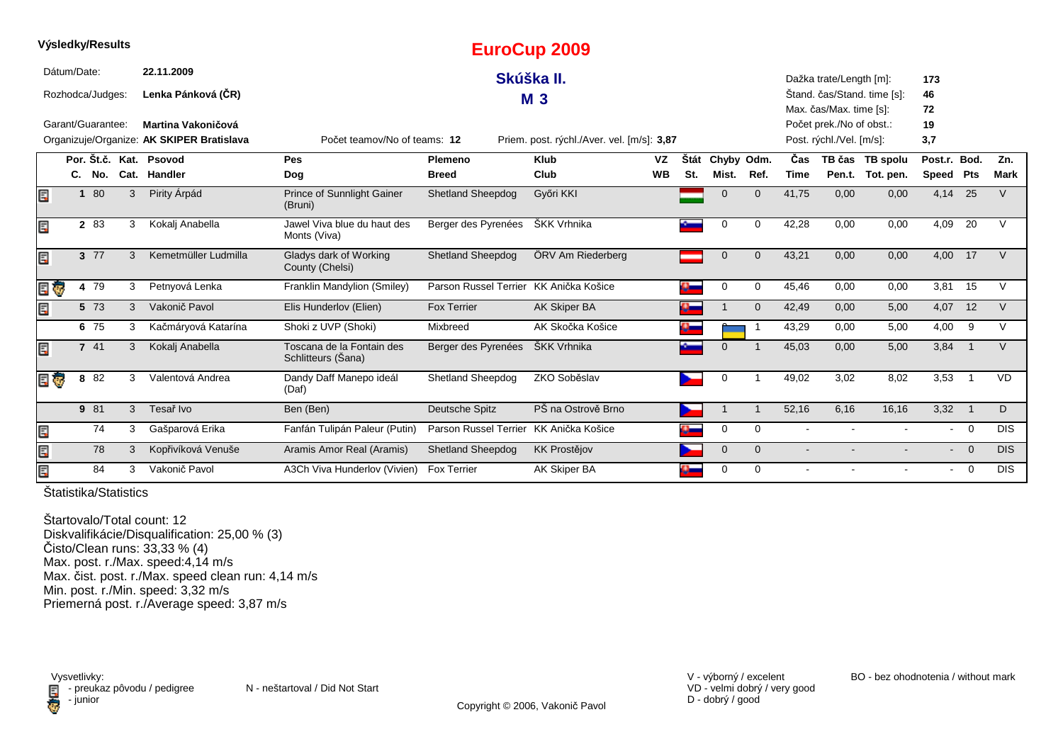|                         |             |                   |   |                                           |                                                 |                                        | LUI UUUP ZUUJ                              |           |      |              |              |                |                          |                             |              |                            |             |
|-------------------------|-------------|-------------------|---|-------------------------------------------|-------------------------------------------------|----------------------------------------|--------------------------------------------|-----------|------|--------------|--------------|----------------|--------------------------|-----------------------------|--------------|----------------------------|-------------|
|                         | Dátum/Date: |                   |   | 22.11.2009                                |                                                 |                                        | Skúška II.                                 |           |      |              |              |                | Dažka trate/Length [m]:  |                             | 173          |                            |             |
|                         |             | Rozhodca/Judges:  |   | Lenka Pánková (ČR)                        |                                                 |                                        | M 3                                        |           |      |              |              |                |                          | Štand. čas/Stand. time [s]: | 46           |                            |             |
|                         |             |                   |   |                                           |                                                 |                                        |                                            |           |      |              |              |                | Max. čas/Max. time [s]:  |                             | 72           |                            |             |
|                         |             | Garant/Guarantee: |   | Martina Vakoničová                        |                                                 |                                        |                                            |           |      |              |              |                | Počet prek./No of obst.: |                             | 19           |                            |             |
|                         |             |                   |   | Organizuje/Organize: AK SKIPER Bratislava | Počet teamov/No of teams: 12                    |                                        | Priem. post. rýchl./Aver. vel. [m/s]: 3,87 |           |      |              |              |                | Post. rýchl./Vel. [m/s]: |                             | 3,7          |                            |             |
|                         |             |                   |   | Por. Št.č. Kat. Psovod                    | Pes                                             | Plemeno                                | Klub                                       | <b>VZ</b> | Štát | Chyby Odm.   |              | Čas            |                          | TB čas TB spolu             | Post.r. Bod. |                            | Zn.         |
|                         |             | C. No.            |   | Cat. Handler                              | Dog                                             | <b>Breed</b>                           | Club                                       | <b>WB</b> | St.  | Mist.        | Ref.         | <b>Time</b>    |                          | Pen.t. Tot. pen.            | Speed        | <b>Pts</b>                 | <b>Mark</b> |
| E                       |             | 1 80              | 3 | Pirity Árpád                              | Prince of Sunnlight Gainer<br>(Bruni)           | <b>Shetland Sheepdog</b>               | Győri KKI                                  |           |      | $\Omega$     | $\Omega$     | 41,75          | 0.00                     | 0.00                        | 4,14         | 25                         | $\vee$      |
| Ę                       |             | 2 83              | 3 | Kokalj Anabella                           | Jawel Viva blue du haut des<br>Monts (Viva)     | Berger des Pyrenées                    | ŠKK Vrhnika                                |           |      | 0            | $\Omega$     | 42,28          | 0,00                     | 0,00                        | 4,09         | 20                         | $\vee$      |
| Ę                       |             | 3 77              | 3 | Kemetmüller Ludmilla                      | Gladys dark of Working<br>County (Chelsi)       | <b>Shetland Sheepdog</b>               | ÖRV Am Riederberg                          |           |      | $\Omega$     | $\Omega$     | 43,21          | 0,00                     | 0,00                        | 4,00 17      |                            | $\vee$      |
|                         | Ģ           | 4 79              | 3 | Petnyová Lenka                            | Franklin Mandylion (Smiley)                     | Parson Russel Terrier KK Anička Košice |                                            |           |      | $\Omega$     | $\mathbf 0$  | 45,46          | 0,00                     | 0,00                        | 3,81         | 15                         | $\vee$      |
|                         |             | 5 73              | 3 | Vakonič Pavol                             | Elis Hunderlov (Elien)                          | <b>Fox Terrier</b>                     | <b>AK Skiper BA</b>                        |           | æ.   |              | $\mathbf{0}$ | 42,49          | 0,00                     | 5,00                        | 4,07         | 12                         | $\vee$      |
|                         |             | 6 75              | 3 | Kačmáryová Katarína                       | Shoki z UVP (Shoki)                             | Mixbreed                               | AK Skočka Košice                           |           | o –  |              |              | 43,29          | 0,00                     | 5,00                        | 4,00         | 9                          | $\vee$      |
| Ε                       |             | 7 41              | 3 | Kokalj Anabella                           | Toscana de la Fontain des<br>Schlitteurs (Sana) | Berger des Pyrenées                    | ŠKK Vrhnika                                |           |      | $\Omega$     |              | 45,03          | 0,00                     | 5,00                        | 3,84         | $\overline{\phantom{0}}$ 1 | $\vee$      |
| $\overline{\mathbf{e}}$ |             | 8 82              | 3 | Valentová Andrea                          | Dandy Daff Manepo ideál<br>(Daf)                | <b>Shetland Sheepdog</b>               | ZKO Soběslav                               |           |      | $\Omega$     |              | 49,02          | 3,02                     | 8,02                        | 3,53         | $\overline{1}$             | <b>VD</b>   |
|                         |             | 9 81              | 3 | Tesař Ivo                                 | Ben (Ben)                                       | Deutsche Spitz                         | PŠ na Ostrově Brno                         |           |      |              | -1           | 52,16          | 6,16                     | 16,16                       | 3,32         | $\overline{\phantom{0}}$ 1 | D           |
| E                       |             | 74                | 3 | Gašparová Erika                           | Fanfán Tulipán Paleur (Putin)                   | Parson Russel Terrier                  | KK Anička Košice                           |           |      | 0            | 0            | $\blacksquare$ |                          |                             |              | $- 0$                      | <b>DIS</b>  |
| E                       |             | 78                | 3 | Kopřivíková Venuše                        | Aramis Amor Real (Aramis)                       | <b>Shetland Sheepdog</b>               | <b>KK Prostějov</b>                        |           |      | $\mathbf{0}$ | $\mathbf{0}$ |                |                          |                             |              | $- 0$                      | <b>DIS</b>  |
|                         |             | 84                | 3 | Vakonič Pavol                             | A3Ch Viva Hunderlov (Vivien)                    | <b>Fox Terrier</b>                     | AK Skiper BA                               |           |      | $\Omega$     | $\Omega$     |                |                          |                             | $\sim$       | $\overline{0}$             | <b>DIS</b>  |

**EuroCup 2009**

Štatistika/Statistics

**Výsledky/Results**

Štartovalo/Total count: 12 Diskvalifikácie/Disqualification: 25,00 % (3)Čisto/Clean runs: 33,33 % (4) Max. post. r./Max. speed:4,14 m/s Max. čist. post. r./Max. speed clean run: 4,14 m/sMin. post. r./Min. speed: 3,32 m/s Priemerná post. r./Average speed: 3,87 m/s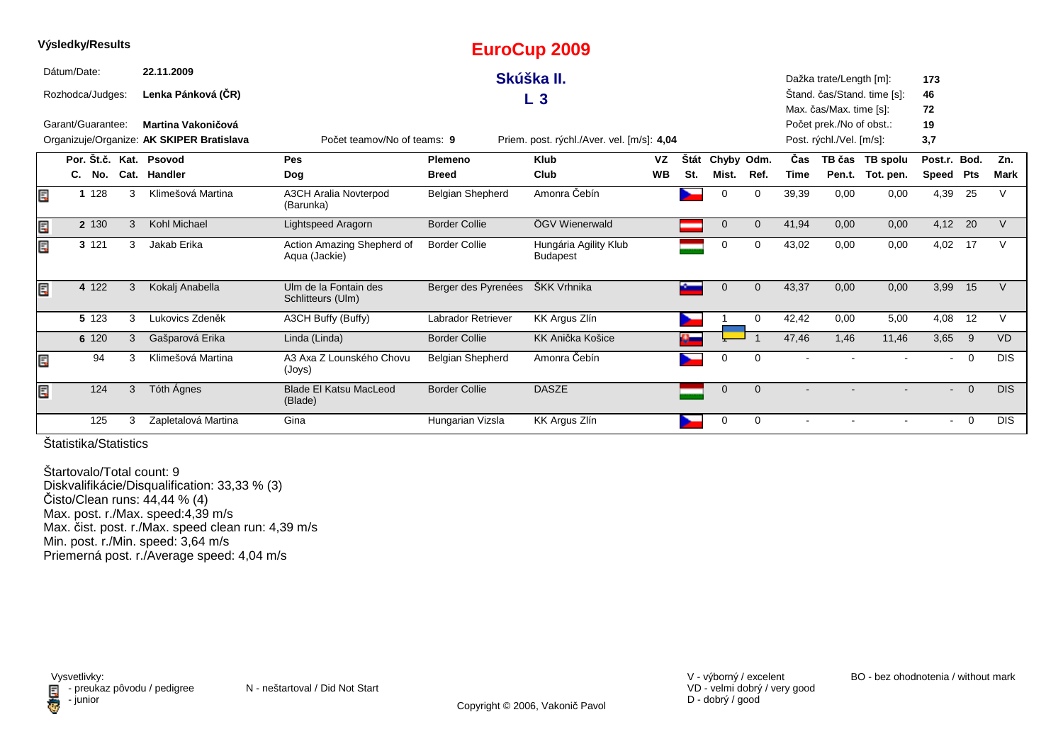|    | Výsledky/Results  |   |                                           |                                             |                         | <b>EuroCup 2009</b>                        |           |      |             |          |                |                          |                             |              |                |               |
|----|-------------------|---|-------------------------------------------|---------------------------------------------|-------------------------|--------------------------------------------|-----------|------|-------------|----------|----------------|--------------------------|-----------------------------|--------------|----------------|---------------|
|    | Dátum/Date:       |   | 22.11.2009                                |                                             |                         | Skúška II.                                 |           |      |             |          |                | Dažka trate/Length [m]:  |                             | 173          |                |               |
|    | Rozhodca/Judges:  |   | Lenka Pánková (ČR)                        |                                             |                         | L <sub>3</sub>                             |           |      |             |          |                |                          | Štand. čas/Stand. time [s]: | 46           |                |               |
|    |                   |   |                                           |                                             |                         |                                            |           |      |             |          |                | Max. čas/Max. time [s]:  |                             | 72           |                |               |
|    | Garant/Guarantee: |   | Martina Vakoničová                        |                                             |                         |                                            |           |      |             |          |                | Počet prek./No of obst.: |                             | 19           |                |               |
|    |                   |   | Organizuje/Organize: AK SKIPER Bratislava | Počet teamov/No of teams: 9                 |                         | Priem. post. rýchl./Aver. vel. [m/s]: 4,04 |           |      |             |          |                | Post. rýchl./Vel. [m/s]: |                             | 3,7          |                |               |
|    |                   |   | Por. Št.č. Kat. Psovod                    | Pes                                         | <b>Plemeno</b>          | <b>Klub</b>                                | <b>VZ</b> | Štát | Chyby Odm.  |          | Čas            |                          | TB čas TB spolu             | Post.r. Bod. |                | Zn.           |
|    | C. No.            |   | Cat. Handler                              | Dog                                         | <b>Breed</b>            | Club                                       | <b>WB</b> | St.  | Mist.       | Ref.     | <b>Time</b>    |                          | Pen.t. Tot. pen.            | Speed        | <b>Pts</b>     | <b>Mark</b>   |
| Ē. | 1 1 2 8           | 3 | Klimešová Martina                         | <b>A3CH Aralia Novterpod</b><br>(Barunka)   | <b>Belgian Shepherd</b> | Amonra Čebín                               |           |      | $\Omega$    | $\Omega$ | 39,39          | 0,00                     | 0,00                        | 4,39         | 25             | $\mathcal{U}$ |
| E, | 2 130             | 3 | Kohl Michael                              | Lightspeed Aragorn                          | <b>Border Collie</b>    | ÖGV Wienerwald                             |           |      | $\mathbf 0$ | $\Omega$ | 41,94          | 0,00                     | 0,00                        | 4,12 20      |                | $\vee$        |
| Ę  | 3 1 2 1           | 3 | Jakab Erika                               | Action Amazing Shepherd of<br>Aqua (Jackie) | <b>Border Collie</b>    | Hungária Agility Klub<br><b>Budapest</b>   |           |      | 0           | $\Omega$ | 43,02          | 0,00                     | 0,00                        | 4,02         | 17             | $\vee$        |
| E. | 4 122             | 3 | Kokalj Anabella                           | Ulm de la Fontain des<br>Schlitteurs (Ulm)  | Berger des Pyrenées     | ŠKK Vrhnika                                |           |      |             | $\Omega$ | 43,37          | 0,00                     | 0,00                        | 3,99         | 15             | $\vee$        |
|    | 5 123             | 3 | Lukovics Zdeněk                           | A3CH Buffy (Buffy)                          | Labrador Retriever      | KK Argus Zlín                              |           |      |             | $\Omega$ | 42,42          | 0.00                     | 5.00                        | 4,08         | 12             | $\vee$        |
|    | 6 120             | 3 | Gašparová Erika                           | Linda (Linda)                               | <b>Border Collie</b>    | <b>KK Anička Košice</b>                    |           |      |             |          | 47,46          | 1,46                     | 11,46                       | 3,65         | 9              | <b>VD</b>     |
| E  | 94                | 3 | Klimešová Martina                         | A3 Axa Z Lounského Chovu<br>(Joys)          | <b>Belgian Shepherd</b> | Amonra Čebín                               |           |      | $\Omega$    | $\Omega$ |                |                          |                             |              | $\overline{0}$ | <b>DIS</b>    |
| Ē. | 124               | 3 | Tóth Ágnes                                | <b>Blade El Katsu MacLeod</b><br>(Blade)    | <b>Border Collie</b>    | <b>DASZE</b>                               |           |      | $\mathbf 0$ | $\Omega$ |                |                          |                             | $\sim$       | $\overline{0}$ | <b>DIS</b>    |
|    | 125               | 3 | Zapletalová Martina                       | Gina                                        | Hungarian Vizsla        | <b>KK Argus Zlín</b>                       |           |      | 0           | 0        | $\blacksquare$ |                          |                             | $\sim$       | - 0            | <b>DIS</b>    |

**Výsledky/Results**

Štartovalo/Total count: 9 Diskvalifikácie/Disqualification: 33,33 % (3)Čisto/Clean runs: 44,44 % (4) Max. post. r./Max. speed:4,39 m/s Max. čist. post. r./Max. speed clean run: 4,39 m/sMin. post. r./Min. speed: 3,64 m/sPriemerná post. r./Average speed: 4,04 m/s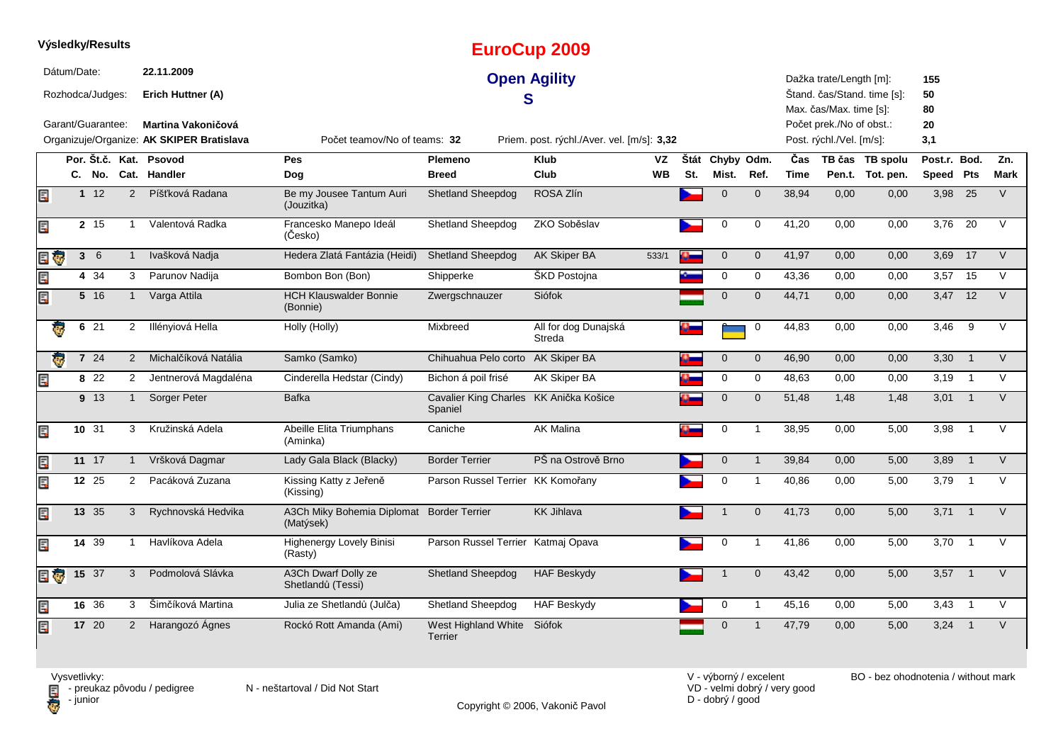|     |             | Výsledky/Results  |                |                                                                 |                                                        |                                                   | <b>EuroCup 2009</b>                        |           |      |              |              |             |                                                                                 |                             |                 |                |        |
|-----|-------------|-------------------|----------------|-----------------------------------------------------------------|--------------------------------------------------------|---------------------------------------------------|--------------------------------------------|-----------|------|--------------|--------------|-------------|---------------------------------------------------------------------------------|-----------------------------|-----------------|----------------|--------|
|     | Dátum/Date: | Rozhodca/Judges:  |                | 22.11.2009<br>Erich Huttner (A)                                 |                                                        | S                                                 | <b>Open Agility</b>                        |           |      |              |              |             | Dažka trate/Length [m]:                                                         | Stand. čas/Stand. time [s]: | 155<br>50       |                |        |
|     |             | Garant/Guarantee: |                | Martina Vakoničová<br>Organizuje/Organize: AK SKIPER Bratislava | Počet teamov/No of teams: 32                           |                                                   | Priem. post. rýchl./Aver. vel. [m/s]: 3,32 |           |      |              |              |             | Max. čas/Max. time [s]:<br>Počet prek./No of obst.:<br>Post. rýchl./Vel. [m/s]: |                             | 80<br>20<br>3,1 |                |        |
|     |             | Por. Št.č. Kat.   |                | Psovod                                                          | <b>Pes</b>                                             | <b>Plemeno</b>                                    | <b>Klub</b>                                | <b>VZ</b> | Štát | Chyby Odm.   |              | Čas         |                                                                                 | TB čas TB spolu             | Post.r. Bod.    |                | Zn.    |
|     |             | C. No.            |                | Cat. Handler                                                    | Dog                                                    | <b>Breed</b>                                      | Club                                       | <b>WB</b> | St.  | Mist.        | Ref.         | <b>Time</b> |                                                                                 | Pen.t. Tot. pen.            | Speed Pts       |                | Mark   |
| E   |             | $1 \t12$          | 2              | Píšťková Radana                                                 | Be my Jousee Tantum Auri<br>(Jouzitka)                 | <b>Shetland Sheepdog</b>                          | ROSA Zlín                                  |           |      | $\mathbf{0}$ | $\mathbf{0}$ | 38,94       | 0,00                                                                            | 0,00                        | 3,98            | 25             | $\vee$ |
| Ę   |             | 2 15              | $\mathbf{1}$   | Valentová Radka                                                 | Francesko Manepo Ideál<br>(Česko)                      | Shetland Sheepdog                                 | ZKO Soběslav                               |           |      | 0            | $\mathbf 0$  | 41,20       | 0,00                                                                            | 0,00                        | 3,76            | 20             | $\vee$ |
| e G |             | 36                | $\mathbf{1}$   | Ivašková Nadja                                                  | Hedera Zlatá Fantázia (Heidi)                          | <b>Shetland Sheepdog</b>                          | AK Skiper BA                               | 533/1     |      | $\mathbf{0}$ | $\mathbf{0}$ | 41,97       | 0,00                                                                            | 0,00                        | 3,69            | 17             | $\vee$ |
| Ë   |             | 4 34              | 3              | Parunov Nadija                                                  | Bombon Bon (Bon)                                       | Shipperke                                         | ŠKD Postojna                               |           |      | 0            | $\mathbf 0$  | 43,36       | 0,00                                                                            | 0,00                        | 3,57            | 15             | $\vee$ |
| Er  |             | 5 16              | $\mathbf{1}$   | Varga Attila                                                    | <b>HCH Klauswalder Bonnie</b><br>(Bonnie)              | Zwergschnauzer                                    | Siófok                                     |           |      | $\Omega$     | $\mathbf{0}$ | 44,71       | 0,00                                                                            | 0,00                        | 3,47 12         |                | $\vee$ |
|     | 6           | 21                | $\overline{2}$ | Illényiová Hella                                                | Holly (Holly)                                          | Mixbreed                                          | All for dog Dunajská<br>Streda             |           |      |              | 0            | 44,83       | 0.00                                                                            | 0.00                        | 3.46            | 9              | V      |
|     |             | 7 24              | 2              | Michalčíková Natália                                            | Samko (Samko)                                          | Chihuahua Pelo corto AK Skiper BA                 |                                            |           |      | $\mathbf 0$  | $\mathbf 0$  | 46,90       | 0,00                                                                            | 0,00                        | 3,30            | $\overline{1}$ | $\vee$ |
| Ę   |             | 8 22              | $\overline{2}$ | Jentnerová Magdaléna                                            | Cinderella Hedstar (Cindy)                             | Bichon á poil frisé                               | AK Skiper BA                               |           |      | $\mathbf 0$  | 0            | 48,63       | 0,00                                                                            | 0,00                        | 3,19            | $\overline{1}$ | $\vee$ |
|     |             | 9 13              | $\mathbf{1}$   | Sorger Peter                                                    | <b>Bafka</b>                                           | Cavalier King Charles KK Anička Košice<br>Spaniel |                                            |           |      | $\mathbf 0$  | $\mathbf 0$  | 51,48       | 1,48                                                                            | 1,48                        | 3,01            | $\overline{1}$ | V      |
| E   |             | 10 31             | 3              | Kružinská Adela                                                 | Abeille Elita Triumphans<br>(Aminka)                   | Caniche                                           | <b>AK Malina</b>                           |           |      | $\mathbf 0$  | $\mathbf{1}$ | 38,95       | 0,00                                                                            | 5,00                        | 3,98            | $\mathbf{1}$   | $\vee$ |
| E   |             | $11 \t17$         | $\mathbf{1}$   | Vršková Dagmar                                                  | Lady Gala Black (Blacky)                               | <b>Border Terrier</b>                             | PŠ na Ostrově Brno                         |           |      | $\mathbf 0$  | $\mathbf{1}$ | 39,84       | 0,00                                                                            | 5,00                        | 3,89            | $\overline{1}$ | V      |
| E   |             | 12 25             | 2              | Pacáková Zuzana                                                 | Kissing Katty z Jeřeně<br>(Kissing)                    | Parson Russel Terrier KK Komořany                 |                                            |           |      | 0            | $\mathbf{1}$ | 40,86       | 0,00                                                                            | 5,00                        | 3,79            | $\overline{1}$ | $\vee$ |
| E   |             | 13 35             | 3              | Rychnovská Hedvika                                              | A3Ch Miky Bohemia Diplomat Border Terrier<br>(Matýsek) |                                                   | <b>KK Jihlava</b>                          |           |      |              | $\mathbf{0}$ | 41,73       | 0,00                                                                            | 5,00                        | 3,71            | $\overline{1}$ | V      |
| Ę   |             | 14 39             | $\mathbf{1}$   | Havlíkova Adela                                                 | <b>Highenergy Lovely Binisi</b><br>(Rasty)             | Parson Russel Terrier Katmaj Opava                |                                            |           |      | 0            | $\mathbf{1}$ | 41,86       | 0,00                                                                            | 5,00                        | 3,70            | $\overline{1}$ | $\vee$ |
| 目家  |             | $15 \quad 37$     | 3              | Podmolová Slávka                                                | A3Ch Dwarf Dolly ze<br>Shetlandů (Tessi)               | <b>Shetland Sheepdog</b>                          | <b>HAF Beskydy</b>                         |           |      |              | $\mathbf{0}$ | 43,42       | 0.00                                                                            | 5.00                        | 3.57            | $\overline{1}$ | V      |
| E   |             | 16 36             | 3              | Šimčíková Martina                                               | Julia ze Shetlandů (Julča)                             | Shetland Sheepdog                                 | <b>HAF Beskydy</b>                         |           |      | 0            | $\mathbf{1}$ | 45,16       | 0,00                                                                            | 5,00                        | 3,43            | $\overline{1}$ | $\vee$ |
| Ę   |             | 17 20             | $\overline{2}$ | Harangozó Ágnes                                                 | Rockó Rott Amanda (Ami)                                | West Highland White Siófok<br>Terrier             |                                            |           |      | $\mathbf 0$  |              | 47,79       | 0,00                                                                            | 5,00                        | 3,24            | $\overline{1}$ | V      |

Copyright © 2006, Vakonič Pavol

VD - velmi dobrý / very good D - dobrý / good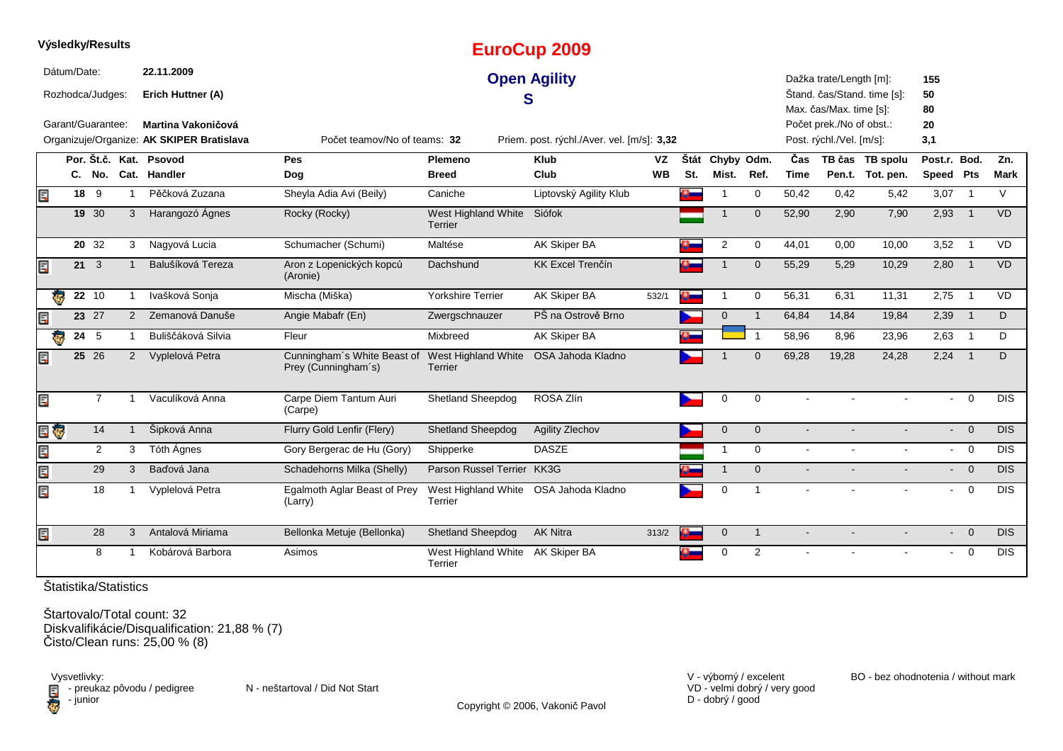|     |             | Výsledky/Results  |                |                                           |                                                    |                                             | <b>EuroCup 2009</b>                        |           |           |                 |                |                |                                                     |                             |              |                            |                  |
|-----|-------------|-------------------|----------------|-------------------------------------------|----------------------------------------------------|---------------------------------------------|--------------------------------------------|-----------|-----------|-----------------|----------------|----------------|-----------------------------------------------------|-----------------------------|--------------|----------------------------|------------------|
|     | Dátum/Date: |                   |                | 22.11.2009                                |                                                    |                                             | <b>Open Agility</b>                        |           |           |                 |                |                | Dažka trate/Length [m]:                             |                             | 155          |                            |                  |
|     |             | Rozhodca/Judges:  |                | Erich Huttner (A)                         |                                                    |                                             | S                                          |           |           |                 |                |                |                                                     | Štand. čas/Stand. time [s]: | 50           |                            |                  |
|     |             | Garant/Guarantee: |                | Martina Vakoničová                        |                                                    |                                             |                                            |           |           |                 |                |                | Max. čas/Max. time [s]:<br>Počet prek./No of obst.: |                             | 80<br>20     |                            |                  |
|     |             |                   |                | Organizuje/Organize: AK SKIPER Bratislava | Počet teamov/No of teams: 32                       |                                             | Priem. post. rýchl./Aver. vel. [m/s]: 3,32 |           |           |                 |                |                | Post. rýchl./Vel. [m/s]:                            |                             | 3,1          |                            |                  |
|     |             | Por. Št.č. Kat.   |                | Psovod                                    | Pes                                                | <b>Plemeno</b>                              | <b>Klub</b>                                | <b>VZ</b> |           | Štát Chyby Odm. |                | Čas            |                                                     | TB čas TB spolu             | Post.r. Bod. |                            | Zn.              |
|     |             |                   |                | C. No. Cat. Handler                       | Dog                                                | <b>Breed</b>                                | Club                                       | <b>WB</b> | St.       | Mist.           | Ref.           | <b>Time</b>    |                                                     | Pen.t. Tot. pen.            | Speed Pts    |                            | Mark             |
| E   |             | 18 9              | $\overline{1}$ | Pěčková Zuzana                            | Sheyla Adia Avi (Beily)                            | Caniche                                     | Liptovský Agility Klub                     |           |           | -1              | $\mathbf 0$    | 50,42          | 0,42                                                | 5,42                        | 3,07         | $\overline{1}$             | $\vee$           |
|     |             | 19 30             | 3              | Harangozó Ágnes                           | Rocky (Rocky)                                      | West Highland White<br>Terrier              | Siófok                                     |           |           | $\overline{1}$  | $\overline{0}$ | 52,90          | 2,90                                                | 7,90                        | 2,93         | $\overline{1}$             | <b>VD</b>        |
|     |             | 20 32             | 3              | Nagyová Lucia                             | Schumacher (Schumi)                                | Maltése                                     | AK Skiper BA                               |           |           | $\overline{2}$  | 0              | 44,01          | 0,00                                                | 10,00                       | $3,52$ 1     |                            | <b>VD</b>        |
| Ē,  |             | $21 \quad 3$      |                | Balušíková Tereza                         | Aron z Lopenických kopců<br>(Aronie)               | Dachshund                                   | <b>KK Excel Trenčín</b>                    |           |           |                 | $\mathbf 0$    | 55,29          | 5,29                                                | 10,29                       | 2,80         | $\overline{\phantom{0}}$ 1 | VD               |
|     | ₹.          | $22\overline{10}$ |                | Ivašková Sonja                            | Mischa (Miška)                                     | <b>Yorkshire Terrier</b>                    | AK Skiper BA                               | 532/1     | $\bullet$ | $\mathbf{1}$    | $\Omega$       | 56,31          | 6,31                                                | 11,31                       | 2,75         | $\overline{1}$             | VD               |
| E   |             | 23 27             | 2              | Zemanová Danuše                           | Angie Mabafr (En)                                  | Zwergschnauzer                              | PŠ na Ostrově Brno                         |           |           | $\mathbf{0}$    | $\overline{1}$ | 64,84          | 14,84                                               | 19,84                       | 2,39         | $\overline{1}$             | D                |
|     | ę.          | 24 5              |                | Buliščáková Silvia                        | Fleur                                              | Mixbreed                                    | AK Skiper BA                               |           |           |                 | $\overline{1}$ | 58,96          | 8,96                                                | 23,96                       | $2,63$ 1     |                            | D                |
| E   |             | 25 26             | $\overline{2}$ | Vyplelová Petra                           | Cunningham's White Beast of<br>Prey (Cunningham's) | West Highland White<br><b>Terrier</b>       | OSA Jahoda Kladno                          |           |           |                 | $\Omega$       | 69,28          | 19,28                                               | 24,28                       | $2,24$ 1     |                            | D                |
| E   |             | $\overline{7}$    |                | Vaculíková Anna                           | Carpe Diem Tantum Auri<br>(Carpe)                  | Shetland Sheepdog                           | ROSA Zlín                                  |           |           | $\mathbf 0$     | $\mathbf 0$    |                |                                                     |                             |              | $\overline{0}$             | DIS              |
| E.  | Ģ           | 14                | $\mathbf{1}$   | Šipková Anna                              | Flurry Gold Lenfir (Flery)                         | Shetland Sheepdog                           | Agility Zlechov                            |           |           | $\mathbf 0$     | $\mathbf 0$    | $\blacksquare$ |                                                     |                             | $\sim$       | $\overline{0}$             | DIS              |
| E   |             | $\overline{2}$    | 3              | Tóth Ágnes                                | Gory Bergerac de Hu (Gory)                         | Shipperke                                   | <b>DASZE</b>                               |           |           | $\mathbf 1$     | $\mathbf 0$    | $\blacksquare$ |                                                     |                             |              | $- 0$                      | <b>DIS</b>       |
| Err |             | 29                | 3              | Baďová Jana                               | Schadehorns Milka (Shelly)                         | Parson Russel Terrier KK3G                  |                                            |           |           | $\overline{1}$  | $\mathbf 0$    |                |                                                     |                             |              | $\overline{0}$             | <b>DIS</b>       |
| E   |             | 18                | $\mathbf 1$    | Vyplelová Petra                           | Egalmoth Aglar Beast of Prey<br>(Larry)            | West Highland White<br>Terrier              | OSA Jahoda Kladno                          |           |           | $\mathbf 0$     | $\overline{1}$ | $\sim$         | $\mathbf{r}$                                        | $\sim$                      | $\sim$       | $\overline{0}$             | $\overline{DIS}$ |
| Ē,  |             | 28                | 3              | Antalová Miriama                          | Bellonka Metuje (Bellonka)                         | Shetland Sheepdog                           | <b>AK Nitra</b>                            | 313/2     |           | $\mathbf 0$     | $\overline{1}$ | $\blacksquare$ |                                                     | $\blacksquare$              |              | $- 0$                      | <b>DIS</b>       |
|     |             | 8                 |                | Kobárová Barbora                          | Asimos                                             | West Highland White AK Skiper BA<br>Terrier |                                            |           |           | $\mathbf 0$     | 2              |                |                                                     |                             | $\sim$       | $\overline{\mathbf{0}}$    | <b>DIS</b>       |

Štartovalo/Total count: 32 Diskvalifikácie/Disqualification: 21,88 % (7) Čisto/Clean runs: 25,00 % (8)

Vysvetlivky:<br>⊟ - preukaz pôvodu / pedigree N - neštartoval / Did Not Start **D** - junior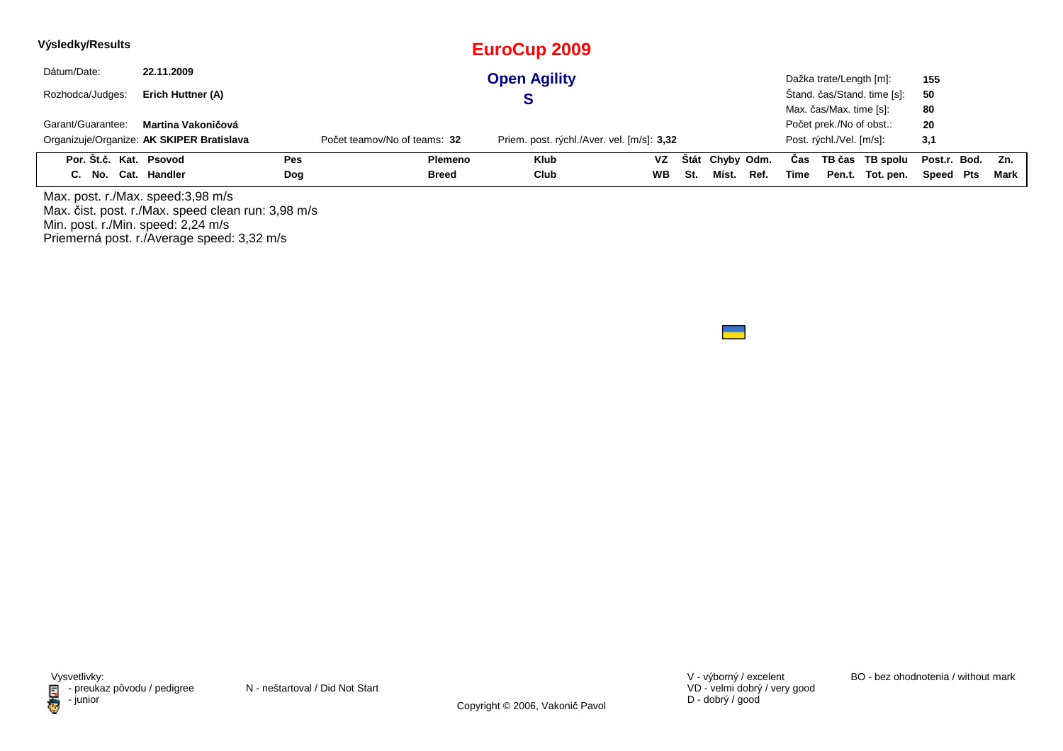| Výsledky/Results       |                                           |     |                              | EuroCup 2009                               |           |     |                 |      |      |                          |                             |                  |        |
|------------------------|-------------------------------------------|-----|------------------------------|--------------------------------------------|-----------|-----|-----------------|------|------|--------------------------|-----------------------------|------------------|--------|
| Dátum/Date:            | 22.11.2009                                |     |                              | <b>Open Agility</b>                        |           |     |                 |      |      | Dažka trate/Length [m]:  |                             | 155              |        |
| Rozhodca/Judges:       | Erich Huttner (A)                         |     |                              |                                            |           |     |                 |      |      |                          | Štand. čas/Stand. time [s]: | 50               |        |
|                        |                                           |     |                              |                                            |           |     |                 |      |      | Max. čas/Max. time [s]:  |                             | 80               |        |
| Garant/Guarantee:      | Martina Vakoničová                        |     |                              |                                            |           |     |                 |      |      | Počet prek./No of obst.: |                             | 20               |        |
|                        | Organizuje/Organize: AK SKIPER Bratislava |     | Počet teamov/No of teams: 32 | Priem. post. rýchl./Aver. vel. [m/s]: 3,32 |           |     |                 |      |      | Post. rýchl./Vel. [m/s]: |                             | 3,1              |        |
| Por. Št.č. Kat. Psovod |                                           | Pes | <b>Plemeno</b>               | <b>Klub</b>                                | VZ        |     | Štát Chyby Odm. |      | Cas  |                          | TB čas TB spolu             | Post.r. Bod. Zn. |        |
| C. No. Cat. Handler    |                                           | Dog | <b>Breed</b>                 | Club                                       | <b>WB</b> | St. | Mist.           | Ref. | Time |                          | Pen.t. Tot. pen.            | Speed Pts        | Mark l |

Max. post. r./Max. speed:3,98 m/sMax. čist. post. r./Max. speed clean run: 3,98 m/s Min. post. r./Min. speed: 2,24 m/s Priemerná post. r./Average speed: 3,32 m/s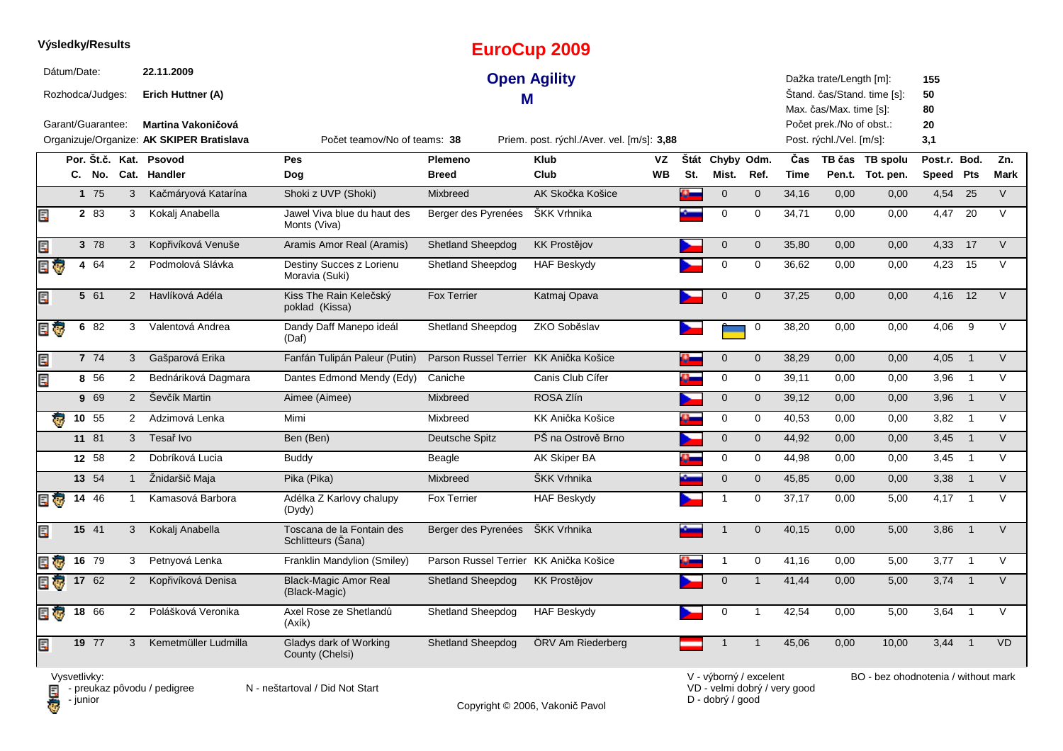|      |              | Výsledky/Results   |                |                                                                        |                                                 |                                | <b>EuroCup 2009</b>                        |                 |             |                        |                |                              |                                                      |                                     |                           |                |             |
|------|--------------|--------------------|----------------|------------------------------------------------------------------------|-------------------------------------------------|--------------------------------|--------------------------------------------|-----------------|-------------|------------------------|----------------|------------------------------|------------------------------------------------------|-------------------------------------|---------------------------|----------------|-------------|
|      | Dátum/Date:  | Rozhodca/Judges:   |                | 22.11.2009<br>Erich Huttner (A)                                        |                                                 | Μ                              | <b>Open Agility</b>                        |                 |             |                        |                |                              | Dažka trate/Length [m]:<br>Max. čas/Max. time [s]:   | Štand. čas/Stand. time [s]:         | 155<br>50<br>80           |                |             |
|      |              | Garant/Guarantee:  |                | <b>Martina Vakoničová</b><br>Organizuje/Organize: AK SKIPER Bratislava | Počet teamov/No of teams: 38                    |                                | Priem. post. rýchl./Aver. vel. [m/s]: 3,88 |                 |             |                        |                |                              | Počet prek./No of obst.:<br>Post. rýchl./Vel. [m/s]: |                                     | 20<br>3,1                 |                |             |
|      |              |                    |                | Por. Št.č. Kat. Psovod<br>C. No. Cat. Handler                          | <b>Pes</b><br>Dog                               | <b>Plemeno</b><br><b>Breed</b> | <b>Klub</b><br>Club                        | VZ<br><b>WB</b> | Štát<br>St. | Chyby Odm.<br>Mist.    | Ref.           | Čas<br><b>Time</b>           |                                                      | TB čas TB spolu<br>Pen.t. Tot. pen. | Post.r. Bod.<br>Speed Pts |                | Zn.<br>Mark |
|      |              | 175                | 3              | Kačmáryová Katarína                                                    | Shoki z UVP (Shoki)                             | Mixbreed                       | AK Skočka Košice                           |                 | a.          | $\mathbf 0$            | $\mathbf 0$    | 34,16                        | 0,00                                                 | 0,00                                | 4,54                      | 25             | $\vee$      |
| E    |              | 2 83               | 3              | Kokalj Anabella                                                        | Jawel Viva blue du haut des<br>Monts (Viva)     | Berger des Pyrenées            | <b>SKK Vrhnika</b>                         |                 |             | 0                      | 0              | 34,71                        | 0,00                                                 | 0,00                                | 4,47                      | 20             | $\vee$      |
| E    |              | 3 78               | 3              | Kopřivíková Venuše                                                     | Aramis Amor Real (Aramis)                       | <b>Shetland Sheepdog</b>       | <b>KK Prostějov</b>                        |                 |             | $\mathbf 0$            | $\mathbf 0$    | 35,80                        | 0,00                                                 | 0,00                                | 4,33                      | 17             | $\vee$      |
| E T  |              | 4 64               | 2              | Podmolová Slávka                                                       | Destiny Succes z Lorienu<br>Moravia (Suki)      | <b>Shetland Sheepdog</b>       | <b>HAF Beskydy</b>                         |                 |             | $\mathbf 0$            | 0              | 36,62                        | 0,00                                                 | 0,00                                | 4,23                      | 15             | $\vee$      |
| Ę    |              | 5 61               | $\overline{2}$ | Havlíková Adéla                                                        | Kiss The Rain Kelečský<br>poklad (Kissa)        | <b>Fox Terrier</b>             | Katmaj Opava                               |                 |             | $\mathbf 0$            | $\mathbf 0$    | 37,25                        | 0,00                                                 | 0,00                                | 4,16                      | 12             | $\vee$      |
| E T  | 6            | 82                 | 3              | Valentová Andrea                                                       | Dandy Daff Manepo ideál<br>(Daf)                | <b>Shetland Sheepdog</b>       | ZKO Soběslav                               |                 |             |                        | $\mathbf 0$    | 38,20                        | 0,00                                                 | 0,00                                | 4,06                      | 9              | V           |
| E    |              | 7 74               | 3              | Gašparová Erika                                                        | Fanfán Tulipán Paleur (Putin)                   | Parson Russel Terrier          | KK Anička Košice                           |                 | n.          | $\pmb{0}$              | $\pmb{0}$      | 38,29                        | 0,00                                                 | 0,00                                | 4,05                      | $\overline{1}$ | $\vee$      |
| E    |              | 8 56               | 2              | Bednáriková Dagmara                                                    | Dantes Edmond Mendy (Edy)                       | Caniche                        | Canis Club Cífer                           |                 | ω.          | 0                      | $\mathbf 0$    | 39,11                        | 0,00                                                 | 0,00                                | 3,96                      | $\overline{1}$ | $\vee$      |
|      |              | 9 69               | 2              | Ševčík Martin                                                          | Aimee (Aimee)                                   | Mixbreed                       | ROSA Zlín                                  |                 |             | $\mathbf{0}$           | $\mathbf{0}$   | 39,12                        | 0,00                                                 | 0,00                                | 3,96                      | $\overline{1}$ | $\vee$      |
| æ    |              | 10 55              | $\overline{2}$ | Adzimová Lenka                                                         | Mimi                                            | Mixbreed                       | KK Anička Košice                           |                 | o-          | 0                      | 0              | 40,53                        | 0,00                                                 | 0,00                                | 3,82                      | $\overline{1}$ | $\vee$      |
|      |              | 11 81              | 3              | Tesař Ivo                                                              | Ben (Ben)                                       | Deutsche Spitz                 | PŠ na Ostrově Brno                         |                 |             | $\mathbf 0$            | $\mathbf 0$    | 44,92                        | 0,00                                                 | 0,00                                | 3,45                      | $\overline{1}$ | $\vee$      |
|      |              | 12 58              | 2              | Dobríková Lucia                                                        | <b>Buddy</b>                                    | Beagle                         | AK Skiper BA                               |                 |             | $\mathbf 0$            | $\mathbf 0$    | 44,98                        | 0,00                                                 | 0,00                                | 3,45                      | $\overline{1}$ | $\vee$      |
|      |              | $13 \quad 54$      | $\mathbf{1}$   | Žnidaršič Maja                                                         | Pika (Pika)                                     | Mixbreed                       | ŠKK Vrhnika                                |                 |             | $\mathbf{0}$           | $\mathbf{0}$   | 45,85                        | 0,00                                                 | 0,00                                | 3,38                      | $\overline{1}$ | $\vee$      |
| E G  |              | 14 46              | $\mathbf{1}$   | Kamasová Barbora                                                       | Adélka Z Karlovy chalupy<br>(Dydy)              | <b>Fox Terrier</b>             | <b>HAF Beskydy</b>                         |                 |             | $\mathbf 1$            | $\mathbf 0$    | 37,17                        | 0,00                                                 | 5,00                                | 4,17                      | $\overline{1}$ | $\vee$      |
| Ę    |              | 15 41              | 3              | Kokalj Anabella                                                        | Toscana de la Fontain des<br>Schlitteurs (Sana) | Berger des Pyrenées            | ŠKK Vrhnika                                |                 |             | $\mathbf 1$            | $\mathbf 0$    | 40,15                        | 0,00                                                 | 5,00                                | 3,86                      | $\overline{1}$ | $\vee$      |
| EI G |              | $16 \overline{79}$ | 3              | Petnyová Lenka                                                         | Franklin Mandylion (Smiley)                     | Parson Russel Terrier          | KK Anička Košice                           |                 |             | 1                      | 0              | 41,16                        | 0,00                                                 | 5,00                                | 3,77                      | $\overline{1}$ | V           |
|      |              | 17 62              | 2              | Kopřivíková Denisa                                                     | <b>Black-Magic Amor Real</b><br>(Black-Magic)   | <b>Shetland Sheepdog</b>       | <b>KK Prostějov</b>                        |                 |             | $\mathbf 0$            | $\mathbf 1$    | 41,44                        | 0,00                                                 | 5,00                                | 3,74                      | $\overline{1}$ | V           |
| 目家   | 18           | 66                 | $\overline{2}$ | Polášková Veronika                                                     | Axel Rose ze Shetlandů<br>(Axík)                | Shetland Sheepdog              | <b>HAF Beskydy</b>                         |                 |             | $\mathbf 0$            | 1              | 42,54                        | 0,00                                                 | 5,00                                | 3,64                      | $\overline{1}$ | $\vee$      |
| Ę    |              | 19 77              | 3              | Kemetmüller Ludmilla                                                   | Gladys dark of Working<br>County (Chelsi)       | <b>Shetland Sheepdog</b>       | ÖRV Am Riederberg                          |                 |             | $\mathbf{1}$           | $\overline{1}$ | 45,06                        | 0,00                                                 | 10,00                               | 3,44                      | $\overline{1}$ | <b>VD</b>   |
|      | Vysvetlivky: |                    |                | $\blacksquare$ - preukaz pôvodu / pedigree                             | N - neštartoval / Did Not Start                 |                                |                                            |                 |             | V - výborný / excelent |                | VD - velmi dobrý / very good |                                                      | BO - bez ohodnotenia / without mark |                           |                |             |

**D** - junior

Copyright © 2006, Vakonič Pavol

VD - velmi dobrý / very good D - dobrý / good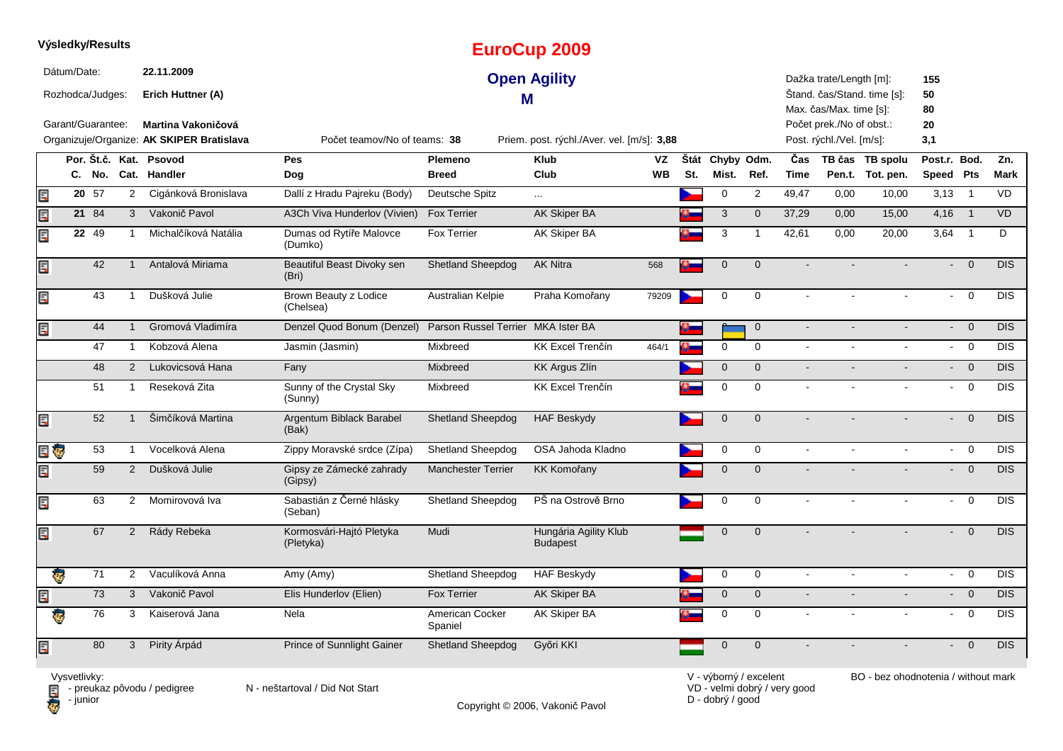|      | Výsledky/Results                                     |                   |                         |                                                       |                                       |                                    | <b>EuroCup 2009</b>                        |           |      |                |                |                |                                                                                |                             |                           |                            |            |
|------|------------------------------------------------------|-------------------|-------------------------|-------------------------------------------------------|---------------------------------------|------------------------------------|--------------------------------------------|-----------|------|----------------|----------------|----------------|--------------------------------------------------------------------------------|-----------------------------|---------------------------|----------------------------|------------|
|      | Dátum/Date:<br>Rozhodca/Judges:<br>Garant/Guarantee: |                   |                         | 22.11.2009<br>Erich Huttner (A)<br>Martina Vakoničová |                                       | М                                  | <b>Open Agility</b>                        |           |      |                |                |                | Dažka trate/Length [m]:<br>Max. čas/Max. time [s]:<br>Počet prek./No of obst.: | Štand. čas/Stand. time [s]: | 155<br>50<br>80<br>20     |                            |            |
|      |                                                      |                   |                         | Organizuje/Organize: AK SKIPER Bratislava             | Počet teamov/No of teams: 38          |                                    | Priem. post. rýchl./Aver. vel. [m/s]: 3,88 |           |      |                |                |                | Post. rýchl./Vel. [m/s]:                                                       |                             | 3,1                       |                            |            |
|      |                                                      |                   |                         | Por. Št.č. Kat. Psovod                                | Pes                                   | Plemeno                            | <b>Klub</b>                                | <b>VZ</b> | Štát | Chyby Odm.     |                | Čas            |                                                                                | TB čas TB spolu             | Post.r.                   | Bod.                       | Zn.        |
|      |                                                      | C. No.            |                         | Cat. Handler                                          | Dog                                   | <b>Breed</b>                       | Club                                       | <b>WB</b> | St.  | Mist.          | Ref.           | <b>Time</b>    |                                                                                | Pen.t. Tot. pen.            | Speed Pts                 |                            | Mark       |
| Ē.   |                                                      | $20\overline{57}$ | $\overline{2}$          | Cigánková Bronislava                                  | Dallí z Hradu Pajreku (Body)          | Deutsche Spitz                     | $\cdots$                                   |           |      | 0              | $\overline{2}$ | 49,47          | 0,00                                                                           | 10,00                       | 3,13                      | $\overline{\phantom{0}}$ 1 | <b>VD</b>  |
| Ę    |                                                      | 21 84             | $\mathbf{3}$            | Vakonič Pavol                                         | A3Ch Viva Hunderlov (Vivien)          | <b>Fox Terrier</b>                 | AK Skiper BA                               |           |      | 3              | $\mathbf{0}$   | 37,29          | 0,00                                                                           | 15,00                       | 4,16                      | $\overline{1}$             | <b>VD</b>  |
| Ę    |                                                      | 22 49             | -1                      | Michalčíková Natália                                  | Dumas od Rytíře Malovce<br>(Dumko)    | <b>Fox Terrier</b>                 | <b>AK Skiper BA</b>                        |           |      | 3              | $\overline{1}$ | 42,61          | 0,00                                                                           | 20,00                       | 3,64                      | $\overline{1}$             | D          |
| Er   |                                                      | 42                | $\mathbf{1}$            | Antalová Miriama                                      | Beautiful Beast Divoky sen<br>(Bri)   | <b>Shetland Sheepdog</b>           | <b>AK Nitra</b>                            | 568       | o-   | $\mathbf{0}$   | $\Omega$       |                |                                                                                |                             |                           | $\Omega$                   | <b>DIS</b> |
| Ę    |                                                      | 43                | $\overline{1}$          | Dušková Julie                                         | Brown Beauty z Lodice<br>(Chelsea)    | Australian Kelpie                  | Praha Komořany                             | 79209     |      | $\mathbf 0$    | $\mathbf 0$    | $\blacksquare$ |                                                                                |                             | $\mathbb{R}^{\mathbb{Z}}$ | $\mathbf 0$                | <b>DIS</b> |
| Ę    |                                                      | 44                |                         | Gromová Vladimíra                                     | Denzel Quod Bonum (Denzel)            | Parson Russel Terrier MKA Ister BA |                                            |           |      |                | $\overline{0}$ | $\blacksquare$ |                                                                                |                             | $\blacksquare$            | $\overline{0}$             | <b>DIS</b> |
|      |                                                      | 47                | $\mathbf{1}$            | Kobzová Alena                                         | Jasmin (Jasmin)                       | Mixbreed                           | <b>KK Excel Trenčín</b>                    | 464/1     | a.   | $\mathbf 0$    | $\mathbf 0$    | $\sim$         | $\sim$                                                                         | $\sim$                      | $\sim 10$                 | $\overline{0}$             | <b>DIS</b> |
|      |                                                      | 48                | 2                       | Lukovicsová Hana                                      | Fany                                  | Mixbreed                           | <b>KK Argus Zlín</b>                       |           |      | $\overline{0}$ | $\overline{0}$ | $\sim$         |                                                                                |                             | $\sim$                    | $\overline{0}$             | <b>DIS</b> |
|      |                                                      | 51                | $\mathbf 1$             | Reseková Zita                                         | Sunny of the Crystal Sky<br>(Sunny)   | Mixbreed                           | <b>KK Excel Trenčín</b>                    |           |      | 0              | $\mathbf 0$    | $\overline{a}$ |                                                                                |                             |                           | $\overline{0}$             | <b>DIS</b> |
| Ę    |                                                      | 52                | $\overline{\mathbf{1}}$ | Šimčíková Martina                                     | Argentum Biblack Barabel<br>(Bak)     | <b>Shetland Sheepdog</b>           | <b>HAF Beskydy</b>                         |           |      | $\mathbf{0}$   | $\Omega$       |                |                                                                                |                             |                           | $\overline{0}$             | <b>DIS</b> |
| e o  |                                                      | 53                | $\mathbf{1}$            | Vocelková Alena                                       | Zippy Moravské srdce (Zípa)           | Shetland Sheepdog                  | OSA Jahoda Kladno                          |           |      | $\mathbf 0$    | $\mathbf 0$    | $\blacksquare$ | $\overline{a}$                                                                 | $\blacksquare$              | $\omega$ .                | $\mathbf 0$                | <b>DIS</b> |
| Ę    |                                                      | 59                | $\overline{2}$          | Dušková Julie                                         | Gipsy ze Zámecké zahrady<br>(Gipsy)   | <b>Manchester Terrier</b>          | <b>KK Komořany</b>                         |           |      | $\overline{0}$ | $\Omega$       |                |                                                                                |                             |                           | $\mathbf 0$                | <b>DIS</b> |
| Ę    |                                                      | 63                | 2                       | Momirovová Iva                                        | Sabastián z Černé hlásky<br>(Seban)   | <b>Shetland Sheepdog</b>           | PŠ na Ostrově Brno                         |           |      | $\Omega$       | $\Omega$       |                |                                                                                |                             |                           | $\Omega$                   | <b>DIS</b> |
| Ē.   |                                                      | 67                | $\overline{2}$          | Rády Rebeka                                           | Kormosvári-Hajtó Pletyka<br>(Pletyka) | Mudi                               | Hungária Agility Klub<br><b>Budapest</b>   |           |      | $\mathbf 0$    | $\mathbf{0}$   |                |                                                                                |                             |                           | $\overline{0}$             | <b>DIS</b> |
|      | ę.                                                   | 71                | $\overline{2}$          | Vaculíková Anna                                       | Amy (Amy)                             | Shetland Sheepdog                  | <b>HAF Beskydy</b>                         |           |      | 0              | $\mathbf 0$    | $\blacksquare$ |                                                                                |                             | $\sim 100$                | $\overline{0}$             | <b>DIS</b> |
| Ę    |                                                      | 73                | 3                       | Vakonič Pavol                                         | Elis Hunderlov (Elien)                | <b>Fox Terrier</b>                 | <b>AK Skiper BA</b>                        |           |      | 0              | $\mathbf 0$    | $\overline{a}$ |                                                                                |                             |                           | $\overline{0}$             | <b>DIS</b> |
|      | ÷,                                                   | 76                | 3                       | Kaiserová Jana                                        | Nela                                  | American Cocker<br>Spaniel         | AK Skiper BA                               |           |      | $\mathbf 0$    | $\mathbf 0$    | $\blacksquare$ |                                                                                |                             | $\sim$                    | $\mathsf 0$                | <b>DIS</b> |
| ECPS |                                                      | 80                | 3                       | Pirity Árpád                                          | Prince of Sunnlight Gainer            | <b>Shetland Sheepdog</b>           | Győri KKI                                  |           |      | 0              | $\mathbf{0}$   |                |                                                                                |                             |                           | $\mathbf{0}$               | DIS        |

Copyright © 2006, Vakonič Pavol

VD - velmi dobrý / very good D - dobrý / good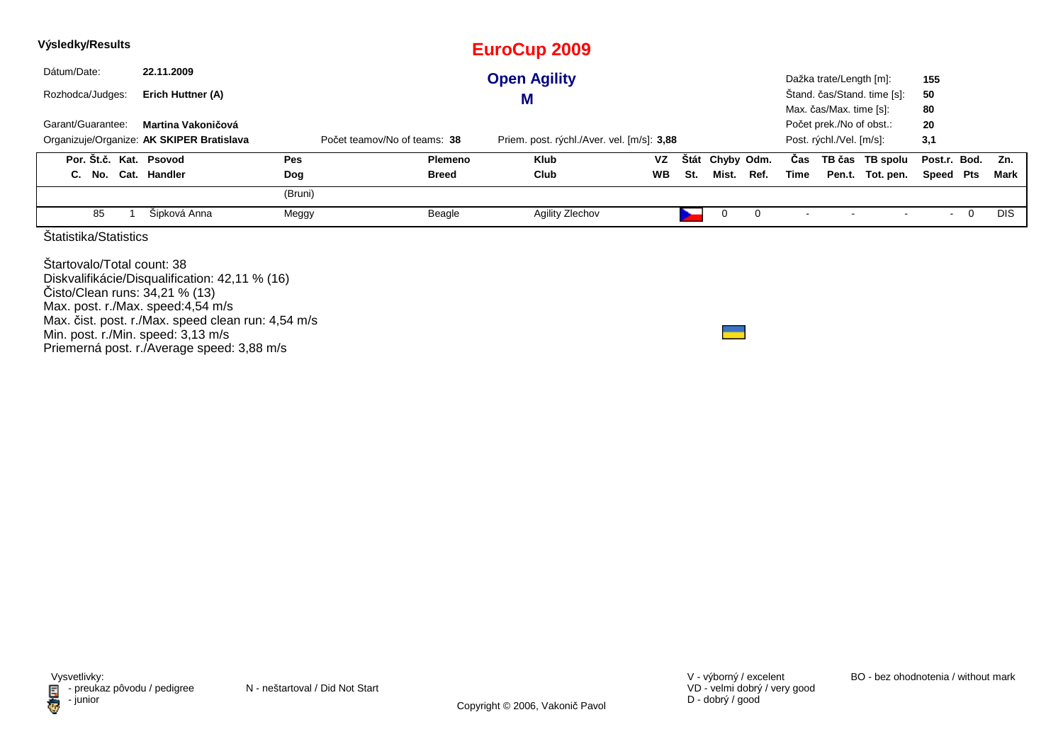| Výsledky/Results                                                                                                                        |                                                                                                                                                    |                              |              | <b>EuroCup 2009</b>                        |           |             |            |      |      |                                                                                 |                             |                 |             |            |
|-----------------------------------------------------------------------------------------------------------------------------------------|----------------------------------------------------------------------------------------------------------------------------------------------------|------------------------------|--------------|--------------------------------------------|-----------|-------------|------------|------|------|---------------------------------------------------------------------------------|-----------------------------|-----------------|-------------|------------|
| Dátum/Date:                                                                                                                             | 22.11.2009                                                                                                                                         |                              |              | <b>Open Agility</b>                        |           |             |            |      |      | Dažka trate/Length [m]:                                                         |                             | 155             |             |            |
| Rozhodca/Judges:                                                                                                                        | Erich Huttner (A)                                                                                                                                  |                              |              | M                                          |           |             |            |      |      |                                                                                 | Stand. čas/Stand. time [s]: | 50              |             |            |
| Garant/Guarantee:                                                                                                                       | Martina Vakoničová<br>Organizuje/Organize: AK SKIPER Bratislava                                                                                    | Počet teamov/No of teams: 38 |              | Priem. post. rýchl./Aver. vel. [m/s]: 3,88 |           |             |            |      |      | Max. čas/Max. time [s]:<br>Počet prek./No of obst.:<br>Post. rýchl./Vel. [m/s]: |                             | 80<br>20<br>3,1 |             |            |
| Por. Št.č. Kat. Psovod                                                                                                                  |                                                                                                                                                    | Pes                          | Plemeno      | <b>Klub</b>                                | <b>VZ</b> | <b>Stát</b> | Chyby Odm. |      | Cas  |                                                                                 | TB čas TB spolu             | Post.r. Bod.    |             | Zn.        |
| C. No. Cat. Handler                                                                                                                     |                                                                                                                                                    | Dog                          | <b>Breed</b> | Club                                       | WB        | St.         | Mist.      | Ref. | Time |                                                                                 | Pen.t. Tot. pen.            | Speed           | Pts         | Mark       |
|                                                                                                                                         |                                                                                                                                                    | (Bruni)                      |              |                                            |           |             |            |      |      |                                                                                 |                             |                 |             |            |
| 85                                                                                                                                      | Šipková Anna                                                                                                                                       | Meggy                        | Beagle       | Agility Zlechov                            |           |             | 0          | 0    |      |                                                                                 |                             | $\sim$          | $\mathbf 0$ | <b>DIS</b> |
| Statistika/Statistics                                                                                                                   |                                                                                                                                                    |                              |              |                                            |           |             |            |      |      |                                                                                 |                             |                 |             |            |
| Startovalo/Total count: 38<br>Čisto/Clean runs: 34,21 % (13)<br>Max. post. r./Max. speed:4,54 m/s<br>Min. post. r./Min. speed: 3,13 m/s | Diskvalifikácie/Disqualification: 42,11 % (16)<br>Max. čist. post. r./Max. speed clean run: 4,54 m/s<br>Priemerná post. r./Average speed: 3,88 m/s |                              |              |                                            |           |             |            |      |      |                                                                                 |                             |                 |             |            |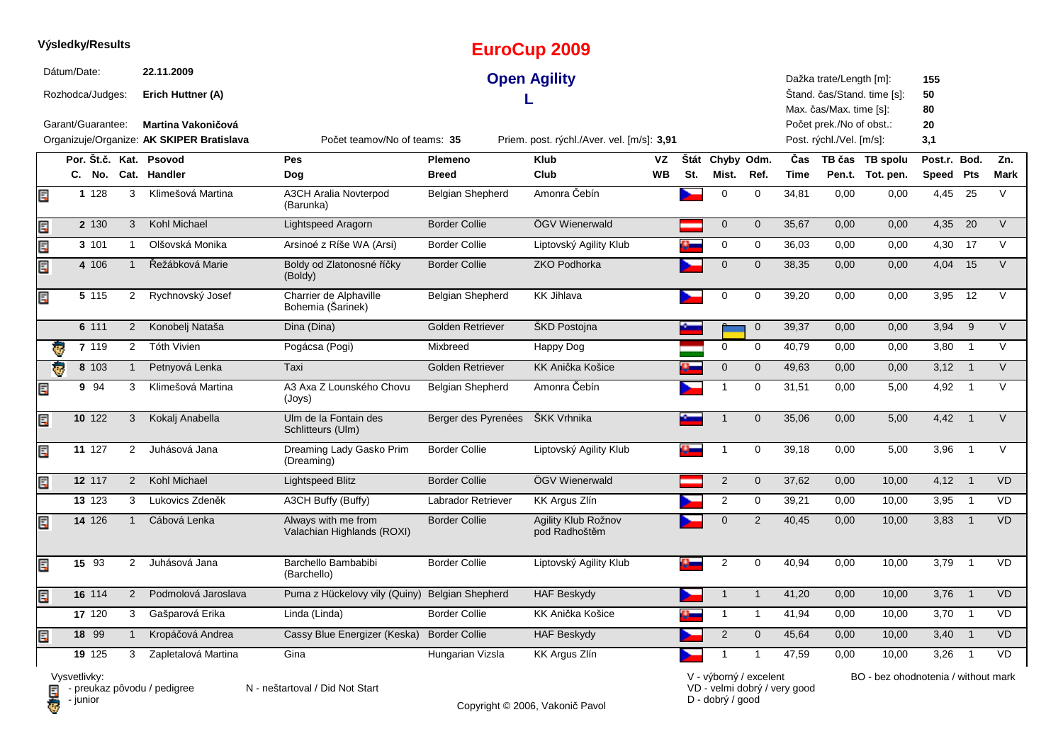|    |             | Výsledky/Results                      |                      |                                                       |                                                   |                         | <b>EuroCup 2009</b>                        |           |     |                 |                |             |                                                                                |                             |                       |                          |           |
|----|-------------|---------------------------------------|----------------------|-------------------------------------------------------|---------------------------------------------------|-------------------------|--------------------------------------------|-----------|-----|-----------------|----------------|-------------|--------------------------------------------------------------------------------|-----------------------------|-----------------------|--------------------------|-----------|
|    | Dátum/Date: | Rozhodca/Judges:<br>Garant/Guarantee: |                      | 22.11.2009<br>Erich Huttner (A)<br>Martina Vakoničová |                                                   |                         | <b>Open Agility</b>                        |           |     |                 |                |             | Dažka trate/Length [m]:<br>Max. čas/Max. time [s]:<br>Počet prek./No of obst.: | Štand. čas/Stand. time [s]: | 155<br>50<br>80<br>20 |                          |           |
|    |             |                                       |                      | Organizuje/Organize: AK SKIPER Bratislava             | Počet teamov/No of teams: 35                      |                         | Priem. post. rýchl./Aver. vel. [m/s]: 3,91 |           |     |                 |                |             | Post. rýchl./Vel. [m/s]:                                                       |                             | 3,1                   |                          |           |
|    |             |                                       |                      | Por. Št.č. Kat. Psovod                                | <b>Pes</b>                                        | Plemeno                 | <b>Klub</b>                                | VZ        |     | Štát Chyby Odm. |                | Čas         |                                                                                | TB čas TB spolu             | Post.r. Bod.          |                          | Zn.       |
|    |             | C. No.                                |                      | Cat. Handler                                          | Dog                                               | <b>Breed</b>            | Club                                       | <b>WB</b> | St. | Mist.           | Ref.           | <b>Time</b> |                                                                                | Pen.t. Tot. pen.            | Speed Pts             |                          | Mark      |
| E. |             | 1128                                  | 3                    | Klimešová Martina                                     | <b>A3CH Aralia Novterpod</b><br>(Barunka)         | <b>Belgian Shepherd</b> | Amonra Čebín                               |           |     | $\mathbf 0$     | $\mathbf 0$    | 34,81       | 0,00                                                                           | 0,00                        | 4,45                  | 25                       | V         |
| Ę  |             | 2 130                                 | 3                    | Kohl Michael                                          | Lightspeed Aragorn                                | <b>Border Collie</b>    | ÖGV Wienerwald                             |           |     | $\mathbf 0$     | $\mathbf 0$    | 35,67       | 0.00                                                                           | 0,00                        | 4,35                  | 20                       | $\vee$    |
| Ę  |             | 3 101                                 | $\mathbf{1}$         | Olšovská Monika                                       | Arsinoé z Ríše WA (Arsi)                          | <b>Border Collie</b>    | Liptovský Agility Klub                     |           |     | 0               | 0              | 36,03       | 0,00                                                                           | 0,00                        | 4,30                  | 17                       | $\vee$    |
| Ę  |             | 4 106                                 | $\mathbf{1}$         | Řežábková Marie                                       | Boldy od Zlatonosné říčky<br>(Boldy)              | <b>Border Collie</b>    | <b>ZKO Podhorka</b>                        |           |     | $\mathbf 0$     | $\mathbf{0}$   | 38,35       | 0,00                                                                           | 0,00                        | 4,04                  | 15                       | $\vee$    |
| Ę  |             | 5 115                                 | $\overline{2}$       | Rychnovský Josef                                      | Charrier de Alphaville<br>Bohemia (Šarinek)       | <b>Belgian Shepherd</b> | <b>KK Jihlava</b>                          |           |     | 0               | $\mathbf 0$    | 39,20       | 0,00                                                                           | 0,00                        | 3,95                  | 12                       | $\vee$    |
|    |             | 6 111                                 | $\overline{2}$       | Konobelj Nataša                                       | Dina (Dina)                                       | Golden Retriever        | <b>SKD Postojna</b>                        |           |     |                 | $\mathbf 0$    | 39,37       | 0,00                                                                           | 0,00                        | 3,94                  | 9                        | $\vee$    |
| 4  |             | 7 119                                 | $\overline{2}$       | Tóth Vivien                                           | Pogácsa (Pogi)                                    | Mixbreed                | Happy Dog                                  |           |     | $\mathbf 0$     | $\mathbf 0$    | 40,79       | 0,00                                                                           | 0,00                        | 3,80                  | $\overline{1}$           | V         |
| ø. |             | 8 103                                 | $\mathbf{1}$         | Petnyová Lenka                                        | Taxi                                              | <b>Golden Retriever</b> | KK Anička Košice                           |           |     | $\mathbf{0}$    | $\mathbf{0}$   | 49,63       | 0,00                                                                           | 0,00                        | 3,12                  | $\overline{1}$           | $\vee$    |
| Ę  |             | 9 94                                  | 3                    | Klimešová Martina                                     | A3 Axa Z Lounského Chovu<br>(Joys)                | <b>Belgian Shepherd</b> | Amonra Čebín                               |           |     | $\mathbf{1}$    | $\mathbf 0$    | 31,51       | 0,00                                                                           | 5,00                        | 4,92                  | $\overline{1}$           | $\vee$    |
| Ę  |             | 10 122                                | 3                    | Kokalj Anabella                                       | Ulm de la Fontain des<br>Schlitteurs (Ulm)        | Berger des Pyrenées     | ŠKK Vrhnika                                |           |     | $\mathbf{1}$    | $\mathbf{0}$   | 35,06       | 0.00                                                                           | 5.00                        | 4,42                  | $\overline{1}$           | $\vee$    |
| Ę  |             | 11 127                                | $\mathbf{2}^{\circ}$ | Juhásová Jana                                         | Dreaming Lady Gasko Prim<br>(Dreaming)            | <b>Border Collie</b>    | Liptovský Agility Klub                     |           |     | -1              | 0              | 39,18       | 0,00                                                                           | 5,00                        | 3,96                  | $\overline{1}$           | $\vee$    |
| Ę  |             | 12 117                                | $\overline{2}$       | Kohl Michael                                          | Lightspeed Blitz                                  | <b>Border Collie</b>    | ÖGV Wienerwald                             |           |     | 2               | $\mathbf 0$    | 37,62       | 0,00                                                                           | 10,00                       | $4,12$ 1              |                          | <b>VD</b> |
|    |             | 13 123                                | 3                    | Lukovics Zdeněk                                       | A3CH Buffy (Buffy)                                | Labrador Retriever      | <b>KK Argus Zlín</b>                       |           |     | $\overline{2}$  | 0              | 39,21       | 0,00                                                                           | 10,00                       | 3,95                  | $\overline{1}$           | <b>VD</b> |
| Ę  |             | 14 126                                | $\mathbf{1}$         | Cábová Lenka                                          | Always with me from<br>Valachian Highlands (ROXI) | <b>Border Collie</b>    | Agility Klub Rožnov<br>pod Radhoštěm       |           |     | $\mathbf 0$     | $\overline{2}$ | 40,45       | 0,00                                                                           | 10,00                       | $3,83$ 1              |                          | <b>VD</b> |
| Ę  |             | 15 93                                 | $\overline{2}$       | Juhásová Jana                                         | Barchello Bambabibi<br>(Barchello)                | <b>Border Collie</b>    | Liptovský Agility Klub                     |           | ω.  | $\overline{2}$  | 0              | 40,94       | 0,00                                                                           | 10,00                       | 3,79                  | $\overline{\phantom{0}}$ | <b>VD</b> |
| Ę  |             | 16 114                                | 2                    | Podmolová Jaroslava                                   | Puma z Hückelovy vily (Quiny)                     | <b>Belgian Shepherd</b> | <b>HAF Beskydy</b>                         |           |     | $\mathbf{1}$    | $\mathbf{1}$   | 41,20       | 0,00                                                                           | 10,00                       | 3,76                  | $\overline{1}$           | <b>VD</b> |
|    |             | 17 120                                | 3                    | Gašparová Erika                                       | Linda (Linda)                                     | <b>Border Collie</b>    | KK Anička Košice                           |           |     | $\mathbf{1}$    | $\mathbf{1}$   | 41,94       | 0,00                                                                           | 10,00                       | $3,70$ 1              |                          | <b>VD</b> |
| E  |             | 18 99                                 | $\mathbf{1}$         | Kropáčová Andrea                                      | Cassy Blue Energizer (Keska)                      | <b>Border Collie</b>    | <b>HAF Beskydy</b>                         |           |     | 2               | $\mathbf 0$    | 45,64       | 0,00                                                                           | 10,00                       | 3,40                  | $\overline{1}$           | <b>VD</b> |
|    |             | 19 125                                | 3                    | Zapletalová Martina                                   | Gina                                              | Hungarian Vizsla        | KK Argus Zlín                              |           |     | -1              | $\mathbf{1}$   | 47,59       | 0,00                                                                           | 10,00                       | 3,26                  | $\overline{1}$           | <b>VD</b> |

**D** - junior

Vysvetlivky:<br>⊟ - preukaz pôvodu / pedigree N - neštartoval / Did Not Start

Copyright © 2006, Vakonič Pavol

VD - velmi dobrý / very good D - dobrý / good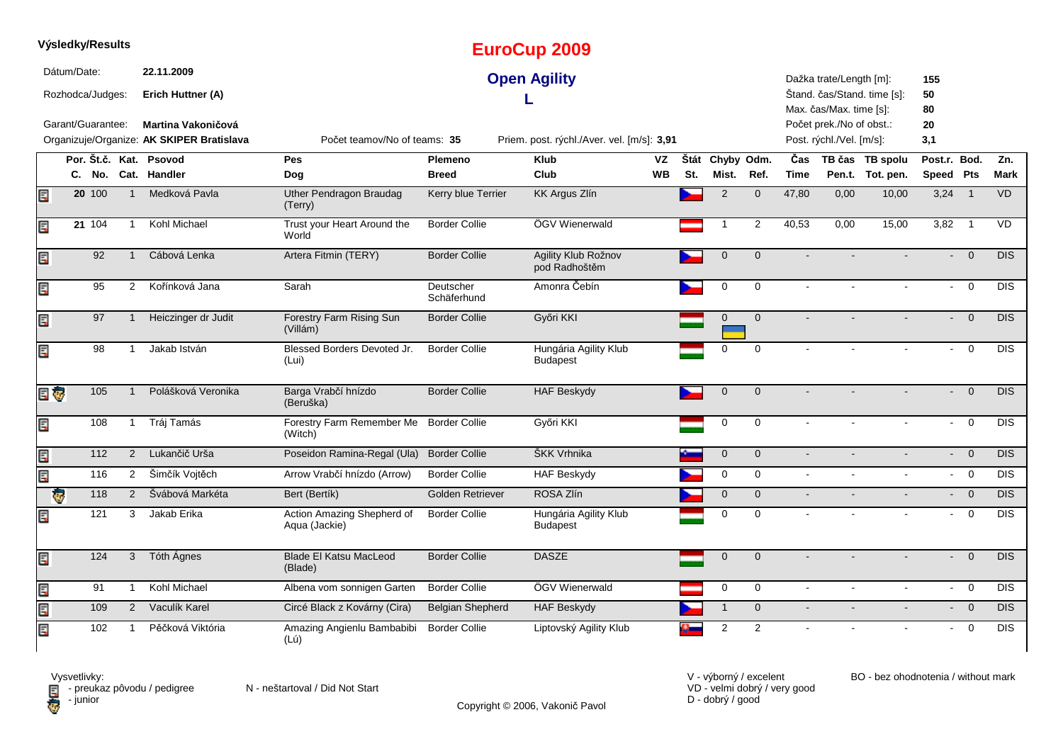|     | Výsledky/Results                |                   |                |                                                                 |                                             |                          | <b>EuroCup 2009</b>                        |           |      |                |                |             |                                                      |                             |                          |                |             |
|-----|---------------------------------|-------------------|----------------|-----------------------------------------------------------------|---------------------------------------------|--------------------------|--------------------------------------------|-----------|------|----------------|----------------|-------------|------------------------------------------------------|-----------------------------|--------------------------|----------------|-------------|
|     | Dátum/Date:<br>Rozhodca/Judges: |                   |                | 22.11.2009<br>Erich Huttner (A)                                 |                                             |                          | <b>Open Agility</b>                        |           |      |                |                |             | Dažka trate/Length [m]:<br>Max. čas/Max. time [s]:   | Štand. čas/Stand. time [s]: | 155<br>50<br>80          |                |             |
|     | Garant/Guarantee:               |                   |                | Martina Vakoničová<br>Organizuje/Organize: AK SKIPER Bratislava | Počet teamov/No of teams: 35                |                          | Priem. post. rýchl./Aver. vel. [m/s]: 3,91 |           |      |                |                |             | Počet prek./No of obst.:<br>Post. rýchl./Vel. [m/s]: |                             | 20<br>3,1                |                |             |
|     |                                 |                   |                | Por. Št.č. Kat. Psovod                                          | Pes                                         | Plemeno                  | <b>Klub</b>                                | VZ        | Štát | Chyby Odm.     |                | Čas         |                                                      | TB čas TB spolu             | Post.r. Bod.             |                | Zn.         |
|     | C. No.                          |                   |                | Cat. Handler                                                    | Dog                                         | <b>Breed</b>             | Club                                       | <b>WB</b> | St.  | Mist.          | Ref.           | <b>Time</b> |                                                      | Pen.t. Tot. pen.            | Speed Pts                |                | <b>Mark</b> |
| Ę   | 20 100                          |                   | $\overline{1}$ | Medková Pavla                                                   | <b>Uther Pendragon Braudag</b><br>(Terry)   | Kerry blue Terrier       | <b>KK Argus Zlín</b>                       |           |      | $\overline{2}$ | $\mathbf{0}$   | 47,80       | 0,00                                                 | 10,00                       | 3,24                     | $\overline{1}$ | <b>VD</b>   |
| Ę   | 21 104                          |                   | $\mathbf{1}$   | Kohl Michael                                                    | Trust your Heart Around the<br>World        | <b>Border Collie</b>     | ÖGV Wienerwald                             |           |      | $\overline{1}$ | 2              | 40,53       | 0,00                                                 | 15,00                       | 3,82                     | $\overline{1}$ | VD          |
| Ę   |                                 | 92                | $\mathbf{1}$   | Cábová Lenka                                                    | Artera Fitmin (TERY)                        | <b>Border Collie</b>     | Agility Klub Rožnov<br>pod Radhoštěm       |           |      | $\mathbf 0$    | $\mathbf{0}$   |             |                                                      |                             | ÷.                       | $\overline{0}$ | DIS         |
| Ę   |                                 | 95                | $\overline{2}$ | Kořínková Jana                                                  | Sarah                                       | Deutscher<br>Schäferhund | Amonra Čebín                               |           |      | $\mathbf 0$    | $\mathbf 0$    |             |                                                      |                             | $\blacksquare$           | $\mathbf 0$    | <b>DIS</b>  |
| Ę   |                                 | 97                |                | Heiczinger dr Judit                                             | Forestry Farm Rising Sun<br>(Villám)        | <b>Border Collie</b>     | Győri KKI                                  |           |      | $\mathbf{0}$   | $\mathbf{0}$   |             |                                                      |                             | $\blacksquare$           | $\overline{0}$ | <b>DIS</b>  |
| Ę   |                                 | 98                |                | Jakab István                                                    | Blessed Borders Devoted Jr.<br>(Lui)        | <b>Border Collie</b>     | Hungária Agility Klub<br><b>Budapest</b>   |           |      | 0              | $\Omega$       |             |                                                      |                             |                          | $\mathbf 0$    | DIS         |
| E G |                                 | 105               |                | Polášková Veronika                                              | Barga Vrabčí hnízdo<br>(Beruška)            | <b>Border Collie</b>     | <b>HAF Beskydy</b>                         |           |      | $\mathbf 0$    | $\mathbf 0$    |             |                                                      |                             | $\overline{\phantom{0}}$ | $\overline{0}$ | <b>DIS</b>  |
| Ę   |                                 | 108               | -1             | Tráj Tamás                                                      | Forestry Farm Remember Me<br>(Witch)        | <b>Border Collie</b>     | Győri KKI                                  |           |      | $\mathbf 0$    | $\mathbf 0$    |             |                                                      |                             | $\sim$                   | $\mathbf 0$    | <b>DIS</b>  |
| Ę   |                                 | 112               | $\overline{2}$ | Lukančič Urša                                                   | Poseidon Ramina-Regal (Ula)                 | <b>Border Collie</b>     | ŠKK Vrhnika                                |           |      | $\mathbf{0}$   | $\mathbf{0}$   | $\sim$      |                                                      |                             | $\sim$                   | $\overline{0}$ | DIS         |
| Ę   |                                 | 116               | $2^{\circ}$    | Šimčík Vojtěch                                                  | Arrow Vrabčí hnízdo (Arrow)                 | <b>Border Collie</b>     | <b>HAF Beskydy</b>                         |           |      | $\mathbf 0$    | $\mathbf 0$    |             |                                                      |                             |                          | $- 0$          | <b>DIS</b>  |
|     | G                               | $\frac{118}{118}$ | 2              | Švábová Markéta                                                 | Bert (Bertík)                               | Golden Retriever         | ROSA Zlín                                  |           |      | $\mathbf 0$    | $\mathbf 0$    | $\sim$      |                                                      | $\sim$                      |                          | $- 0$          | <b>DIS</b>  |
| Ę   |                                 | 121               | 3              | Jakab Erika                                                     | Action Amazing Shepherd of<br>Aqua (Jackie) | <b>Border Collie</b>     | Hungária Agility Klub<br><b>Budapest</b>   |           |      | $\mathbf 0$    | $\mathbf 0$    |             |                                                      |                             | $\sim$                   | $\mathbf 0$    | <b>DIS</b>  |
| Ę   |                                 | 124               | 3              | Tóth Ágnes                                                      | <b>Blade El Katsu MacLeod</b><br>(Blade)    | <b>Border Collie</b>     | <b>DASZE</b>                               |           |      | $\mathbf 0$    | $\mathbf 0$    |             |                                                      |                             | $\sim$                   | $\overline{0}$ | <b>DIS</b>  |
| Ę   |                                 | 91                | $\mathbf{1}$   | Kohl Michael                                                    | Albena vom sonnigen Garten                  | <b>Border Collie</b>     | ÖGV Wienerwald                             |           |      | 0              | $\mathbf 0$    | $\sim$      | $\sim$                                               | $\sim$                      |                          | $- 0$          | <b>DIS</b>  |
| E   |                                 | 109               | $\overline{2}$ | Vaculík Karel                                                   | Circé Black z Kovárny (Cira)                | <b>Belgian Shepherd</b>  | <b>HAF Beskydy</b>                         |           |      |                | $\pmb{0}$      | $\sim$      | $\blacksquare$                                       | $\blacksquare$              |                          | $- 0$          | DIS         |
| Ę   |                                 | 102               | -1             | Pěčková Viktória                                                | Amazing Angienlu Bambabibi<br>(Lú)          | <b>Border Collie</b>     | Liptovský Agility Klub                     |           |      | $\overline{2}$ | $\overline{2}$ |             |                                                      |                             | $\overline{\phantom{a}}$ | $\mathbf 0$    | <b>DIS</b>  |



Copyright © 2006, Vakonič Pavol

VD - velmi dobrý / very good D - dobrý / good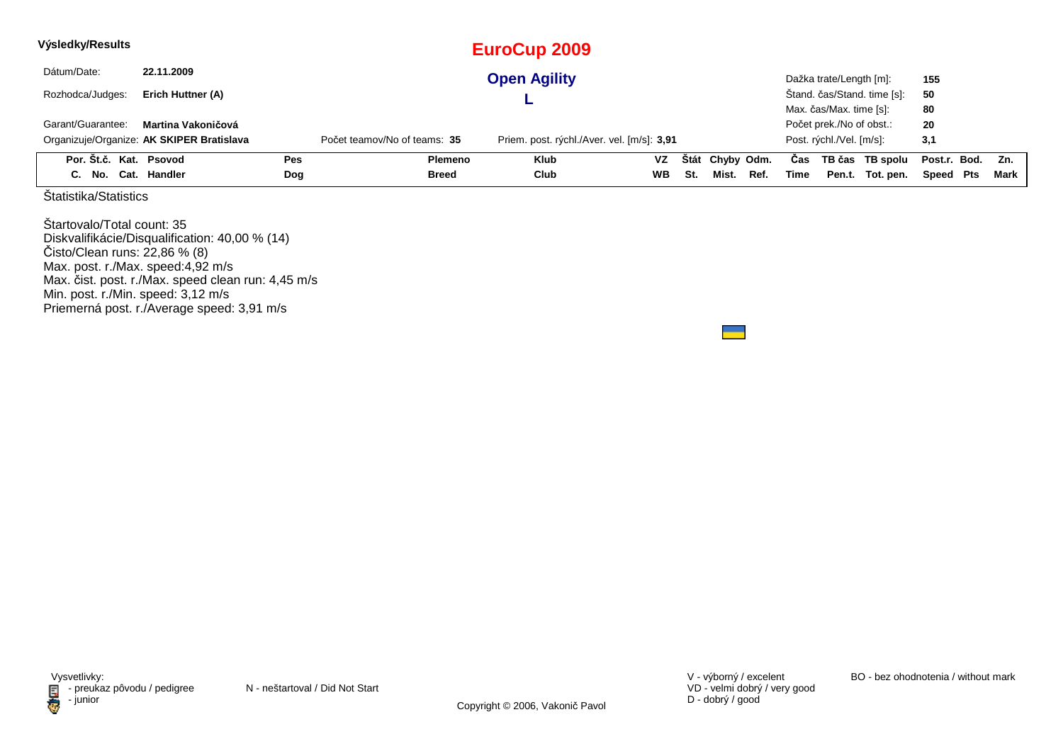| Výsledky/Results       |                                           |     |                              | EuroCup 2009                               |           |     |                 |      |      |                          |                             |              |      |
|------------------------|-------------------------------------------|-----|------------------------------|--------------------------------------------|-----------|-----|-----------------|------|------|--------------------------|-----------------------------|--------------|------|
| Dátum/Date:            | 22.11.2009                                |     |                              | <b>Open Agility</b>                        |           |     |                 |      |      | Dažka trate/Length [m]:  |                             | 155          |      |
| Rozhodca/Judges:       | Erich Huttner (A)                         |     |                              |                                            |           |     |                 |      |      |                          | Štand. čas/Stand. time [s]: | 50           |      |
|                        |                                           |     |                              |                                            |           |     |                 |      |      | Max. čas/Max. time [s]:  |                             | 80           |      |
| Garant/Guarantee:      | Martina Vakoničová                        |     |                              |                                            |           |     |                 |      |      | Počet prek./No of obst.: |                             | 20           |      |
|                        | Organizuje/Organize: AK SKIPER Bratislava |     | Počet teamov/No of teams: 35 | Priem. post. rýchl./Aver. vel. [m/s]: 3,91 |           |     |                 |      |      | Post. rýchl./Vel. [m/s]: |                             | 3,1          |      |
| Por. Št.č. Kat. Psovod |                                           | Pes | Plemeno                      | <b>Klub</b>                                | VZ        |     | Štát Chyby Odm. |      | Cas  |                          | TB čas TB spolu             | Post.r. Bod. | Zn.  |
| C. No. Cat. Handler    |                                           | Dog | Breed                        | Club                                       | <b>WB</b> | St. | Mist.           | Ref. | Time |                          | Pen.t. Tot. pen.            | Speed Pts    | Mark |

Štartovalo/Total count: 35 Diskvalifikácie/Disqualification: 40,00 % (14) Čisto/Clean runs: 22,86 % (8) Max. post. r./Max. speed:4,92 m/sMax. čist. post. r./Max. speed clean run: 4,45 m/s Min. post. r./Min. speed: 3,12 m/s Priemerná post. r./Average speed: 3,91 m/s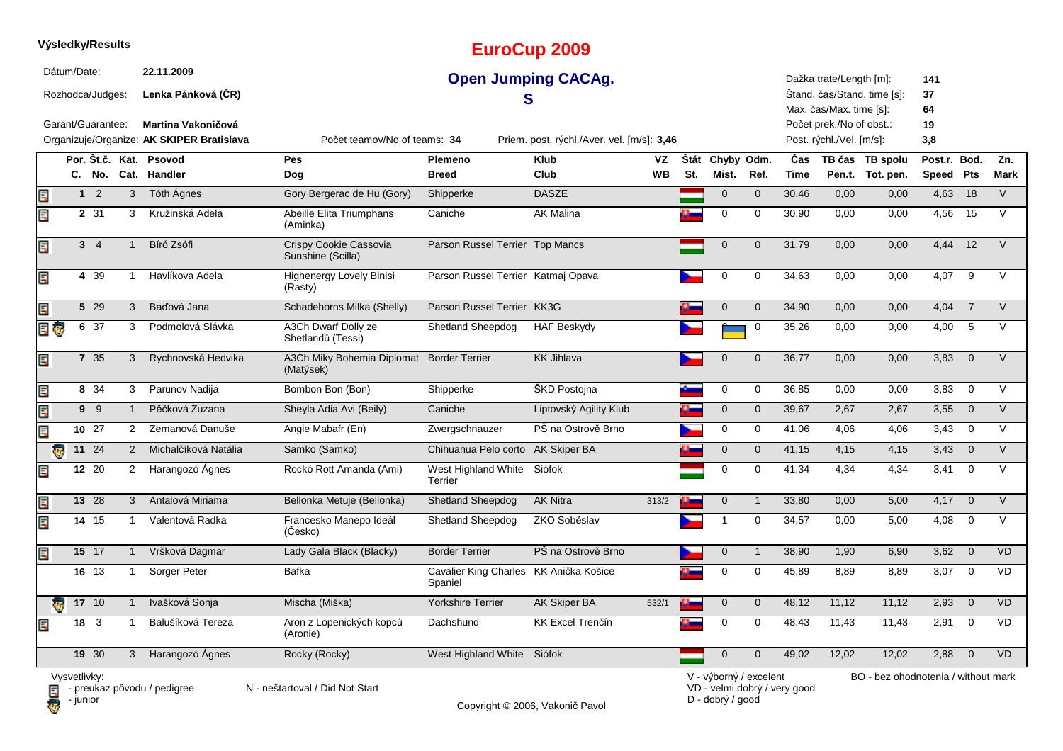|                         |              | Výsledky/Results  |              |                |                                                                        |                                                        |                                                   | <b>EuroCup 2009</b>                        |                 |             |                        |              |                              |                                                      |                                     |                           |                |                    |
|-------------------------|--------------|-------------------|--------------|----------------|------------------------------------------------------------------------|--------------------------------------------------------|---------------------------------------------------|--------------------------------------------|-----------------|-------------|------------------------|--------------|------------------------------|------------------------------------------------------|-------------------------------------|---------------------------|----------------|--------------------|
|                         | Dátum/Date:  | Rozhodca/Judges:  |              |                | 22.11.2009<br>Lenka Pánková (ČR)                                       |                                                        |                                                   | <b>Open Jumping CACAg.</b>                 |                 |             |                        |              |                              | Dažka trate/Length [m]:<br>Max. čas/Max. time [s]:   | Štand. čas/Stand. time [s]:         | 141<br>37<br>64           |                |                    |
|                         |              | Garant/Guarantee: |              |                | <b>Martina Vakoničová</b><br>Organizuje/Organize: AK SKIPER Bratislava | Počet teamov/No of teams: 34                           |                                                   | Priem. post. rýchl./Aver. vel. [m/s]: 3,46 |                 |             |                        |              |                              | Počet prek./No of obst.:<br>Post. rýchl./Vel. [m/s]: |                                     | 19<br>3,8                 |                |                    |
|                         |              |                   |              |                | Por. Št.č. Kat. Psovod<br>C. No. Cat. Handler                          | Pes<br>Dog                                             | Plemeno<br><b>Breed</b>                           | <b>Klub</b><br>Club                        | VZ<br><b>WB</b> | Štát<br>St. | Chyby Odm.<br>Mist.    | Ref.         | Čas<br>Time                  |                                                      | TB čas TB spolu<br>Pen.t. Tot. pen. | Post.r. Bod.<br>Speed Pts |                | Zn.<br><b>Mark</b> |
| Ē,                      |              | 1 <sup>2</sup>    | 3            |                | Tóth Ágnes                                                             | Gory Bergerac de Hu (Gory)                             | Shipperke                                         | <b>DASZE</b>                               |                 |             | $\mathbf 0$            | $\mathbf{0}$ | 30,46                        | 0,00                                                 | 0,00                                | 4,63                      | 18             | $\vee$             |
| Ę                       |              | 2 31              | 3            |                | Kružinská Adela                                                        | Abeille Elita Triumphans<br>(Aminka)                   | Caniche                                           | <b>AK Malina</b>                           |                 |             | $\mathbf 0$            | $\mathbf 0$  | 30,90                        | 0,00                                                 | 0,00                                | 4,56                      | 15             | V                  |
| Ę                       |              | $3 \quad 4$       | $\mathbf{1}$ |                | Bíró Zsófi                                                             | Crispy Cookie Cassovia<br>Sunshine (Scilla)            | Parson Russel Terrier Top Mancs                   |                                            |                 |             | $\mathbf 0$            | $\mathbf{0}$ | 31,79                        | 0,00                                                 | 0,00                                | 4,44                      | 12             | $\vee$             |
| Ę                       |              | 4 39              | $\mathbf{1}$ |                | Havlíkova Adela                                                        | <b>Highenergy Lovely Binisi</b><br>(Rasty)             | Parson Russel Terrier Katmaj Opava                |                                            |                 |             | 0                      | 0            | 34,63                        | 0,00                                                 | 0,00                                | 4,07                      | 9              | V                  |
| Ę                       |              | 5 29              | 3            |                | Baďová Jana                                                            | Schadehorns Milka (Shelly)                             | Parson Russel Terrier KK3G                        |                                            |                 |             | $\mathbf 0$            | $\mathbf 0$  | 34,90                        | 0,00                                                 | 0,00                                | 4,04                      | $\overline{7}$ | $\overline{V}$     |
| 日で                      |              | 6 37              | 3            |                | Podmolová Slávka                                                       | A3Ch Dwarf Dolly ze<br>Shetlandů (Tessi)               | <b>Shetland Sheepdog</b>                          | <b>HAF Beskydy</b>                         |                 |             |                        | 0            | 35,26                        | 0,00                                                 | 0,00                                | 4,00                      | 5              | $\vee$             |
| Ę                       |              | 7 35              | 3            |                | Rychnovská Hedvika                                                     | A3Ch Miky Bohemia Diplomat Border Terrier<br>(Matýsek) |                                                   | <b>KK Jihlava</b>                          |                 |             | $\mathbf 0$            | $\mathbf 0$  | 36,77                        | 0,00                                                 | 0,00                                | 3,83                      | $\overline{0}$ | $\vee$             |
| Ę                       |              | 8 34              | 3            |                | Parunov Nadija                                                         | Bombon Bon (Bon)                                       | Shipperke                                         | ŠKD Postojna                               |                 |             | $\mathsf 0$            | $\mathbf 0$  | 36,85                        | 0,00                                                 | 0,00                                | 3,83                      | $\overline{0}$ | $\vee$             |
| Ę                       |              | 99                | $\mathbf{1}$ |                | Pěčková Zuzana                                                         | Sheyla Adia Avi (Beily)                                | Caniche                                           | Liptovský Agility Klub                     |                 |             | $\mathbf 0$            | $\mathbf 0$  | 39,67                        | 2,67                                                 | 2,67                                | 3,55                      | $\overline{0}$ | $\overline{V}$     |
| Ę                       |              | 10 27             | 2            |                | Zemanová Danuše                                                        | Angie Mabafr (En)                                      | Zwergschnauzer                                    | PŠ na Ostrově Brno                         |                 |             | 0                      | 0            | 41,06                        | 4,06                                                 | 4,06                                | 3,43                      | $\overline{0}$ | $\vee$             |
| ē                       |              | 11 24             |              | 2              | Michalčíková Natália                                                   | Samko (Samko)                                          | Chihuahua Pelo corto AK Skiper BA                 |                                            |                 |             | $\mathbf 0$            | $\mathbf 0$  | 41,15                        | 4,15                                                 | 4,15                                | 3,43                      | $\overline{0}$ | $\vee$             |
| Ę                       |              | 12 20             |              | $\overline{2}$ | Harangozó Ágnes                                                        | Rockó Rott Amanda (Ami)                                | West Highland White Siófok<br>Terrier             |                                            |                 |             | $\mathbf 0$            | $\mathbf 0$  | 41,34                        | 4,34                                                 | 4,34                                | 3,41                      | $\overline{0}$ | $\vee$             |
| Ę                       |              | 13 28             | 3            |                | Antalová Miriama                                                       | Bellonka Metuje (Bellonka)                             | <b>Shetland Sheepdog</b>                          | <b>AK Nitra</b>                            | 313/2           |             | $\mathbf{0}$           | $\mathbf{1}$ | 33,80                        | 0,00                                                 | 5,00                                | 4,17                      | $\overline{0}$ | $\vee$             |
| Ę                       |              | 14 15             | -1           |                | Valentová Radka                                                        | Francesko Manepo Ideál<br>(Česko)                      | <b>Shetland Sheepdog</b>                          | ZKO Soběslav                               |                 |             | $\mathbf{1}$           | 0            | 34,57                        | 0,00                                                 | 5,00                                | 4,08                      | $\overline{0}$ | V                  |
| Ę                       |              | 15 17             | $\mathbf{1}$ |                | Vršková Dagmar                                                         | Lady Gala Black (Blacky)                               | <b>Border Terrier</b>                             | PŠ na Ostrově Brno                         |                 |             | $\mathbf 0$            | $\mathbf{1}$ | 38,90                        | 1,90                                                 | 6,90                                | 3,62                      | $\overline{0}$ | <b>VD</b>          |
|                         |              | 16 13             | -1           |                | Sorger Peter                                                           | <b>Bafka</b>                                           | Cavalier King Charles KK Anička Košice<br>Spaniel |                                            |                 |             | $\mathbf 0$            | 0            | 45,89                        | 8,89                                                 | 8,89                                | 3,07                      | $\mathbf 0$    | <b>VD</b>          |
| $\overline{\mathbf{G}}$ |              | $17 \quad 10$     | $\mathbf{1}$ |                | Ivašková Sonja                                                         | Mischa (Miška)                                         | Yorkshire Terrier                                 | AK Skiper BA                               | 532/1           |             | $\mathbf 0$            | $\mathbf 0$  | 48,12                        | 11,12                                                | 11,12                               | 2,93                      | $\overline{0}$ | VD                 |
| Ę                       |              | $18 \quad 3$      |              |                | Balušíková Tereza                                                      | Aron z Lopenických kopců<br>(Aronie)                   | Dachshund                                         | KK Excel Trenčín                           |                 |             | 0                      | $\mathbf 0$  | 48,43                        | 11,43                                                | 11,43                               | 2,91                      | $\overline{0}$ | <b>VD</b>          |
|                         |              | 19 30             |              | 3              | Harangozó Ágnes                                                        | Rocky (Rocky)                                          | West Highland White Siófok                        |                                            |                 |             | $\mathbf 0$            | $\mathbf{0}$ | 49,02                        | 12,02                                                | 12,02                               | 2,88                      | $\overline{0}$ | <b>VD</b>          |
|                         | Vysvetlivky: |                   |              |                | $\blacksquare$ - preukaz pôvodu / pedigree                             | N - neštartoval / Did Not Start                        |                                                   |                                            |                 |             | V - výborný / excelent |              | VD - velmi dobrý / very good |                                                      | BO - bez ohodnotenia / without mark |                           |                |                    |

**D** - junior

Copyright © 2006, Vakonič Pavol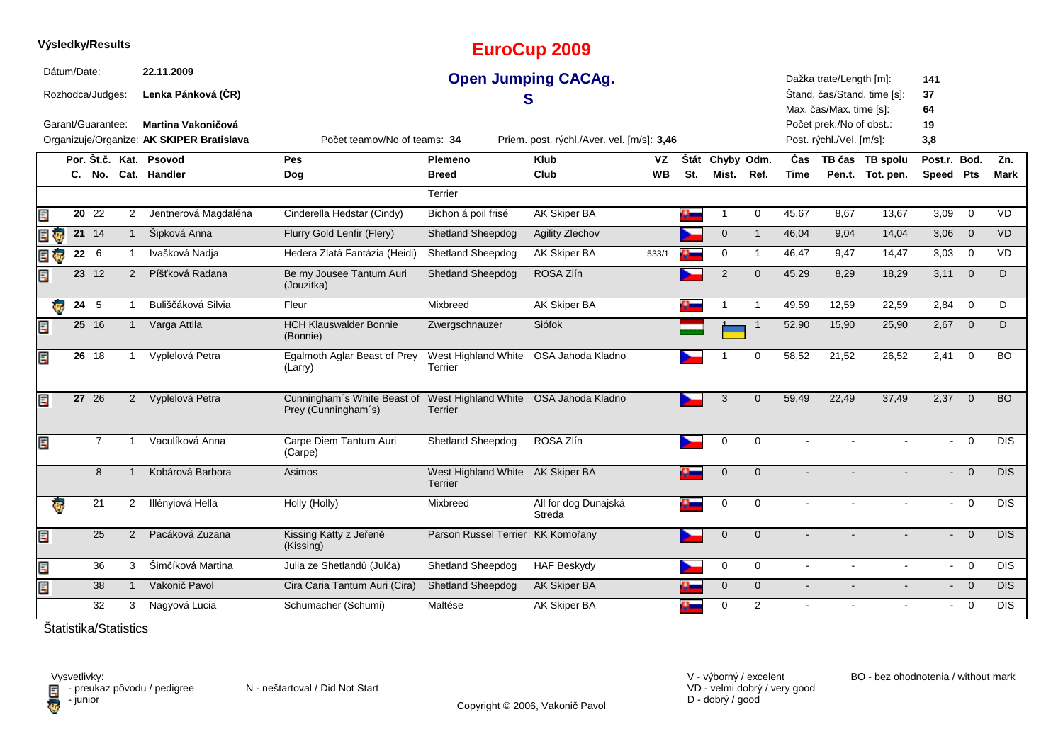|          |             | Výsledky/Results                                           |                |                                                                        |                                                                                          |                                                  | <b>EuroCup 2009</b>                        |          |             |                     |                |                |                                                      |                                     |                           |                                  |                  |
|----------|-------------|------------------------------------------------------------|----------------|------------------------------------------------------------------------|------------------------------------------------------------------------------------------|--------------------------------------------------|--------------------------------------------|----------|-------------|---------------------|----------------|----------------|------------------------------------------------------|-------------------------------------|---------------------------|----------------------------------|------------------|
|          | Dátum/Date: | Rozhodca/Judges:                                           |                | 22.11.2009<br>Lenka Pánková (ČR)                                       |                                                                                          | S                                                | <b>Open Jumping CACAg.</b>                 |          |             |                     |                |                | Dažka trate/Length [m]:<br>Max. čas/Max. time [s]:   | Štand. čas/Stand. time [s]:         | 141<br>37<br>64           |                                  |                  |
|          |             | Garant/Guarantee:                                          |                | <b>Martina Vakoničová</b><br>Organizuje/Organize: AK SKIPER Bratislava | Počet teamov/No of teams: 34                                                             |                                                  | Priem. post. rýchl./Aver. vel. [m/s]: 3,46 |          |             |                     |                |                | Počet prek./No of obst.:<br>Post. rýchl./Vel. [m/s]: |                                     | 19<br>3,8                 |                                  |                  |
|          |             |                                                            |                | Por. Št.č. Kat. Psovod<br>C. No. Cat. Handler                          | Pes<br>Dog                                                                               | Plemeno<br><b>Breed</b>                          | <b>Klub</b><br>Club                        | VZ<br>WB | Štát<br>St. | Chyby Odm.<br>Mist. | Ref.           | Čas<br>Time    |                                                      | TB čas TB spolu<br>Pen.t. Tot. pen. | Post.r. Bod.<br>Speed Pts |                                  | Zn.<br>Mark      |
| Ę        |             | $20\;\;22$                                                 | $\overline{2}$ | Jentnerová Magdaléna                                                   | Cinderella Hedstar (Cindy)                                                               | Terrier<br>Bichon á poil frisé                   | AK Skiper BA                               |          | a.          |                     | $\mathbf 0$    | 45,67          | 8,67                                                 | 13,67                               | 3,09                      | $\mathbf 0$                      | VD               |
| r)<br>Er |             | $21 \t14$                                                  | $\mathbf{1}$   | Šipková Anna                                                           | Flurry Gold Lenfir (Flery)                                                               | <b>Shetland Sheepdog</b>                         | Agility Zlechov                            |          |             | $\mathbf 0$         | $\overline{1}$ | 46,04          | 9,04                                                 | 14,04                               | 3,06                      | $\overline{0}$                   | <b>VD</b>        |
| E G      |             | 22 6                                                       |                | Ivašková Nadja                                                         | Hedera Zlatá Fantázia (Heidi)                                                            | Shetland Sheepdog                                | AK Skiper BA                               | 533/1    |             | 0                   | $\overline{1}$ | 46,47          | 9,47                                                 | 14,47                               | 3,03                      | $\overline{0}$                   | VD               |
| Ę        |             | 23 12                                                      | 2              | Píšťková Radana                                                        | Be my Jousee Tantum Auri<br>(Jouzitka)                                                   | <b>Shetland Sheepdog</b>                         | ROSA Zlín                                  |          |             | $\overline{2}$      | $\mathbf 0$    | 45,29          | 8,29                                                 | 18,29                               | 3,11                      | $\overline{\mathbf{0}}$          | D                |
|          | Ģ           | 24 5                                                       |                | Buliščáková Silvia                                                     | Fleur                                                                                    | Mixbreed                                         | <b>AK Skiper BA</b>                        |          |             |                     | -1             | 49,59          | 12,59                                                | 22,59                               | 2,84                      | $\overline{0}$                   | D                |
| Ę        |             | 25 16                                                      | $\mathbf{1}$   | Varga Attila                                                           | <b>HCH Klauswalder Bonnie</b><br>(Bonnie)                                                | Zwergschnauzer                                   | Siófok                                     |          |             |                     | -1             | 52,90          | 15,90                                                | 25,90                               | 2,67                      | $\overline{0}$                   | D                |
| Ę        |             | 26 18                                                      | -1             | Vyplelová Petra                                                        | Egalmoth Aglar Beast of Prey<br>(Larry)                                                  | West Highland White OSA Jahoda Kladno<br>Terrier |                                            |          |             |                     | $\mathbf 0$    | 58,52          | 21,52                                                | 26,52                               | 2,41                      | $\overline{0}$                   | <b>BO</b>        |
| Ę        |             | 27 26                                                      | $\overline{2}$ | Vyplelová Petra                                                        | Cunningham's White Beast of West Highland White OSA Jahoda Kladno<br>Prey (Cunningham's) | Terrier                                          |                                            |          |             | 3                   | $\mathbf 0$    | 59,49          | 22,49                                                | 37,49                               | 2,37                      | $\overline{0}$                   | <b>BO</b>        |
| Ę        |             | $\overline{7}$                                             | -1             | Vaculíková Anna                                                        | Carpe Diem Tantum Auri<br>(Carpe)                                                        | Shetland Sheepdog                                | ROSA Zlín                                  |          |             | 0                   | $\mathbf 0$    | $\sim$         |                                                      |                                     | $\sim$                    | $\overline{0}$                   | $\overline{DIS}$ |
|          |             | 8                                                          | $\mathbf{1}$   | Kobárová Barbora                                                       | Asimos                                                                                   | West Highland White AK Skiper BA<br>Terrier      |                                            |          | o.          | $\mathbf 0$         | $\mathbf{0}$   |                |                                                      |                                     |                           | $\overline{0}$<br>÷.             | <b>DIS</b>       |
|          | ę.          | 21                                                         | $\mathbf{2}$   | Illényiová Hella                                                       | Holly (Holly)                                                                            | Mixbreed                                         | All for dog Dunajská<br>Streda             |          |             | 0                   | 0              |                |                                                      |                                     |                           | $\overline{0}$<br>$\sim 100$     | <b>DIS</b>       |
| Ę        |             | 25                                                         | $\overline{2}$ | Pacáková Zuzana                                                        | Kissing Katty z Jeřeně<br>(Kissing)                                                      | Parson Russel Terrier KK Komořany                |                                            |          |             | $\mathbf 0$         | $\mathbf{0}$   |                |                                                      |                                     |                           | $\overline{0}$<br>$\blacksquare$ | <b>DIS</b>       |
| Ę        |             | 36                                                         | 3              | Šimčíková Martina                                                      | Julia ze Shetlandů (Julča)                                                               | <b>Shetland Sheepdog</b>                         | <b>HAF Beskydy</b>                         |          |             | 0                   | $\mathbf 0$    | $\mathbf{r}$   | $\mathbf{r}$                                         | $\mathbf{r}$                        |                           | $- 0$                            | <b>DIS</b>       |
| E        |             | 38                                                         | $\mathbf{1}$   | Vakonič Pavol                                                          | Cira Caria Tantum Auri (Cira)                                                            | <b>Shetland Sheepdog</b>                         | AK Skiper BA                               |          |             | $\mathbf{0}$        | $\mathbf{0}$   | $\mathbf{r}$   |                                                      |                                     |                           | $\overline{0}$<br>$\sim$         | <b>DIS</b>       |
|          |             | 32<br>$X_{\rm{max}}$ and $X_{\rm{max}}$ and $X_{\rm{max}}$ | 3              | Nagyová Lucia                                                          | Schumacher (Schumi)                                                                      | Maltése                                          | <b>AK Skiper BA</b>                        |          |             | 0                   | 2              | $\blacksquare$ |                                                      |                                     |                           | $\overline{0}$<br>$\sim$         | <b>DIS</b>       |

VD - velmi dobrý / very good D - dobrý / good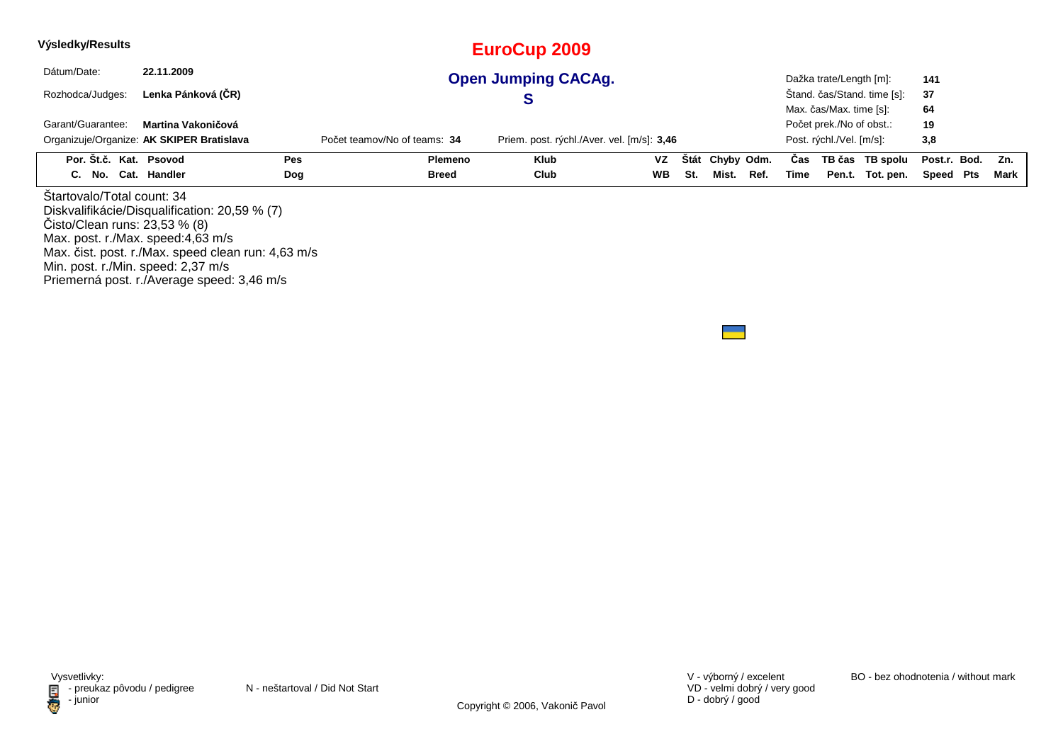| Výsledky/Results                                                                                 |                                                                                                     |     |                              | <b>EuroCup 2009</b>                        |           |             |            |      |      |                          |                             |              |      |
|--------------------------------------------------------------------------------------------------|-----------------------------------------------------------------------------------------------------|-----|------------------------------|--------------------------------------------|-----------|-------------|------------|------|------|--------------------------|-----------------------------|--------------|------|
| Dátum/Date:                                                                                      | 22.11.2009                                                                                          |     |                              | <b>Open Jumping CACAg.</b>                 |           |             |            |      |      | Dažka trate/Length [m]:  |                             | 141          |      |
| Rozhodca/Judges:                                                                                 | Lenka Pánková (ČR)                                                                                  |     |                              | S                                          |           |             |            |      |      |                          | Stand. čas/Stand. time [s]: | 37           |      |
|                                                                                                  |                                                                                                     |     |                              |                                            |           |             |            |      |      | Max. čas/Max. time [s]:  |                             | 64           |      |
| Garant/Guarantee:                                                                                | Martina Vakoničová                                                                                  |     |                              |                                            |           |             |            |      |      | Počet prek./No of obst.: |                             | 19           |      |
|                                                                                                  | Organizuje/Organize: AK SKIPER Bratislava                                                           |     | Počet teamov/No of teams: 34 | Priem. post. rýchl./Aver. vel. [m/s]: 3,46 |           |             |            |      |      | Post. rýchl./Vel. [m/s]: |                             | 3,8          |      |
| Por. Št.č. Kat. Psovod                                                                           |                                                                                                     | Pes | <b>Plemeno</b>               | Klub                                       | <b>VZ</b> | <b>Stát</b> | Chyby Odm. |      | Cas  |                          | TB čas TB spolu             | Post.r. Bod. | Zn.  |
| C. No. Cat. Handler                                                                              |                                                                                                     | Dog | <b>Breed</b>                 | Club                                       | <b>WB</b> | St.         | Mist.      | Ref. | Time |                          | Pen.t. Tot. pen.            | Speed Pts    | Mark |
| Startovalo/Total count: 34<br>Cisto/Clean runs: 23,53 % (8)<br>Max. post. r./Max. speed:4,63 m/s | Diskvalifikácie/Disqualification: 20,59 % (7)<br>Max. čist. post. r./Max. speed clean run: 4,63 m/s |     |                              |                                            |           |             |            |      |      |                          |                             |              |      |

Min. post. r./Min. speed: 2,37 m/s Priemerná post. r./Average speed: 3,46 m/s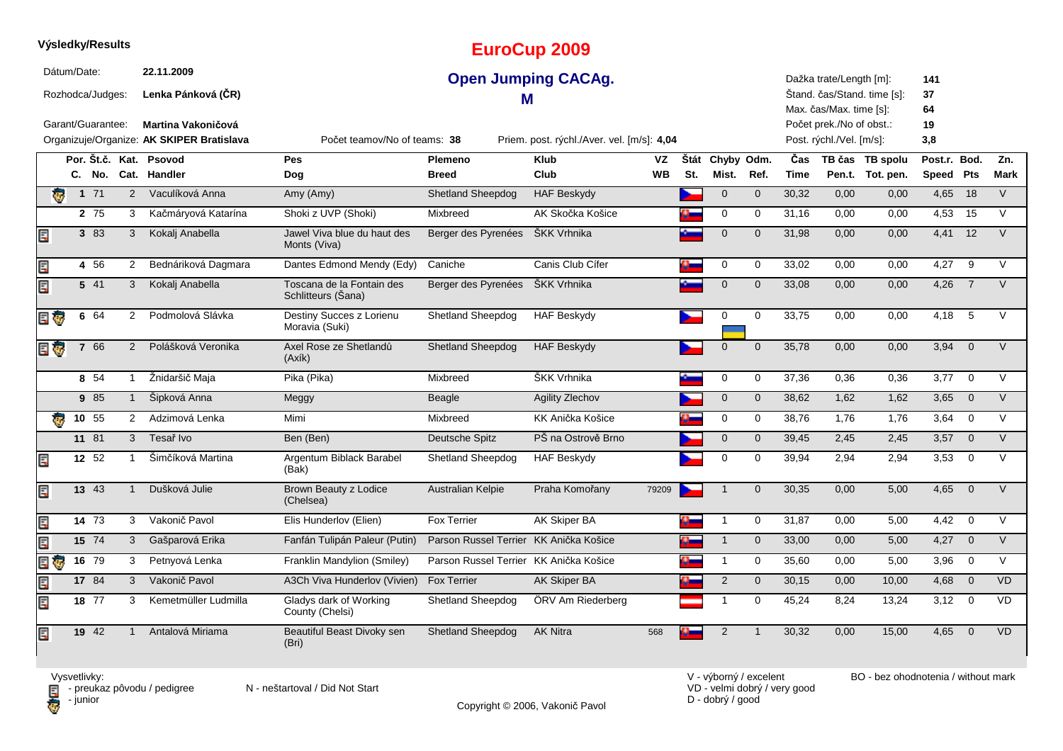|                                                      |  | Výsledky/Results  |                                                        |                                               |                                                                            |                                        | <b>EuroCup 2009</b> |                        |     |                          |                |                                                                                |                             |                                     |                           |                |                    |
|------------------------------------------------------|--|-------------------|--------------------------------------------------------|-----------------------------------------------|----------------------------------------------------------------------------|----------------------------------------|---------------------|------------------------|-----|--------------------------|----------------|--------------------------------------------------------------------------------|-----------------------------|-------------------------------------|---------------------------|----------------|--------------------|
| Dátum/Date:<br>Rozhodca/Judges:<br>Garant/Guarantee: |  |                   | 22.11.2009<br>Lenka Pánková (ČR)<br>Martina Vakoničová | <b>Open Jumping CACAg.</b><br>м               |                                                                            |                                        |                     |                        |     |                          |                | Dažka trate/Length [m]:<br>Max. čas/Max. time [s]:<br>Počet prek./No of obst.: | Štand. čas/Stand. time [s]: | 141<br>37<br>64<br>19               |                           |                |                    |
|                                                      |  |                   |                                                        | Organizuje/Organize: AK SKIPER Bratislava     | Počet teamov/No of teams: 38<br>Priem. post. rýchl./Aver. vel. [m/s]: 4,04 |                                        |                     |                        |     |                          |                |                                                                                | Post. rýchl./Vel. [m/s]:    |                                     | 3,8                       |                |                    |
|                                                      |  |                   |                                                        | Por. Št.č. Kat. Psovod<br>C. No. Cat. Handler | Pes<br>Dog                                                                 | Plemeno<br><b>Breed</b>                | <b>Klub</b><br>Club | <b>VZ</b><br><b>WB</b> | St. | Štát Chyby Odm.<br>Mist. | Ref.           | Čas<br><b>Time</b>                                                             |                             | TB čas TB spolu<br>Pen.t. Tot. pen. | Post.r. Bod.<br>Speed Pts |                | Zn.<br><b>Mark</b> |
| ā.                                                   |  | $1 71$            | 2                                                      | Vaculíková Anna                               | Amy (Amy)                                                                  | <b>Shetland Sheepdog</b>               | <b>HAF Beskydy</b>  |                        |     | $\mathbf 0$              | $\overline{0}$ | 30,32                                                                          | 0,00                        | 0,00                                | $4,65$ 18                 |                | $\vee$             |
|                                                      |  | 2 75              | 3                                                      | Kačmáryová Katarína                           | Shoki z UVP (Shoki)                                                        | Mixbreed                               | AK Skočka Košice    |                        |     | $\mathbf 0$              | $\mathbf 0$    | 31,16                                                                          | 0,00                        | 0,00                                | 4,53                      | 15             | V                  |
| E                                                    |  | 3 83              | $\mathbf{3}$                                           | Kokalj Anabella                               | Jawel Viva blue du haut des<br>Monts (Viva)                                | Berger des Pyrenées                    | ŠKK Vrhnika         |                        |     | $\mathbf 0$              | $\Omega$       | 31,98                                                                          | 0.00                        | 0.00                                | 4.41                      | 12             | $\vee$             |
| Ę                                                    |  | 4 56              | 2                                                      | Bednáriková Dagmara                           | Dantes Edmond Mendy (Edy)                                                  | Caniche                                | Canis Club Cífer    |                        |     | $\mathbf 0$              | $\mathbf 0$    | 33,02                                                                          | 0.00                        | 0,00                                | 4,27                      | 9              | $\vee$             |
| Ę                                                    |  | 5 41              | 3                                                      | Kokalj Anabella                               | Toscana de la Fontain des<br>Schlitteurs (Sana)                            | Berger des Pyrenées                    | ŠKK Vrhnika         |                        |     | $\mathbf 0$              | $\mathbf{0}$   | 33,08                                                                          | 0,00                        | 0,00                                | 4,26                      | $\overline{7}$ | V                  |
|                                                      |  | 6 64              | 2                                                      | Podmolová Slávka                              | Destiny Succes z Lorienu<br>Moravia (Suki)                                 | <b>Shetland Sheepdog</b>               | <b>HAF Beskydy</b>  |                        |     | 0                        | $\mathbf 0$    | 33,75                                                                          | 0,00                        | 0,00                                | 4,18                      | 5              | $\vee$             |
| E G                                                  |  | 7 66              | 2                                                      | Polášková Veronika                            | Axel Rose ze Shetlandů<br>(Axik)                                           | <b>Shetland Sheepdog</b>               | <b>HAF Beskydy</b>  |                        |     | $\mathbf 0$              | $\mathbf 0$    | 35,78                                                                          | 0,00                        | 0,00                                | 3,94                      | $\overline{0}$ | $\vee$             |
|                                                      |  | 8 54              | $\mathbf{1}$                                           | Žnidaršič Maja                                | Pika (Pika)                                                                | Mixbreed                               | ŠKK Vrhnika         |                        |     | $\mathbf 0$              | 0              | 37,36                                                                          | 0,36                        | 0,36                                | 3,77                      | $\overline{0}$ | V                  |
|                                                      |  | 9 85              | $\mathbf{1}$                                           | Šipková Anna                                  | Meggy                                                                      | Beagle                                 | Agility Zlechov     |                        |     | $\mathbf 0$              | $\mathbf{0}$   | 38,62                                                                          | 1,62                        | 1,62                                | 3,65                      | $\overline{0}$ | V                  |
| æ.                                                   |  | 10, 55            | $\overline{2}$                                         | Adzimová Lenka                                | Mimi                                                                       | Mixbreed                               | KK Anička Košice    |                        |     | 0                        | $\mathbf 0$    | 38,76                                                                          | 1,76                        | 1,76                                | 3,64                      | $\overline{0}$ | V                  |
|                                                      |  | 11 81             | $\mathbf{3}$                                           | Tesař Ivo                                     | Ben (Ben)                                                                  | Deutsche Spitz                         | PŠ na Ostrově Brno  |                        |     | $\mathbf 0$              | $\mathbf 0$    | 39,45                                                                          | 2,45                        | 2,45                                | $3,57$ 0                  |                | $\vee$             |
| E                                                    |  | 12 $52$           | $\mathbf{1}$                                           | Šimčíková Martina                             | Argentum Biblack Barabel<br>(Bak)                                          | <b>Shetland Sheepdog</b>               | <b>HAF Beskydy</b>  |                        |     | $\pmb{0}$                | $\mathbf 0$    | 39,94                                                                          | 2,94                        | 2,94                                | 3,53                      | $\mathbf 0$    | $\vee$             |
| E                                                    |  | 13 43             | $\mathbf{1}$                                           | Dušková Julie                                 | <b>Brown Beauty z Lodice</b><br>(Chelsea)                                  | Australian Kelpie                      | Praha Komořany      | 79209                  |     | $\mathbf{1}$             | $\Omega$       | 30,35                                                                          | 0,00                        | 5,00                                | 4,65                      | $\overline{0}$ | $\vee$             |
| E                                                    |  | 14 73             | 3                                                      | Vakonič Pavol                                 | Elis Hunderlov (Elien)                                                     | <b>Fox Terrier</b>                     | AK Skiper BA        |                        |     | $\mathbf{1}$             | $\mathbf 0$    | 31,87                                                                          | 0,00                        | 5,00                                | 4,42                      | $\overline{0}$ | $\vee$             |
| E                                                    |  | 15 74             | 3                                                      | Gašparová Erika                               | Fanfán Tulipán Paleur (Putin)                                              | Parson Russel Terrier KK Anička Košice |                     |                        |     | $\mathbf{1}$             | $\mathbf 0$    | 33,00                                                                          | 0,00                        | 5,00                                | $4,27$ 0                  |                | $\vee$             |
| Ę<br><b>g</b>                                        |  | $16\overline{79}$ | 3                                                      | Petnyová Lenka                                | Franklin Mandylion (Smiley)                                                | Parson Russel Terrier KK Anička Košice |                     |                        |     | $\mathbf{1}$             | $\mathbf 0$    | 35,60                                                                          | 0,00                        | 5,00                                | 3,96                      | $\overline{0}$ | V                  |
| Ę                                                    |  | 17 84             | $\mathbf{3}$                                           | Vakonič Pavol                                 | A3Ch Viva Hunderlov (Vivien)                                               | <b>Fox Terrier</b>                     | <b>AK Skiper BA</b> |                        |     | $\overline{2}$           | $\mathbf 0$    | 30,15                                                                          | 0,00                        | 10,00                               | 4,68                      | $\overline{0}$ | <b>VD</b>          |
| E                                                    |  | 18 77             | 3                                                      | Kemetmüller Ludmilla                          | Gladys dark of Working<br>County (Chelsi)                                  | <b>Shetland Sheepdog</b>               | ÖRV Am Riederberg   |                        |     | $\mathbf{1}$             | $\mathbf 0$    | 45,24                                                                          | 8,24                        | 13,24                               | $3,12$ 0                  |                | <b>VD</b>          |
| E                                                    |  | 19 42             | $\mathbf{1}$                                           | Antalová Miriama                              | Beautiful Beast Divoky sen<br>(Bri)                                        | Shetland Sheepdog                      | <b>AK Nitra</b>     | 568                    |     | 2                        | $\overline{1}$ | 30,32                                                                          | 0.00                        | 15,00                               | 4,65                      | $\overline{0}$ | <b>VD</b>          |

Copyright © 2006, Vakonič Pavol

VD - velmi dobrý / very good D - dobrý / good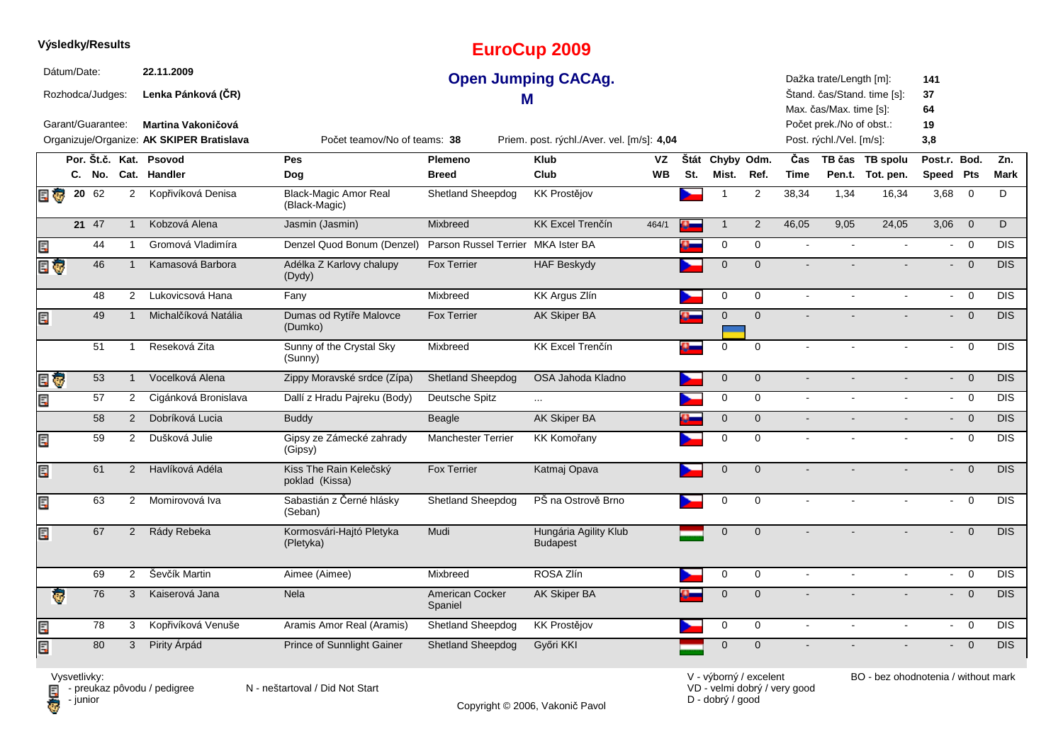|                                                      |  | Výsledky/Results  |                                                                                                            |                                                                                                               |                                               |                                    | <b>EuroCup 2009</b>                      |           |     |                 |                |                                                                                                            |                             |                              |                           |                |            |
|------------------------------------------------------|--|-------------------|------------------------------------------------------------------------------------------------------------|---------------------------------------------------------------------------------------------------------------|-----------------------------------------------|------------------------------------|------------------------------------------|-----------|-----|-----------------|----------------|------------------------------------------------------------------------------------------------------------|-----------------------------|------------------------------|---------------------------|----------------|------------|
| Dátum/Date:<br>Rozhodca/Judges:<br>Garant/Guarantee: |  |                   | 22.11.2009<br>Lenka Pánková (ČR)<br><b>Martina Vakoničová</b><br>Organizuje/Organize: AK SKIPER Bratislava | <b>Open Jumping CACAg.</b><br>м<br>Počet teamov/No of teams: 38<br>Priem. post. rýchl./Aver. vel. [m/s]: 4,04 |                                               |                                    |                                          |           |     |                 |                | Dažka trate/Length [m]:<br>Max. čas/Max. time [s]:<br>Počet prek./No of obst.:<br>Post. rýchl./Vel. [m/s]: | Štand. čas/Stand. time [s]: | 141<br>37<br>64<br>19<br>3,8 |                           |                |            |
|                                                      |  |                   |                                                                                                            | Por. Št.č. Kat. Psovod                                                                                        | <b>Pes</b>                                    | Plemeno                            | <b>Klub</b>                              | VZ        |     | Štát Chyby Odm. |                | Čas                                                                                                        |                             | TB čas TB spolu              | Post.r. Bod.              |                | Zn.        |
|                                                      |  |                   |                                                                                                            | C. No. Cat. Handler                                                                                           | Dog                                           | <b>Breed</b>                       | Club                                     | <b>WB</b> | St. | Mist.           | Ref.           | <b>Time</b>                                                                                                |                             | Pen.t. Tot. pen.             | Speed Pts                 |                | Mark       |
| 日零                                                   |  | $20\overline{62}$ | $\overline{2}$                                                                                             | Kopřivíková Denisa                                                                                            | <b>Black-Magic Amor Real</b><br>(Black-Magic) | <b>Shetland Sheepdog</b>           | <b>KK Prostějov</b>                      |           |     | -1              | $\overline{2}$ | 38,34                                                                                                      | 1,34                        | 16,34                        | 3,68                      | $\overline{0}$ | D          |
|                                                      |  | 21 47             | $\mathbf{1}$                                                                                               | Kobzová Alena                                                                                                 | Jasmin (Jasmin)                               | Mixbreed                           | <b>KK Excel Trenčín</b>                  | 464/1     |     | $\mathbf 1$     | $\overline{2}$ | 46,05                                                                                                      | 9,05                        | 24,05                        | 3,06                      | $\overline{0}$ | D          |
| E                                                    |  | 44                | $\overline{1}$                                                                                             | Gromová Vladimíra                                                                                             | Denzel Quod Bonum (Denzel)                    | Parson Russel Terrier MKA Ister BA |                                          |           |     | 0               | $\mathbf 0$    | $\mathbf{r}$                                                                                               | $\sim$                      | ä,                           | $\sim$                    | $\overline{0}$ | <b>DIS</b> |
| E G                                                  |  | 46                | $\mathbf{1}$                                                                                               | Kamasová Barbora                                                                                              | Adélka Z Karlovy chalupy<br>(Dydy)            | <b>Fox Terrier</b>                 | <b>HAF Beskydy</b>                       |           |     | $\mathbf{0}$    | $\mathbf{0}$   | $\blacksquare$                                                                                             |                             |                              |                           | $\overline{0}$ | <b>DIS</b> |
|                                                      |  | 48                | $\overline{2}$                                                                                             | Lukovicsová Hana                                                                                              | Fany                                          | Mixbreed                           | <b>KK Argus Zlín</b>                     |           |     | 0               | $\mathbf 0$    | $\omega$                                                                                                   | $\overline{\phantom{a}}$    | ä,                           | $\sim$                    | $\overline{0}$ | <b>DIS</b> |
| Ę                                                    |  | 49                | $\mathbf{1}$                                                                                               | Michalčíková Natália                                                                                          | Dumas od Rytíře Malovce<br>(Dumko)            | <b>Fox Terrier</b>                 | AK Skiper BA                             |           |     | $\mathbf{0}$    | $\mathbf{0}$   | $\sim$                                                                                                     |                             |                              | $\sim$                    | $\overline{0}$ | <b>DIS</b> |
|                                                      |  | 51                | $\mathbf{1}$                                                                                               | Reseková Zita                                                                                                 | Sunny of the Crystal Sky<br>(Sunny)           | Mixbreed                           | <b>KK Excel Trenčín</b>                  |           |     | 0               | 0              | $\mathbf{r}$                                                                                               |                             |                              | $\sim$                    | $\mathbf 0$    | <b>DIS</b> |
| E G                                                  |  | 53                | $\mathbf{1}$                                                                                               | Vocelková Alena                                                                                               | Zippy Moravské srdce (Zípa)                   | Shetland Sheepdog                  | OSA Jahoda Kladno                        |           |     | $\mathbf 0$     | $\mathbf 0$    | $\blacksquare$                                                                                             |                             |                              | $\mathbf{L}^{\text{max}}$ | $\overline{0}$ | <b>DIS</b> |
| E                                                    |  | 57                | $\overline{2}$                                                                                             | Cigánková Bronislava                                                                                          | Dallí z Hradu Pajreku (Body)                  | Deutsche Spitz                     | $\cdots$                                 |           |     | 0               | 0              | $\mathbf{r}$                                                                                               |                             |                              | $\sim$                    | $\overline{0}$ | <b>DIS</b> |
|                                                      |  | 58                | 2                                                                                                          | Dobríková Lucia                                                                                               | <b>Buddy</b>                                  | <b>Beagle</b>                      | <b>AK Skiper BA</b>                      |           |     | $\overline{0}$  | $\overline{0}$ | $\blacksquare$                                                                                             | $\blacksquare$              | $\blacksquare$               | $\sim$                    | $\overline{0}$ | <b>DIS</b> |
| Ę                                                    |  | 59                | $\overline{2}$                                                                                             | Dušková Julie                                                                                                 | Gipsy ze Zámecké zahrady<br>(Gipsy)           | <b>Manchester Terrier</b>          | <b>KK Komořany</b>                       |           |     | 0               | $\mathbf 0$    | $\mathbf{r}$                                                                                               |                             |                              | $\sim$                    | $\overline{0}$ | <b>DIS</b> |
| Ę                                                    |  | 61                | 2                                                                                                          | Havlíková Adéla                                                                                               | Kiss The Rain Kelečský<br>poklad (Kissa)      | Fox Terrier                        | Katmaj Opava                             |           |     | $\mathbf 0$     | $\mathbf{0}$   | $\overline{a}$                                                                                             |                             |                              |                           | $\overline{0}$ | <b>DIS</b> |
| Ę                                                    |  | 63                | $\overline{2}$                                                                                             | Momirovová Iva                                                                                                | Sabastián z Černé hlásky<br>(Seban)           | Shetland Sheepdog                  | PŠ na Ostrově Brno                       |           |     | 0               | $\mathbf 0$    | $\overline{a}$                                                                                             | $\overline{a}$              | $\overline{a}$               | $\sim$                    | $\mathbf 0$    | <b>DIS</b> |
| Ę                                                    |  | 67                | $\overline{2}$                                                                                             | Rády Rebeka                                                                                                   | Kormosvári-Hajtó Pletyka<br>(Pletyka)         | Mudi                               | Hungária Agility Klub<br><b>Budapest</b> |           |     | $\mathbf 0$     | $\mathbf{0}$   |                                                                                                            |                             |                              |                           | $\overline{0}$ | <b>DIS</b> |
|                                                      |  | 69                | $\overline{2}$                                                                                             | Ševčík Martin                                                                                                 | Aimee (Aimee)                                 | Mixbreed                           | ROSA Zlín                                |           |     | 0               | 0              | $\mathbf{r}$                                                                                               | $\sim$                      | $\sim$                       | $\sim$                    | $\overline{0}$ | <b>DIS</b> |
| Ġ.                                                   |  | 76                | 3                                                                                                          | Kaiserová Jana                                                                                                | <b>Nela</b>                                   | <b>American Cocker</b><br>Spaniel  | <b>AK Skiper BA</b>                      |           |     | $\mathbf 0$     | $\mathbf{0}$   | $\blacksquare$                                                                                             |                             |                              |                           | $\mathbf 0$    | <b>DIS</b> |
| Ę                                                    |  | 78                | 3                                                                                                          | Kopřivíková Venuše                                                                                            | Aramis Amor Real (Aramis)                     | <b>Shetland Sheepdog</b>           | <b>KK Prostějov</b>                      |           |     | 0               | $\mathbf 0$    | $\blacksquare$                                                                                             | $\blacksquare$              | $\blacksquare$               | $\sim$                    | $\overline{0}$ | <b>DIS</b> |
| Ę                                                    |  | 80                | 3                                                                                                          | Pirity Arpád                                                                                                  | Prince of Sunnlight Gainer                    | <b>Shetland Sheepdog</b>           | Győri KKI                                |           |     | $\mathbf 0$     | $\Omega$       |                                                                                                            |                             |                              |                           | $\mathbf 0$    | <b>DIS</b> |

**D** - junior

Vysvetlivky:<br>⊟ - preukaz pôvodu / pedigree N - neštartoval / Did Not Start

Copyright © 2006, Vakonič Pavol

VD - velmi dobrý / very good D - dobrý / good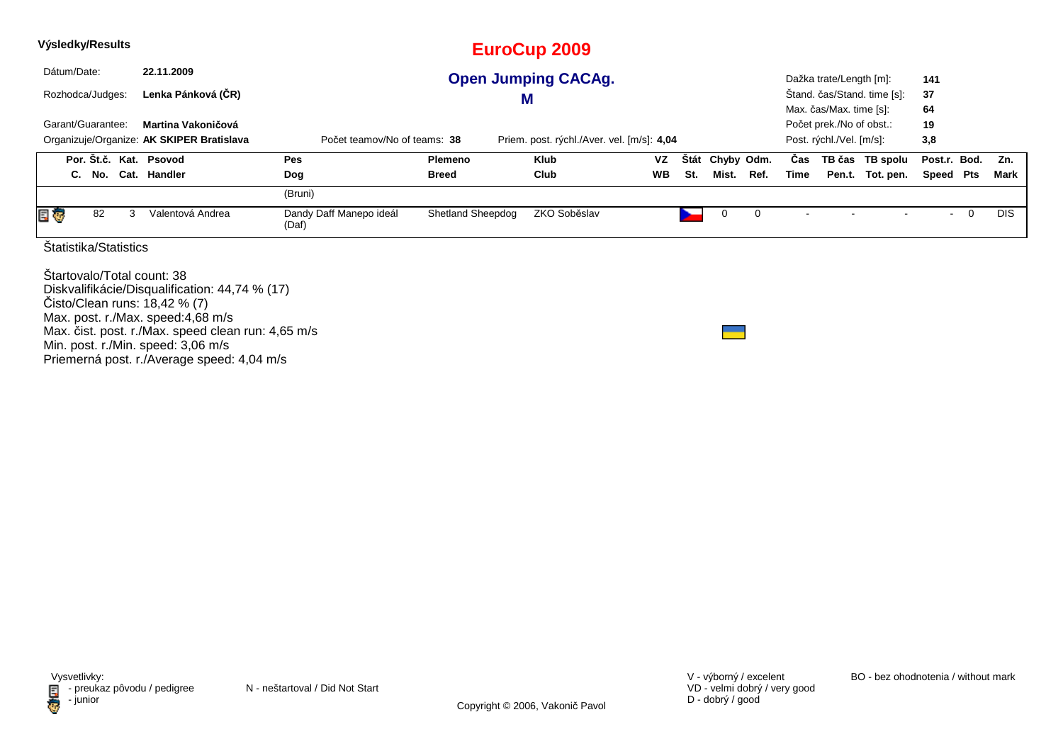| Výsledky/Results                                                                                                                                   |                                                                 |                                                                            | <b>EuroCup 2009</b>      |              |           |      |            |      |                                                                                 |  |                             |                 |   |            |
|----------------------------------------------------------------------------------------------------------------------------------------------------|-----------------------------------------------------------------|----------------------------------------------------------------------------|--------------------------|--------------|-----------|------|------------|------|---------------------------------------------------------------------------------|--|-----------------------------|-----------------|---|------------|
| Dátum/Date:<br>22.11.2009<br><b>Open Jumping CACAg.</b>                                                                                            |                                                                 |                                                                            |                          |              |           |      |            |      |                                                                                 |  | Dažka trate/Length [m]:     | 141             |   |            |
| Rozhodca/Judges:                                                                                                                                   | Lenka Pánková (ČR)                                              |                                                                            | M                        |              |           |      |            |      |                                                                                 |  | Stand. čas/Stand. time [s]: | 37              |   |            |
| Garant/Guarantee:                                                                                                                                  | Martina Vakoničová<br>Organizuje/Organize: AK SKIPER Bratislava | Počet teamov/No of teams: 38<br>Priem. post. rýchl./Aver. vel. [m/s]: 4,04 |                          |              |           |      |            |      | Max. čas/Max. time [s]:<br>Počet prek./No of obst.:<br>Post. rýchl./Vel. [m/s]: |  |                             | 64<br>19<br>3,8 |   |            |
| Por. Št.č. Kat. Psovod                                                                                                                             |                                                                 | Pes                                                                        | Plemeno                  | Klub         | <b>VZ</b> | Stát | Chyby Odm. |      | Cas                                                                             |  | TB čas TB spolu             | Post.r. Bod.    |   | Zn.        |
| C. No. Cat. Handler                                                                                                                                |                                                                 | Dog                                                                        | Breed                    | Club<br>WB   |           | St.  | Mist.      | Ref. | Time                                                                            |  | Pen.t. Tot. pen.            | Speed Pts       |   | Mark       |
|                                                                                                                                                    |                                                                 | (Bruni)                                                                    |                          |              |           |      |            |      |                                                                                 |  |                             |                 |   |            |
| E G<br>82<br>3                                                                                                                                     | Valentová Andrea                                                | Dandy Daff Manepo ideál<br>(Daf)                                           | <b>Shetland Sheepdog</b> | ZKO Soběslav |           | ►    | 0          | 0    |                                                                                 |  |                             | $\sim$          | 0 | <b>DIS</b> |
| Statistika/Statistics                                                                                                                              |                                                                 |                                                                            |                          |              |           |      |            |      |                                                                                 |  |                             |                 |   |            |
| Startovalo/Total count: 38<br>Diskvalifikácie/Disqualification: 44,74 % (17)<br>Čisto/Clean runs: 18,42 % (7)<br>Max. post. r./Max. speed:4,68 m/s |                                                                 |                                                                            |                          |              |           |      |            |      |                                                                                 |  |                             |                 |   |            |

Max. čist. post. r./Max. speed clean run: 4,65 m/s

Min. post. r./Min. speed: 3,06 m/s Priemerná post. r./Average speed: 4,04 m/s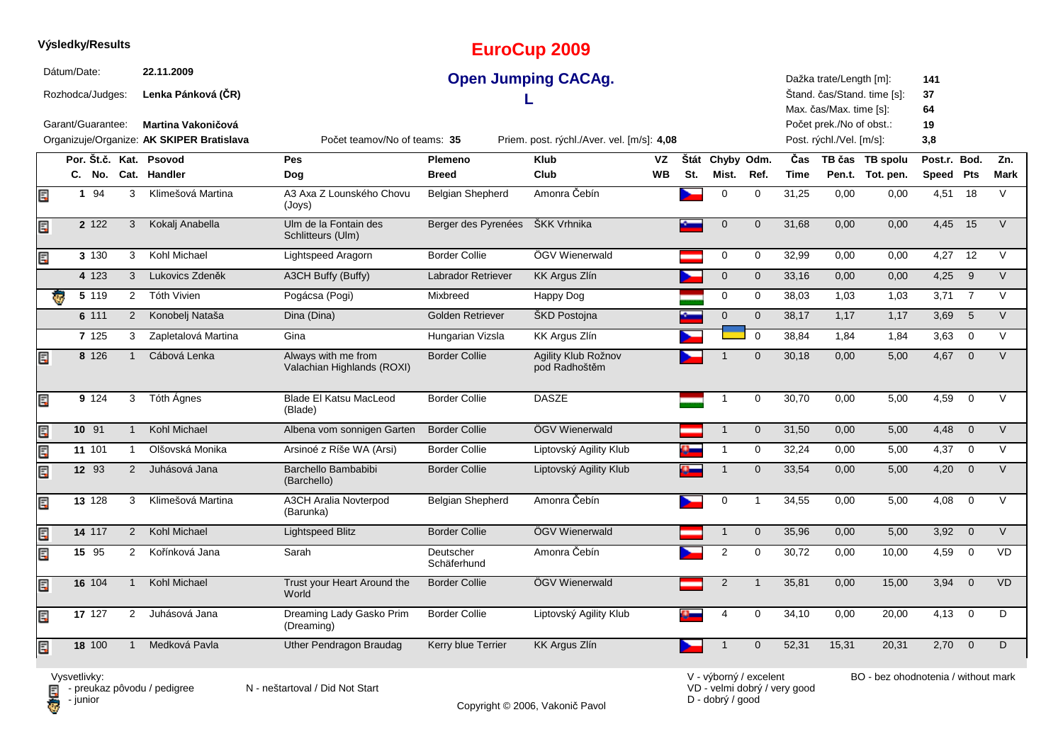|             | Výsledky/Results  |                       |                                                                        |                                                                            |                           | <b>EuroCup 2009</b>                  |                 |     |                          |                |                    |                                                      |                                     |                           |                 |                    |
|-------------|-------------------|-----------------------|------------------------------------------------------------------------|----------------------------------------------------------------------------|---------------------------|--------------------------------------|-----------------|-----|--------------------------|----------------|--------------------|------------------------------------------------------|-------------------------------------|---------------------------|-----------------|--------------------|
| Dátum/Date: | Rozhodca/Judges:  |                       | 22.11.2009<br>Lenka Pánková (ČR)                                       |                                                                            |                           | <b>Open Jumping CACAg.</b>           |                 |     |                          |                |                    | Dažka trate/Length [m]:<br>Max. čas/Max. time [s]:   | Štand. čas/Stand. time [s]:         | 141<br>37<br>64           |                 |                    |
|             | Garant/Guarantee: |                       | <b>Martina Vakoničová</b><br>Organizuje/Organize: AK SKIPER Bratislava | Počet teamov/No of teams: 35<br>Priem. post. rýchl./Aver. vel. [m/s]: 4,08 |                           |                                      |                 |     |                          |                |                    | Počet prek./No of obst.:<br>Post. rýchl./Vel. [m/s]: |                                     | 19<br>3,8                 |                 |                    |
|             |                   |                       | Por. Št.č. Kat. Psovod<br>C. No. Cat. Handler                          | <b>Pes</b><br>Dog                                                          | Plemeno<br><b>Breed</b>   | <b>Klub</b><br>Club                  | VZ<br><b>WB</b> | St. | Štát Chyby Odm.<br>Mist. | Ref.           | Čas<br><b>Time</b> |                                                      | TB čas TB spolu<br>Pen.t. Tot. pen. | Post.r. Bod.<br>Speed Pts |                 | Zn.<br><b>Mark</b> |
| E           | 1 94              | 3                     | Klimešová Martina                                                      | A3 Axa Z Lounského Chovu<br>(Joys)                                         | <b>Belgian Shepherd</b>   | Amonra Čebín                         |                 |     | 0                        | 0              | 31,25              | 0,00                                                 | 0,00                                | $4,51$ 18                 |                 | V                  |
| Ę           | 2 1 2 2           | 3                     | Kokalj Anabella                                                        | Ulm de la Fontain des<br>Schlitteurs (Ulm)                                 | Berger des Pyrenées       | ŠKK Vrhnika                          |                 |     | $\mathbf 0$              | $\overline{0}$ | 31,68              | 0,00                                                 | 0,00                                | 4,45                      | 15              | $\vee$             |
| Ę           | 3 130             | 3                     | Kohl Michael                                                           | Lightspeed Aragorn                                                         | <b>Border Collie</b>      | ÖGV Wienerwald                       |                 |     | 0                        | $\mathbf 0$    | 32,99              | 0,00                                                 | 0,00                                | $4,27$ 12                 |                 | $\vee$             |
|             | 4 123             | 3                     | Lukovics Zdeněk                                                        | A3CH Buffy (Buffy)                                                         | <b>Labrador Retriever</b> | <b>KK Argus Zlín</b>                 |                 |     | $\mathbf 0$              | $\mathbf 0$    | 33,16              | 0,00                                                 | 0,00                                | 4,25                      | 9               | $\vee$             |
| łд.         | 5 119             | $\mathbf{2}^{\prime}$ | Tóth Vivien                                                            | Pogácsa (Pogi)                                                             | Mixbreed                  | Happy Dog                            |                 |     | 0                        | 0              | 38,03              | 1,03                                                 | 1,03                                | 3,71                      | $\overline{7}$  | V                  |
|             | 6 111             | $\overline{2}$        | Konobelj Nataša                                                        | Dina (Dina)                                                                | Golden Retriever          | ŠKD Postojna                         |                 |     | $\mathbf 0$              | $\mathbf 0$    | 38,17              | 1,17                                                 | 1,17                                | 3,69                      | $5\overline{5}$ | $\vee$             |
|             | 7 1 2 5           | 3                     | Zapletalová Martina                                                    | Gina                                                                       | Hungarian Vizsla          | KK Argus Zlín                        |                 |     |                          | $\overline{0}$ | 38,84              | 1,84                                                 | 1,84                                | $3,63$ 0                  |                 | V                  |
| Ę           | 8 1 2 6           | $\mathbf{1}$          | Cábová Lenka                                                           | Always with me from<br>Valachian Highlands (ROXI)                          | <b>Border Collie</b>      | Agility Klub Rožnov<br>pod Radhoštěm |                 |     |                          | $\mathbf 0$    | 30,18              | 0,00                                                 | 5,00                                | $4,67$ 0                  |                 | $\vee$             |
| Ę           | 9 124             | 3                     | Tóth Ágnes                                                             | <b>Blade El Katsu MacLeod</b><br>(Blade)                                   | <b>Border Collie</b>      | <b>DASZE</b>                         |                 |     |                          | 0              | 30,70              | 0,00                                                 | 5,00                                | 4,59                      | $\mathbf 0$     | $\vee$             |
| Ę           | 10 91             | $\mathbf{1}$          | Kohl Michael                                                           | Albena vom sonnigen Garten                                                 | <b>Border Collie</b>      | ÖGV Wienerwald                       |                 |     | $\mathbf{1}$             | $\mathbf{0}$   | 31,50              | 0,00                                                 | 5,00                                | 4,48                      | $\overline{0}$  | V                  |
| Ę           | 11 101            | $\mathbf{1}$          | Olšovská Monika                                                        | Arsinoé z Ríše WA (Arsi)                                                   | <b>Border Collie</b>      | Liptovský Agility Klub               |                 |     | -1                       | 0              | 32,24              | 0,00                                                 | 5,00                                | 4,37                      | $\mathbf 0$     | $\vee$             |
| Ę           | 12 93             | $\overline{2}$        | Juhásová Jana                                                          | Barchello Bambabibi<br>(Barchello)                                         | <b>Border Collie</b>      | Liptovský Agility Klub               |                 |     |                          | $\mathbf{0}$   | 33,54              | 0,00                                                 | 5,00                                | 4,20                      | $\overline{0}$  | $\vee$             |
| Ę           | 13 128            | 3                     | Klimešová Martina                                                      | <b>A3CH Aralia Novterpod</b><br>(Barunka)                                  | Belgian Shepherd          | Amonra Čebín                         |                 |     | 0                        | $\mathbf{1}$   | 34,55              | 0,00                                                 | 5,00                                | 4,08                      | $\mathbf 0$     | $\vee$             |
| Ę           | 14 117            | $2^{\circ}$           | Kohl Michael                                                           | Lightspeed Blitz                                                           | <b>Border Collie</b>      | ÖGV Wienerwald                       |                 |     | $\mathbf{1}$             | $\mathbf 0$    | 35,96              | 0,00                                                 | 5,00                                | 3,92                      | $\overline{0}$  | V                  |
| Ę           | 15 95             | $\overline{2}$        | Kořínková Jana                                                         | Sarah                                                                      | Deutscher<br>Schäferhund  | Amonra Čebín                         |                 |     | $\overline{2}$           | $\mathbf 0$    | 30,72              | 0,00                                                 | 10,00                               | 4,59                      | $\mathbf 0$     | <b>VD</b>          |
| Ę           | 16 104            | $\mathbf{1}$          | Kohl Michael                                                           | Trust your Heart Around the<br>World                                       | <b>Border Collie</b>      | ÖGV Wienerwald                       |                 |     | 2                        | $\overline{1}$ | 35,81              | 0,00                                                 | 15,00                               | 3,94                      | $\overline{0}$  | <b>VD</b>          |
| Ę           | 17 127            | $\overline{2}$        | Juhásová Jana                                                          | Dreaming Lady Gasko Prim<br>(Dreaming)                                     | <b>Border Collie</b>      | Liptovský Agility Klub               |                 |     | $\overline{4}$           | 0              | 34,10              | 0,00                                                 | 20,00                               | 4,13                      | $\overline{0}$  | D                  |
| Œ           | 18 100            | $\mathbf{1}$          | Medková Pavla                                                          | Uther Pendragon Braudag                                                    | Kerry blue Terrier        | <b>KK Argus Zlín</b>                 |                 |     |                          | $\overline{0}$ | 52,31              | 15,31                                                | 20,31                               | 2,70                      | $\overline{0}$  | D                  |

**Výsledky/Results**

Copyright © 2006, Vakonič Pavol

VD - velmi dobrý / very good D - dobrý / good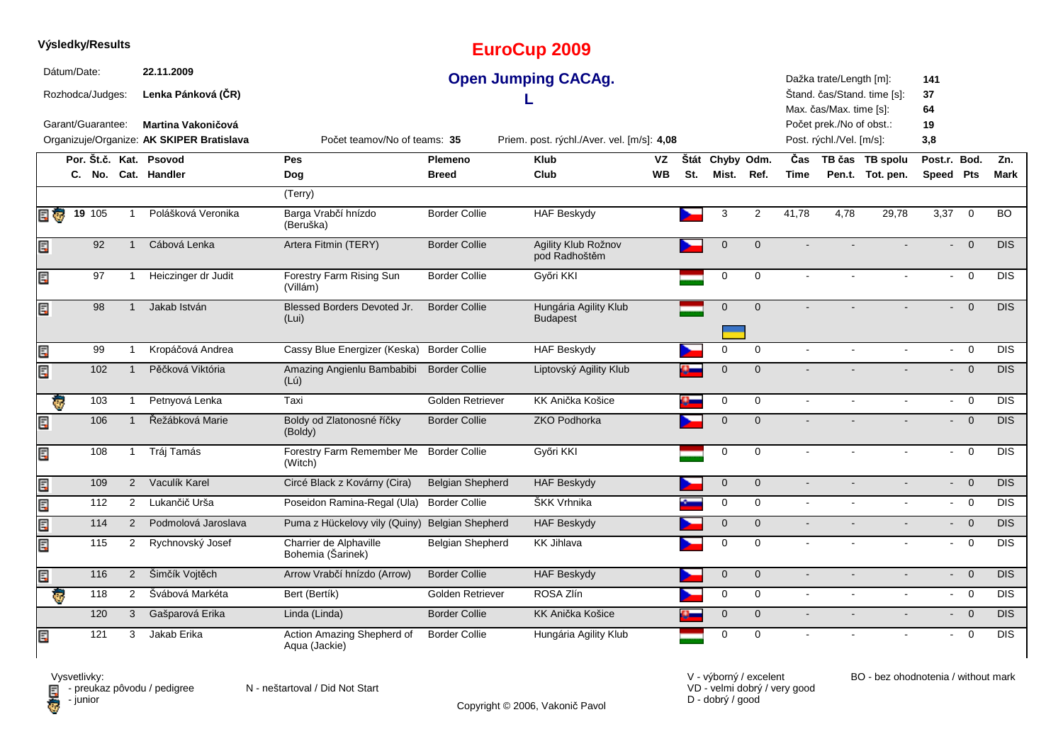|                                                                | Výsledky/Results |     |                                  |                            |                                                                                                                                                 |                         | <b>EuroCup 2009</b>                      |           |     |                 |                     |                                                    |                             |                  |                          |                         |            |
|----------------------------------------------------------------|------------------|-----|----------------------------------|----------------------------|-------------------------------------------------------------------------------------------------------------------------------------------------|-------------------------|------------------------------------------|-----------|-----|-----------------|---------------------|----------------------------------------------------|-----------------------------|------------------|--------------------------|-------------------------|------------|
| Dátum/Date:<br>Rozhodca/Judges:                                |                  |     | 22.11.2009<br>Lenka Pánková (ČR) | <b>Open Jumping CACAg.</b> |                                                                                                                                                 |                         |                                          |           |     |                 |                     | Dažka trate/Length [m]:<br>Max. čas/Max. time [s]: | Štand. čas/Stand. time [s]: | 141<br>37<br>64  |                          |                         |            |
| Garant/Guarantee:<br>Organizuje/Organize: AK SKIPER Bratislava |                  |     |                                  | <b>Martina Vakoničová</b>  | Počet prek./No of obst.:<br>19<br>Počet teamov/No of teams: 35<br>Priem. post. rýchl./Aver. vel. [m/s]: 4,08<br>Post. rýchl./Vel. [m/s]:<br>3,8 |                         |                                          |           |     |                 |                     |                                                    |                             |                  |                          |                         |            |
|                                                                |                  |     |                                  | Por. Št.č. Kat. Psovod     | <b>Pes</b>                                                                                                                                      | Plemeno                 | <b>Klub</b>                              | VZ        |     | Štát Chyby Odm. |                     | Čas                                                |                             | TB čas TB spolu  | Post.r. Bod.             |                         | Zn.        |
|                                                                |                  |     |                                  | C. No. Cat. Handler        | Dog                                                                                                                                             | <b>Breed</b>            | Club                                     | <b>WB</b> | St. | Mist.           | Ref.                | <b>Time</b>                                        |                             | Pen.t. Tot. pen. | Speed Pts                |                         | Mark       |
|                                                                |                  |     |                                  |                            | (Terry)                                                                                                                                         |                         |                                          |           |     |                 |                     |                                                    |                             |                  |                          |                         |            |
| E                                                              | 19 105           |     |                                  | Polášková Veronika         | Barga Vrabčí hnízdo<br>(Beruška)                                                                                                                | <b>Border Collie</b>    | <b>HAF Beskydy</b>                       |           |     | 3               | $\overline{2}$      | 41,78                                              | 4,78                        | 29,78            | 3,37                     | $\overline{0}$          | <b>BO</b>  |
| Ę                                                              |                  | 92  | $\mathbf{1}$                     | Cábová Lenka               | Artera Fitmin (TERY)                                                                                                                            | <b>Border Collie</b>    | Agility Klub Rožnov<br>pod Radhoštěm     |           |     | $\mathbf 0$     | $\overline{0}$      |                                                    |                             |                  | $\blacksquare$           | $\overline{0}$          | DIS        |
| Ę                                                              |                  | 97  | $\mathbf{1}$                     | Heiczinger dr Judit        | Forestry Farm Rising Sun<br>(Villám)                                                                                                            | <b>Border Collie</b>    | Győri KKI                                |           |     | 0               | $\Omega$            |                                                    |                             |                  | $\omega$                 | $\mathbf 0$             | <b>DIS</b> |
| Ę                                                              |                  | 98  | $\mathbf{1}$                     | Jakab István               | Blessed Borders Devoted Jr.<br>(Lui)                                                                                                            | <b>Border Collie</b>    | Hungária Agility Klub<br><b>Budapest</b> |           |     | $\mathbf 0$     | $\mathbf{0}$        |                                                    |                             |                  | $\omega$ .               | $\overline{0}$          | DIS        |
| Ę                                                              |                  | 99  | $\mathbf{1}$                     | Kropáčová Andrea           | Cassy Blue Energizer (Keska)                                                                                                                    | <b>Border Collie</b>    | <b>HAF Beskydy</b>                       |           |     | $\mathbf 0$     | $\Omega$            |                                                    |                             | $\mathbf{r}$     | $\mathbf{r}$             | $\overline{0}$          | <b>DIS</b> |
| Ę                                                              |                  | 102 | $\mathbf{1}$                     | Pěčková Viktória           | Amazing Angienlu Bambabibi<br>(Lú)                                                                                                              | <b>Border Collie</b>    | Liptovský Agility Klub                   |           |     | $\mathbf 0$     | $\overline{0}$      |                                                    |                             |                  | $\blacksquare$           | $\overline{0}$          | DIS        |
| Ģ                                                              |                  | 103 | $\mathbf{1}$                     | Petnyová Lenka             | Taxi                                                                                                                                            | Golden Retriever        | KK Anička Košice                         |           |     | 0               | 0                   |                                                    |                             |                  | $\blacksquare$           | $\mathbf 0$             | <b>DIS</b> |
| Ę                                                              |                  | 106 | $\mathbf{1}$                     | Řežábková Marie            | Boldy od Zlatonosné říčky<br>(Boldy)                                                                                                            | <b>Border Collie</b>    | <b>ZKO Podhorka</b>                      |           |     | $\mathbf 0$     | $\mathbf 0$         |                                                    |                             |                  | $\sim$                   | $\overline{0}$          | <b>DIS</b> |
| Ę                                                              |                  | 108 | 1                                | Tráj Tamás                 | Forestry Farm Remember Me<br>(Witch)                                                                                                            | <b>Border Collie</b>    | Győri KKI                                |           |     | $\pmb{0}$       | $\mathbf 0$         |                                                    |                             |                  | $\blacksquare$           | $\mathbf 0$             | <b>DIS</b> |
| Ę                                                              |                  | 109 | $\overline{2}$                   | Vaculík Karel              | Circé Black z Kovárny (Cira)                                                                                                                    | <b>Belgian Shepherd</b> | <b>HAF Beskydy</b>                       |           |     | $\mathbf 0$     | $\mathbf 0$         | $\sim$                                             |                             |                  | $\sim$                   | $\overline{0}$          | DIS        |
| Ę                                                              |                  | 112 | $\overline{2}$                   | Lukančič Urša              | Poseidon Ramina-Regal (Ula)                                                                                                                     | <b>Border Collie</b>    | ŠKK Vrhnika                              |           |     | 0               | $\mathbf 0$         | $\sim$                                             |                             |                  | $\sim$                   | $\overline{0}$          | DIS        |
| Ę                                                              |                  | 114 | $\overline{2}$                   | Podmolová Jaroslava        | Puma z Hückelovy vily (Quiny)                                                                                                                   | <b>Belgian Shepherd</b> | <b>HAF Beskydy</b>                       |           |     | $\mathbf{0}$    | $\overline{0}$      | $\blacksquare$                                     |                             |                  |                          | $- 0$                   | <b>DIS</b> |
| Ę                                                              |                  | 115 | $\overline{2}$                   | Rychnovský Josef           | Charrier de Alphaville<br>Bohemia (Šarinek)                                                                                                     | Belgian Shepherd        | <b>KK Jihlava</b>                        |           |     | $\mathbf 0$     | $\mathbf 0$         | $\sim$                                             |                             |                  | $\blacksquare$           | $\mathbf 0$             | <b>DIS</b> |
| Ę                                                              |                  | 116 | $2^{\circ}$                      | Šimčík Vojtěch             | Arrow Vrabčí hnízdo (Arrow)                                                                                                                     | <b>Border Collie</b>    | <b>HAF Beskydy</b>                       |           |     | $\mathbf 0$     | $\mathbf{0}$        | $\sim$                                             |                             |                  | $\sim$                   | $\overline{0}$          | <b>DIS</b> |
| ₹,                                                             |                  | 118 | $\overline{2}$                   | Švábová Markéta            | Bert (Bertík)                                                                                                                                   | Golden Retriever        | ROSA Zlín                                |           |     | $\mathbf 0$     | $\mathbf 0$         | $\sim$                                             |                             |                  |                          | $- 0$                   | <b>DIS</b> |
|                                                                |                  | 120 | 3                                | Gašparová Erika            | Linda (Linda)                                                                                                                                   | <b>Border Collie</b>    | KK Anička Košice                         |           |     | $\mathbf 0$     | $\mathsf{O}\xspace$ | $\blacksquare$                                     |                             |                  | $\sim$                   | $\overline{\mathbf{0}}$ | <b>DIS</b> |
| Ę                                                              | 121              |     | 3                                | Jakab Erika                | Action Amazing Shepherd of<br>Aqua (Jackie)                                                                                                     | <b>Border Collie</b>    | Hungária Agility Klub                    |           |     | 0               | $\mathbf 0$         |                                                    |                             |                  | $\overline{\phantom{a}}$ | $\mathbf 0$             | <b>DIS</b> |

Copyright © 2006, Vakonič Pavol

VD - velmi dobrý / very good D - dobrý / good